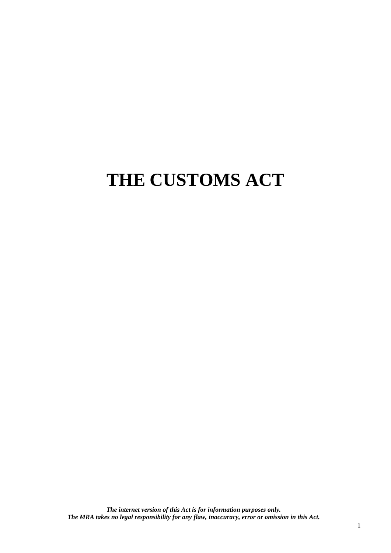# **THE CUSTOMS ACT**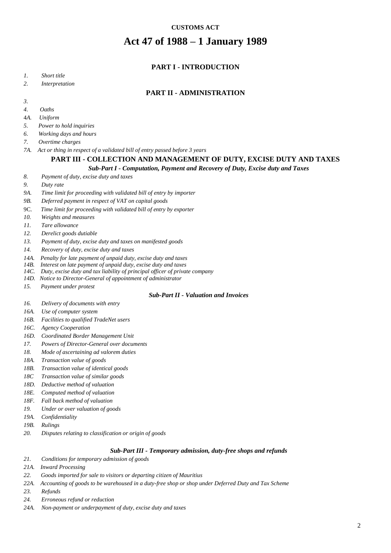#### **CUSTOMS ACT**

# **Act 47 of 1988 – 1 January 1989**

#### **PART I - [INTRODUCTION](#page-6-0)**

- *1. [Short title](#page-6-1)*
- *2. [Interpretation](#page-6-2)*

#### **PART II - [ADMINISTRATION](#page-13-0)**

- *[3.](#page-13-1)*
- *[4. Oaths](#page-13-2)*
- 4*A. Uniform*
- *[5. Power to hold inquiries](#page-13-3)*
- *[6. Working days and hours](#page-13-4)*
- *[7. Overtime charges](#page-13-5)*
- *7A. Act or thing in respect of a validated bill of entry passed before 3 years*

#### **PART III - [COLLECTION AND MANAGEMENT OF DUTY, EXCISE DUTY AND TAXES](#page-14-0)**

#### *Sub-Part I - [Computation, Payment and Recovery of Duty, Excise duty and Taxes](#page-14-1)*

- *8. [Payment of duty, excise duty and taxes](#page-14-2)*
- *9. [Duty rate](#page-14-3)*
- *[9A.](#page-14-4) Time limit for proceeding with validated bill of entry by importer*
- *9B. Deferred payment in respect of VAT on capital goods*
- 9C. *Time limit for proceeding with validated bill of entry by exporter*
- *10. [Weights and measures](#page-16-0)*
- *11. [Tare allowance](#page-16-1)*
- *12. [Derelict goods dutiable](#page-16-2)*
- *13. [Payment of duty, excise duty and taxes on manifested goods](#page-16-3)*
- *14. [Recovery of duty, excise duty and taxes](#page-16-4)*
- *14A. Penalty for late payment of unpaid duty, excise duty and taxes*
- *14B. Interest on late payment of unpaid duty, excise duty and taxes*
- *14C. Duty, excise duty and tax liability of principal officer of private company*
- *14D. Notice to Director-General of appointment of administrator*
- *15. [Payment under protest](#page-18-0)*

#### *Sub-Part II - [Valuation and Invoices](#page-20-0)*

- *16. [Delivery of documents with entry](#page-20-1)*
- *[16A. Use of computer system](#page-20-2)*
- *[16B. Facilities to qualified TradeNet users](#page-20-3)*
- *16C. Agency Cooperation*
- *16D. Coordinated Border Management Unit*
- *17. [Powers of Director-General over documents](#page-22-0)*
- *18. [Mode of ascertaining ad valorem duties](#page-23-0)*
- *18A. [Transaction value of goods](#page-23-1)*
- *18B. [Transaction value of identical goods](#page-23-2)*
- *[18C Transaction value of similar goods](#page-24-0)*
- *18D. [Deductive method of valuation](#page-24-1)*
- *18E. [Computed method of valuation](#page-24-2)*
- *18F. [Fall back method of valuation](#page-25-0)*
- *19. [Under or over valuation of goods](#page-25-1)*
- *19A. [Confidentiality](#page-26-0)*
- *[19B. Rulings](#page-26-1)*
- *20. [Disputes relating to classification or origin of goods](#page-28-0)*

#### *Sub-Part III - [Temporary admission, duty-free shops and refunds](#page-28-1)*

- *21. [Conditions for temporary admission of goods](#page-28-2)*
- *21A. Inward Processing*
- *22. [Goods imported for sale to visitors](#page-29-0) or departing citizen of Mauritius*
- *22A. Accounting of goods to be warehoused in a duty-free shop or shop under Deferred Duty and Tax Scheme*
- *23. [Refunds](#page-29-1)*
- *24. [Erroneous refund or reduction](#page-31-0)*
- *[24A. Non-payment or underpayment of duty, excise duty and taxes](#page-32-0)*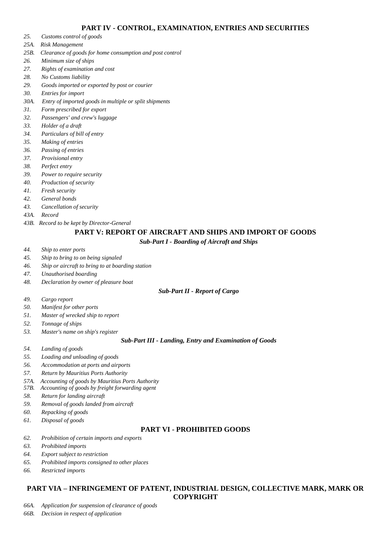- *25. [Customs control of goods](#page-33-1)*
- *25A. Risk Management*
- *25B. Clearance of goods for home consumption and post control*
- *26. [Minimum size of ships](#page-35-0)*
- *27. [Rights of examination and cost](#page-35-1)*
- *28. [No Customs liability](#page-35-2)*
- *29. [Goods imported or exported by post or courier](#page-35-3)*
- *30. [Entries for import](#page-35-4)*
- *30A. Entry of imported goods in multiple or split shipments*
- *31. [Form prescribed for export](#page-36-0)*
- *32. [Passengers' and crew's luggage](#page-36-1)*
- *33. [Holder of a draft](#page-36-2)*
- *34. [Particulars of bill of entry](#page-36-3)*
- *35. [Making of entries](#page-37-0)*
- *36. [Passing of entries](#page-37-1)*
- *37. [Provisional entry](#page-37-2)*
- *38. [Perfect entry](#page-37-3)*
- *39. [Power to require security](#page-37-4)*
- *40. [Production of security](#page-38-0)*
- *41. [Fresh security](#page-38-1)*
- *42. [General bonds](#page-38-2)*
- *43. [Cancellation of security](#page-38-3)*
- *43A. [Record](#page-38-4)*
- *43B. Record to be kept by Director-General*

#### **[PART V: REPORT OF AIRCRAFT AND SHIPS AND IMPORT OF GOODS](#page-39-0)**

*Sub-Part I - [Boarding of Aircraft and Ships](#page-39-1)*

- *44. [Ship to enter ports](#page-39-2)*
- *45. [Ship to bring to on being signaled](#page-39-3)*
- *46. [Ship or aircraft to bring to at boarding station](#page-39-4)*
- *47. [Unauthorised boarding](#page-39-5)*
- *48. [Declaration by owner of pleasure boat](#page-39-6)*

#### *Sub-Part II - [Report of Cargo](#page-39-7)*

- *49. [Cargo report](#page-39-8)*
- *50. [Manifest for other ports](#page-39-8)*
- *51. [Master of wrecked ship to report](#page-40-0)*
- *52. [Tonnage of ships](#page-41-0)*
- *53. [Master's name on ship's register](#page-41-1)*

#### *Sub-Part III - [Landing, Entry and Examination of Goods](#page-41-2)*

- *54. [Landing of goods](#page-41-3)*
- *55. [Loading and unloading of goods](#page-41-4)*
- *56. [Accommodation at ports and airports](#page-41-5)*
- *57. [Return by Mauritius Ports Authority](#page-41-6)*
- *57A. Accounting of goods by Mauritius Ports Authority*
- *57B. Accounting of goods by freight forwarding agent*
- *58. [Return for landing aircraft](#page-42-0)*
- *59. [Removal of goods landed from aircraft](#page-42-1)*
- *60. [Repacking of goods](#page-42-2)*
- *61. [Disposal of goods](#page-42-3)*

### **PART VI - [PROHIBITED GOODS](#page-44-0)**

- *62. [Prohibition of certain imports and exports](#page-44-1)*
- *63. [Prohibited imports](#page-44-2)*
- *64. [Export subject to restriction](#page-44-3)*
- *65. [Prohibited imports consigned](#page-44-4) to other places*
- *66. [Restricted imports](#page-44-5)*

#### **PART VIA – [INFRINGEMENT OF PATENT, INDUSTRIAL DESIGN, COLLECTIVE MARK, MARK OR](#page-44-6)  [COPYRIGHT](#page-44-6)**

*66A. [Application for suspension of clearance of goods](#page-44-7)*

*66B. [Decision in respect of application](#page-45-0)*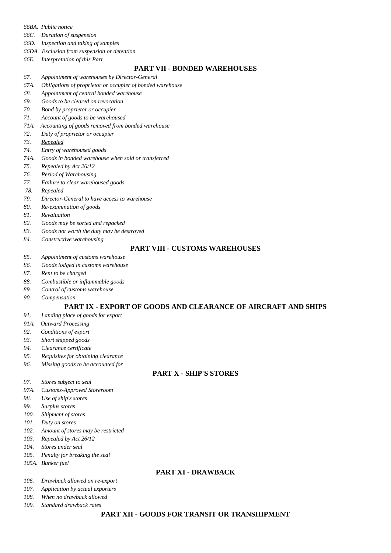- *66BA. Public notice*
- *66C. [Duration of suspension](#page-46-0)*
- *66D. [Inspection and taking of samples](#page-46-1)*
- *66DA. Exclusion from suspension or detention*
- *66E. [Interpretation of this Part](#page-47-0)*

#### **PART VII - [BONDED WAREHOUSES](#page-47-1)**

- *67. [Appointment of warehouses by Director-General](#page-47-2)*
- *[67A.](#page-48-0) Obligations of proprietor or occupier of bonded warehouse*
- *68. [Appointment of central bonded warehouse](#page-48-1)*
- *69. [Goods to be cleared on revocation](#page-48-2)*
- *70. [Bond by proprietor or occupier](#page-48-3)*
- *71. [Account of goods to be warehoused](#page-48-4)*
- *71A. Accounting of goods removed from bonded warehouse*
- *72. [Duty of proprietor or occupier](#page-49-0)*
- *[73.](#page-49-1) Repealed*
- *74. [Entry of warehoused goods](#page-49-2)*
- *[74A. Goods in bonded warehouse](#page-50-0) when sold or transferred*
- *75. [Repealed by Act 26/12](#page-50-1)*
- *76. [Period of Warehousing](#page-50-2)*
- *77. Failure to clear warehoused goods*
- *78. [Repealed](#page-50-3)*
- *79. [Director-General to have access to warehouse](#page-50-4)*
- *80. [Re-examination of goods](#page-50-5)*
- *81. [Revaluation](#page-51-0)*
- *82. [Goods may be sorted and repacked](#page-51-1)*
- *83. [Goods not worth the duty may be destroyed](#page-51-2)*
- *84. [Constructive warehousing](#page-51-3)*

#### **PART VIII - [CUSTOMS WAREHOUSES](#page-51-4)**

- *85. [Appointment of customs warehouse](#page-51-5)*
- *86. [Goods lodged in customs warehouse](#page-52-0)*
- *87. [Rent to be charged](#page-52-1)*
- *88. [Combustible or inflammable goods](#page-52-2)*
- *89. [Control of customs warehouse](#page-52-3)*
- *90. [Compensation](#page-52-4)*

#### **PART IX - [EXPORT OF GOODS AND CLEARANCE OF AIRCRAFT AND SHIPS](#page-52-5)**

- *91. [Landing place of goods for export](#page-52-6)*
- *91A. Outward Processing*
- *92. [Conditions of export](#page-53-0)*
- *93. [Short shipped goods](#page-53-1)*
- *94. [Clearance certificate](#page-53-2)*
- *95. [Requisites for obtaining clearance](#page-53-3)*
- *96. [Missing goods to be accounted for](#page-53-4)*

#### **PART X - [SHIP'S STORES](#page-54-0)**

- *97. [Stores subject to seal](#page-54-1)*
- *97A. [Customs-Approved Storeroom](#page-54-2)*
- *98. [Use of ship's stores](#page-55-0)*
- *99. [Surplus stores](#page-55-1)*
- *100. [Shipment of stores](#page-55-2)*
- *101. [Duty on stores](#page-55-3)*
- *102. [Amount of stores may be restricted](#page-55-4)*
- *103. [Repealed by Act 26/12](#page-56-0)*
- *104. [Stores under seal](#page-56-1)*
- *105. [Penalty for breaking the seal](#page-56-2)*
- *105A. [Bunker fuel](#page-56-3)*

#### **PART XI - [DRAWBACK](#page-57-0)**

- *106. [Drawback allowed on re-export](#page-57-1)*
- *107. [Application by actual exporters](#page-57-2)*
- *108. [When no drawback allowed](#page-57-3)*
- *109. [Standard drawback rates](#page-57-4)*

#### **PART XII - [GOODS FOR TRANSIT OR TRANSHIPMENT](#page-57-5)**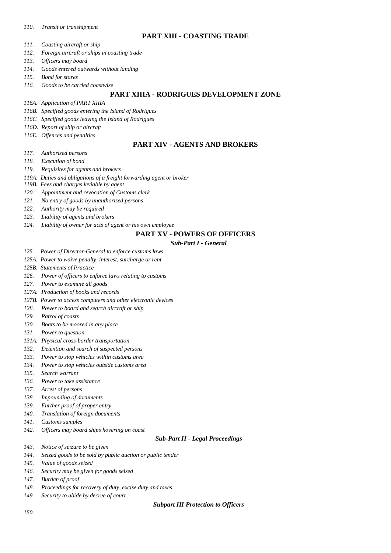#### *110. [Transit or transhipment](#page-57-6)*

#### **PART XIII - [COASTING TRADE](#page-58-0)**

- *111. [Coasting aircraft or ship](#page-58-1)*
- *112. [Foreign aircraft or ships in coasting trade](#page-58-2)*
- *113. [Officers may board](#page-58-3)*
- *114. [Goods entered outwards without landing](#page-58-4)*
- *115. [Bond for stores](#page-59-0)*
- *116. [Goods to be carried coastwise](#page-59-1)*

#### **PART XIIIA - [RODRIGUES DEVELOPMENT ZONE](#page-59-2)**

- *116A. [Application of PART XIIIA](#page-59-3)*
- *116B. [Specified goods entering the Island of Rodrigues](#page-59-4)*
- *116C. [Specified goods leaving the Island of Rodrigues](#page-59-5)*
- *116D. [Report of ship or aircraft](#page-60-0)*
- *116E. [Offences and penalties](#page-60-1)*

#### **PART XIV - [AGENTS AND BROKERS](#page-60-2)**

- *117. [Authorised persons](#page-60-3)*
- *118. [Execution of bond](#page-60-4)*
- *119. [Requisites for agents and brokers](#page-60-5)*
- *119A. Duties and obligations of a freight forwarding agent or broker*
- *119B. Fees and charges leviable by agent*
- *120. [Appointment and revocation of Customs clerk](#page-61-0)*
- *121. [No entry of goods by unauthorised persons](#page-62-0)*
- *122. [Authority may be required](#page-62-1)*
- *123. [Liability of agents and brokers](#page-62-2)*
- *124. [Liability of owner for acts of agent or his own employee](#page-62-3)*

#### **PART XV - [POWERS OF OFFICERS](#page-63-0)**

#### *[Sub-Part I -](#page-63-1) General*

- *125. [Power of Director-General to enforce customs laws](#page-63-2)*
- *[125A.](#page-63-3) Power to waive penalty, interest, surcharge or rent*
- *125B. Statements of Practice*
- *126. [Power of officers to enforce laws relating to customs](#page-63-4)*
- *127. [Power to examine all goods](#page-64-0)*
- *127A. [Production of books and records](#page-64-1)*
- *[127B. Power to access computers and other electronic devices](#page-64-2)*
- *128. [Power to board and search aircraft or ship](#page-65-0)*
- *129. [Patrol of coasts](#page-65-1)*
- *130. [Boats to be moored in any place](#page-65-2)*
- *131. [Power to question](#page-65-3)*
- *131A. [Physical cross-border transportation](#page-65-4)*
- *132. [Detention and search of suspected persons](#page-69-0)*
- *133. [Power to stop vehicles within customs area](#page-69-1)*
- *134. [Power to stop vehicles outside customs area](#page-69-2)*
- *135. [Search warrant](#page-69-3)*
- *136. [Power to take assistance](#page-70-0)*
- *137. [Arrest of persons](#page-70-1)*
- *138. [Impounding of documents](#page-70-2)*
- *139. [Further proof of proper entry](#page-70-3)*
- *140. [Translation of foreign documents](#page-71-0)*
- *141. [Customs samples](#page-71-1)*
- *142. [Officers may board ships hovering on coast](#page-71-2)*

#### *Sub-Part II - [Legal Proceedings](#page-71-3)*

- *143. [Notice of seizure to be given](#page-71-4)*
- *144. [Seized goods to be sold by public auction or public tender](#page-72-0)*
- *145. [Value of goods seized](#page-72-1)*
- *146. [Security may be given for goods seized](#page-72-2)*
- *147. [Burden of proof](#page-72-3)*
- *148. [Proceedings for](#page-72-4) recovery of duty, excise duty and taxes*
- *149. [Security to abide by decree of court](#page-72-5)*

#### *[Subpart III Protection to Officers](#page-73-0)*

*[150.](#page-73-1)*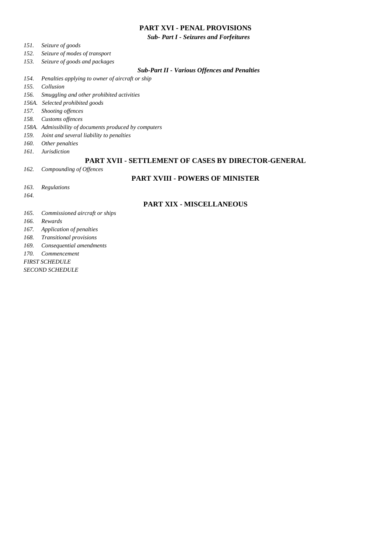#### **PART XVI - [PENAL PROVISIONS](#page-73-2)**

*Sub- Part I - [Seizures and Forfeitures](#page-73-3)*

- *151. [Seizure of goods](#page-73-4)*
- *152. [Seizure of modes of transport](#page-74-0)*
- *153. [Seizure of goods and packages](#page-74-1)*

#### *Sub-Part II - [Various Offences and Penalties](#page-74-2)*

- *154. [Penalties applying to owner of aircraft or ship](#page-74-3)*
- *155. [Collusion](#page-75-0)*
- *156. [Smuggling and other prohibited activities](#page-75-1)*
- *156A. Selected prohibited goods*
- *157. [Shooting offences](#page-76-0)*
- *158. [Customs offences](#page-77-0)*
- *158A. [Admissibility of documents produced by computers](#page-78-0)*
- *159. [Joint and several liability to penalties](#page-78-1)*
- *160. [Other penalties](#page-78-2)*
- *161. [Jurisdiction](#page-78-3)*

#### **PART XVII - [SETTLEMENT OF CASES BY DIRECTOR-GENERAL](#page-79-0)**

*162. [Compounding of O](#page-79-1)ffences*

#### **PART XVIII - [POWERS OF MINISTER](#page-79-2)**

- *163. [Regulations](#page-79-3)*
- *[164.](#page-80-0)*

#### **PART XIX - [MISCELLANEOUS](#page-80-1)**

- *165. [Commissioned aircraft or ships](#page-80-2)*
- *166. [Rewards](#page-80-3)*
- *167. [Application of penalties](#page-80-4)*
- *168. [Transitional provisions](#page-80-5)*
- *169. [Consequential amendments](#page-81-0)*
- *170. [Commencement](#page-81-1)*
- *[FIRST SCHEDULE](#page-82-0)*
- *[SECOND SCHEDULE](#page-84-0)*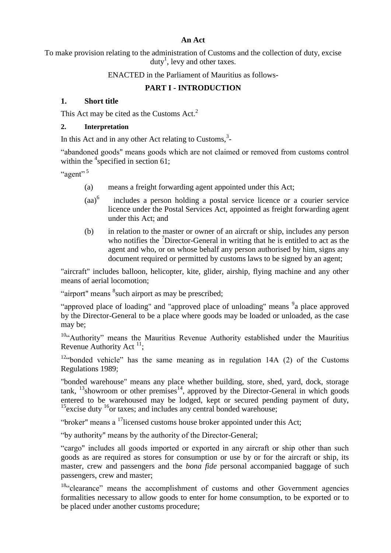#### **An Act**

To make provision relating to the administration of Customs and the collection of duty, excise duty<sup>1</sup>, levy and other taxes.

ENACTED in the Parliament of Mauritius as follows-

### **PART I - INTRODUCTION**

### <span id="page-6-1"></span><span id="page-6-0"></span>**1. Short title**

This Act may be cited as the Customs Act.<sup>2</sup>

#### <span id="page-6-2"></span>**2. Interpretation**

In this Act and in any other Act relating to Customs, $3$ -

"abandoned goods" means goods which are not claimed or removed from customs control within the  $\frac{4}{3}$  specified in section 61;

" $a$ gent"<sup>5</sup>

- (a) means a freight forwarding agent appointed under this Act;
- $(aa)^6$  includes a person holding a postal service licence or a courier service licence under the Postal Services Act, appointed as freight forwarding agent under this Act; and
- (b) in relation to the master or owner of an aircraft or ship, includes any person who notifies the  $\sqrt{2}$ Director-General in writing that he is entitled to act as the agent and who, or on whose behalf any person authorised by him, signs any document required or permitted by customs laws to be signed by an agent;

"aircraft" includes balloon, helicopter, kite, glider, airship, flying machine and any other means of aerial locomotion;

"airport" means <sup>8</sup> such airport as may be prescribed;

"approved place of loading" and "approved place of unloading" means <sup>9</sup>a place approved by the Director-General to be a place where goods may be loaded or unloaded, as the case may be;

 $10$ <sup>4</sup> Authority" means the Mauritius Revenue Authority established under the Mauritius Revenue Authority Act  $^{11}$ ;

 $12$ "bonded vehicle" has the same meaning as in regulation 14A (2) of the Customs Regulations 1989;

"bonded warehouse" means any place whether building, store, shed, yard, dock, storage tank,  $^{13}$ showroom or other premises<sup>14</sup>, approved by the Director-General in which goods entered to be warehoused may be lodged, kept or secured pending payment of duty,  $15$ excise duty  $16$ or taxes; and includes any central bonded warehouse;

"broker" means a <sup>17</sup>licensed customs house broker appointed under this Act;

―by authority" means by the authority of the Director-General;

"cargo" includes all goods imported or exported in any aircraft or ship other than such goods as are required as stores for consumption or use by or for the aircraft or ship, its master, crew and passengers and the *bona fide* personal accompanied baggage of such passengers, crew and master;

 $18$ "clearance" means the accomplishment of customs and other Government agencies formalities necessary to allow goods to enter for home consumption, to be exported or to be placed under another customs procedure;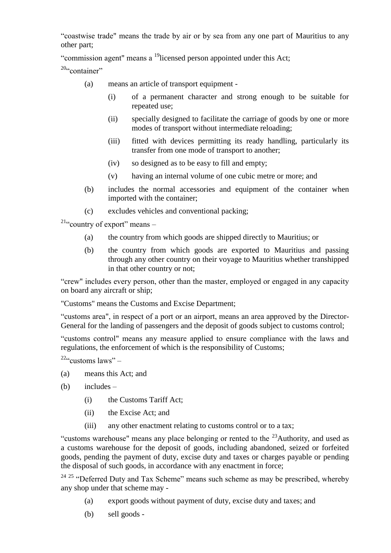―coastwise trade" means the trade by air or by sea from any one part of Mauritius to any other part;

"commission agent" means a  $19$ licensed person appointed under this Act;

 $20$ "container"

- (a) means an article of transport equipment
	- (i) of a permanent character and strong enough to be suitable for repeated use;
	- (ii) specially designed to facilitate the carriage of goods by one or more modes of transport without intermediate reloading;
	- (iii) fitted with devices permitting its ready handling, particularly its transfer from one mode of transport to another;
	- (iv) so designed as to be easy to fill and empty;
	- (v) having an internal volume of one cubic metre or more; and
- (b) includes the normal accessories and equipment of the container when imported with the container;
- (c) excludes vehicles and conventional packing;

 $21\%$  country of export" means –

- (a) the country from which goods are shipped directly to Mauritius; or
- (b) the country from which goods are exported to Mauritius and passing through any other country on their voyage to Mauritius whether transhipped in that other country or not;

"crew" includes every person, other than the master, employed or engaged in any capacity on board any aircraft or ship;

"Customs" means the Customs and Excise Department;

"customs area", in respect of a port or an airport, means an area approved by the Director-General for the landing of passengers and the deposit of goods subject to customs control;

―customs control" means any measure applied to ensure compliance with the laws and regulations, the enforcement of which is the responsibility of Customs;

<sup>22</sup>" customs laws" –

- (a) means this Act; and
- (b) includes
	- (i) the Customs Tariff Act;
	- (ii) the Excise Act; and
	- (iii) any other enactment relating to customs control or to a tax;

"customs warehouse" means any place belonging or rented to the  $^{23}$ Authority, and used as a customs warehouse for the deposit of goods, including abandoned, seized or forfeited goods, pending the payment of duty, excise duty and taxes or charges payable or pending the disposal of such goods, in accordance with any enactment in force;

 $24$   $25$  "Deferred Duty and Tax Scheme" means such scheme as may be prescribed, whereby any shop under that scheme may -

- (a) export goods without payment of duty, excise duty and taxes; and
- (b) sell goods -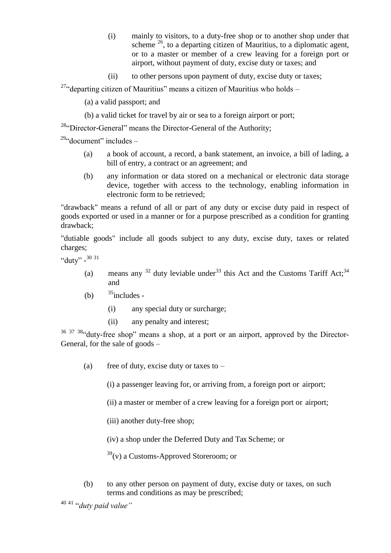- (i) mainly to visitors, to a duty-free shop or to another shop under that scheme <sup>26</sup>, to a departing citizen of Mauritius, to a diplomatic agent, or to a master or member of a crew leaving for a foreign port or airport, without payment of duty, excise duty or taxes; and
- (ii) to other persons upon payment of duty, excise duty or taxes;

<sup>27</sup> departing citizen of Mauritius" means a citizen of Mauritius who holds –

(a) a valid passport; and

(b) a valid ticket for travel by air or sea to a foreign airport or port;

 $28$ <sup>4</sup>C) Director-General" means the Director-General of the Authority;

 $29$ "document" includes –

- (a) a book of account, a record, a bank statement, an invoice, a bill of lading, a bill of entry, a contract or an agreement; and
- (b) any information or data stored on a mechanical or electronic data storage device, together with access to the technology, enabling information in electronic form to be retrieved;

"drawback" means a refund of all or part of any duty or excise duty paid in respect of goods exported or used in a manner or for a purpose prescribed as a condition for granting drawback;

"dutiable goods" include all goods subject to any duty, excise duty, taxes or related charges;

"duty"  $-3031$ 

- (a) means any  $32$  duty leviable under  $33$  this Act and the Customs Tariff Act;  $34$ and
- (b)  $35$  includes -
	- (i) any special duty or surcharge;
	- (ii) any penalty and interest;

<sup>36 37 38</sup> duty-free shop" means a shop, at a port or an airport, approved by the Director-General, for the sale of goods –

(a) free of duty, excise duty or taxes to  $-$ 

(i) a passenger leaving for, or arriving from, a foreign port or airport;

(ii) a master or member of a crew leaving for a foreign port or airport;

(iii) another duty-free shop;

(iv) a shop under the Deferred Duty and Tax Scheme; or

 $39$ (v) a Customs-Approved Storeroom; or

(b) to any other person on payment of duty, excise duty or taxes, on such terms and conditions as may be prescribed;

<sup>40 41</sup> "*duty paid value*"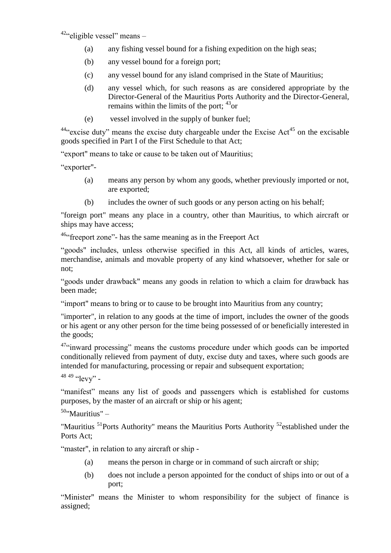$42$ "eligible vessel" means –

- (a) any fishing vessel bound for a fishing expedition on the high seas;
- (b) any vessel bound for a foreign port;
- (c) any vessel bound for any island comprised in the State of Mauritius;
- (d) any vessel which, for such reasons as are considered appropriate by the Director-General of the Mauritius Ports Authority and the Director-General, remains within the limits of the port:  $43$ <sup>3</sup>or
- (e) vessel involved in the supply of bunker fuel;

 $44\degree$  excise duty" means the excise duty chargeable under the Excise Act<sup>45</sup> on the excisable goods specified in Part I of the First Schedule to that Act;

"export" means to take or cause to be taken out of Mauritius;

―exporter"-

- (a) means any person by whom any goods, whether previously imported or not, are exported;
- (b) includes the owner of such goods or any person acting on his behalf;

"foreign port" means any place in a country, other than Mauritius, to which aircraft or ships may have access;

 $46$ <sup>46</sup> freeport zone"- has the same meaning as in the Freeport Act

"goods" includes, unless otherwise specified in this Act, all kinds of articles, wares, merchandise, animals and movable property of any kind whatsoever, whether for sale or not;

"goods under drawback" means any goods in relation to which a claim for drawback has been made;

"import" means to bring or to cause to be brought into Mauritius from any country;

"importer", in relation to any goods at the time of import, includes the owner of the goods or his agent or any other person for the time being possessed of or beneficially interested in the goods;

<sup>47</sup>"inward processing" means the customs procedure under which goods can be imported conditionally relieved from payment of duty, excise duty and taxes, where such goods are intended for manufacturing, processing or repair and subsequent exportation;

48 49  $~^{49}$   $~^{49}$  -

"manifest" means any list of goods and passengers which is established for customs purposes, by the master of an aircraft or ship or his agent;

<sup>50</sup>"Mauritius" –

"Mauritius  $51$ Ports Authority" means the Mauritius Ports Authority  $52$  established under the Ports Act;

"master", in relation to any aircraft or ship -

- (a) means the person in charge or in command of such aircraft or ship;
- (b) does not include a person appointed for the conduct of ships into or out of a port;

"Minister" means the Minister to whom responsibility for the subject of finance is assigned;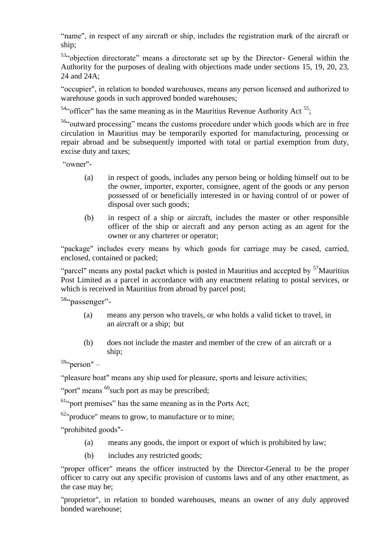"name", in respect of any aircraft or ship, includes the registration mark of the aircraft or ship;

53. objection directorate" means a directorate set up by the Director- General within the Authority for the purposes of dealing with objections made under sections 15, 19, 20, 23, 24 and 24A;

―occupier", in relation to bonded warehouses, means any person licensed and authorized to warehouse goods in such approved bonded warehouses:

 $54$ " officer" has the same meaning as in the Mauritius Revenue Authority Act  $55$ ;

<sup>56</sup>"outward processing" means the customs procedure under which goods which are in free circulation in Mauritius may be temporarily exported for manufacturing, processing or repair abroad and be subsequently imported with total or partial exemption from duty, excise duty and taxes;

―owner"-

- (a) in respect of goods, includes any person being or holding himself out to be the owner, importer, exporter, consignee, agent of the goods or any person possessed of or beneficially interested in or having control of or power of disposal over such goods;
- (b) in respect of a ship or aircraft, includes the master or other responsible officer of the ship or aircraft and any person acting as an agent for the owner or any charterer or operator;

"package" includes every means by which goods for carriage may be cased, carried, enclosed, contained or packed;

"parcel" means any postal packet which is posted in Mauritius and accepted by  $57$  Mauritius Post Limited as a parcel in accordance with any enactment relating to postal services, or which is received in Mauritius from abroad by parcel post;

58. passenger"-

- (a) means any person who travels, or who holds a valid ticket to travel, in an aircraft or a ship; but
- (b) does not include the master and member of the crew of an aircraft or a ship;

 $59\cdot \text{person}'' -$ 

"pleasure boat" means any ship used for pleasure, sports and leisure activities;

"port" means  $^{60}$  such port as may be prescribed;

 $61\degree$  port premises" has the same meaning as in the Ports Act;

 $62$ "produce" means to grow, to manufacture or to mine;

―prohibited goods"-

- (a) means any goods, the import or export of which is prohibited by law;
- (b) includes any restricted goods;

"proper officer" means the officer instructed by the Director-General to be the proper officer to carry out any specific provision of customs laws and of any other enactment, as the case may be;

"proprietor", in relation to bonded warehouses, means an owner of any duly approved bonded warehouse;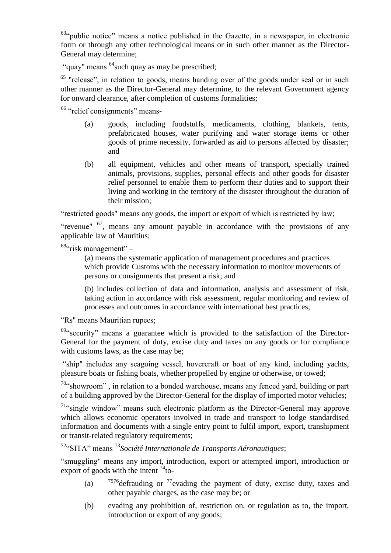$63$ "public notice" means a notice published in the Gazette, in a newspaper, in electronic form or through any other technological means or in such other manner as the Director-General may determine;

"quay" means <sup>64</sup> such quay as may be prescribed;

<sup>65</sup> "release", in relation to goods, means handing over of the goods under seal or in such other manner as the Director-General may determine, to the relevant Government agency for onward clearance, after completion of customs formalities;

 $66$  "relief consignments" means-

- (a) goods, including foodstuffs, medicaments, clothing, blankets, tents, prefabricated houses, water purifying and water storage items or other goods of prime necessity, forwarded as aid to persons affected by disaster; and
- (b) all equipment, vehicles and other means of transport, specially trained animals, provisions, supplies, personal effects and other goods for disaster relief personnel to enable them to perform their duties and to support their living and working in the territory of the disaster throughout the duration of their mission;

―restricted goods" means any goods, the import or export of which is restricted by law;

"revenue"  $67$ , means any amount payable in accordance with the provisions of any applicable law of Mauritius;

 $68$ "risk management" –

(a) means the systematic application of management procedures and practices which provide Customs with the necessary information to monitor movements of persons or consignments that present a risk; and

(b) includes collection of data and information, analysis and assessment of risk, taking action in accordance with risk assessment, regular monitoring and review of processes and outcomes in accordance with international best practices;

"Rs" means Mauritian rupees;

 $69$ "security" means a guarantee which is provided to the satisfaction of the Director-General for the payment of duty, excise duty and taxes on any goods or for compliance with customs laws, as the case may be;

"ship" includes any seagoing vessel, hovercraft or boat of any kind, including yachts, pleasure boats or fishing boats, whether propelled by engine or otherwise, or towed;

70"showroom", in relation to a bonded warehouse, means any fenced yard, building or part of a building approved by the Director-General for the display of imported motor vehicles;

 $71\%$  single window" means such electronic platform as the Director-General may approve which allows economic operators involved in trade and transport to lodge standardised information and documents with a single entry point to fulfil import, export, transhipment or transit-related regulatory requirements;

<sup>72</sup>―SITA‖ means <sup>73</sup>*Société Internationale de Transports Aéronautiques*;

"smuggling" means any import, introduction, export or attempted import, introduction or export of goods with the intent  $^{74}$  to-

- (a)  $7576$  defrauding or  $77$  evading the payment of duty, excise duty, taxes and other payable charges, as the case may be; or
- (b) evading any prohibition of, restriction on, or regulation as to, the import, introduction or export of any goods;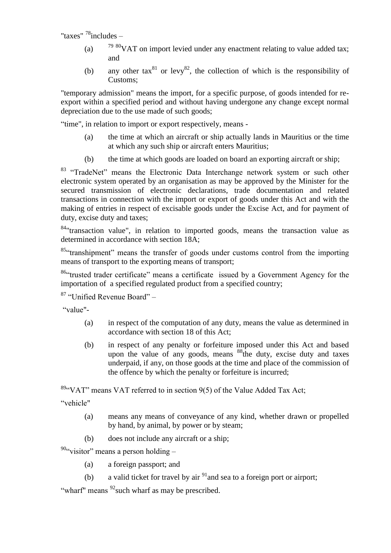"taxes"  $^{78}$ includes –

- (a)  $7980\text{VAT}$  on import levied under any enactment relating to value added tax; and
- (b) any other tax $^{81}$  or levy $^{82}$ , the collection of which is the responsibility of Customs;

"temporary admission" means the import, for a specific purpose, of goods intended for reexport within a specified period and without having undergone any change except normal depreciation due to the use made of such goods;

"time", in relation to import or export respectively, means -

- (a) the time at which an aircraft or ship actually lands in Mauritius or the time at which any such ship or aircraft enters Mauritius;
- (b) the time at which goods are loaded on board an exporting aircraft or ship;

<sup>83</sup> "TradeNet" means the Electronic Data Interchange network system or such other electronic system operated by an organisation as may be approved by the Minister for the secured transmission of electronic declarations, trade documentation and related transactions in connection with the import or export of goods under this Act and with the making of entries in respect of excisable goods under the Excise Act, and for payment of duty, excise duty and taxes;

<sup>84</sup>"transaction value", in relation to imported goods, means the transaction value as determined in accordance with section 18A;

<sup>85</sup> "transhipment" means the transfer of goods under customs control from the importing means of transport to the exporting means of transport;

<sup>86</sup> trusted trader certificate" means a certificate issued by a Government Agency for the importation of a specified regulated product from a specified country;

 $87$  "Unified Revenue Board" –

―value"-

- (a) in respect of the computation of any duty, means the value as determined in accordance with section 18 of this Act;
- (b) in respect of any penalty or forfeiture imposed under this Act and based upon the value of any goods, means <sup>88</sup>the duty, excise duty and taxes underpaid, if any, on those goods at the time and place of the commission of the offence by which the penalty or forfeiture is incurred;

 $89$ <sup>4</sup> VAT" means VAT referred to in section 9(5) of the Value Added Tax Act;

―vehicle"

- (a) means any means of conveyance of any kind, whether drawn or propelled by hand, by animal, by power or by steam;
- (b) does not include any aircraft or a ship;

 $90$ "visitor" means a person holding –

(a) a foreign passport; and

(b) a valid ticket for travel by air  $91$  and sea to a foreign port or airport;

"wharf" means  $92$  such wharf as may be prescribed.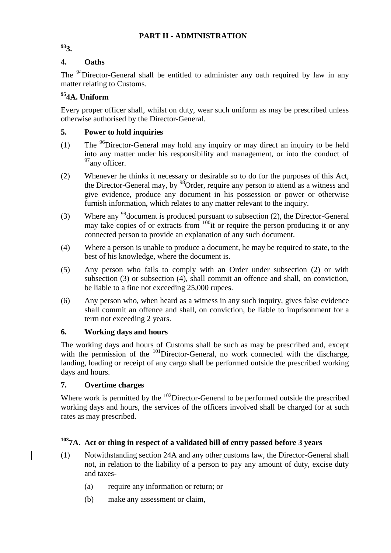#### **PART II - ADMINISTRATION**

<span id="page-13-1"></span><span id="page-13-0"></span>**<sup>93</sup>3.**

### <span id="page-13-2"></span>**4. Oaths**

The <sup>94</sup>Director-General shall be entitled to administer any oath required by law in any matter relating to Customs.

### **<sup>95</sup>4A. Uniform**

Every proper officer shall, whilst on duty, wear such uniform as may be prescribed unless otherwise authorised by the Director-General.

### <span id="page-13-3"></span>**5. Power to hold inquiries**

- (1) The <sup>96</sup>Director-General may hold any inquiry or may direct an inquiry to be held into any matter under his responsibility and management, or into the conduct of <sup>97</sup>any officer.
- (2) Whenever he thinks it necessary or desirable so to do for the purposes of this Act, the Director-General may, by  $98$ Order, require any person to attend as a witness and give evidence, produce any document in his possession or power or otherwise furnish information, which relates to any matter relevant to the inquiry.
- (3) Where any <sup>99</sup> document is produced pursuant to subsection (2), the Director-General may take copies of or extracts from  $100$ <sub>it</sub> or require the person producing it or any connected person to provide an explanation of any such document.
- (4) Where a person is unable to produce a document, he may be required to state, to the best of his knowledge, where the document is.
- (5) Any person who fails to comply with an Order under subsection (2) or with subsection (3) or subsection (4), shall commit an offence and shall, on conviction, be liable to a fine not exceeding 25,000 rupees.
- (6) Any person who, when heard as a witness in any such inquiry, gives false evidence shall commit an offence and shall, on conviction, be liable to imprisonment for a term not exceeding 2 years.

### <span id="page-13-4"></span>**6. Working days and hours**

The working days and hours of Customs shall be such as may be prescribed and, except with the permission of the <sup>101</sup>Director-General, no work connected with the discharge, landing, loading or receipt of any cargo shall be performed outside the prescribed working days and hours.

### <span id="page-13-5"></span>**7. Overtime charges**

Where work is permitted by the  $102$ Director-General to be performed outside the prescribed working days and hours, the services of the officers involved shall be charged for at such rates as may prescribed.

# **<sup>103</sup>7A. Act or thing in respect of a validated bill of entry passed before 3 years**

- (1) Notwithstanding section 24A and any other customs law, the Director-General shall not, in relation to the liability of a person to pay any amount of duty, excise duty and taxes-
	- (a) require any information or return; or
	- (b) make any assessment or claim,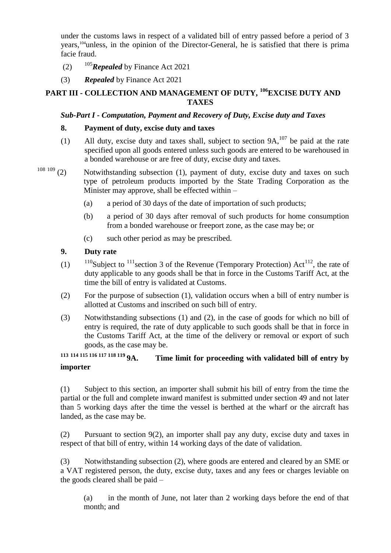under the customs laws in respect of a validated bill of entry passed before a period of 3 years,<sup>104</sup>unless, in the opinion of the Director-General, he is satisfied that there is prima facie fraud.

- (2)  $105$ *Repealed* by Finance Act 2021
- (3) *Repealed* by Finance Act 2021

### <span id="page-14-1"></span><span id="page-14-0"></span>**PART III - COLLECTION AND MANAGEMENT OF DUTY, <sup>106</sup>EXCISE DUTY AND TAXES**

### *Sub-Part I - Computation, Payment and Recovery of Duty, Excise duty and Taxes*

#### <span id="page-14-2"></span>**8. Payment of duty, excise duty and taxes**

- (1) All duty, excise duty and taxes shall, subject to section  $9A$ ,  $107$  be paid at the rate specified upon all goods entered unless such goods are entered to be warehoused in a bonded warehouse or are free of duty, excise duty and taxes.
- <span id="page-14-3"></span> $108109$  (2) Notwithstanding subsection (1), payment of duty, excise duty and taxes on such type of petroleum products imported by the State Trading Corporation as the Minister may approve, shall be effected within –
	- (a) a period of 30 days of the date of importation of such products;
	- (b) a period of 30 days after removal of such products for home consumption from a bonded warehouse or freeport zone, as the case may be; or
	- (c) such other period as may be prescribed.

#### **9. Duty rate**

- (1)  $110$ Subject to  $111$  section 3 of the Revenue (Temporary Protection) Act<sup>112</sup>, the rate of duty applicable to any goods shall be that in force in the Customs Tariff Act, at the time the bill of entry is validated at Customs.
- (2) For the purpose of subsection (1), validation occurs when a bill of entry number is allotted at Customs and inscribed on such bill of entry.
- (3) Notwithstanding subsections (1) and (2), in the case of goods for which no bill of entry is required, the rate of duty applicable to such goods shall be that in force in the Customs Tariff Act, at the time of the delivery or removal or export of such goods, as the case may be.<br>113 114 115 116 117 118 119 **9A**. Tim

### <span id="page-14-4"></span>**<sup>113</sup> <sup>114</sup> <sup>115</sup> <sup>116</sup> <sup>117</sup> <sup>118</sup> <sup>119</sup> 9A. Time limit for proceeding with validated bill of entry by importer**

(1) Subject to this section, an importer shall submit his bill of entry from the time the partial or the full and complete inward manifest is submitted under section 49 and not later than 5 working days after the time the vessel is berthed at the wharf or the aircraft has landed, as the case may be.

(2) Pursuant to section 9(2), an importer shall pay any duty, excise duty and taxes in respect of that bill of entry, within 14 working days of the date of validation.

(3) Notwithstanding subsection (2), where goods are entered and cleared by an SME or a VAT registered person, the duty, excise duty, taxes and any fees or charges leviable on the goods cleared shall be paid –

(a) in the month of June, not later than 2 working days before the end of that month; and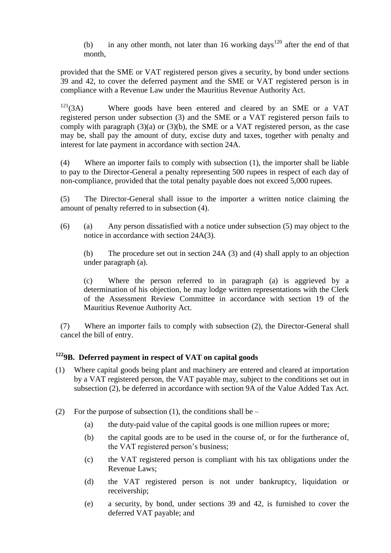(b) in any other month, not later than 16 working days<sup>120</sup> after the end of that month,

provided that the SME or VAT registered person gives a security, by bond under sections 39 and 42, to cover the deferred payment and the SME or VAT registered person is in compliance with a Revenue Law under the Mauritius Revenue Authority Act.

 $121(3)$  Where goods have been entered and cleared by an SME or a VAT registered person under subsection (3) and the SME or a VAT registered person fails to comply with paragraph (3)(a) or (3)(b), the SME or a VAT registered person, as the case may be, shall pay the amount of duty, excise duty and taxes, together with penalty and interest for late payment in accordance with section 24A.

(4) Where an importer fails to comply with subsection (1), the importer shall be liable to pay to the Director-General a penalty representing 500 rupees in respect of each day of non-compliance, provided that the total penalty payable does not exceed 5,000 rupees.

(5) The Director-General shall issue to the importer a written notice claiming the amount of penalty referred to in subsection (4).

(6) (a) Any person dissatisfied with a notice under subsection (5) may object to the notice in accordance with section 24A(3).

(b) The procedure set out in section 24A (3) and (4) shall apply to an objection under paragraph (a).

(c) Where the person referred to in paragraph (a) is aggrieved by a determination of his objection, he may lodge written representations with the Clerk of the Assessment Review Committee in accordance with section 19 of the Mauritius Revenue Authority Act.

(7) Where an importer fails to comply with subsection (2), the Director-General shall cancel the bill of entry.

### **<sup>122</sup>9B. Deferred payment in respect of VAT on capital goods**

- (1) Where capital goods being plant and machinery are entered and cleared at importation by a VAT registered person, the VAT payable may, subject to the conditions set out in subsection (2), be deferred in accordance with section 9A of the Value Added Tax Act.
- (2) For the purpose of subsection (1), the conditions shall be  $-$ 
	- (a) the duty-paid value of the capital goods is one million rupees or more;
	- (b) the capital goods are to be used in the course of, or for the furtherance of, the VAT registered person's business;
	- (c) the VAT registered person is compliant with his tax obligations under the Revenue Laws;
	- (d) the VAT registered person is not under bankruptcy, liquidation or receivership;
	- (e) a security, by bond, under sections 39 and 42, is furnished to cover the deferred VAT payable; and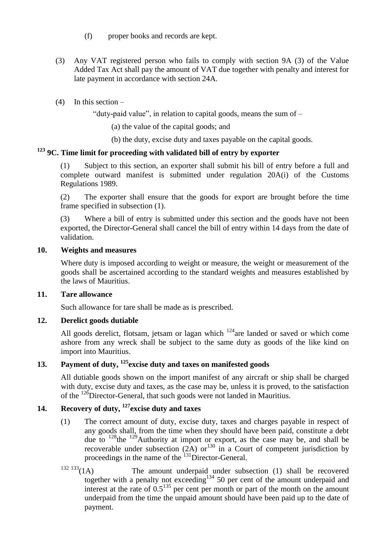- (f) proper books and records are kept.
- (3) Any VAT registered person who fails to comply with section 9A (3) of the Value Added Tax Act shall pay the amount of VAT due together with penalty and interest for late payment in accordance with section 24A.

### $(4)$  In this section –

"duty-paid value", in relation to capital goods, means the sum of  $-$ 

(a) the value of the capital goods; and

(b) the duty, excise duty and taxes payable on the capital goods.

# <span id="page-16-0"></span>**<sup>123</sup> 9C. Time limit for proceeding with validated bill of entry by exporter**

(1) Subject to this section, an exporter shall submit his bill of entry before a full and complete outward manifest is submitted under regulation 20A(i) of the Customs Regulations 1989.

(2) The exporter shall ensure that the goods for export are brought before the time frame specified in subsection (1).

Where a bill of entry is submitted under this section and the goods have not been exported, the Director-General shall cancel the bill of entry within 14 days from the date of validation.

#### **10. Weights and measures**

Where duty is imposed according to weight or measure, the weight or measurement of the goods shall be ascertained according to the standard weights and measures established by the laws of Mauritius.

#### <span id="page-16-1"></span>**11. Tare allowance**

Such allowance for tare shall be made as is prescribed.

### <span id="page-16-2"></span>**12. Derelict goods dutiable**

All goods derelict, flotsam, jetsam or lagan which  $124$  are landed or saved or which come ashore from any wreck shall be subject to the same duty as goods of the like kind on import into Mauritius.

# <span id="page-16-3"></span>**13. Payment of duty, <sup>125</sup>excise duty and taxes on manifested goods**

All dutiable goods shown on the import manifest of any aircraft or ship shall be charged with duty, excise duty and taxes, as the case may be, unless it is proved, to the satisfaction of the <sup>126</sup>Director-General, that such goods were not landed in Mauritius.

# <span id="page-16-4"></span>**14. Recovery of duty, <sup>127</sup>excise duty and taxes**

- (1) The correct amount of duty, excise duty, taxes and charges payable in respect of any goods shall, from the time when they should have been paid, constitute a debt due to  $128$ the  $129$ Authority at import or export, as the case may be, and shall be recoverable under subsection  $(2A)$  or<sup>130</sup> in a Court of competent jurisdiction by proceedings in the name of the  $^{131}$ Director-General.
- $132 133(1A)$  The amount underpaid under subsection (1) shall be recovered together with a penalty not exceeding<sup>134</sup> 50 per cent of the amount underpaid and interest at the rate of  $0.5^{135}$  per cent per month or part of the month on the amount underpaid from the time the unpaid amount should have been paid up to the date of payment.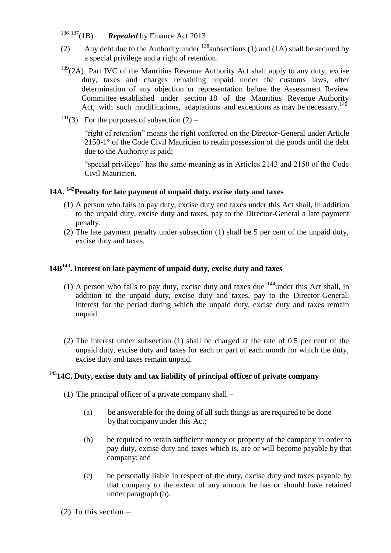- <sup>136</sup> <sup>137</sup>(1B) *Repealed* by Finance Act 2013
- (2) Any debt due to the Authority under  $^{138}$  subsections (1) and (1A) shall be secured by a special privilege and a right of retention.
- $139(2)$  Part IVC of the Mauritius Revenue Authority Act shall apply to any duty, excise duty, taxes and charges remaining unpaid under the customs laws, after determination of any objection or representation before the Assessment Review Committee established under section 18 of the Mauritius Revenue Authority Act, with such modifications, adaptations and exceptions as may be necessary.<sup>140</sup>
- <sup>141</sup>(3) For the purposes of subsection  $(2)$  –

"right of retention" means the right conferred on the Director-General under Article 2150-1° of the Code Civil Mauricien to retain possession of the goods until the debt due to the Authority is paid;

"special privilege" has the same meaning as in Articles 2143 and 2150 of the Code Civil Mauricien.

### **14A. <sup>142</sup>Penalty for late payment of unpaid duty, excise duty and taxes**

- (1) A person who fails to pay duty, excise duty and taxes under this Act shall, in addition to the unpaid duty, excise duty and taxes, pay to the Director-General a late payment penalty.
- (2) The late payment penalty under subsection (1) shall be 5 per cent of the unpaid duty, excise duty and taxes.

### **14B<sup>143</sup>. Interest on late payment of unpaid duty, excise duty and taxes**

- (1) A person who fails to pay duty, excise duty and taxes due  $144$  under this Act shall, in addition to the unpaid duty, excise duty and taxes, pay to the Director-General, interest for the period during which the unpaid duty, excise duty and taxes remain unpaid.
- (2) The interest under subsection (1) shall be charged at the rate of 0.5 per cent of the unpaid duty, excise duty and taxes for each or part of each month for which the duty, excise duty and taxes remain unpaid.

### **<sup>145</sup>14C. Duty, excise duty and tax liability of principal officer of private company**

- (1) The principal officer of a private company shall
	- (a) be answerable for the doing of all such things as are required to be done bythat companyunder this Act;
	- (b) be required to retain sufficient money or property of the company in order to pay duty, excise duty and taxes which is, are or will become payable by that company; and
	- (c) be personally liable in respect of the duty, excise duty and taxes payable by that company to the extent of any amount he has or should have retained under paragraph (b).
- $(2)$  In this section –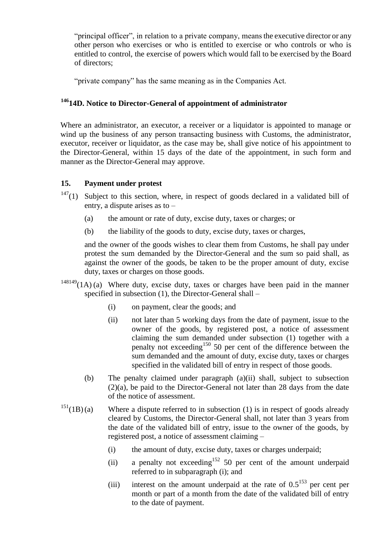"principal officer", in relation to a private company, means the executive director or any other person who exercises or who is entitled to exercise or who controls or who is entitled to control, the exercise of powers which would fall to be exercised by the Board of directors;

"private company" has the same meaning as in the Companies Act.

### **<sup>146</sup>14D. Notice to Director-General of appointment of administrator**

Where an administrator, an executor, a receiver or a liquidator is appointed to manage or wind up the business of any person transacting business with Customs, the administrator, executor, receiver or liquidator, as the case may be, shall give notice of his appointment to the Director-General, within 15 days of the date of the appointment, in such form and manner as the Director-General may approve.

### <span id="page-18-0"></span>**15. Payment under protest**

- $147(1)$  Subject to this section, where, in respect of goods declared in a validated bill of entry, a dispute arises as to –
	- (a) the amount or rate of duty, excise duty, taxes or charges; or
	- (b) the liability of the goods to duty, excise duty, taxes or charges,

and the owner of the goods wishes to clear them from Customs, he shall pay under protest the sum demanded by the Director-General and the sum so paid shall, as against the owner of the goods, be taken to be the proper amount of duty, excise duty, taxes or charges on those goods.

- $148149$ (1A) (a) Where duty, excise duty, taxes or charges have been paid in the manner specified in subsection (1), the Director-General shall –
	- (i) on payment, clear the goods; and
	- (ii) not later than 5 working days from the date of payment, issue to the owner of the goods, by registered post, a notice of assessment claiming the sum demanded under subsection (1) together with a penalty not exceeding<sup>150</sup> 50 per cent of the difference between the sum demanded and the amount of duty, excise duty, taxes or charges specified in the validated bill of entry in respect of those goods.
	- (b) The penalty claimed under paragraph (a)(ii) shall, subject to subsection (2)(a), be paid to the Director-General not later than 28 days from the date of the notice of assessment.
- $151(1B)(a)$  Where a dispute referred to in subsection (1) is in respect of goods already cleared by Customs, the Director-General shall, not later than 3 years from the date of the validated bill of entry, issue to the owner of the goods, by registered post, a notice of assessment claiming –
	- (i) the amount of duty, excise duty, taxes or charges underpaid;
	- (ii) a penalty not exceeding<sup>152</sup> 50 per cent of the amount underpaid referred to in subparagraph (i); and
	- (iii) interest on the amount underpaid at the rate of  $0.5^{153}$  per cent per month or part of a month from the date of the validated bill of entry to the date of payment.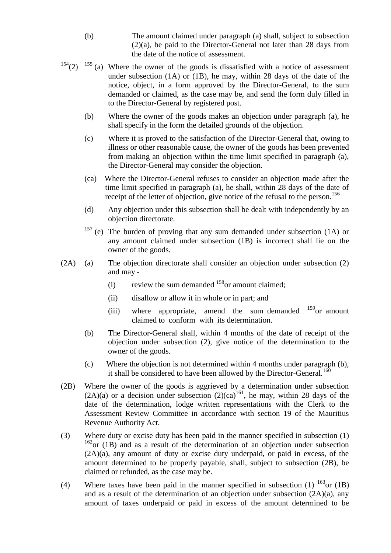- (b) The amount claimed under paragraph (a) shall, subject to subsection (2)(a), be paid to the Director-General not later than 28 days from the date of the notice of assessment.
- $154(2)$   $155$  (a) Where the owner of the goods is dissatisfied with a notice of assessment under subsection (1A) or (1B), he may, within 28 days of the date of the notice, object, in a form approved by the Director-General, to the sum demanded or claimed, as the case may be, and send the form duly filled in to the Director-General by registered post.
	- (b) Where the owner of the goods makes an objection under paragraph (a), he shall specify in the form the detailed grounds of the objection.
	- (c) Where it is proved to the satisfaction of the Director-General that, owing to illness or other reasonable cause, the owner of the goods has been prevented from making an objection within the time limit specified in paragraph (a), the Director-General may consider the objection.
	- (ca) Where the Director-General refuses to consider an objection made after the time limit specified in paragraph (a), he shall, within 28 days of the date of receipt of the letter of objection, give notice of the refusal to the person.<sup>156</sup>
	- (d) Any objection under this subsection shall be dealt with independently by an objection directorate.
	- <sup>157</sup> (e) The burden of proving that any sum demanded under subsection (1A) or any amount claimed under subsection (1B) is incorrect shall lie on the owner of the goods.
- (2A) (a) The objection directorate shall consider an objection under subsection (2) and may -
	- (i) review the sum demanded  $158$  or amount claimed;
	- (ii) disallow or allow it in whole or in part; and
	- (iii) where appropriate, amend the sum demanded  $159$  or amount claimed to conform with its determination.
	- (b) The Director-General shall, within 4 months of the date of receipt of the objection under subsection (2), give notice of the determination to the owner of the goods.
	- (c) Where the objection is not determined within 4 months under paragraph (b), it shall be considered to have been allowed by the Director-General.<sup>160</sup>
- (2B) Where the owner of the goods is aggrieved by a determination under subsection  $(2A)(a)$  or a decision under subsection  $(2)(ca)^{161}$ , he may, within 28 days of the date of the determination, lodge written representations with the Clerk to the Assessment Review Committee in accordance with section 19 of the Mauritius Revenue Authority Act.
- (3) Where duty or excise duty has been paid in the manner specified in subsection (1)  $162$ <sub>or</sub> (1B) and as a result of the determination of an objection under subsection (2A)(a), any amount of duty or excise duty underpaid, or paid in excess, of the amount determined to be properly payable, shall, subject to subsection (2B), be claimed or refunded, as the case may be.
- (4) Where taxes have been paid in the manner specified in subsection (1)  $^{163}$ or (1B) and as a result of the determination of an objection under subsection (2A)(a), any amount of taxes underpaid or paid in excess of the amount determined to be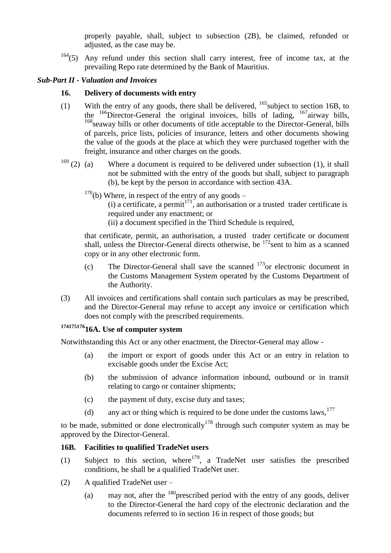properly payable, shall, subject to subsection (2B), be claimed, refunded or adjusted, as the case may be.

 $164(5)$  Any refund under this section shall carry interest, free of income tax, at the prevailing Repo rate determined by the Bank of Mauritius.

#### <span id="page-20-1"></span><span id="page-20-0"></span>*Sub-Part II - Valuation and Invoices*

#### **16. Delivery of documents with entry**

- (1) With the entry of any goods, there shall be delivered,  $^{165}$ subject to section 16B, to the <sup>166</sup>Director-General the original invoices, bills of lading, <sup>167</sup>airway bills, <sup>168</sup> seaway bills or other documents of title acceptable to the Director-General, bills of parcels, price lists, policies of insurance, letters and other documents showing the value of the goods at the place at which they were purchased together with the freight, insurance and other charges on the goods.
- $169$  (2) (a) Where a document is required to be delivered under subsection (1), it shall not be submitted with the entry of the goods but shall, subject to paragraph (b), be kept by the person in accordance with section 43A.
	- $170$ (b) Where, in respect of the entry of any goods
		- (i) a certificate, a permit<sup>171</sup>, an authorisation or a trusted trader certificate is required under any enactment; or
		- (ii) a document specified in the Third Schedule is required,

that certificate, permit, an authorisation, a trusted trader certificate or document shall, unless the Director-General directs otherwise, be <sup>172</sup>sent to him as a scanned copy or in any other electronic form.

- (c) The Director-General shall save the scanned  $173$  or electronic document in the Customs Management System operated by the Customs Department of the Authority.
- (3) All invoices and certifications shall contain such particulars as may be prescribed, and the Director-General may refuse to accept any invoice or certification which does not comply with the prescribed requirements.

# <span id="page-20-2"></span>**<sup>174175176</sup>16A. Use of computer system**

Notwithstanding this Act or any other enactment, the Director-General may allow -

- (a) the import or export of goods under this Act or an entry in relation to excisable goods under the Excise Act;
- (b) the submission of advance information inbound, outbound or in transit relating to cargo or container shipments;
- (c) the payment of duty, excise duty and taxes;
- (d) any act or thing which is required to be done under the customs laws,  $177$

to be made, submitted or done electronically<sup>178</sup> through such computer system as may be approved by the Director-General.

### <span id="page-20-3"></span>**16B. Facilities to qualified TradeNet users**

- (1) Subject to this section, where  $179$ , a TradeNet user satisfies the prescribed conditions, he shall be a qualified TradeNet user.
- (2) A qualified TradeNet user
	- (a) may not, after the  $^{180}$  prescribed period with the entry of any goods, deliver to the Director-General the hard copy of the electronic declaration and the documents referred to in section 16 in respect of those goods; but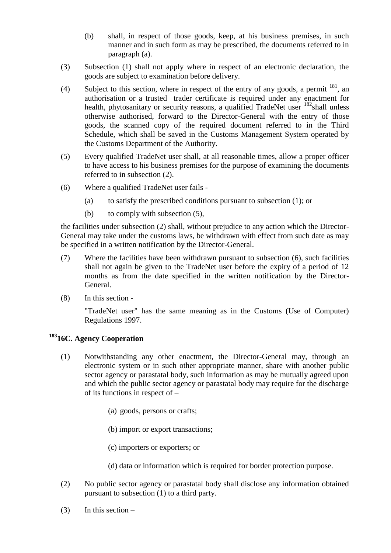- (b) shall, in respect of those goods, keep, at his business premises, in such manner and in such form as may be prescribed, the documents referred to in paragraph (a).
- (3) Subsection (1) shall not apply where in respect of an electronic declaration, the goods are subject to examination before delivery.
- (4) Subject to this section, where in respect of the entry of any goods, a permit  $^{181}$ , an authorisation or a trusted trader certificate is required under any enactment for health, phytosanitary or security reasons, a qualified TradeNet user  $182$  shall unless otherwise authorised, forward to the Director-General with the entry of those goods, the scanned copy of the required document referred to in the Third Schedule, which shall be saved in the Customs Management System operated by the Customs Department of the Authority.
- (5) Every qualified TradeNet user shall, at all reasonable times, allow a proper officer to have access to his business premises for the purpose of examining the documents referred to in subsection (2).
- (6) Where a qualified TradeNet user fails
	- (a) to satisfy the prescribed conditions pursuant to subsection (1); or
	- (b) to comply with subsection (5),

the facilities under subsection (2) shall, without prejudice to any action which the Director-General may take under the customs laws, be withdrawn with effect from such date as may be specified in a written notification by the Director-General.

- (7) Where the facilities have been withdrawn pursuant to subsection (6), such facilities shall not again be given to the TradeNet user before the expiry of a period of 12 months as from the date specified in the written notification by the Director-General.
- (8) In this section -

"TradeNet user" has the same meaning as in the Customs (Use of Computer) Regulations 1997.

### **<sup>183</sup>16C. Agency Cooperation**

- (1) Notwithstanding any other enactment, the Director-General may, through an electronic system or in such other appropriate manner, share with another public sector agency or parastatal body, such information as may be mutually agreed upon and which the public sector agency or parastatal body may require for the discharge of its functions in respect of –
	- (a) goods, persons or crafts;
	- (b) import or export transactions;
	- (c) importers or exporters; or
	- (d) data or information which is required for border protection purpose.
- (2) No public sector agency or parastatal body shall disclose any information obtained pursuant to subsection (1) to a third party.
- $(3)$  In this section –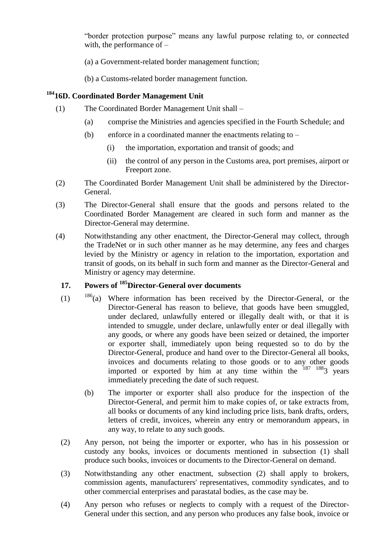"border protection purpose" means any lawful purpose relating to, or connected with, the performance of –

- (a) a Government-related border management function;
- (b) a Customs-related border management function.

### **<sup>184</sup>16D. Coordinated Border Management Unit**

- (1) The Coordinated Border Management Unit shall
	- (a) comprise the Ministries and agencies specified in the Fourth Schedule; and
	- (b) enforce in a coordinated manner the enactments relating to
		- (i) the importation, exportation and transit of goods; and
		- (ii) the control of any person in the Customs area, port premises, airport or Freeport zone.
- (2) The Coordinated Border Management Unit shall be administered by the Director-General.
- (3) The Director-General shall ensure that the goods and persons related to the Coordinated Border Management are cleared in such form and manner as the Director-General may determine.
- (4) Notwithstanding any other enactment, the Director-General may collect, through the TradeNet or in such other manner as he may determine, any fees and charges levied by the Ministry or agency in relation to the importation, exportation and transit of goods, on its behalf in such form and manner as the Director-General and Ministry or agency may determine.

### <span id="page-22-0"></span>**17. Powers of <sup>185</sup>Director-General over documents**

- $(1)$   $186(a)$  Where information has been received by the Director-General, or the Director-General has reason to believe, that goods have been smuggled, under declared, unlawfully entered or illegally dealt with, or that it is intended to smuggle, under declare, unlawfully enter or deal illegally with any goods, or where any goods have been seized or detained, the importer or exporter shall, immediately upon being requested so to do by the Director-General, produce and hand over to the Director-General all books, invoices and documents relating to those goods or to any other goods imported or exported by him at any time within the  $187 \t1883$  years immediately preceding the date of such request.
	- (b) The importer or exporter shall also produce for the inspection of the Director-General, and permit him to make copies of, or take extracts from, all books or documents of any kind including price lists, bank drafts, orders, letters of credit, invoices, wherein any entry or memorandum appears, in any way, to relate to any such goods.
- (2) Any person, not being the importer or exporter, who has in his possession or custody any books, invoices or documents mentioned in subsection (1) shall produce such books, invoices or documents to the Director-General on demand.
- (3) Notwithstanding any other enactment, subsection (2) shall apply to brokers, commission agents, manufacturers' representatives, commodity syndicates, and to other commercial enterprises and parastatal bodies, as the case may be.
- (4) Any person who refuses or neglects to comply with a request of the Director-General under this section, and any person who produces any false book, invoice or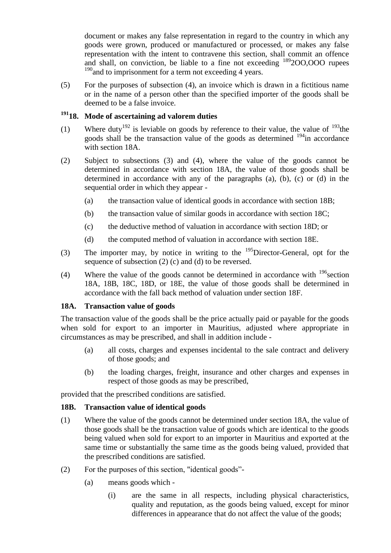document or makes any false representation in regard to the country in which any goods were grown, produced or manufactured or processed, or makes any false representation with the intent to contravene this section, shall commit an offence and shall, on conviction, be liable to a fine not exceeding <sup>189</sup>2OO,OOO rupees  $190$  and to imprisonment for a term not exceeding 4 years.

(5) For the purposes of subsection (4), an invoice which is drawn in a fictitious name or in the name of a person other than the specified importer of the goods shall be deemed to be a false invoice.

# <span id="page-23-0"></span>**<sup>191</sup>18. Mode of ascertaining ad valorem duties**

- (1) Where duty<sup>192</sup> is leviable on goods by reference to their value, the value of  $193$ <sup>the</sup> goods shall be the transaction value of the goods as determined  $194$  in accordance with section 18A.
- (2) Subject to subsections (3) and (4), where the value of the goods cannot be determined in accordance with section 18A, the value of those goods shall be determined in accordance with any of the paragraphs (a), (b), (c) or (d) in the sequential order in which they appear -
	- (a) the transaction value of identical goods in accordance with section 18B;
	- (b) the transaction value of similar goods in accordance with section 18C;
	- (c) the deductive method of valuation in accordance with section 18D; or
	- (d) the computed method of valuation in accordance with section 18E.
- (3) The importer may, by notice in writing to the  $195$ Director-General, opt for the sequence of subsection (2) (c) and (d) to be reversed.
- (4) Where the value of the goods cannot be determined in accordance with  $^{196}$  section 18A, 18B, 18C, 18D, or 18E, the value of those goods shall be determined in accordance with the fall back method of valuation under section 18F.

### <span id="page-23-1"></span>**18A. Transaction value of goods**

The transaction value of the goods shall be the price actually paid or payable for the goods when sold for export to an importer in Mauritius, adjusted where appropriate in circumstances as may be prescribed, and shall in addition include -

- (a) all costs, charges and expenses incidental to the sale contract and delivery of those goods; and
- (b) the loading charges, freight, insurance and other charges and expenses in respect of those goods as may be prescribed,

provided that the prescribed conditions are satisfied.

### <span id="page-23-2"></span>**18B. Transaction value of identical goods**

- (1) Where the value of the goods cannot be determined under section 18A, the value of those goods shall be the transaction value of goods which are identical to the goods being valued when sold for export to an importer in Mauritius and exported at the same time or substantially the same time as the goods being valued, provided that the prescribed conditions are satisfied.
- $(2)$  For the purposes of this section, "identical goods"-
	- (a) means goods which
		- (i) are the same in all respects, including physical characteristics, quality and reputation, as the goods being valued, except for minor differences in appearance that do not affect the value of the goods;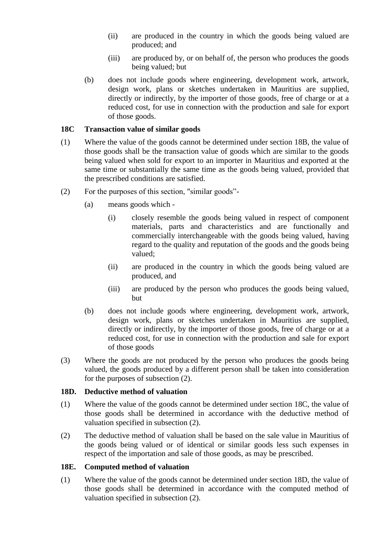- (ii) are produced in the country in which the goods being valued are produced; and
- (iii) are produced by, or on behalf of, the person who produces the goods being valued; but
- (b) does not include goods where engineering, development work, artwork, design work, plans or sketches undertaken in Mauritius are supplied, directly or indirectly, by the importer of those goods, free of charge or at a reduced cost, for use in connection with the production and sale for export of those goods.

#### <span id="page-24-0"></span>**18C Transaction value of similar goods**

- (1) Where the value of the goods cannot be determined under section 18B, the value of those goods shall be the transaction value of goods which are similar to the goods being valued when sold for export to an importer in Mauritius and exported at the same time or substantially the same time as the goods being valued, provided that the prescribed conditions are satisfied.
- $(2)$  For the purposes of this section, "similar goods"-
	- (a) means goods which
		- (i) closely resemble the goods being valued in respect of component materials, parts and characteristics and are functionally and commercially interchangeable with the goods being valued, having regard to the quality and reputation of the goods and the goods being valued;
		- (ii) are produced in the country in which the goods being valued are produced, and
		- (iii) are produced by the person who produces the goods being valued, but
	- (b) does not include goods where engineering, development work, artwork, design work, plans or sketches undertaken in Mauritius are supplied, directly or indirectly, by the importer of those goods, free of charge or at a reduced cost, for use in connection with the production and sale for export of those goods
- (3) Where the goods are not produced by the person who produces the goods being valued, the goods produced by a different person shall be taken into consideration for the purposes of subsection (2).

#### <span id="page-24-1"></span>**18D. Deductive method of valuation**

- (1) Where the value of the goods cannot be determined under section 18C, the value of those goods shall be determined in accordance with the deductive method of valuation specified in subsection (2).
- (2) The deductive method of valuation shall be based on the sale value in Mauritius of the goods being valued or of identical or similar goods less such expenses in respect of the importation and sale of those goods, as may be prescribed.

### <span id="page-24-2"></span>**18E. Computed method of valuation**

(1) Where the value of the goods cannot be determined under section 18D, the value of those goods shall be determined in accordance with the computed method of valuation specified in subsection (2).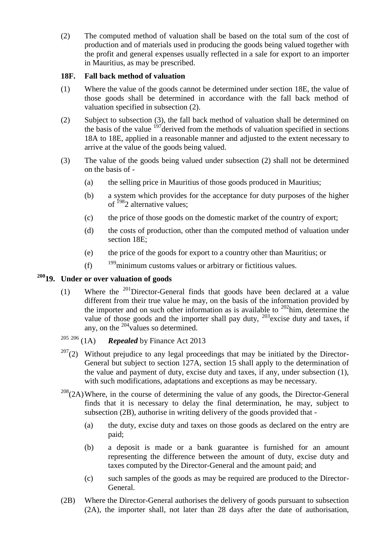(2) The computed method of valuation shall be based on the total sum of the cost of production and of materials used in producing the goods being valued together with the profit and general expenses usually reflected in a sale for export to an importer in Mauritius, as may be prescribed.

#### <span id="page-25-0"></span>**18F. Fall back method of valuation**

- (1) Where the value of the goods cannot be determined under section 18E, the value of those goods shall be determined in accordance with the fall back method of valuation specified in subsection (2).
- (2) Subject to subsection (3), the fall back method of valuation shall be determined on the basis of the value  $197/2$  derived from the methods of valuation specified in sections 18A to 18E, applied in a reasonable manner and adjusted to the extent necessary to arrive at the value of the goods being valued.
- (3) The value of the goods being valued under subsection (2) shall not be determined on the basis of -
	- (a) the selling price in Mauritius of those goods produced in Mauritius;
	- (b) a system which provides for the acceptance for duty purposes of the higher of <sup>198</sup>2 alternative values:
	- (c) the price of those goods on the domestic market of the country of export;
	- (d) the costs of production, other than the computed method of valuation under section 18E;
	- (e) the price of the goods for export to a country other than Mauritius; or
	- (f)  $199$  minimum customs values or arbitrary or fictitious values.

# <span id="page-25-1"></span>**<sup>200</sup>19. Under or over valuation of goods**

- (1) Where the  $^{201}$ Director-General finds that goods have been declared at a value different from their true value he may, on the basis of the information provided by the importer and on such other information as is available to  $202$  him, determine the value of those goods and the importer shall pay duty,  $203$  excise duty and taxes, if any, on the  $^{204}$ values so determined.
- <sup>205</sup> <sup>206</sup> (1A) *Repealed* by Finance Act 2013
- $207(2)$  Without prejudice to any legal proceedings that may be initiated by the Director-General but subject to section 127A, section 15 shall apply to the determination of the value and payment of duty, excise duty and taxes, if any, under subsection (1), with such modifications, adaptations and exceptions as may be necessary.
- $208(2)$ Where, in the course of determining the value of any goods, the Director-General finds that it is necessary to delay the final determination, he may, subject to subsection (2B), authorise in writing delivery of the goods provided that -
	- (a) the duty, excise duty and taxes on those goods as declared on the entry are paid;
	- (b) a deposit is made or a bank guarantee is furnished for an amount representing the difference between the amount of duty, excise duty and taxes computed by the Director-General and the amount paid; and
	- (c) such samples of the goods as may be required are produced to the Director-General.
- (2B) Where the Director-General authorises the delivery of goods pursuant to subsection (2A), the importer shall, not later than 28 days after the date of authorisation,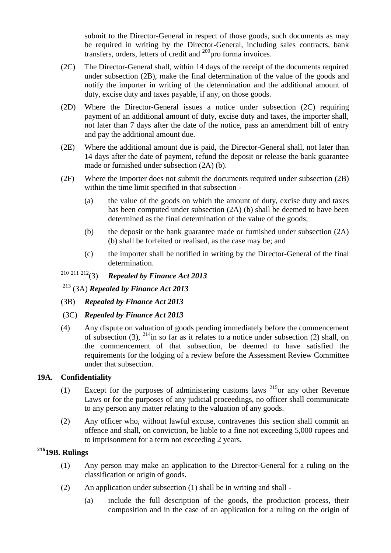submit to the Director-General in respect of those goods, such documents as may be required in writing by the Director-General, including sales contracts, bank transfers, orders, letters of credit and  $209$  pro forma invoices.

- (2C) The Director-General shall, within 14 days of the receipt of the documents required under subsection (2B), make the final determination of the value of the goods and notify the importer in writing of the determination and the additional amount of duty, excise duty and taxes payable, if any, on those goods.
- (2D) Where the Director-General issues a notice under subsection (2C) requiring payment of an additional amount of duty, excise duty and taxes, the importer shall, not later than 7 days after the date of the notice, pass an amendment bill of entry and pay the additional amount due.
- (2E) Where the additional amount due is paid, the Director-General shall, not later than 14 days after the date of payment, refund the deposit or release the bank guarantee made or furnished under subsection (2A) (b).
- (2F) Where the importer does not submit the documents required under subsection (2B) within the time limit specified in that subsection -
	- (a) the value of the goods on which the amount of duty, excise duty and taxes has been computed under subsection (2A) (b) shall be deemed to have been determined as the final determination of the value of the goods;
	- (b) the deposit or the bank guarantee made or furnished under subsection (2A) (b) shall be forfeited or realised, as the case may be; and
	- (c) the importer shall be notified in writing by the Director-General of the final determination.
- <sup>210</sup> <sup>211</sup> <sup>212</sup>(3) *Repealed by Finance Act 2013*

<sup>213</sup> (3A) *Repealed by Finance Act 2013*

- (3B) *Repealed by Finance Act 2013*
- (3C) *Repealed by Finance Act 2013*
- (4) Any dispute on valuation of goods pending immediately before the commencement of subsection (3),  $^{214}$ in so far as it relates to a notice under subsection (2) shall, on the commencement of that subsection, be deemed to have satisfied the requirements for the lodging of a review before the Assessment Review Committee under that subsection.

#### <span id="page-26-0"></span>**19A. Confidentiality**

- (1) Except for the purposes of administering customs laws  $^{215}$ or any other Revenue Laws or for the purposes of any judicial proceedings, no officer shall communicate to any person any matter relating to the valuation of any goods.
- (2) Any officer who, without lawful excuse, contravenes this section shall commit an offence and shall, on conviction, be liable to a fine not exceeding 5,000 rupees and to imprisonment for a term not exceeding 2 years.

### <span id="page-26-1"></span>**<sup>216</sup>19B. Rulings**

- (1) Any person may make an application to the Director-General for a ruling on the classification or origin of goods.
- (2) An application under subsection (1) shall be in writing and shall
	- (a) include the full description of the goods, the production process, their composition and in the case of an application for a ruling on the origin of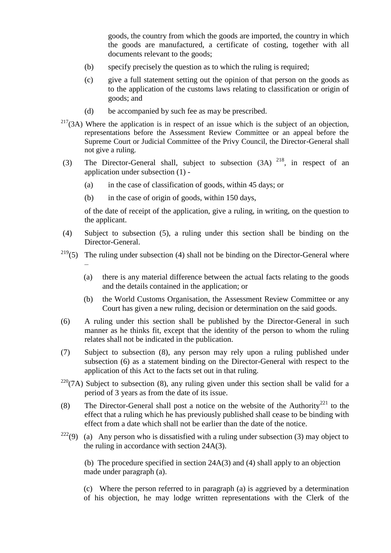goods, the country from which the goods are imported, the country in which the goods are manufactured, a certificate of costing, together with all documents relevant to the goods;

- (b) specify precisely the question as to which the ruling is required;
- (c) give a full statement setting out the opinion of that person on the goods as to the application of the customs laws relating to classification or origin of goods; and
- (d) be accompanied by such fee as may be prescribed.
- $217(3)$  Where the application is in respect of an issue which is the subject of an objection, representations before the Assessment Review Committee or an appeal before the Supreme Court or Judicial Committee of the Privy Council, the Director-General shall not give a ruling.
- (3) The Director-General shall, subject to subsection  $(3A)$ <sup>218</sup>, in respect of an application under subsection (1) -
	- (a) in the case of classification of goods, within 45 days; or
	- (b) in the case of origin of goods, within 150 days,

of the date of receipt of the application, give a ruling, in writing, on the question to the applicant.

- (4) Subject to subsection (5), a ruling under this section shall be binding on the Director-General.
- <sup>219</sup>(5) The ruling under subsection (4) shall not be binding on the Director-General where –
	- (a) there is any material difference between the actual facts relating to the goods and the details contained in the application; or
	- (b) the World Customs Organisation, the Assessment Review Committee or any Court has given a new ruling, decision or determination on the said goods.
- (6) A ruling under this section shall be published by the Director-General in such manner as he thinks fit, except that the identity of the person to whom the ruling relates shall not be indicated in the publication.
- (7) Subject to subsection (8), any person may rely upon a ruling published under subsection (6) as a statement binding on the Director-General with respect to the application of this Act to the facts set out in that ruling.
- $220(7)$  Subject to subsection (8), any ruling given under this section shall be valid for a period of 3 years as from the date of its issue.
- (8) The Director-General shall post a notice on the website of the Authority<sup>221</sup> to the effect that a ruling which he has previously published shall cease to be binding with effect from a date which shall not be earlier than the date of the notice.
- <sup>222</sup>(9) (a) Any person who is dissatisfied with a ruling under subsection (3) may object to the ruling in accordance with section 24A(3).

(b) The procedure specified in section 24A(3) and (4) shall apply to an objection made under paragraph (a).

(c) Where the person referred to in paragraph (a) is aggrieved by a determination of his objection, he may lodge written representations with the Clerk of the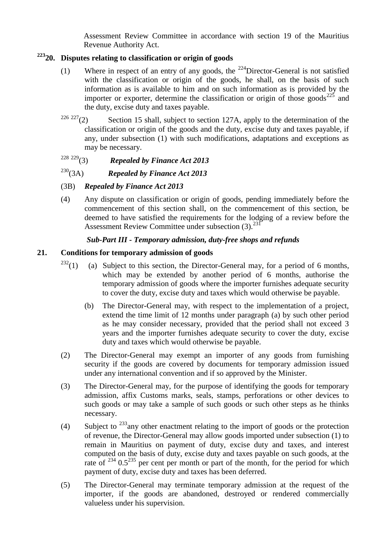Assessment Review Committee in accordance with section 19 of the Mauritius Revenue Authority Act.

### <span id="page-28-0"></span>**<sup>223</sup>20. Disputes relating to classification or origin of goods**

- (1) Where in respect of an entry of any goods, the <sup>224</sup>Director-General is not satisfied with the classification or origin of the goods, he shall, on the basis of such information as is available to him and on such information as is provided by the importer or exporter, determine the classification or origin of those goods<sup>225</sup> and the duty, excise duty and taxes payable.
- <sup>226 227</sup>(2) Section 15 shall, subject to section 127A, apply to the determination of the classification or origin of the goods and the duty, excise duty and taxes payable, if any, under subsection (1) with such modifications, adaptations and exceptions as may be necessary.

# <sup>228</sup> <sup>229</sup>(3) *Repealed by Finance Act 2013*

### <sup>230</sup>(3A) *Repealed by Finance Act 2013*

- (3B) *Repealed by Finance Act 2013*
- (4) Any dispute on classification or origin of goods, pending immediately before the commencement of this section shall, on the commencement of this section, be deemed to have satisfied the requirements for the lodging of a review before the Assessment Review Committee under subsection (3).<sup>231</sup>

#### *Sub-Part III - Temporary admission, duty-free shops and refunds*

#### <span id="page-28-2"></span><span id="page-28-1"></span>**21. Conditions for temporary admission of goods**

- $232(1)$  (a) Subject to this section, the Director-General may, for a period of 6 months, which may be extended by another period of 6 months, authorise the temporary admission of goods where the importer furnishes adequate security to cover the duty, excise duty and taxes which would otherwise be payable.
	- (b) The Director-General may, with respect to the implementation of a project, extend the time limit of 12 months under paragraph (a) by such other period as he may consider necessary, provided that the period shall not exceed 3 years and the importer furnishes adequate security to cover the duty, excise duty and taxes which would otherwise be payable.
- (2) The Director-General may exempt an importer of any goods from furnishing security if the goods are covered by documents for temporary admission issued under any international convention and if so approved by the Minister.
- (3) The Director-General may, for the purpose of identifying the goods for temporary admission, affix Customs marks, seals, stamps, perforations or other devices to such goods or may take a sample of such goods or such other steps as he thinks necessary.
- (4) Subject to  $^{233}$  any other enactment relating to the import of goods or the protection of revenue, the Director-General may allow goods imported under subsection (1) to remain in Mauritius on payment of duty, excise duty and taxes, and interest computed on the basis of duty, excise duty and taxes payable on such goods, at the rate of  $^{234}$  0.5<sup>235</sup> per cent per month or part of the month, for the period for which payment of duty, excise duty and taxes has been deferred.
- (5) The Director-General may terminate temporary admission at the request of the importer, if the goods are abandoned, destroyed or rendered commercially valueless under his supervision.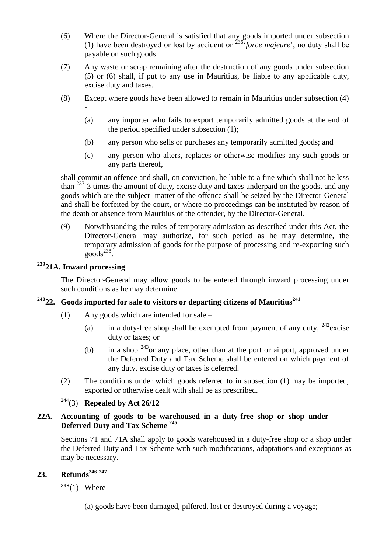- (6) Where the Director-General is satisfied that any goods imported under subsection (1) have been destroyed or lost by accident or <sup>236</sup>*force majeure*', no duty shall be payable on such goods.
- (7) Any waste or scrap remaining after the destruction of any goods under subsection (5) or (6) shall, if put to any use in Mauritius, be liable to any applicable duty, excise duty and taxes.
- (8) Except where goods have been allowed to remain in Mauritius under subsection (4) -
	- (a) any importer who fails to export temporarily admitted goods at the end of the period specified under subsection (1);
	- (b) any person who sells or purchases any temporarily admitted goods; and
	- (c) any person who alters, replaces or otherwise modifies any such goods or any parts thereof,

shall commit an offence and shall, on conviction, be liable to a fine which shall not be less than  $237$  3 times the amount of duty, excise duty and taxes underpaid on the goods, and any goods which are the subject- matter of the offence shall be seized by the Director-General and shall be forfeited by the court, or where no proceedings can be instituted by reason of the death or absence from Mauritius of the offender, by the Director-General.

(9) Notwithstanding the rules of temporary admission as described under this Act, the Director-General may authorize, for such period as he may determine, the temporary admission of goods for the purpose of processing and re-exporting such  $\mathrm{goods}^{238}$ .

## **<sup>239</sup>21A. Inward processing**

The Director-General may allow goods to be entered through inward processing under such conditions as he may determine.

# <span id="page-29-0"></span>**<sup>240</sup>22. Goods imported for sale to visitors or departing citizens of Mauritius<sup>241</sup>**

- (1) Any goods which are intended for sale
	- (a) in a duty-free shop shall be exempted from payment of any duty,  $242$  excise duty or taxes; or
	- (b) in a shop  $243$ or any place, other than at the port or airport, approved under the Deferred Duty and Tax Scheme shall be entered on which payment of any duty, excise duty or taxes is deferred.
- (2) The conditions under which goods referred to in subsection (1) may be imported, exported or otherwise dealt with shall be as prescribed.

### <sup>244</sup>(3) **Repealed by Act 26/12**

#### **22A. Accounting of goods to be warehoused in a duty-free shop or shop under Deferred Duty and Tax Scheme <sup>245</sup>**

Sections 71 and 71A shall apply to goods warehoused in a duty-free shop or a shop under the Deferred Duty and Tax Scheme with such modifications, adaptations and exceptions as may be necessary.

# <span id="page-29-1"></span>**23. Refunds<sup>246</sup> <sup>247</sup>**

 $248(1)$  Where –

(a) goods have been damaged, pilfered, lost or destroyed during a voyage;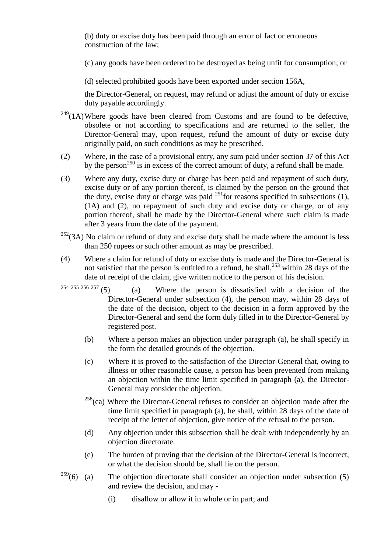(b) duty or excise duty has been paid through an error of fact or erroneous construction of the law;

(c) any goods have been ordered to be destroyed as being unfit for consumption; or

(d) selected prohibited goods have been exported under section 156A,

the Director-General, on request, may refund or adjust the amount of duty or excise duty payable accordingly.

- $249(1)$ Where goods have been cleared from Customs and are found to be defective, obsolete or not according to specifications and are returned to the seller, the Director-General may, upon request, refund the amount of duty or excise duty originally paid, on such conditions as may be prescribed.
- (2) Where, in the case of a provisional entry, any sum paid under section 37 of this Act by the person<sup>250</sup> is in excess of the correct amount of duty, a refund shall be made.
- (3) Where any duty, excise duty or charge has been paid and repayment of such duty, excise duty or of any portion thereof, is claimed by the person on the ground that the duty, excise duty or charge was paid  $^{251}$  for reasons specified in subsections (1), (1A) and (2), no repayment of such duty and excise duty or charge, or of any portion thereof, shall be made by the Director-General where such claim is made after 3 years from the date of the payment.
- $252(3)$  No claim or refund of duty and excise duty shall be made where the amount is less than 250 rupees or such other amount as may be prescribed.
- (4) Where a claim for refund of duty or excise duty is made and the Director-General is not satisfied that the person is entitled to a refund, he shall, $^{253}$  within 28 days of the date of receipt of the claim, give written notice to the person of his decision.
- <sup>254 255 256 257</sup> (5) (a) Where the person is dissatisfied with a decision of the Director-General under subsection (4), the person may, within 28 days of the date of the decision, object to the decision in a form approved by the Director-General and send the form duly filled in to the Director-General by registered post.
	- (b) Where a person makes an objection under paragraph (a), he shall specify in the form the detailed grounds of the objection.
	- (c) Where it is proved to the satisfaction of the Director-General that, owing to illness or other reasonable cause, a person has been prevented from making an objection within the time limit specified in paragraph (a), the Director-General may consider the objection.
	- $258$ (ca) Where the Director-General refuses to consider an objection made after the time limit specified in paragraph (a), he shall, within 28 days of the date of receipt of the letter of objection, give notice of the refusal to the person.
	- (d) Any objection under this subsection shall be dealt with independently by an objection directorate.
	- (e) The burden of proving that the decision of the Director-General is incorrect, or what the decision should be, shall lie on the person.
- $^{259}$ (6) (a) The objection directorate shall consider an objection under subsection (5) and review the decision, and may -
	- (i) disallow or allow it in whole or in part; and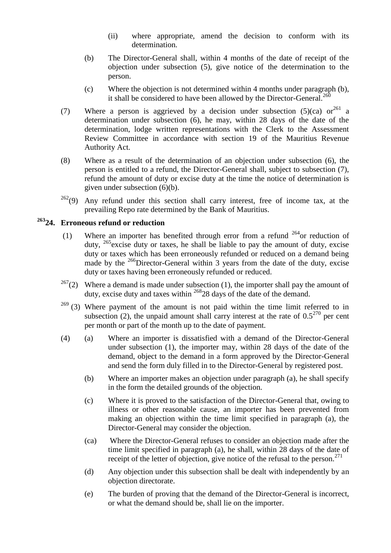- (ii) where appropriate, amend the decision to conform with its determination.
- (b) The Director-General shall, within 4 months of the date of receipt of the objection under subsection (5), give notice of the determination to the person.
- (c) Where the objection is not determined within 4 months under paragraph (b), it shall be considered to have been allowed by the Director-General.<sup>260</sup>
- (7) Where a person is aggrieved by a decision under subsection (5)(ca) or<sup>261</sup> a determination under subsection (6), he may, within 28 days of the date of the determination, lodge written representations with the Clerk to the Assessment Review Committee in accordance with section 19 of the Mauritius Revenue Authority Act.
- (8) Where as a result of the determination of an objection under subsection (6), the person is entitled to a refund, the Director-General shall, subject to subsection (7), refund the amount of duty or excise duty at the time the notice of determination is given under subsection (6)(b).
- $262(9)$  Any refund under this section shall carry interest, free of income tax, at the prevailing Repo rate determined by the Bank of Mauritius.

# <span id="page-31-0"></span>**<sup>263</sup>24. Erroneous refund or reduction**

- (1) Where an importer has benefited through error from a refund  $264$  or reduction of duty,  $^{265}$  excise duty or taxes, he shall be liable to pay the amount of duty, excise duty or taxes which has been erroneously refunded or reduced on a demand being made by the  $^{266}$ Director-General within 3 years from the date of the duty, excise duty or taxes having been erroneously refunded or reduced.
- <sup>267</sup>(2) Where a demand is made under subsection (1), the importer shall pay the amount of duty, excise duty and taxes within <sup>268</sup>28 days of the date of the demand.
- $269$  (3) Where payment of the amount is not paid within the time limit referred to in subsection (2), the unpaid amount shall carry interest at the rate of  $0.5^{270}$  per cent per month or part of the month up to the date of payment.
- (4) (a) Where an importer is dissatisfied with a demand of the Director-General under subsection (1), the importer may, within 28 days of the date of the demand, object to the demand in a form approved by the Director-General and send the form duly filled in to the Director-General by registered post.
	- (b) Where an importer makes an objection under paragraph (a), he shall specify in the form the detailed grounds of the objection.
	- (c) Where it is proved to the satisfaction of the Director-General that, owing to illness or other reasonable cause, an importer has been prevented from making an objection within the time limit specified in paragraph (a), the Director-General may consider the objection.
	- (ca) Where the Director-General refuses to consider an objection made after the time limit specified in paragraph (a), he shall, within 28 days of the date of receipt of the letter of objection, give notice of the refusal to the person.<sup>271</sup>
	- (d) Any objection under this subsection shall be dealt with independently by an objection directorate.
	- (e) The burden of proving that the demand of the Director-General is incorrect, or what the demand should be, shall lie on the importer.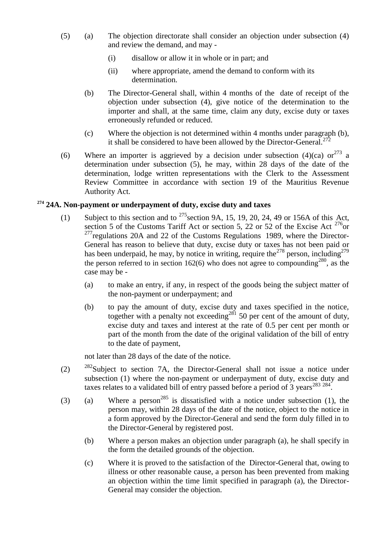- (5) (a) The objection directorate shall consider an objection under subsection (4) and review the demand, and may -
	- (i) disallow or allow it in whole or in part; and
	- (ii) where appropriate, amend the demand to conform with its determination.
	- (b) The Director-General shall, within 4 months of the date of receipt of the objection under subsection (4), give notice of the determination to the importer and shall, at the same time, claim any duty, excise duty or taxes erroneously refunded or reduced.
	- (c) Where the objection is not determined within 4 months under paragraph (b), it shall be considered to have been allowed by the Director-General.<sup>272</sup>
- (6) Where an importer is aggrieved by a decision under subsection (4)(ca) or  $273$  a determination under subsection (5), he may, within 28 days of the date of the determination, lodge written representations with the Clerk to the Assessment Review Committee in accordance with section 19 of the Mauritius Revenue Authority Act.

### <span id="page-32-0"></span>**<sup>274</sup> 24A. Non-payment or underpayment of duty, excise duty and taxes**

- (1) Subject to this section and to  $275$  section 9A, 15, 19, 20, 24, 49 or 156A of this Act, section 5 of the Customs Tariff Act or section 5, 22 or 52 of the Excise Act  $276$ or  $277$  regulations 20A and 22 of the Customs Regulations 1989, where the Director-General has reason to believe that duty, excise duty or taxes has not been paid or has been underpaid, he may, by notice in writing, require the<sup>278</sup> person, including<sup>279</sup> the person referred to in section 162(6) who does not agree to compounding<sup>280</sup>, as the case may be -
	- (a) to make an entry, if any, in respect of the goods being the subject matter of the non-payment or underpayment; and
	- (b) to pay the amount of duty, excise duty and taxes specified in the notice, to  $\mu$  and all  $\sigma$  and  $\sigma$  and  $\sigma$  and  $\sigma$  and  $\sigma$  are proceeding<sup>281</sup> 50 per cent of the amount of duty, excise duty and taxes and interest at the rate of 0.5 per cent per month or part of the month from the date of the original validation of the bill of entry to the date of payment,

not later than 28 days of the date of the notice.

- (2)  $282$ Subject to section 7A, the Director-General shall not issue a notice under subsection (1) where the non-payment or underpayment of duty, excise duty and taxes relates to a validated bill of entry passed before a period of  $3$  years<sup>283 284</sup>.
- (3) (a) Where a person<sup>285</sup> is dissatisfied with a notice under subsection (1), the person may, within 28 days of the date of the notice, object to the notice in a form approved by the Director-General and send the form duly filled in to the Director-General by registered post.
	- (b) Where a person makes an objection under paragraph (a), he shall specify in the form the detailed grounds of the objection.
	- (c) Where it is proved to the satisfaction of the Director-General that, owing to illness or other reasonable cause, a person has been prevented from making an objection within the time limit specified in paragraph (a), the Director-General may consider the objection.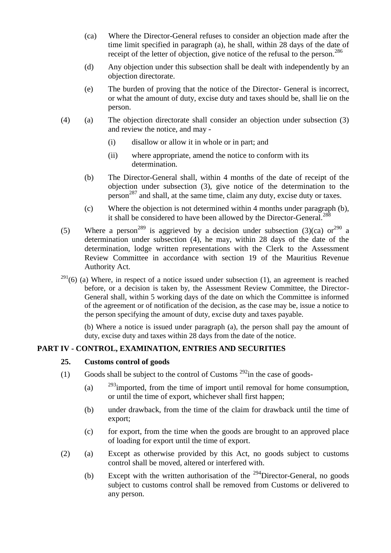- (ca) Where the Director-General refuses to consider an objection made after the time limit specified in paragraph (a), he shall, within 28 days of the date of receipt of the letter of objection, give notice of the refusal to the person.<sup>286</sup>
- (d) Any objection under this subsection shall be dealt with independently by an objection directorate.
- (e) The burden of proving that the notice of the Director- General is incorrect, or what the amount of duty, excise duty and taxes should be, shall lie on the person.
- (4) (a) The objection directorate shall consider an objection under subsection (3) and review the notice, and may -
	- (i) disallow or allow it in whole or in part; and
	- (ii) where appropriate, amend the notice to conform with its determination.
	- (b) The Director-General shall, within 4 months of the date of receipt of the objection under subsection (3), give notice of the determination to the person<sup>287</sup> and shall, at the same time, claim any duty, excise duty or taxes.
	- (c) Where the objection is not determined within 4 months under paragraph (b), it shall be considered to have been allowed by the Director-General.<sup>288</sup>
- (5) Where a person<sup>289</sup> is aggrieved by a decision under subsection (3)(ca) or<sup>290</sup> a determination under subsection (4), he may, within 28 days of the date of the determination, lodge written representations with the Clerk to the Assessment Review Committee in accordance with section 19 of the Mauritius Revenue Authority Act.
- $291(6)$  (a) Where, in respect of a notice issued under subsection (1), an agreement is reached before, or a decision is taken by, the Assessment Review Committee, the Director-General shall, within 5 working days of the date on which the Committee is informed of the agreement or of notification of the decision, as the case may be, issue a notice to the person specifying the amount of duty, excise duty and taxes payable.

(b) Where a notice is issued under paragraph (a), the person shall pay the amount of duty, excise duty and taxes within 28 days from the date of the notice.

### <span id="page-33-1"></span><span id="page-33-0"></span>**PART IV - CONTROL, EXAMINATION, ENTRIES AND SECURITIES**

#### **25. Customs control of goods**

- (1) Goods shall be subject to the control of Customs  $^{292}$  in the case of goods-
	- (a)  $293$  imported, from the time of import until removal for home consumption, or until the time of export, whichever shall first happen;
	- (b) under drawback, from the time of the claim for drawback until the time of export;
	- (c) for export, from the time when the goods are brought to an approved place of loading for export until the time of export.
- (2) (a) Except as otherwise provided by this Act, no goods subject to customs control shall be moved, altered or interfered with.
	- (b) Except with the written authorisation of the  $^{294}$ Director-General, no goods subject to customs control shall be removed from Customs or delivered to any person.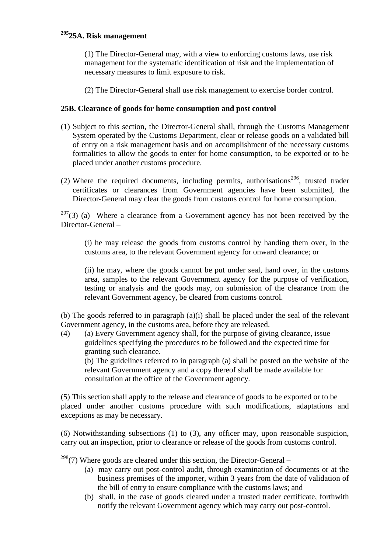# **<sup>295</sup>25A. Risk management**

(1) The Director-General may, with a view to enforcing customs laws, use risk management for the systematic identification of risk and the implementation of necessary measures to limit exposure to risk.

(2) The Director-General shall use risk management to exercise border control.

#### **25B. Clearance of goods for home consumption and post control**

- (1) Subject to this section, the Director-General shall, through the Customs Management System operated by the Customs Department, clear or release goods on a validated bill of entry on a risk management basis and on accomplishment of the necessary customs formalities to allow the goods to enter for home consumption, to be exported or to be placed under another customs procedure.
- (2) Where the required documents, including permits, authorisations<sup>296</sup>, trusted trader certificates or clearances from Government agencies have been submitted, the Director-General may clear the goods from customs control for home consumption.

 $297(3)$  (a) Where a clearance from a Government agency has not been received by the Director-General –

(i) he may release the goods from customs control by handing them over, in the customs area, to the relevant Government agency for onward clearance; or

(ii) he may, where the goods cannot be put under seal, hand over, in the customs area, samples to the relevant Government agency for the purpose of verification, testing or analysis and the goods may, on submission of the clearance from the relevant Government agency, be cleared from customs control.

(b) The goods referred to in paragraph (a)(i) shall be placed under the seal of the relevant Government agency, in the customs area, before they are released.

(4) (a) Every Government agency shall, for the purpose of giving clearance, issue guidelines specifying the procedures to be followed and the expected time for granting such clearance.

(b) The guidelines referred to in paragraph (a) shall be posted on the website of the relevant Government agency and a copy thereof shall be made available for consultation at the office of the Government agency.

(5) This section shall apply to the release and clearance of goods to be exported or to be placed under another customs procedure with such modifications, adaptations and exceptions as may be necessary.

(6) Notwithstanding subsections (1) to (3), any officer may, upon reasonable suspicion, carry out an inspection, prior to clearance or release of the goods from customs control.

 $298(7)$  Where goods are cleared under this section, the Director-General –

- (a) may carry out post-control audit, through examination of documents or at the business premises of the importer, within 3 years from the date of validation of the bill of entry to ensure compliance with the customs laws; and
- (b) shall, in the case of goods cleared under a trusted trader certificate, forthwith notify the relevant Government agency which may carry out post-control.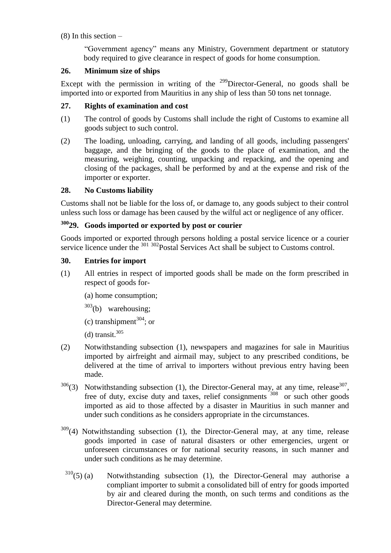$(8)$  In this section –

―Government agency‖ means any Ministry, Government department or statutory body required to give clearance in respect of goods for home consumption.

### <span id="page-35-0"></span>**26. Minimum size of ships**

Except with the permission in writing of the  $^{299}$ Director-General, no goods shall be imported into or exported from Mauritius in any ship of less than 50 tons net tonnage.

### <span id="page-35-1"></span>**27. Rights of examination and cost**

- (1) The control of goods by Customs shall include the right of Customs to examine all goods subject to such control.
- (2) The loading, unloading, carrying, and landing of all goods, including passengers' baggage, and the bringing of the goods to the place of examination, and the measuring, weighing, counting, unpacking and repacking, and the opening and closing of the packages, shall be performed by and at the expense and risk of the importer or exporter.

### <span id="page-35-2"></span>**28. No Customs liability**

Customs shall not be liable for the loss of, or damage to, any goods subject to their control unless such loss or damage has been caused by the wilful act or negligence of any officer.

# <span id="page-35-3"></span>**<sup>300</sup>29. Goods imported or exported by post or courier**

Goods imported or exported through persons holding a postal service licence or a courier service licence under the <sup>301 302</sup>Postal Services Act shall be subject to Customs control.

### <span id="page-35-4"></span>**30. Entries for import**

- (1) All entries in respect of imported goods shall be made on the form prescribed in respect of goods for-
	- (a) home consumption;
	- $303(b)$  warehousing;
	- (c) transhipment $^{304}$ ; or
	- $(d)$  transit.<sup>305</sup>
- (2) Notwithstanding subsection (1), newspapers and magazines for sale in Mauritius imported by airfreight and airmail may, subject to any prescribed conditions, be delivered at the time of arrival to importers without previous entry having been made.
- $306(3)$  Notwithstanding subsection (1), the Director-General may, at any time, release  $307$ , free of duty, excise duty and taxes, relief consignments <sup>308</sup> or such other goods imported as aid to those affected by a disaster in Mauritius in such manner and under such conditions as he considers appropriate in the circumstances.
- <sup>309</sup>(4) Notwithstanding subsection (1), the Director-General may, at any time, release goods imported in case of natural disasters or other emergencies, urgent or unforeseen circumstances or for national security reasons, in such manner and under such conditions as he may determine.
	- $310(5)$  (a) Notwithstanding subsection (1), the Director-General may authorise a compliant importer to submit a consolidated bill of entry for goods imported by air and cleared during the month, on such terms and conditions as the Director-General may determine.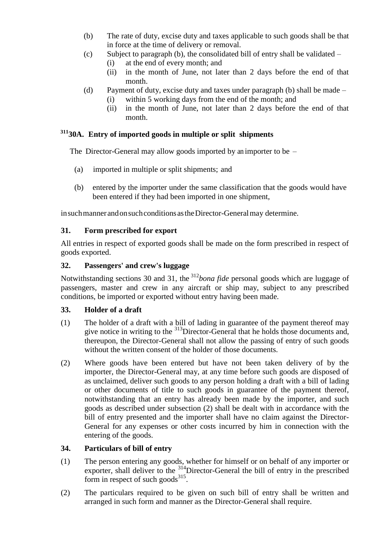- (b) The rate of duty, excise duty and taxes applicable to such goods shall be that in force at the time of delivery or removal.
- (c) Subject to paragraph (b), the consolidated bill of entry shall be validated
	- (i) at the end of every month; and
	- (ii) in the month of June, not later than 2 days before the end of that month.
- (d) Payment of duty, excise duty and taxes under paragraph (b) shall be made (i) within 5 working days from the end of the month; and
	- (ii) in the month of June, not later than 2 days before the end of that month.

# **<sup>311</sup>30A. Entry of imported goods in multiple or split shipments**

The Director-General may allow goods imported by an importer to be –

- (a) imported in multiple or split shipments; and
- (b) entered by the importer under the same classification that the goods would have been entered if they had been imported in one shipment,

in such manner and on such conditions as the Director-General may determine.

## **31. Form prescribed for export**

All entries in respect of exported goods shall be made on the form prescribed in respect of goods exported.

#### **32. Passengers' and crew's luggage**

Notwithstanding sections 30 and 31, the <sup>312</sup>*bona fide* personal goods which are luggage of passengers, master and crew in any aircraft or ship may, subject to any prescribed conditions, be imported or exported without entry having been made.

#### **33. Holder of a draft**

- (1) The holder of a draft with a bill of lading in guarantee of the payment thereof may give notice in writing to the <sup>313</sup>Director-General that he holds those documents and, thereupon, the Director-General shall not allow the passing of entry of such goods without the written consent of the holder of those documents.
- (2) Where goods have been entered but have not been taken delivery of by the importer, the Director-General may, at any time before such goods are disposed of as unclaimed, deliver such goods to any person holding a draft with a bill of lading or other documents of title to such goods in guarantee of the payment thereof, notwithstanding that an entry has already been made by the importer, and such goods as described under subsection (2) shall be dealt with in accordance with the bill of entry presented and the importer shall have no claim against the Director-General for any expenses or other costs incurred by him in connection with the entering of the goods.

#### **34. Particulars of bill of entry**

- (1) The person entering any goods, whether for himself or on behalf of any importer or exporter, shall deliver to the <sup>314</sup>Director-General the bill of entry in the prescribed form in respect of such goods $^{315}$ .
- (2) The particulars required to be given on such bill of entry shall be written and arranged in such form and manner as the Director-General shall require.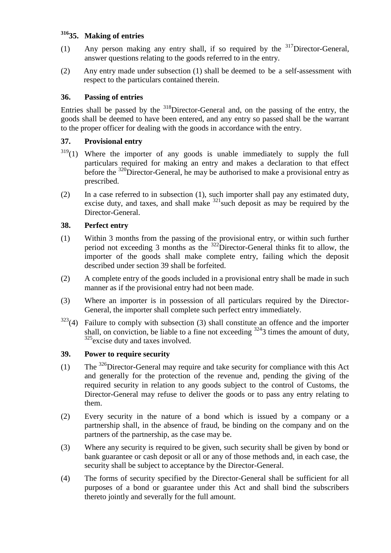# **<sup>316</sup>35. Making of entries**

- (1) Any person making any entry shall, if so required by the  $317$ Director-General, answer questions relating to the goods referred to in the entry.
- (2) Any entry made under subsection (1) shall be deemed to be a self-assessment with respect to the particulars contained therein.

## **36. Passing of entries**

Entries shall be passed by the  $318$ Director-General and, on the passing of the entry, the goods shall be deemed to have been entered, and any entry so passed shall be the warrant to the proper officer for dealing with the goods in accordance with the entry.

## **37. Provisional entry**

- $319(1)$  Where the importer of any goods is unable immediately to supply the full particulars required for making an entry and makes a declaration to that effect before the <sup>320</sup>Director-General, he may be authorised to make a provisional entry as prescribed.
- (2) In a case referred to in subsection (1), such importer shall pay any estimated duty, excise duty, and taxes, and shall make  $321$  such deposit as may be required by the Director-General.

## **38. Perfect entry**

- (1) Within 3 months from the passing of the provisional entry, or within such further period not exceeding 3 months as the  $322$ Director-General thinks fit to allow, the importer of the goods shall make complete entry, failing which the deposit described under section 39 shall be forfeited.
- (2) A complete entry of the goods included in a provisional entry shall be made in such manner as if the provisional entry had not been made.
- (3) Where an importer is in possession of all particulars required by the Director-General, the importer shall complete such perfect entry immediately.
- $323(4)$  Failure to comply with subsection (3) shall constitute an offence and the importer shall, on conviction, be liable to a fine not exceeding  $3243$  times the amount of duty, <sup>325</sup>excise duty and taxes involved.

#### **39. Power to require security**

- (1) The  $326$ Director-General may require and take security for compliance with this Act and generally for the protection of the revenue and, pending the giving of the required security in relation to any goods subject to the control of Customs, the Director-General may refuse to deliver the goods or to pass any entry relating to them.
- (2) Every security in the nature of a bond which is issued by a company or a partnership shall, in the absence of fraud, be binding on the company and on the partners of the partnership, as the case may be.
- (3) Where any security is required to be given, such security shall be given by bond or bank guarantee or cash deposit or all or any of those methods and, in each case, the security shall be subject to acceptance by the Director-General.
- (4) The forms of security specified by the Director-General shall be sufficient for all purposes of a bond or guarantee under this Act and shall bind the subscribers thereto jointly and severally for the full amount.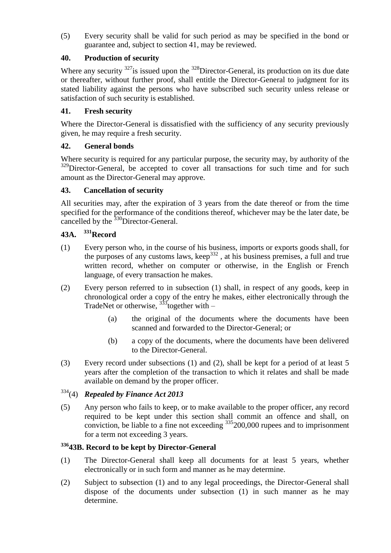(5) Every security shall be valid for such period as may be specified in the bond or guarantee and, subject to section 41, may be reviewed.

## **40. Production of security**

Where any security  $327$  is issued upon the  $328$  Director-General, its production on its due date or thereafter, without further proof, shall entitle the Director-General to judgment for its stated liability against the persons who have subscribed such security unless release or satisfaction of such security is established.

### **41. Fresh security**

Where the Director-General is dissatisfied with the sufficiency of any security previously given, he may require a fresh security.

#### **42. General bonds**

Where security is required for any particular purpose, the security may, by authority of the <sup>329</sup>Director-General, be accepted to cover all transactions for such time and for such amount as the Director-General may approve.

#### **43. Cancellation of security**

All securities may, after the expiration of 3 years from the date thereof or from the time specified for the performance of the conditions thereof, whichever may be the later date, be cancelled by the <sup>330</sup>Director-General.

# **43A. <sup>331</sup>Record**

- (1) Every person who, in the course of his business, imports or exports goods shall, for the purposes of any customs laws, keep<sup>332</sup>, at his business premises, a full and true written record, whether on computer or otherwise, in the English or French language, of every transaction he makes.
- (2) Every person referred to in subsection (1) shall, in respect of any goods, keep in chronological order a copy of the entry he makes, either electronically through the TradeNet or otherwise,  $333$  together with –
	- (a) the original of the documents where the documents have been scanned and forwarded to the Director-General; or
	- (b) a copy of the documents, where the documents have been delivered to the Director-General.
- (3) Every record under subsections (1) and (2), shall be kept for a period of at least 5 years after the completion of the transaction to which it relates and shall be made available on demand by the proper officer.

# <sup>334</sup>(4) *Repealed by Finance Act 2013*

(5) Any person who fails to keep, or to make available to the proper officer, any record required to be kept under this section shall commit an offence and shall, on conviction, be liable to a fine not exceeding  $335200,000$  rupees and to imprisonment for a term not exceeding 3 years.

#### **<sup>336</sup>43B. Record to be kept by Director-General**

- (1) The Director-General shall keep all documents for at least 5 years, whether electronically or in such form and manner as he may determine.
- (2) Subject to subsection (1) and to any legal proceedings, the Director-General shall dispose of the documents under subsection (1) in such manner as he may determine.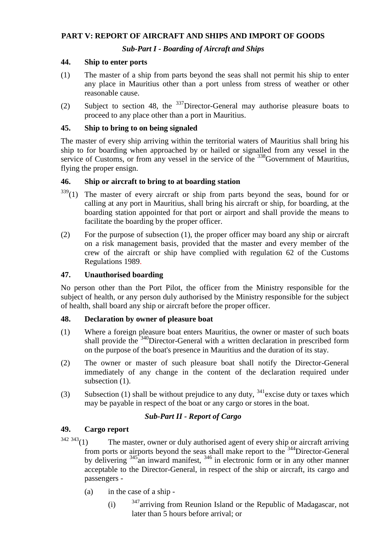#### **PART V: REPORT OF AIRCRAFT AND SHIPS AND IMPORT OF GOODS**

## *Sub-Part I - Boarding of Aircraft and Ships*

#### **44. Ship to enter ports**

- (1) The master of a ship from parts beyond the seas shall not permit his ship to enter any place in Mauritius other than a port unless from stress of weather or other reasonable cause.
- (2) Subject to section 48, the <sup>337</sup>Director-General may authorise pleasure boats to proceed to any place other than a port in Mauritius.

#### **45. Ship to bring to on being signaled**

The master of every ship arriving within the territorial waters of Mauritius shall bring his ship to for boarding when approached by or hailed or signalled from any vessel in the service of Customs, or from any vessel in the service of the  $338$ Government of Mauritius, flying the proper ensign.

#### **46. Ship or aircraft to bring to at boarding station**

- <sup>339</sup>(1) The master of every aircraft or ship from parts beyond the seas, bound for or calling at any port in Mauritius, shall bring his aircraft or ship, for boarding, at the boarding station appointed for that port or airport and shall provide the means to facilitate the boarding by the proper officer.
- (2) For the purpose of subsection (1), the proper officer may board any ship or aircraft on a risk management basis, provided that the master and every member of the crew of the aircraft or ship have complied with regulation 62 of the Customs Regulations 1989.

#### **47. Unauthorised boarding**

No person other than the Port Pilot, the officer from the Ministry responsible for the subject of health, or any person duly authorised by the Ministry responsible for the subject of health, shall board any ship or aircraft before the proper officer.

#### **48. Declaration by owner of pleasure boat**

- (1) Where a foreign pleasure boat enters Mauritius, the owner or master of such boats shall provide the <sup>340</sup>Director-General with a written declaration in prescribed form on the purpose of the boat's presence in Mauritius and the duration of its stay.
- (2) The owner or master of such pleasure boat shall notify the Director-General immediately of any change in the content of the declaration required under subsection  $(1)$ .
- (3) Subsection (1) shall be without prejudice to any duty,  $341$  excise duty or taxes which may be payable in respect of the boat or any cargo or stores in the boat.

#### *Sub-Part II - Report of Cargo*

#### **49. Cargo report**

- $342\,343(1)$  The master, owner or duly authorised agent of every ship or aircraft arriving from ports or airports beyond the seas shall make report to the <sup>344</sup>Director-General by delivering <sup>345</sup>an inward manifest, <sup>346</sup> in electronic form or in any other manner acceptable to the Director-General, in respect of the ship or aircraft, its cargo and passengers -
	- (a) in the case of a ship
		- (i)  $347$  arriving from Reunion Island or the Republic of Madagascar, not later than 5 hours before arrival; or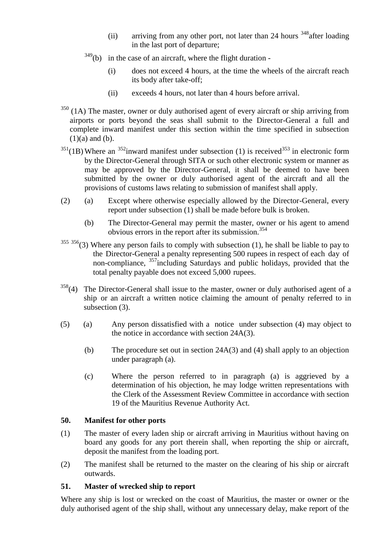- (ii) arriving from any other port, not later than 24 hours  $348$  after loading in the last port of departure;
- $349$ (b) in the case of an aircraft, where the flight duration -
	- (i) does not exceed 4 hours, at the time the wheels of the aircraft reach its body after take-off;
	- (ii) exceeds 4 hours, not later than 4 hours before arrival.
- $350$  (1A) The master, owner or duly authorised agent of every aircraft or ship arriving from airports or ports beyond the seas shall submit to the Director-General a full and complete inward manifest under this section within the time specified in subsection  $(1)(a)$  and  $(b)$ .
- $351(1B)$  Where an  $352$  inward manifest under subsection (1) is received  $353$  in electronic form by the Director-General through SITA or such other electronic system or manner as may be approved by the Director-General, it shall be deemed to have been submitted by the owner or duly authorised agent of the aircraft and all the provisions of customs laws relating to submission of manifest shall apply.
- (2) (a) Except where otherwise especially allowed by the Director-General, every report under subsection (1) shall be made before bulk is broken.
	- (b) The Director-General may permit the master, owner or his agent to amend obvious errors in the report after its submission.<sup>354</sup>
- $355\,356(3)$  Where any person fails to comply with subsection (1), he shall be liable to pay to the Director-General a penalty representing 500 rupees in respect of each day of non-compliance, <sup>357</sup>including Saturdays and public holidays, provided that the total penalty payable does not exceed 5,000 rupees.
- $358(4)$  The Director-General shall issue to the master, owner or duly authorised agent of a ship or an aircraft a written notice claiming the amount of penalty referred to in subsection (3).
- (5) (a) Any person dissatisfied with a notice under subsection (4) may object to the notice in accordance with section 24A(3).
	- (b) The procedure set out in section 24A(3) and (4) shall apply to an objection under paragraph (a).
	- (c) Where the person referred to in paragraph (a) is aggrieved by a determination of his objection, he may lodge written representations with the Clerk of the Assessment Review Committee in accordance with section 19 of the Mauritius Revenue Authority Act.

#### **50. Manifest for other ports**

- (1) The master of every laden ship or aircraft arriving in Mauritius without having on board any goods for any port therein shall, when reporting the ship or aircraft, deposit the manifest from the loading port.
- (2) The manifest shall be returned to the master on the clearing of his ship or aircraft outwards.

#### **51. Master of wrecked ship to report**

Where any ship is lost or wrecked on the coast of Mauritius, the master or owner or the duly authorised agent of the ship shall, without any unnecessary delay, make report of the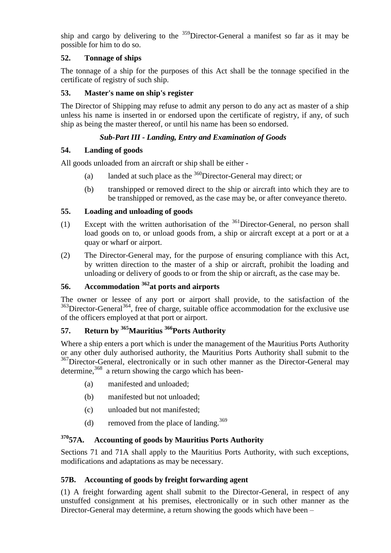ship and cargo by delivering to the  $359$ Director-General a manifest so far as it may be possible for him to do so.

## **52. Tonnage of ships**

The tonnage of a ship for the purposes of this Act shall be the tonnage specified in the certificate of registry of such ship.

### **53. Master's name on ship's register**

The Director of Shipping may refuse to admit any person to do any act as master of a ship unless his name is inserted in or endorsed upon the certificate of registry, if any, of such ship as being the master thereof, or until his name has been so endorsed.

## *Sub-Part III - Landing, Entry and Examination of Goods*

## **54. Landing of goods**

All goods unloaded from an aircraft or ship shall be either -

- (a) landed at such place as the  $360$ Director-General may direct; or
- (b) transhipped or removed direct to the ship or aircraft into which they are to be transhipped or removed, as the case may be, or after conveyance thereto.

## **55. Loading and unloading of goods**

- (1) Except with the written authorisation of the <sup>361</sup>Director-General, no person shall load goods on to, or unload goods from, a ship or aircraft except at a port or at a quay or wharf or airport.
- (2) The Director-General may, for the purpose of ensuring compliance with this Act, by written direction to the master of a ship or aircraft, prohibit the loading and unloading or delivery of goods to or from the ship or aircraft, as the case may be.

# **56. Accommodation <sup>362</sup>at ports and airports**

The owner or lessee of any port or airport shall provide, to the satisfaction of the <sup>363</sup>Director-General<sup>364</sup>, free of charge, suitable office accommodation for the exclusive use of the officers employed at that port or airport.

# **57. Return by <sup>365</sup>Mauritius <sup>366</sup>Ports Authority**

Where a ship enters a port which is under the management of the Mauritius Ports Authority or any other duly authorised authority, the Mauritius Ports Authority shall submit to the <sup>367</sup>Director-General, electronically or in such other manner as the Director-General may determine,<sup>368</sup> a return showing the cargo which has been-

- (a) manifested and unloaded;
- (b) manifested but not unloaded;
- (c) unloaded but not manifested;
- (d) removed from the place of landing.<sup>369</sup>

# **<sup>370</sup>57A. Accounting of goods by Mauritius Ports Authority**

Sections 71 and 71A shall apply to the Mauritius Ports Authority, with such exceptions, modifications and adaptations as may be necessary.

#### **57B. Accounting of goods by freight forwarding agent**

(1) A freight forwarding agent shall submit to the Director-General, in respect of any unstuffed consignment at his premises, electronically or in such other manner as the Director-General may determine, a return showing the goods which have been –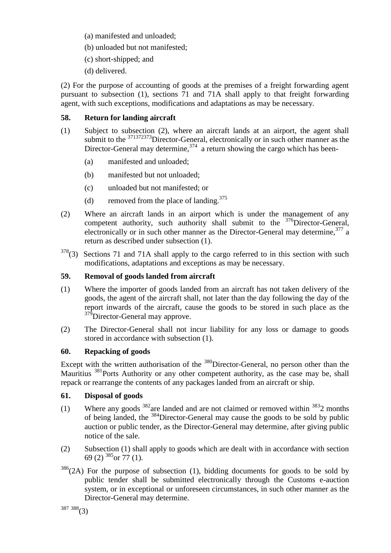- (a) manifested and unloaded;
- (b) unloaded but not manifested;
- (c) short-shipped; and
- (d) delivered.

(2) For the purpose of accounting of goods at the premises of a freight forwarding agent pursuant to subsection (1), sections 71 and 71A shall apply to that freight forwarding agent, with such exceptions, modifications and adaptations as may be necessary.

## **58. Return for landing aircraft**

- (1) Subject to subsection (2), where an aircraft lands at an airport, the agent shall submit to the  $371372373$ Director-General, electronically or in such other manner as the Director-General may determine,  $374$  a return showing the cargo which has been-
	- (a) manifested and unloaded;
	- (b) manifested but not unloaded;
	- (c) unloaded but not manifested; or
	- (d) removed from the place of landing.<sup>375</sup>
- (2) Where an aircraft lands in an airport which is under the management of any competent authority, such authority shall submit to the <sup>376</sup>Director-General, electronically or in such other manner as the Director-General may determine, 377 a return as described under subsection (1).
- $378(3)$  Sections 71 and 71A shall apply to the cargo referred to in this section with such modifications, adaptations and exceptions as may be necessary.

### **59. Removal of goods landed from aircraft**

- (1) Where the importer of goods landed from an aircraft has not taken delivery of the goods, the agent of the aircraft shall, not later than the day following the day of the report inwards of the aircraft, cause the goods to be stored in such place as the <sup>379</sup>Director-General may approve.
- (2) The Director-General shall not incur liability for any loss or damage to goods stored in accordance with subsection (1).

#### **60. Repacking of goods**

Except with the written authorisation of the <sup>380</sup>Director-General, no person other than the Mauritius <sup>381</sup>Ports Authority or any other competent authority, as the case may be, shall repack or rearrange the contents of any packages landed from an aircraft or ship.

#### **61. Disposal of goods**

- (1) Where any goods  $382$  are landed and are not claimed or removed within  $3832$  months of being landed, the <sup>384</sup>Director-General may cause the goods to be sold by public auction or public tender, as the Director-General may determine, after giving public notice of the sale.
- (2) Subsection (1) shall apply to goods which are dealt with in accordance with section 69 (2)  $385$  or  $77$  (1).
- $386$ (2A) For the purpose of subsection (1), bidding documents for goods to be sold by public tender shall be submitted electronically through the Customs e-auction system, or in exceptional or unforeseen circumstances, in such other manner as the Director-General may determine.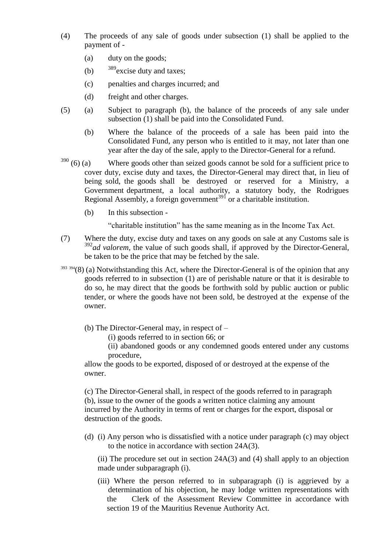- (4) The proceeds of any sale of goods under subsection (1) shall be applied to the payment of -
	- (a) duty on the goods;
	- (b)  $389$  excise duty and taxes;
	- (c) penalties and charges incurred; and
	- (d) freight and other charges.
- (5) (a) Subject to paragraph (b), the balance of the proceeds of any sale under subsection (1) shall be paid into the Consolidated Fund.
	- (b) Where the balance of the proceeds of a sale has been paid into the Consolidated Fund, any person who is entitled to it may, not later than one year after the day of the sale, apply to the Director-General for a refund.
- $390$  (6) (a) Where goods other than seized goods cannot be sold for a sufficient price to cover duty, excise duty and taxes, the Director-General may direct that, in lieu of being sold, the goods shall be destroyed or reserved for a Ministry, a Government department, a local authority, a statutory body, the Rodrigues Regional Assembly, a foreign government<sup>391</sup> or a charitable institution.
	- (b) In this subsection -

"charitable institution" has the same meaning as in the Income Tax Act.

- (7) Where the duty, excise duty and taxes on any goods on sale at any Customs sale is <sup>392</sup>ad valorem, the value of such goods shall, if approved by the Director-General, be taken to be the price that may be fetched by the sale.
- $393\frac{394}{8}$  (a) Notwithstanding this Act, where the Director-General is of the opinion that any goods referred to in subsection (1) are of perishable nature or that it is desirable to do so, he may direct that the goods be forthwith sold by public auction or public tender, or where the goods have not been sold, be destroyed at the expense of the owner.
	- (b) The Director-General may, in respect of
		- (i) goods referred to in section 66; or

(ii) abandoned goods or any condemned goods entered under any customs procedure,

allow the goods to be exported, disposed of or destroyed at the expense of the owner.

(c) The Director-General shall, in respect of the goods referred to in paragraph (b), issue to the owner of the goods a written notice claiming any amount incurred by the Authority in terms of rent or charges for the export, disposal or destruction of the goods.

(d) (i) Any person who is dissatisfied with a notice under paragraph (c) may object to the notice in accordance with section 24A(3).

(ii) The procedure set out in section  $24A(3)$  and (4) shall apply to an objection made under subparagraph (i).

(iii) Where the person referred to in subparagraph (i) is aggrieved by a determination of his objection, he may lodge written representations with the Clerk of the Assessment Review Committee in accordance with section 19 of the Mauritius Revenue Authority Act.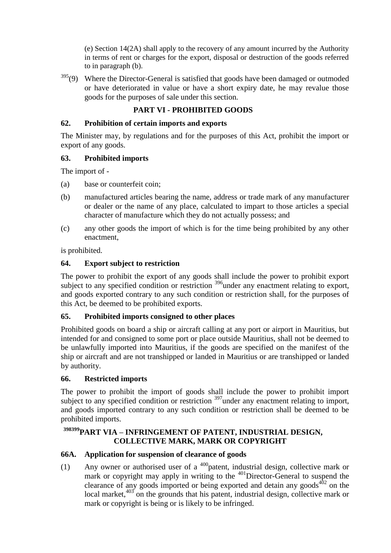(e) Section 14(2A) shall apply to the recovery of any amount incurred by the Authority in terms of rent or charges for the export, disposal or destruction of the goods referred to in paragraph (b).

 $395(9)$  Where the Director-General is satisfied that goods have been damaged or outmoded or have deteriorated in value or have a short expiry date, he may revalue those goods for the purposes of sale under this section.

# **PART VI - PROHIBITED GOODS**

#### **62. Prohibition of certain imports and exports**

The Minister may, by regulations and for the purposes of this Act, prohibit the import or export of any goods.

#### **63. Prohibited imports**

The import of -

- (a) base or counterfeit coin;
- (b) manufactured articles bearing the name, address or trade mark of any manufacturer or dealer or the name of any place, calculated to impart to those articles a special character of manufacture which they do not actually possess; and
- (c) any other goods the import of which is for the time being prohibited by any other enactment,

is prohibited.

#### **64. Export subject to restriction**

The power to prohibit the export of any goods shall include the power to prohibit export subject to any specified condition or restriction  $396$  under any enactment relating to export, and goods exported contrary to any such condition or restriction shall, for the purposes of this Act, be deemed to be prohibited exports.

#### **65. Prohibited imports consigned to other places**

Prohibited goods on board a ship or aircraft calling at any port or airport in Mauritius, but intended for and consigned to some port or place outside Mauritius, shall not be deemed to be unlawfully imported into Mauritius, if the goods are specified on the manifest of the ship or aircraft and are not transhipped or landed in Mauritius or are transhipped or landed by authority.

#### **66. Restricted imports**

The power to prohibit the import of goods shall include the power to prohibit import subject to any specified condition or restriction  $397$  under any enactment relating to import, and goods imported contrary to any such condition or restriction shall be deemed to be prohibited imports.

# **<sup>398399</sup>PART VIA – INFRINGEMENT OF PATENT, INDUSTRIAL DESIGN, COLLECTIVE MARK, MARK OR COPYRIGHT**

#### **66A. Application for suspension of clearance of goods**

(1) Any owner or authorised user of a  $400$  patent, industrial design, collective mark or mark or copyright may apply in writing to the  $401$ Director-General to suspend the clearance of any goods imported or being exported and detain any goods<sup> $402$ </sup> on the local market, $403$  on the grounds that his patent, industrial design, collective mark or mark or copyright is being or is likely to be infringed.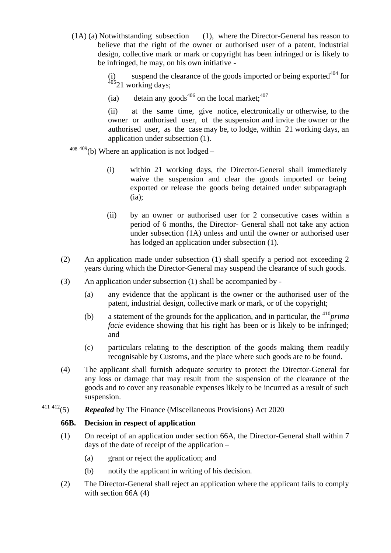(1A) (a) Notwithstanding subsection (1), where the Director-General has reason to believe that the right of the owner or authorised user of a patent, industrial design, collective mark or mark or copyright has been infringed or is likely to be infringed, he may, on his own initiative -

> suspend the clearance of the goods imported or being exported $404$  for (i) suspension  $\frac{405}{21}$  working days;

(ia) detain any goods<sup>406</sup> on the local market:<sup>407</sup>

(ii) at the same time, give notice, electronically or otherwise, to the owner or authorised user, of the suspension and invite the owner or the authorised user, as the case may be, to lodge, within 21 working days, an application under subsection (1).

 $408409$  (b) Where an application is not lodged –

- (i) within 21 working days, the Director-General shall immediately waive the suspension and clear the goods imported or being exported or release the goods being detained under subparagraph  $(ia):$
- (ii) by an owner or authorised user for 2 consecutive cases within a period of 6 months, the Director- General shall not take any action under subsection (1A) unless and until the owner or authorised user has lodged an application under subsection (1).
- (2) An application made under subsection (1) shall specify a period not exceeding 2 years during which the Director-General may suspend the clearance of such goods.
- (3) An application under subsection (1) shall be accompanied by
	- (a) any evidence that the applicant is the owner or the authorised user of the patent, industrial design, collective mark or mark, or of the copyright;
	- (b) a statement of the grounds for the application, and in particular, the <sup>410</sup>*prima facie* evidence showing that his right has been or is likely to be infringed; and
	- (c) particulars relating to the description of the goods making them readily recognisable by Customs, and the place where such goods are to be found.
- (4) The applicant shall furnish adequate security to protect the Director-General for any loss or damage that may result from the suspension of the clearance of the goods and to cover any reasonable expenses likely to be incurred as a result of such suspension.
- <sup>411</sup> <sup>412</sup>(5) *Repealed* by The Finance (Miscellaneous Provisions) Act 2020

#### **66B. Decision in respect of application**

- (1) On receipt of an application under section 66A, the Director-General shall within 7 days of the date of receipt of the application –
	- (a) grant or reject the application; and
	- (b) notify the applicant in writing of his decision.
- (2) The Director-General shall reject an application where the applicant fails to comply with section 66A (4)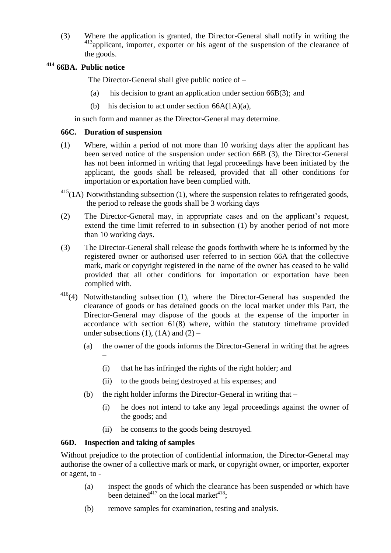(3) Where the application is granted, the Director-General shall notify in writing the 413<sub>applicant, importer, exporter or his agent of the suspension of the clearance of</sub> the goods.

# **<sup>414</sup> 66BA. Public notice**

The Director-General shall give public notice of –

- (a) his decision to grant an application under section 66B(3); and
- (b) his decision to act under section  $66A(1A)(a)$ ,

in such form and manner as the Director-General may determine.

#### **66C. Duration of suspension**

- (1) Where, within a period of not more than 10 working days after the applicant has been served notice of the suspension under section 66B (3), the Director-General has not been informed in writing that legal proceedings have been initiated by the applicant, the goods shall be released, provided that all other conditions for importation or exportation have been complied with.
- $415(1A)$  Notwithstanding subsection (1), where the suspension relates to refrigerated goods, the period to release the goods shall be 3 working days
- (2) The Director-General may, in appropriate cases and on the applicant's request, extend the time limit referred to in subsection (1) by another period of not more than 10 working days.
- (3) The Director-General shall release the goods forthwith where he is informed by the registered owner or authorised user referred to in section 66A that the collective mark, mark or copyright registered in the name of the owner has ceased to be valid provided that all other conditions for importation or exportation have been complied with.
- $416(4)$  Notwithstanding subsection (1), where the Director-General has suspended the clearance of goods or has detained goods on the local market under this Part, the Director-General may dispose of the goods at the expense of the importer in accordance with section 61(8) where, within the statutory timeframe provided under subsections (1), (1A) and (2) –
	- (a) the owner of the goods informs the Director-General in writing that he agrees
		- (i) that he has infringed the rights of the right holder; and
		- (ii) to the goods being destroyed at his expenses; and
	- (b) the right holder informs the Director-General in writing that
		- (i) he does not intend to take any legal proceedings against the owner of the goods; and
		- (ii) he consents to the goods being destroyed.

#### **66D. Inspection and taking of samples**

 $\overline{\phantom{0}}$ 

Without prejudice to the protection of confidential information, the Director-General may authorise the owner of a collective mark or mark, or copyright owner, or importer, exporter or agent, to -

- (a) inspect the goods of which the clearance has been suspended or which have been detained<sup>417</sup> on the local market<sup>418</sup>;
- (b) remove samples for examination, testing and analysis.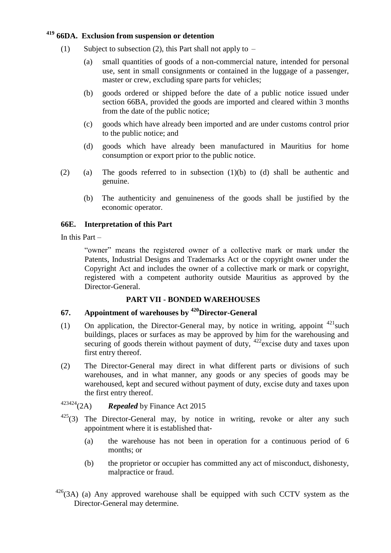## **<sup>419</sup> 66DA. Exclusion from suspension or detention**

- (1) Subject to subsection (2), this Part shall not apply to  $-$ 
	- (a) small quantities of goods of a non-commercial nature, intended for personal use, sent in small consignments or contained in the luggage of a passenger, master or crew, excluding spare parts for vehicles;
	- (b) goods ordered or shipped before the date of a public notice issued under section 66BA, provided the goods are imported and cleared within 3 months from the date of the public notice;
	- (c) goods which have already been imported and are under customs control prior to the public notice; and
	- (d) goods which have already been manufactured in Mauritius for home consumption or export prior to the public notice.
- (2) (a) The goods referred to in subsection (1)(b) to (d) shall be authentic and genuine.
	- (b) The authenticity and genuineness of the goods shall be justified by the economic operator.

#### **66E. Interpretation of this Part**

In this Part –

"owner" means the registered owner of a collective mark or mark under the Patents, Industrial Designs and Trademarks Act or the copyright owner under the Copyright Act and includes the owner of a collective mark or mark or copyright, registered with a competent authority outside Mauritius as approved by the Director-General.

#### **PART VII - BONDED WAREHOUSES**

### **67. Appointment of warehouses by <sup>420</sup>Director-General**

- (1) On application, the Director-General may, by notice in writing, appoint  $421$  such buildings, places or surfaces as may be approved by him for the warehousing and securing of goods therein without payment of duty, <sup>422</sup>excise duty and taxes upon first entry thereof.
- (2) The Director-General may direct in what different parts or divisions of such warehouses, and in what manner, any goods or any species of goods may be warehoused, kept and secured without payment of duty, excise duty and taxes upon the first entry thereof.

# <sup>423424</sup>(2A) *Repealed* by Finance Act 2015

- $425(3)$  The Director-General may, by notice in writing, revoke or alter any such appointment where it is established that-
	- (a) the warehouse has not been in operation for a continuous period of 6 months; or
	- (b) the proprietor or occupier has committed any act of misconduct, dishonesty, malpractice or fraud.
- $426(3)$  (a) Any approved warehouse shall be equipped with such CCTV system as the Director-General may determine.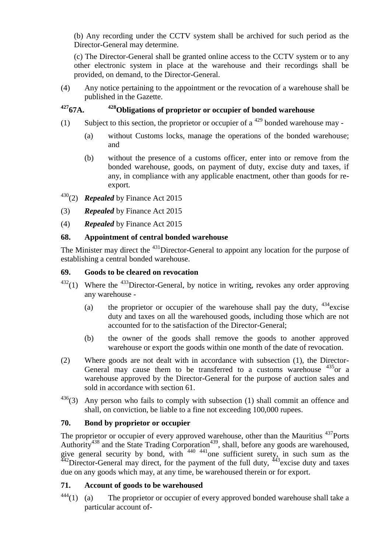(b) Any recording under the CCTV system shall be archived for such period as the Director-General may determine.

(c) The Director-General shall be granted online access to the CCTV system or to any other electronic system in place at the warehouse and their recordings shall be provided, on demand, to the Director-General.

(4) Any notice pertaining to the appointment or the revocation of a warehouse shall be published in the Gazette.

# **<sup>427</sup>67A. <sup>428</sup>Obligations of proprietor or occupier of bonded warehouse**

- (1) Subject to this section, the proprietor or occupier of a  $429$  bonded warehouse may -
	- (a) without Customs locks, manage the operations of the bonded warehouse; and
	- (b) without the presence of a customs officer, enter into or remove from the bonded warehouse, goods, on payment of duty, excise duty and taxes, if any, in compliance with any applicable enactment, other than goods for reexport.
- <sup>430</sup>(2) *Repealed* by Finance Act 2015
- (3) *Repealed* by Finance Act 2015
- (4) *Repealed* by Finance Act 2015

#### **68. Appointment of central bonded warehouse**

The Minister may direct the <sup>431</sup>Director-General to appoint any location for the purpose of establishing a central bonded warehouse.

#### **69. Goods to be cleared on revocation**

- $432(1)$  Where the  $433$ Director-General, by notice in writing, revokes any order approving any warehouse -
	- (a) the proprietor or occupier of the warehouse shall pay the duty,  $434$  excise duty and taxes on all the warehoused goods, including those which are not accounted for to the satisfaction of the Director-General;
	- (b) the owner of the goods shall remove the goods to another approved warehouse or export the goods within one month of the date of revocation.
- (2) Where goods are not dealt with in accordance with subsection (1), the Director-General may cause them to be transferred to a customs warehouse  $435$  or a warehouse approved by the Director-General for the purpose of auction sales and sold in accordance with section 61.
- $436(3)$  Any person who fails to comply with subsection (1) shall commit an offence and shall, on conviction, be liable to a fine not exceeding 100,000 rupees.

#### **70. Bond by proprietor or occupier**

The proprietor or occupier of every approved warehouse, other than the Mauritius <sup>437</sup>Ports Authority<sup>438</sup> and the State Trading Corporation<sup>439</sup>, shall, before any goods are warehoused, give general security by bond, with  $440 - 441$  one sufficient surety, in such sum as the  $442$ Director-General may direct, for the payment of the full duty,  $443$  excise duty and taxes due on any goods which may, at any time, be warehoused therein or for export.

#### **71. Account of goods to be warehoused**

 $444(1)$  (a) The proprietor or occupier of every approved bonded warehouse shall take a particular account of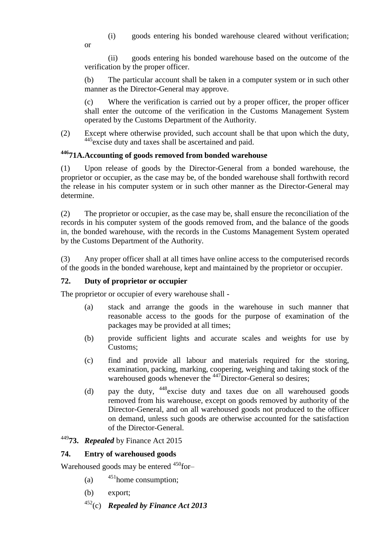(i) goods entering his bonded warehouse cleared without verification;

or

(ii) goods entering his bonded warehouse based on the outcome of the verification by the proper officer.

(b) The particular account shall be taken in a computer system or in such other manner as the Director-General may approve.

(c) Where the verification is carried out by a proper officer, the proper officer shall enter the outcome of the verification in the Customs Management System operated by the Customs Department of the Authority.

(2) Except where otherwise provided, such account shall be that upon which the duty, <sup>445</sup>excise duty and taxes shall be ascertained and paid.

# **<sup>446</sup>71A.Accounting of goods removed from bonded warehouse**

(1) Upon release of goods by the Director-General from a bonded warehouse, the proprietor or occupier, as the case may be, of the bonded warehouse shall forthwith record the release in his computer system or in such other manner as the Director-General may determine.

(2) The proprietor or occupier, as the case may be, shall ensure the reconciliation of the records in his computer system of the goods removed from, and the balance of the goods in, the bonded warehouse, with the records in the Customs Management System operated by the Customs Department of the Authority.

(3) Any proper officer shall at all times have online access to the computerised records of the goods in the bonded warehouse, kept and maintained by the proprietor or occupier.

#### **72. Duty of proprietor or occupier**

The proprietor or occupier of every warehouse shall -

- (a) stack and arrange the goods in the warehouse in such manner that reasonable access to the goods for the purpose of examination of the packages may be provided at all times;
- (b) provide sufficient lights and accurate scales and weights for use by Customs;
- (c) find and provide all labour and materials required for the storing, examination, packing, marking, coopering, weighing and taking stock of the warehoused goods whenever the  $447$ Director-General so desires;
- (d) pay the duty, <sup>448</sup>excise duty and taxes due on all warehoused goods removed from his warehouse, except on goods removed by authority of the Director-General, and on all warehoused goods not produced to the officer on demand, unless such goods are otherwise accounted for the satisfaction of the Director-General.

# <sup>449</sup>**73.** *Repealed* by Finance Act 2015

#### **74. Entry of warehoused goods**

Warehoused goods may be entered <sup>450</sup>for-

- (a)  $451$  home consumption;
- (b) export;
- <sup>452</sup>(c) *Repealed by Finance Act 2013*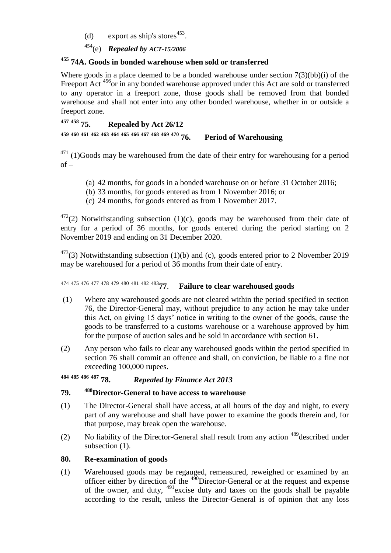(d) export as ship's stores<sup>453</sup>.

<sup>454</sup>(e) *Repealed by ACT-15/2006*

## **<sup>455</sup> 74A. Goods in bonded warehouse when sold or transferred**

Where goods in a place deemed to be a bonded warehouse under section 7(3)(bb)(i) of the Freeport Act <sup>456</sup>or in any bonded warehouse approved under this Act are sold or transferred to any operator in a freeport zone, those goods shall be removed from that bonded warehouse and shall not enter into any other bonded warehouse, whether in or outside a freeport zone.

```
457 458 75. Repealed by Act 26/12
```
**<sup>459</sup> <sup>460</sup> <sup>461</sup> <sup>462</sup> <sup>463</sup> <sup>464</sup> <sup>465</sup> <sup>466</sup> <sup>467</sup> <sup>468</sup> <sup>469</sup> <sup>470</sup> 76. Period of Warehousing**

 $471$  (1)Goods may be warehoused from the date of their entry for warehousing for a period  $of -$ 

- (a) 42 months, for goods in a bonded warehouse on or before 31 October 2016;
- (b) 33 months, for goods entered as from 1 November 2016; or
- (c) 24 months, for goods entered as from 1 November 2017.

 $472(2)$  Notwithstanding subsection (1)(c), goods may be warehoused from their date of entry for a period of 36 months, for goods entered during the period starting on 2 November 2019 and ending on 31 December 2020.

 $473(3)$  Notwithstanding subsection (1)(b) and (c), goods entered prior to 2 November 2019 may be warehoused for a period of 36 months from their date of entry.

# <sup>474</sup> <sup>475</sup> <sup>476</sup> <sup>477</sup> <sup>478</sup> <sup>479</sup> <sup>480</sup> <sup>481</sup> <sup>482</sup> <sup>483</sup>**77**. **Failure to clear warehoused goods**

- (1) Where any warehoused goods are not cleared within the period specified in section 76, the Director-General may, without prejudice to any action he may take under this Act, on giving 15 days' notice in writing to the owner of the goods, cause the goods to be transferred to a customs warehouse or a warehouse approved by him for the purpose of auction sales and be sold in accordance with section 61.
- (2) Any person who fails to clear any warehoused goods within the period specified in section 76 shall commit an offence and shall, on conviction, be liable to a fine not exceeding 100,000 rupees.

**<sup>484</sup> <sup>485</sup> <sup>486</sup> <sup>487</sup> 78.** *Repealed by Finance Act 2013*

## **79. <sup>488</sup>Director-General to have access to warehouse**

- (1) The Director-General shall have access, at all hours of the day and night, to every part of any warehouse and shall have power to examine the goods therein and, for that purpose, may break open the warehouse.
- (2) No liability of the Director-General shall result from any action <sup>489</sup>described under subsection  $(1)$ .

#### **80. Re-examination of goods**

(1) Warehoused goods may be regauged, remeasured, reweighed or examined by an officer either by direction of the  $490$ Director-General or at the request and expense of the owner, and duty, <sup>491</sup>excise duty and taxes on the goods shall be payable according to the result, unless the Director-General is of opinion that any loss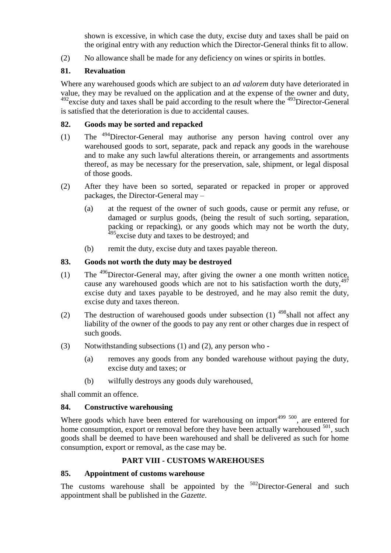shown is excessive, in which case the duty, excise duty and taxes shall be paid on the original entry with any reduction which the Director-General thinks fit to allow.

(2) No allowance shall be made for any deficiency on wines or spirits in bottles.

#### **81. Revaluation**

Where any warehoused goods which are subject to an *ad valorem* duty have deteriorated in value, they may be revalued on the application and at the expense of the owner and duty,  $492$ excise duty and taxes shall be paid according to the result where the  $493$ Director-General is satisfied that the deterioration is due to accidental causes.

#### **82. Goods may be sorted and repacked**

- (1) The <sup>494</sup>Director-General may authorise any person having control over any warehoused goods to sort, separate, pack and repack any goods in the warehouse and to make any such lawful alterations therein, or arrangements and assortments thereof, as may be necessary for the preservation, sale, shipment, or legal disposal of those goods.
- (2) After they have been so sorted, separated or repacked in proper or approved packages, the Director-General may –
	- (a) at the request of the owner of such goods, cause or permit any refuse, or damaged or surplus goods, (being the result of such sorting, separation, packing or repacking), or any goods which may not be worth the duty, <sup>495</sup> excise duty and taxes to be destroyed; and
	- (b) remit the duty, excise duty and taxes payable thereon.

#### **83. Goods not worth the duty may be destroyed**

- (1) The  $^{496}$ Director-General may, after giving the owner a one month written notice, cause any warehoused goods which are not to his satisfaction worth the duty,  $497$ excise duty and taxes payable to be destroyed, and he may also remit the duty, excise duty and taxes thereon.
- (2) The destruction of warehoused goods under subsection (1)  $498$ shall not affect any liability of the owner of the goods to pay any rent or other charges due in respect of such goods.
- (3) Notwithstanding subsections (1) and (2), any person who
	- (a) removes any goods from any bonded warehouse without paying the duty, excise duty and taxes; or
	- (b) wilfully destroys any goods duly warehoused,

shall commit an offence.

#### **84. Constructive warehousing**

Where goods which have been entered for warehousing on import $499\,300$ , are entered for home consumption, export or removal before they have been actually warehoused  $501$ , such goods shall be deemed to have been warehoused and shall be delivered as such for home consumption, export or removal, as the case may be.

#### **PART VIII - CUSTOMS WAREHOUSES**

#### **85. Appointment of customs warehouse**

The customs warehouse shall be appointed by the  $502$ Director-General and such appointment shall be published in the *Gazette*.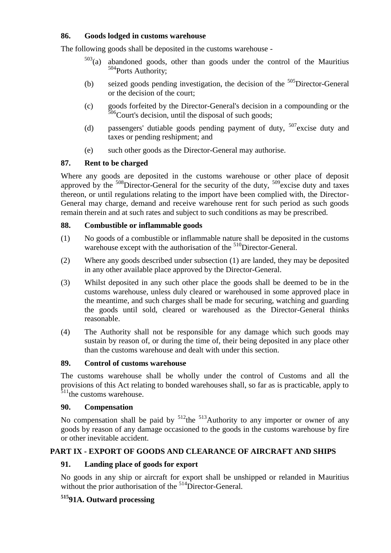#### **86. Goods lodged in customs warehouse**

The following goods shall be deposited in the customs warehouse -

- $503$ (a) abandoned goods, other than goods under the control of the Mauritius 504 Ports Authority;
- (b) seized goods pending investigation, the decision of the  $505$ Director-General or the decision of the court;
- (c) goods forfeited by the Director-General's decision in a compounding or the  $506$ Court's decision, until the disposal of such goods;
- (d) passengers' dutiable goods pending payment of duty,  $507$  excise duty and taxes or pending reshipment; and
- (e) such other goods as the Director-General may authorise.

## **87. Rent to be charged**

Where any goods are deposited in the customs warehouse or other place of deposit approved by the  $508$ Director-General for the security of the duty,  $509$ excise duty and taxes thereon, or until regulations relating to the import have been complied with, the Director-General may charge, demand and receive warehouse rent for such period as such goods remain therein and at such rates and subject to such conditions as may be prescribed.

## **88. Combustible or inflammable goods**

- (1) No goods of a combustible or inflammable nature shall be deposited in the customs warehouse except with the authorisation of the <sup>510</sup>Director-General.
- (2) Where any goods described under subsection (1) are landed, they may be deposited in any other available place approved by the Director-General.
- (3) Whilst deposited in any such other place the goods shall be deemed to be in the customs warehouse, unless duly cleared or warehoused in some approved place in the meantime, and such charges shall be made for securing, watching and guarding the goods until sold, cleared or warehoused as the Director-General thinks reasonable.
- (4) The Authority shall not be responsible for any damage which such goods may sustain by reason of, or during the time of, their being deposited in any place other than the customs warehouse and dealt with under this section.

#### **89. Control of customs warehouse**

The customs warehouse shall be wholly under the control of Customs and all the provisions of this Act relating to bonded warehouses shall, so far as is practicable, apply to  $511$ <sup>the</sup> customs warehouse.

#### **90. Compensation**

No compensation shall be paid by  $512$ the  $513$ Authority to any importer or owner of any goods by reason of any damage occasioned to the goods in the customs warehouse by fire or other inevitable accident.

# **PART IX - EXPORT OF GOODS AND CLEARANCE OF AIRCRAFT AND SHIPS**

#### **91. Landing place of goods for export**

No goods in any ship or aircraft for export shall be unshipped or relanded in Mauritius without the prior authorisation of the <sup>514</sup>Director-General.

# **<sup>515</sup>91A. Outward processing**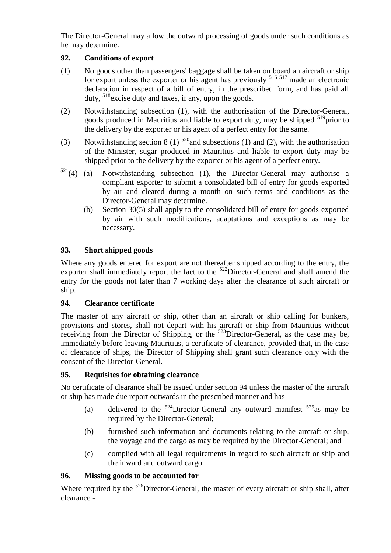The Director-General may allow the outward processing of goods under such conditions as he may determine.

### **92. Conditions of export**

- (1) No goods other than passengers' baggage shall be taken on board an aircraft or ship for export unless the exporter or his agent has previously <sup>516 517</sup> made an electronic declaration in respect of a bill of entry, in the prescribed form, and has paid all duty, <sup>518</sup>excise duty and taxes, if any, upon the goods.
- (2) Notwithstanding subsection (1), with the authorisation of the Director-General, goods produced in Mauritius and liable to export duty, may be shipped  $519$ prior to the delivery by the exporter or his agent of a perfect entry for the same.
- (3) Notwithstanding section 8 (1)  $520$  and subsections (1) and (2), with the authorisation of the Minister, sugar produced in Mauritius and liable to export duty may be shipped prior to the delivery by the exporter or his agent of a perfect entry.
- $521(4)$  (a) Notwithstanding subsection (1), the Director-General may authorise a compliant exporter to submit a consolidated bill of entry for goods exported by air and cleared during a month on such terms and conditions as the Director-General may determine.
	- (b) Section 30(5) shall apply to the consolidated bill of entry for goods exported by air with such modifications, adaptations and exceptions as may be necessary.

## **93. Short shipped goods**

Where any goods entered for export are not thereafter shipped according to the entry, the exporter shall immediately report the fact to the <sup>522</sup>Director-General and shall amend the entry for the goods not later than 7 working days after the clearance of such aircraft or ship.

#### **94. Clearance certificate**

The master of any aircraft or ship, other than an aircraft or ship calling for bunkers, provisions and stores, shall not depart with his aircraft or ship from Mauritius without receiving from the Director of Shipping, or the <sup>523</sup>Director-General, as the case may be, immediately before leaving Mauritius, a certificate of clearance, provided that, in the case of clearance of ships, the Director of Shipping shall grant such clearance only with the consent of the Director-General.

#### **95. Requisites for obtaining clearance**

No certificate of clearance shall be issued under section 94 unless the master of the aircraft or ship has made due report outwards in the prescribed manner and has -

- (a) delivered to the  $524$ Director-General any outward manifest  $525$  as may be required by the Director-General;
- (b) furnished such information and documents relating to the aircraft or ship, the voyage and the cargo as may be required by the Director-General; and
- (c) complied with all legal requirements in regard to such aircraft or ship and the inward and outward cargo.

# **96. Missing goods to be accounted for**

Where required by the <sup>526</sup>Director-General, the master of every aircraft or ship shall, after clearance -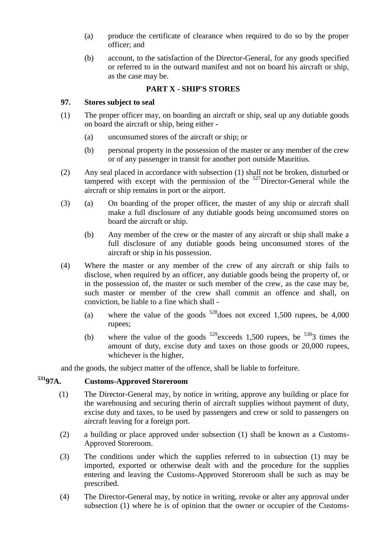- (a) produce the certificate of clearance when required to do so by the proper officer; and
- (b) account, to the satisfaction of the Director-General, for any goods specified or referred to in the outward manifest and not on board his aircraft or ship, as the case may be.

#### **PART X - SHIP'S STORES**

#### **97. Stores subject to seal**

- (1) The proper officer may, on boarding an aircraft or ship, seal up any dutiable goods on board the aircraft or ship, being either -
	- (a) unconsumed stores of the aircraft or ship; or
	- (b) personal property in the possession of the master or any member of the crew or of any passenger in transit for another port outside Mauritius.
- (2) Any seal placed in accordance with subsection (1) shall not be broken, disturbed or tampered with except with the permission of the <sup>527</sup>Director-General while the aircraft or ship remains in port or the airport.
- (3) (a) On boarding of the proper officer, the master of any ship or aircraft shall make a full disclosure of any dutiable goods being unconsumed stores on board the aircraft or ship.
	- (b) Any member of the crew or the master of any aircraft or ship shall make a full disclosure of any dutiable goods being unconsumed stores of the aircraft or ship in his possession.
- (4) Where the master or any member of the crew of any aircraft or ship fails to disclose, when required by an officer, any dutiable goods being the property of, or in the possession of, the master or such member of the crew, as the case may be, such master or member of the crew shall commit an offence and shall, on conviction, be liable to a fine which shall -
	- (a) where the value of the goods  $528$  does not exceed 1,500 rupees, be 4,000 rupees;
	- (b) where the value of the goods  $529$  exceeds 1,500 rupees, be  $5303$  times the amount of duty, excise duty and taxes on those goods or 20,000 rupees, whichever is the higher,

and the goods, the subject matter of the offence, shall be liable to forfeiture.

# **<sup>531</sup>97A. Customs-Approved Storeroom**

- (1) The Director-General may, by notice in writing, approve any building or place for the warehousing and securing therin of aircraft supplies without payment of duty, excise duty and taxes, to be used by passengers and crew or sold to passengers on aircraft leaving for a foreign port.
- (2) a building or place approved under subsection (1) shall be known as a Customs-Approved Storeroom.
- (3) The conditions under which the supplies referred to in subsection (1) may be imported, exported or otherwise dealt with and the procedure for the supplies entering and leaving the Customs-Approved Storeroom shall be such as may be prescribed.
- (4) The Director-General may, by notice in writing, revoke or alter any approval under subsection (1) where he is of opinion that the owner or occupier of the Customs-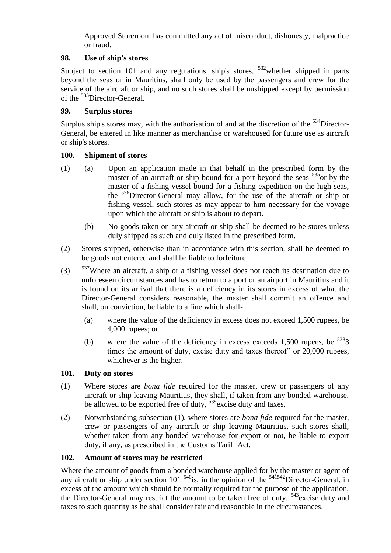Approved Storeroom has committed any act of misconduct, dishonesty, malpractice or fraud.

#### **98. Use of ship's stores**

Subject to section 101 and any regulations, ship's stores,  $532$  whether shipped in parts beyond the seas or in Mauritius, shall only be used by the passengers and crew for the service of the aircraft or ship, and no such stores shall be unshipped except by permission of the <sup>533</sup>Director-General.

#### **99. Surplus stores**

Surplus ship's stores may, with the authorisation of and at the discretion of the  $534$ Director-General, be entered in like manner as merchandise or warehoused for future use as aircraft or ship's stores.

## **100. Shipment of stores**

- (1) (a) Upon an application made in that behalf in the prescribed form by the master of an aircraft or ship bound for a port beyond the seas  $535$  or by the master of a fishing vessel bound for a fishing expedition on the high seas, the <sup>536</sup>Director-General may allow, for the use of the aircraft or ship or fishing vessel, such stores as may appear to him necessary for the voyage upon which the aircraft or ship is about to depart.
	- (b) No goods taken on any aircraft or ship shall be deemed to be stores unless duly shipped as such and duly listed in the prescribed form.
- (2) Stores shipped, otherwise than in accordance with this section, shall be deemed to be goods not entered and shall be liable to forfeiture.
- $(3)$  <sup>537</sup>Where an aircraft, a ship or a fishing vessel does not reach its destination due to unforeseen circumstances and has to return to a port or an airport in Mauritius and it is found on its arrival that there is a deficiency in its stores in excess of what the Director-General considers reasonable, the master shall commit an offence and shall, on conviction, be liable to a fine which shall-
	- (a) where the value of the deficiency in excess does not exceed 1,500 rupees, be 4,000 rupees; or
	- (b) where the value of the deficiency in excess exceeds 1,500 rupees, be  $5383$ times the amount of duty, excise duty and taxes thereof" or 20,000 rupees, whichever is the higher.

#### **101. Duty on stores**

- (1) Where stores are *bona fide* required for the master, crew or passengers of any aircraft or ship leaving Mauritius, they shall, if taken from any bonded warehouse, be allowed to be exported free of duty, <sup>539</sup> excise duty and taxes.
- (2) Notwithstanding subsection (1), where stores are *bona fide* required for the master, crew or passengers of any aircraft or ship leaving Mauritius, such stores shall, whether taken from any bonded warehouse for export or not, be liable to export duty, if any, as prescribed in the Customs Tariff Act.

#### **102. Amount of stores may be restricted**

Where the amount of goods from a bonded warehouse applied for by the master or agent of any aircraft or ship under section 101  $540$ is, in the opinion of the  $541542$ Director-General, in excess of the amount which should be normally required for the purpose of the application, the Director-General may restrict the amount to be taken free of duty, <sup>543</sup>excise duty and taxes to such quantity as he shall consider fair and reasonable in the circumstances.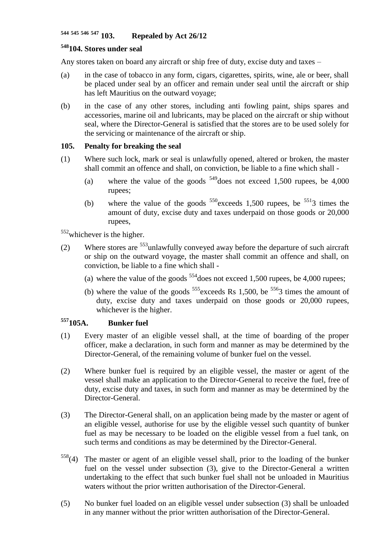# **<sup>544</sup> <sup>545</sup> <sup>546</sup> <sup>547</sup> 103. Repealed by Act 26/12**

# **<sup>548</sup>104. Stores under seal**

Any stores taken on board any aircraft or ship free of duty, excise duty and taxes –

- (a) in the case of tobacco in any form, cigars, cigarettes, spirits, wine, ale or beer, shall be placed under seal by an officer and remain under seal until the aircraft or ship has left Mauritius on the outward voyage;
- (b) in the case of any other stores, including anti fowling paint, ships spares and accessories, marine oil and lubricants, may be placed on the aircraft or ship without seal, where the Director-General is satisfied that the stores are to be used solely for the servicing or maintenance of the aircraft or ship.

#### **105. Penalty for breaking the seal**

- (1) Where such lock, mark or seal is unlawfully opened, altered or broken, the master shall commit an offence and shall, on conviction, be liable to a fine which shall -
	- (a) where the value of the goods  $549$  does not exceed 1,500 rupees, be 4,000 rupees;
	- (b) where the value of the goods  $550$  exceeds 1,500 rupees, be  $5513$  times the amount of duty, excise duty and taxes underpaid on those goods or 20,000 rupees,

 $552$ whichever is the higher.

- (2) Where stores are  $553$ unlawfully conveyed away before the departure of such aircraft or ship on the outward voyage, the master shall commit an offence and shall, on conviction, be liable to a fine which shall -
	- (a) where the value of the goods  $554$  does not exceed 1,500 rupees, be 4,000 rupees;
	- (b) where the value of the goods  $555$  exceeds Rs 1,500, be  $5563$  times the amount of duty, excise duty and taxes underpaid on those goods or 20,000 rupees, whichever is the higher.

## **<sup>557</sup>105A. Bunker fuel**

- (1) Every master of an eligible vessel shall, at the time of boarding of the proper officer, make a declaration, in such form and manner as may be determined by the Director-General, of the remaining volume of bunker fuel on the vessel.
- (2) Where bunker fuel is required by an eligible vessel, the master or agent of the vessel shall make an application to the Director-General to receive the fuel, free of duty, excise duty and taxes, in such form and manner as may be determined by the Director-General.
- (3) The Director-General shall, on an application being made by the master or agent of an eligible vessel, authorise for use by the eligible vessel such quantity of bunker fuel as may be necessary to be loaded on the eligible vessel from a fuel tank, on such terms and conditions as may be determined by the Director-General.
- $558(4)$  The master or agent of an eligible vessel shall, prior to the loading of the bunker fuel on the vessel under subsection (3), give to the Director-General a written undertaking to the effect that such bunker fuel shall not be unloaded in Mauritius waters without the prior written authorisation of the Director-General.
- (5) No bunker fuel loaded on an eligible vessel under subsection (3) shall be unloaded in any manner without the prior written authorisation of the Director-General.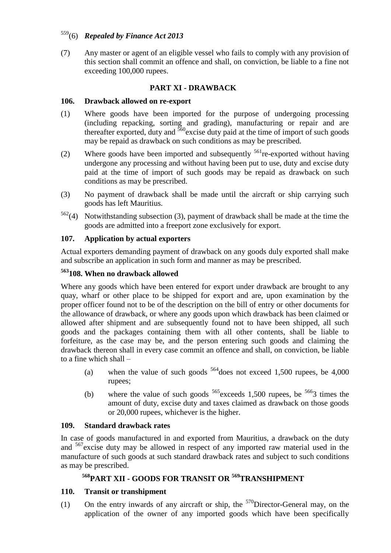# <sup>559</sup>(6) *Repealed by Finance Act 2013*

(7) Any master or agent of an eligible vessel who fails to comply with any provision of this section shall commit an offence and shall, on conviction, be liable to a fine not exceeding 100,000 rupees.

## **PART XI - DRAWBACK**

#### **106. Drawback allowed on re-export**

- (1) Where goods have been imported for the purpose of undergoing processing (including repacking, sorting and grading), manufacturing or repair and are thereafter exported, duty and  $560$  excise duty paid at the time of import of such goods may be repaid as drawback on such conditions as may be prescribed.
- (2) Where goods have been imported and subsequently  $^{561}$ re-exported without having undergone any processing and without having been put to use, duty and excise duty paid at the time of import of such goods may be repaid as drawback on such conditions as may be prescribed.
- (3) No payment of drawback shall be made until the aircraft or ship carrying such goods has left Mauritius.
- $562(4)$  Notwithstanding subsection (3), payment of drawback shall be made at the time the goods are admitted into a freeport zone exclusively for export.

#### **107. Application by actual exporters**

Actual exporters demanding payment of drawback on any goods duly exported shall make and subscribe an application in such form and manner as may be prescribed.

## **<sup>563</sup>108. When no drawback allowed**

Where any goods which have been entered for export under drawback are brought to any quay, wharf or other place to be shipped for export and are, upon examination by the proper officer found not to be of the description on the bill of entry or other documents for the allowance of drawback, or where any goods upon which drawback has been claimed or allowed after shipment and are subsequently found not to have been shipped, all such goods and the packages containing them with all other contents, shall be liable to forfeiture, as the case may be, and the person entering such goods and claiming the drawback thereon shall in every case commit an offence and shall, on conviction, be liable to a fine which shall –

- (a) when the value of such goods  $564$  does not exceed 1,500 rupees, be 4,000 rupees;
- (b) where the value of such goods  $565$  exceeds 1,500 rupees, be  $5663$  times the amount of duty, excise duty and taxes claimed as drawback on those goods or 20,000 rupees, whichever is the higher.

#### **109. Standard drawback rates**

In case of goods manufactured in and exported from Mauritius, a drawback on the duty and <sup>567</sup>excise duty may be allowed in respect of any imported raw material used in the manufacture of such goods at such standard drawback rates and subject to such conditions as may be prescribed.

# **<sup>568</sup>PART XII - GOODS FOR TRANSIT OR <sup>569</sup>TRANSHIPMENT**

#### **110. Transit or transhipment**

(1) On the entry inwards of any aircraft or ship, the  $570$ Director-General may, on the application of the owner of any imported goods which have been specifically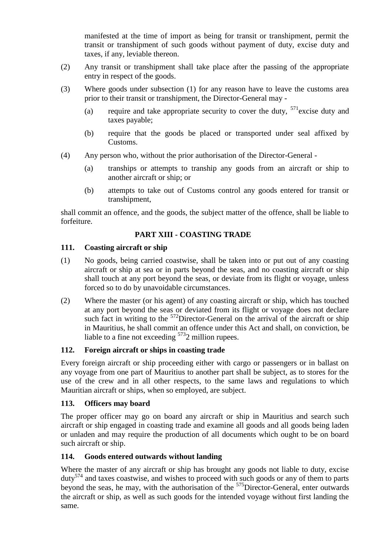manifested at the time of import as being for transit or transhipment, permit the transit or transhipment of such goods without payment of duty, excise duty and taxes, if any, leviable thereon.

- (2) Any transit or transhipment shall take place after the passing of the appropriate entry in respect of the goods.
- (3) Where goods under subsection (1) for any reason have to leave the customs area prior to their transit or transhipment, the Director-General may -
	- (a) require and take appropriate security to cover the duty,  $571$  excise duty and taxes payable;
	- (b) require that the goods be placed or transported under seal affixed by Customs.
- (4) Any person who, without the prior authorisation of the Director-General
	- (a) tranships or attempts to tranship any goods from an aircraft or ship to another aircraft or ship; or
	- (b) attempts to take out of Customs control any goods entered for transit or transhipment,

shall commit an offence, and the goods, the subject matter of the offence, shall be liable to forfeiture.

# **PART XIII - COASTING TRADE**

#### **111. Coasting aircraft or ship**

- (1) No goods, being carried coastwise, shall be taken into or put out of any coasting aircraft or ship at sea or in parts beyond the seas, and no coasting aircraft or ship shall touch at any port beyond the seas, or deviate from its flight or voyage, unless forced so to do by unavoidable circumstances.
- (2) Where the master (or his agent) of any coasting aircraft or ship, which has touched at any port beyond the seas or deviated from its flight or voyage does not declare such fact in writing to the  $572$ Director-General on the arrival of the aircraft or ship in Mauritius, he shall commit an offence under this Act and shall, on conviction, be liable to a fine not exceeding  $5732$  million rupees.

# **112. Foreign aircraft or ships in coasting trade**

Every foreign aircraft or ship proceeding either with cargo or passengers or in ballast on any voyage from one part of Mauritius to another part shall be subject, as to stores for the use of the crew and in all other respects, to the same laws and regulations to which Mauritian aircraft or ships, when so employed, are subject.

#### **113. Officers may board**

The proper officer may go on board any aircraft or ship in Mauritius and search such aircraft or ship engaged in coasting trade and examine all goods and all goods being laden or unladen and may require the production of all documents which ought to be on board such aircraft or ship.

# **114. Goods entered outwards without landing**

Where the master of any aircraft or ship has brought any goods not liable to duty, excise  $duty<sup>574</sup>$  and taxes coastwise, and wishes to proceed with such goods or any of them to parts beyond the seas, he may, with the authorisation of the <sup>575</sup>Director-General, enter outwards the aircraft or ship, as well as such goods for the intended voyage without first landing the same.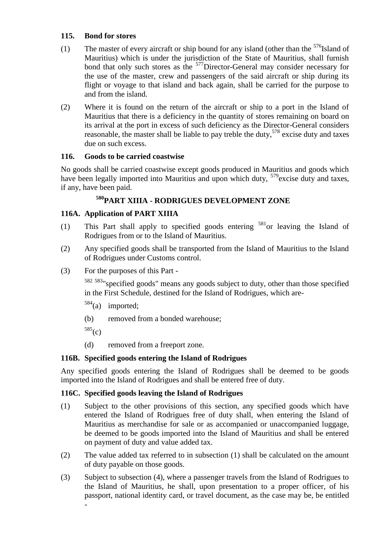### **115. Bond for stores**

- (1) The master of every aircraft or ship bound for any island (other than the  $576$ Island of Mauritius) which is under the jurisdiction of the State of Mauritius, shall furnish bond that only such stores as the <sup>577</sup>Director-General may consider necessary for the use of the master, crew and passengers of the said aircraft or ship during its flight or voyage to that island and back again, shall be carried for the purpose to and from the island.
- (2) Where it is found on the return of the aircraft or ship to a port in the Island of Mauritius that there is a deficiency in the quantity of stores remaining on board on its arrival at the port in excess of such deficiency as the Director-General considers reasonable, the master shall be liable to pay treble the duty,  $578$  excise duty and taxes due on such excess.

## **116. Goods to be carried coastwise**

No goods shall be carried coastwise except goods produced in Mauritius and goods which have been legally imported into Mauritius and upon which duty,  $579$  excise duty and taxes, if any, have been paid.

# **<sup>580</sup>PART XIIIA - RODRIGUES DEVELOPMENT ZONE**

## **116A. Application of PART XIIIA**

- (1) This Part shall apply to specified goods entering  $581$  or leaving the Island of Rodrigues from or to the Island of Mauritius.
- (2) Any specified goods shall be transported from the Island of Mauritius to the Island of Rodrigues under Customs control.
- (3) For the purposes of this Part -

<sup>582</sup> <sup>583</sup>"specified goods" means any goods subject to duty, other than those specified in the First Schedule, destined for the Island of Rodrigues, which are-

- $584$ (a) imported;
- (b) removed from a bonded warehouse;
- $585(c)$
- (d) removed from a freeport zone.

# **116B. Specified goods entering the Island of Rodrigues**

Any specified goods entering the Island of Rodrigues shall be deemed to be goods imported into the Island of Rodrigues and shall be entered free of duty.

#### **116C. Specified goods leaving the Island of Rodrigues**

- (1) Subject to the other provisions of this section, any specified goods which have entered the Island of Rodrigues free of duty shall, when entering the Island of Mauritius as merchandise for sale or as accompanied or unaccompanied luggage, be deemed to be goods imported into the Island of Mauritius and shall be entered on payment of duty and value added tax.
- (2) The value added tax referred to in subsection (1) shall be calculated on the amount of duty payable on those goods.
- (3) Subject to subsection (4), where a passenger travels from the Island of Rodrigues to the Island of Mauritius, he shall, upon presentation to a proper officer, of his passport, national identity card, or travel document, as the case may be, be entitled -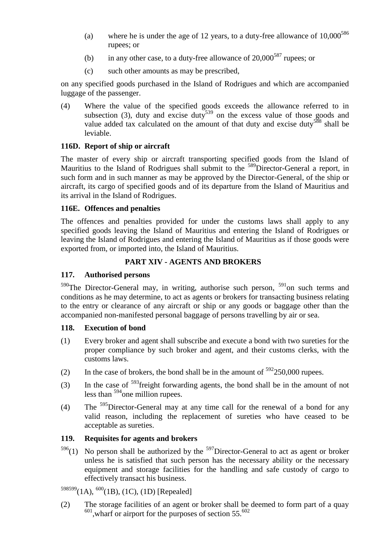- (a) where he is under the age of 12 years, to a duty-free allowance of  $10,000^{586}$ rupees; or
- (b) in any other case, to a duty-free allowance of  $20,000^{587}$  rupees; or
- (c) such other amounts as may be prescribed,

on any specified goods purchased in the Island of Rodrigues and which are accompanied luggage of the passenger.

(4) Where the value of the specified goods exceeds the allowance referred to in subsection (3), duty and excise duty<sup>539</sup> on the excess value of those goods and value added tax calculated on the amount of that duty and excise duty<sup>588</sup> shall be leviable.

## **116D. Report of ship or aircraft**

The master of every ship or aircraft transporting specified goods from the Island of Mauritius to the Island of Rodrigues shall submit to the <sup>589</sup>Director-General a report, in such form and in such manner as may be approved by the Director-General, of the ship or aircraft, its cargo of specified goods and of its departure from the Island of Mauritius and its arrival in the Island of Rodrigues.

#### **116E. Offences and penalties**

The offences and penalties provided for under the customs laws shall apply to any specified goods leaving the Island of Mauritius and entering the Island of Rodrigues or leaving the Island of Rodrigues and entering the Island of Mauritius as if those goods were exported from, or imported into, the Island of Mauritius.

#### **PART XIV - AGENTS AND BROKERS**

#### **117. Authorised persons**

 $590$ The Director-General may, in writing, authorise such person,  $591$ on such terms and conditions as he may determine, to act as agents or brokers for transacting business relating to the entry or clearance of any aircraft or ship or any goods or baggage other than the accompanied non-manifested personal baggage of persons travelling by air or sea.

#### **118. Execution of bond**

- (1) Every broker and agent shall subscribe and execute a bond with two sureties for the proper compliance by such broker and agent, and their customs clerks, with the customs laws.
- (2) In the case of brokers, the bond shall be in the amount of  $592250,000$  rupees.
- (3) In the case of <sup>593</sup>freight forwarding agents, the bond shall be in the amount of not less than <sup>594</sup>one million rupees.
- (4) The  $595$ Director-General may at any time call for the renewal of a bond for any valid reason, including the replacement of sureties who have ceased to be acceptable as sureties.

#### **119. Requisites for agents and brokers**

 $596(1)$  No person shall be authorized by the  $597$ Director-General to act as agent or broker unless he is satisfied that such person has the necessary ability or the necessary equipment and storage facilities for the handling and safe custody of cargo to effectively transact his business.

# $598599(1A),$   $600(1B),$  (1C), (1D) [Repealed]

(2) The storage facilities of an agent or broker shall be deemed to form part of a quay  $^{601}$ , wharf or airport for the purposes of section 55. $^{602}$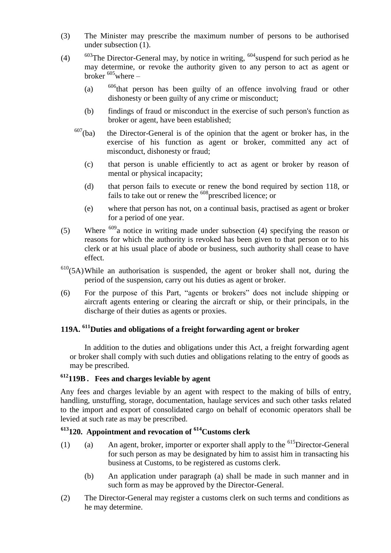- (3) The Minister may prescribe the maximum number of persons to be authorised under subsection (1).
- (4)  $603$ The Director-General may, by notice in writing,  $604$  suspend for such period as he may determine, or revoke the authority given to any person to act as agent or broker  $605$  where –
	- (a) <sup>606</sup>that person has been guilty of an offence involving fraud or other dishonesty or been guilty of any crime or misconduct;
	- (b) findings of fraud or misconduct in the exercise of such person's function as broker or agent, have been established;
	- $607$ (ba) the Director-General is of the opinion that the agent or broker has, in the exercise of his function as agent or broker, committed any act of misconduct, dishonesty or fraud;
		- (c) that person is unable efficiently to act as agent or broker by reason of mental or physical incapacity;
		- (d) that person fails to execute or renew the bond required by section 118, or fails to take out or renew the <sup>608</sup> prescribed licence; or
		- (e) where that person has not, on a continual basis, practised as agent or broker for a period of one year.
- (5) Where  $609a$  notice in writing made under subsection (4) specifying the reason or reasons for which the authority is revoked has been given to that person or to his clerk or at his usual place of abode or business, such authority shall cease to have effect.
- $610(5A)$ While an authorisation is suspended, the agent or broker shall not, during the period of the suspension, carry out his duties as agent or broker.
- (6) For the purpose of this Part, "agents or brokers" does not include shipping or aircraft agents entering or clearing the aircraft or ship, or their principals, in the discharge of their duties as agents or proxies.

## **119A. <sup>611</sup>Duties and obligations of a freight forwarding agent or broker**

In addition to the duties and obligations under this Act, a freight forwarding agent or broker shall comply with such duties and obligations relating to the entry of goods as may be prescribed.

# **<sup>612</sup>119B . Fees and charges leviable by agent**

Any fees and charges leviable by an agent with respect to the making of bills of entry, handling, unstuffing, storage, documentation, haulage services and such other tasks related to the import and export of consolidated cargo on behalf of economic operators shall be levied at such rate as may be prescribed.

# **<sup>613</sup>120. Appointment and revocation of <sup>614</sup>Customs clerk**

- (1) (a) An agent, broker, importer or exporter shall apply to the  $615$ Director-General for such person as may be designated by him to assist him in transacting his business at Customs, to be registered as customs clerk.
	- (b) An application under paragraph (a) shall be made in such manner and in such form as may be approved by the Director-General.
- (2) The Director-General may register a customs clerk on such terms and conditions as he may determine.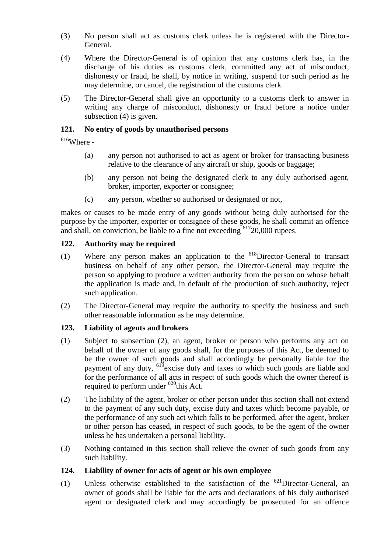- (3) No person shall act as customs clerk unless he is registered with the Director-General.
- (4) Where the Director-General is of opinion that any customs clerk has, in the discharge of his duties as customs clerk, committed any act of misconduct, dishonesty or fraud, he shall, by notice in writing, suspend for such period as he may determine, or cancel, the registration of the customs clerk.
- (5) The Director-General shall give an opportunity to a customs clerk to answer in writing any charge of misconduct, dishonesty or fraud before a notice under subsection (4) is given.

#### **121. No entry of goods by unauthorised persons**

 $616$ Where -

- (a) any person not authorised to act as agent or broker for transacting business relative to the clearance of any aircraft or ship, goods or baggage;
- (b) any person not being the designated clerk to any duly authorised agent, broker, importer, exporter or consignee;
- (c) any person, whether so authorised or designated or not,

makes or causes to be made entry of any goods without being duly authorised for the purpose by the importer, exporter or consignee of these goods, he shall commit an offence and shall, on conviction, be liable to a fine not exceeding <sup>617</sup>20,000 rupees.

#### **122. Authority may be required**

- (1) Where any person makes an application to the  $^{618}$ Director-General to transact business on behalf of any other person, the Director-General may require the person so applying to produce a written authority from the person on whose behalf the application is made and, in default of the production of such authority, reject such application.
- (2) The Director-General may require the authority to specify the business and such other reasonable information as he may determine.

#### **123. Liability of agents and brokers**

- (1) Subject to subsection (2), an agent, broker or person who performs any act on behalf of the owner of any goods shall, for the purposes of this Act, be deemed to be the owner of such goods and shall accordingly be personally liable for the payment of any duty, <sup>619</sup>excise duty and taxes to which such goods are liable and for the performance of all acts in respect of such goods which the owner thereof is required to perform under  $620<sub>th</sub>$  in  $N-1$
- (2) The liability of the agent, broker or other person under this section shall not extend to the payment of any such duty, excise duty and taxes which become payable, or the performance of any such act which falls to be performed, after the agent, broker or other person has ceased, in respect of such goods, to be the agent of the owner unless he has undertaken a personal liability.
- (3) Nothing contained in this section shall relieve the owner of such goods from any such liability.

#### **124. Liability of owner for acts of agent or his own employee**

(1) Unless otherwise established to the satisfaction of the  $621$ Director-General, an owner of goods shall be liable for the acts and declarations of his duly authorised agent or designated clerk and may accordingly be prosecuted for an offence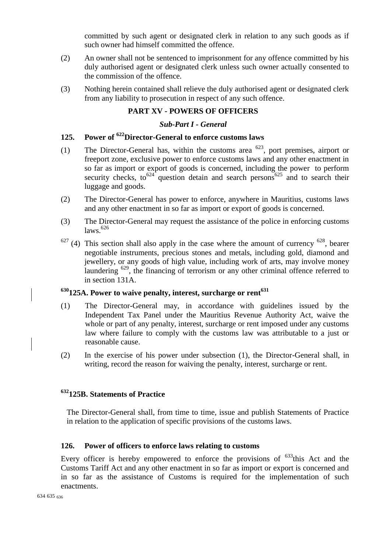committed by such agent or designated clerk in relation to any such goods as if such owner had himself committed the offence.

- (2) An owner shall not be sentenced to imprisonment for any offence committed by his duly authorised agent or designated clerk unless such owner actually consented to the commission of the offence.
- (3) Nothing herein contained shall relieve the duly authorised agent or designated clerk from any liability to prosecution in respect of any such offence.

#### **PART XV - POWERS OF OFFICERS**

#### *Sub-Part I - General*

# **125. Power of <sup>622</sup>Director-General to enforce customs laws**

- (1) The Director-General has, within the customs area <sup>623</sup>, port premises, airport or freeport zone, exclusive power to enforce customs laws and any other enactment in so far as import or export of goods is concerned, including the power to perform security checks, to<sup>624</sup> question detain and search persons<sup>625</sup> and to search their luggage and goods.
- (2) The Director-General has power to enforce, anywhere in Mauritius, customs laws and any other enactment in so far as import or export of goods is concerned.
- (3) The Director-General may request the assistance of the police in enforcing customs laws. 626
- $627$  (4) This section shall also apply in the case where the amount of currency  $628$ , bearer negotiable instruments, precious stones and metals, including gold, diamond and jewellery, or any goods of high value, including work of arts, may involve money laundering <sup>629</sup>, the financing of terrorism or any other criminal offence referred to in section 131A.

#### **<sup>630</sup>125A. Power to waive penalty, interest, surcharge or rent<sup>631</sup>**

- (1) The Director-General may, in accordance with guidelines issued by the Independent Tax Panel under the Mauritius Revenue Authority Act, waive the whole or part of any penalty, interest, surcharge or rent imposed under any customs law where failure to comply with the customs law was attributable to a just or reasonable cause.
- (2) In the exercise of his power under subsection (1), the Director-General shall, in writing, record the reason for waiving the penalty, interest, surcharge or rent.

## **<sup>632</sup>125B. Statements of Practice**

The Director-General shall, from time to time, issue and publish Statements of Practice in relation to the application of specific provisions of the customs laws.

#### **126. Power of officers to enforce laws relating to customs**

Every officer is hereby empowered to enforce the provisions of  $633$ this Act and the Customs Tariff Act and any other enactment in so far as import or export is concerned and in so far as the assistance of Customs is required for the implementation of such enactments.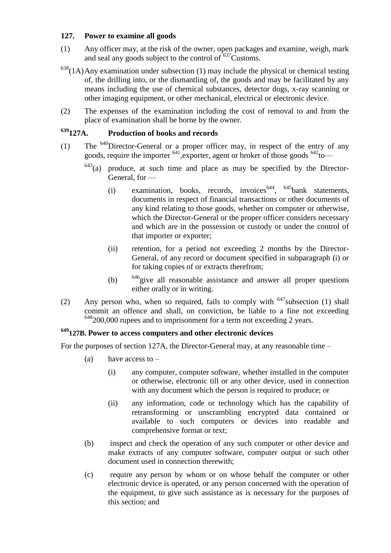#### **127. Power to examine all goods**

- (1) Any officer may, at the risk of the owner, open packages and examine, weigh, mark and seal any goods subject to the control of <sup>637</sup>Customs.
- $638(1)$ Any examination under subsection (1) may include the physical or chemical testing of, the drilling into, or the dismantling of, the goods and may be facilitated by any means including the use of chemical substances, detector dogs, x-ray scanning or other imaging equipment, or other mechanical, electrical or electronic device.
- (2) The expenses of the examination including the cost of removal to and from the place of examination shall be borne by the owner.

# **<sup>639</sup>127A. Production of books and records**

- (1) The  $640$ Director-General or a proper officer may, in respect of the entry of any goods, require the importer  $641$ , exporter, agent or broker of those goods  $642$  to
	- $643$ (a) produce, at such time and place as may be specified by the Director-General, for —
		- (i) examination, books, records, invoices  $644$ ,  $645$  bank statements, documents in respect of financial transactions or other documents of any kind relating to those goods, whether on computer or otherwise, which the Director-General or the proper officer considers necessary and which are in the possession or custody or under the control of that importer or exporter;
		- (ii) retention, for a period not exceeding 2 months by the Director-General, of any record or document specified in subparagraph (i) or for taking copies of or extracts therefrom;
		- (b)  $646$  give all reasonable assistance and answer all proper questions either orally or in writing.
- (2) Any person who, when so required, fails to comply with  $647$  subsection (1) shall commit an offence and shall, on conviction, be liable to a fine not exceeding  $648200,000$  rupees and to imprisonment for a term not exceeding 2 years.

### **<sup>649</sup>127B. Power to access computers and other electronic devices**

For the purposes of section 127A, the Director-General may, at any reasonable time –

- (a) have access to  $-$ 
	- (i) any computer, computer software, whether installed in the computer or otherwise, electronic till or any other device, used in connection with any document which the person is required to produce; or
	- (ii) any information, code or technology which has the capability of retransforming or unscrambling encrypted data contained or available to such computers or devices into readable and comprehensive format or text;
- (b) inspect and check the operation of any such computer or other device and make extracts of any computer software, computer output or such other document used in connection therewith;
- (c) require any person by whom or on whose behalf the computer or other electronic device is operated, or any person concerned with the operation of the equipment, to give such assistance as is necessary for the purposes of this section; and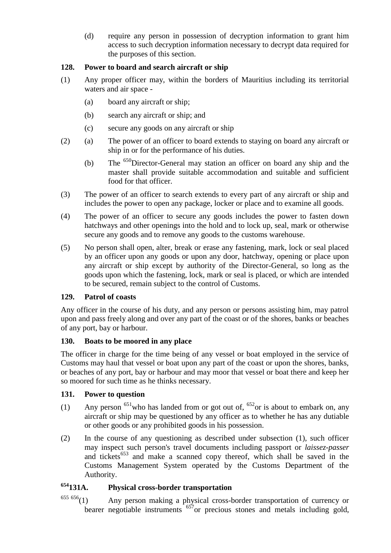(d) require any person in possession of decryption information to grant him access to such decryption information necessary to decrypt data required for the purposes of this section.

### **128. Power to board and search aircraft or ship**

- (1) Any proper officer may, within the borders of Mauritius including its territorial waters and air space -
	- (a) board any aircraft or ship;
	- (b) search any aircraft or ship; and
	- (c) secure any goods on any aircraft or ship
- (2) (a) The power of an officer to board extends to staying on board any aircraft or ship in or for the performance of his duties.
	- (b) The <sup>650</sup>Director-General may station an officer on board any ship and the master shall provide suitable accommodation and suitable and sufficient food for that officer.
- (3) The power of an officer to search extends to every part of any aircraft or ship and includes the power to open any package, locker or place and to examine all goods.
- (4) The power of an officer to secure any goods includes the power to fasten down hatchways and other openings into the hold and to lock up, seal, mark or otherwise secure any goods and to remove any goods to the customs warehouse.
- (5) No person shall open, alter, break or erase any fastening, mark, lock or seal placed by an officer upon any goods or upon any door, hatchway, opening or place upon any aircraft or ship except by authority of the Director-General, so long as the goods upon which the fastening, lock, mark or seal is placed, or which are intended to be secured, remain subject to the control of Customs.

#### **129. Patrol of coasts**

Any officer in the course of his duty, and any person or persons assisting him, may patrol upon and pass freely along and over any part of the coast or of the shores, banks or beaches of any port, bay or harbour.

#### **130. Boats to be moored in any place**

The officer in charge for the time being of any vessel or boat employed in the service of Customs may haul that vessel or boat upon any part of the coast or upon the shores, banks, or beaches of any port, bay or harbour and may moor that vessel or boat there and keep her so moored for such time as he thinks necessary.

#### **131. Power to question**

- (1) Any person  $^{651}$ who has landed from or got out of,  $^{652}$ or is about to embark on, any aircraft or ship may be questioned by any officer as to whether he has any dutiable or other goods or any prohibited goods in his possession.
- (2) In the course of any questioning as described under subsection (1), such officer may inspect such person's travel documents including passport or *laissez-passer* and tickets<sup>653</sup> and make a scanned copy thereof, which shall be saved in the Customs Management System operated by the Customs Department of the Authority.

# **<sup>654</sup>131A. Physical cross-border transportation**

 $655 656(1)$  Any person making a physical cross-border transportation of currency or bearer negotiable instruments <sup>657</sup>or precious stones and metals including gold,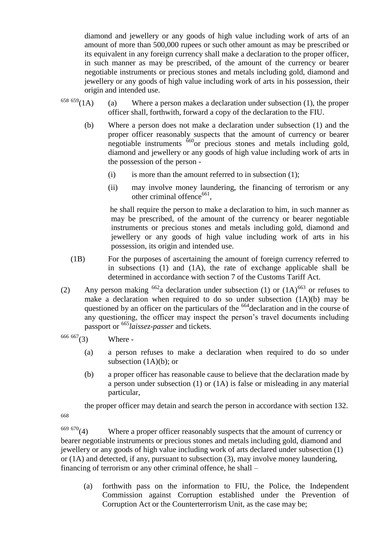diamond and jewellery or any goods of high value including work of arts of an amount of more than 500,000 rupees or such other amount as may be prescribed or its equivalent in any foreign currency shall make a declaration to the proper officer, in such manner as may be prescribed, of the amount of the currency or bearer negotiable instruments or precious stones and metals including gold, diamond and jewellery or any goods of high value including work of arts in his possession, their

- origin and intended use.<br>  $658 659(1 \text{ A})$  (a) Where a (a) Where a person makes a declaration under subsection  $(1)$ , the proper officer shall, forthwith, forward a copy of the declaration to the FIU.
	- (b) Where a person does not make a declaration under subsection (1) and the proper officer reasonably suspects that the amount of currency or bearer negotiable instruments  $\frac{660}{9}$  precious stones and metals including gold, diamond and jewellery or any goods of high value including work of arts in the possession of the person -
		- $(i)$  is more than the amount referred to in subsection  $(1)$ ;
		- (ii) may involve money laundering, the financing of terrorism or any other criminal offence<sup>661</sup>,

he shall require the person to make a declaration to him, in such manner as may be prescribed, of the amount of the currency or bearer negotiable instruments or precious stones and metals including gold, diamond and jewellery or any goods of high value including work of arts in his possession, its origin and intended use.

- (1B) For the purposes of ascertaining the amount of foreign currency referred to in subsections (1) and (1A), the rate of exchange applicable shall be determined in accordance with section 7 of the Customs Tariff Act.
- (2) Any person making  $662a$  declaration under subsection (1) or  $(1A)^{663}$  or refuses to make a declaration when required to do so under subsection (1A)(b) may be questioned by an officer on the particulars of the  $664$  declaration and in the course of any questioning, the officer may inspect the person's travel documents including passport or <sup>665</sup>*laissez-passer* and tickets.

 $666 667$ (3) Where -

- (a) a person refuses to make a declaration when required to do so under subsection  $(1A)(b)$ ; or
- (b) a proper officer has reasonable cause to believe that the declaration made by a person under subsection (1) or (1A) is false or misleading in any material particular,

the proper officer may detain and search the person in accordance with section 132.

668

 $669 670(4)$  Where a proper officer reasonably suspects that the amount of currency or bearer negotiable instruments or precious stones and metals including gold, diamond and jewellery or any goods of high value including work of arts declared under subsection (1) or  $(1A)$  and detected, if any, pursuant to subsection  $(3)$ , may involve money laundering, financing of terrorism or any other criminal offence, he shall –

(a) forthwith pass on the information to FIU, the Police, the Independent Commission against Corruption established under the Prevention of Corruption Act or the Counterterrorism Unit, as the case may be;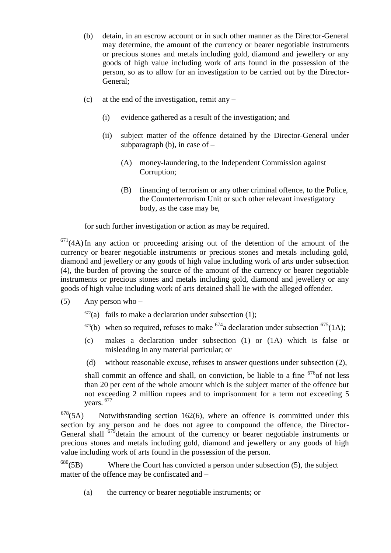- (b) detain, in an escrow account or in such other manner as the Director-General may determine, the amount of the currency or bearer negotiable instruments or precious stones and metals including gold, diamond and jewellery or any goods of high value including work of arts found in the possession of the person, so as to allow for an investigation to be carried out by the Director-General;
- (c) at the end of the investigation, remit any
	- (i) evidence gathered as a result of the investigation; and
	- (ii) subject matter of the offence detained by the Director-General under subparagraph (b), in case of  $-$ 
		- (A) money-laundering, to the Independent Commission against Corruption;
		- (B) financing of terrorism or any other criminal offence, to the Police, the Counterterrorism Unit or such other relevant investigatory body, as the case may be,

for such further investigation or action as may be required.

 $671(4A)$  In any action or proceeding arising out of the detention of the amount of the currency or bearer negotiable instruments or precious stones and metals including gold, diamond and jewellery or any goods of high value including work of arts under subsection (4), the burden of proving the source of the amount of the currency or bearer negotiable instruments or precious stones and metals including gold, diamond and jewellery or any goods of high value including work of arts detained shall lie with the alleged offender.

- (5) Any person who
	- $672(a)$  fails to make a declaration under subsection (1);
	- <sup>673</sup>(b) when so required, refuses to make <sup>674</sup>a declaration under subsection <sup>675</sup>(1A);
	- (c) makes a declaration under subsection (1) or (1A) which is false or misleading in any material particular; or
	- (d) without reasonable excuse, refuses to answer questions under subsection (2),

shall commit an offence and shall, on conviction, be liable to a fine  $676$  of not less than 20 per cent of the whole amount which is the subject matter of the offence but not exceeding 2 million rupees and to imprisonment for a term not exceeding 5 years. <sup>677</sup>

 $678(5A)$  Notwithstanding section 162(6), where an offence is committed under this section by any person and he does not agree to compound the offence, the Director-General shall  $679$  detain the amount of the currency or bearer negotiable instruments or precious stones and metals including gold, diamond and jewellery or any goods of high value including work of arts found in the possession of the person.

 $680(5B)$  Where the Court has convicted a person under subsection (5), the subject matter of the offence may be confiscated and –

(a) the currency or bearer negotiable instruments; or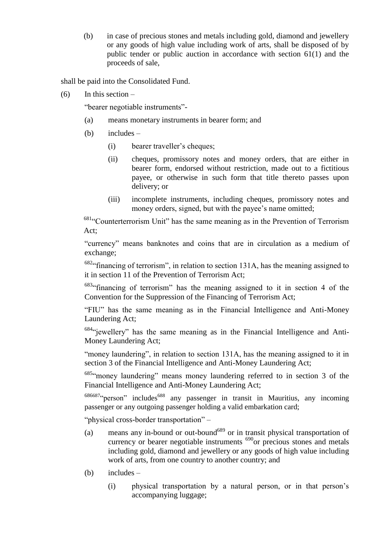(b) in case of precious stones and metals including gold, diamond and jewellery or any goods of high value including work of arts, shall be disposed of by public tender or public auction in accordance with section 61(1) and the proceeds of sale,

shall be paid into the Consolidated Fund.

 $(6)$  In this section –

"bearer negotiable instruments"-

- (a) means monetary instruments in bearer form; and
- (b) includes
	- (i) bearer traveller's cheques;
	- (ii) cheques, promissory notes and money orders, that are either in bearer form, endorsed without restriction, made out to a fictitious payee, or otherwise in such form that title thereto passes upon delivery; or
	- (iii) incomplete instruments, including cheques, promissory notes and money orders, signed, but with the payee's name omitted;

 $681$ "Counterterrorism Unit" has the same meaning as in the Prevention of Terrorism Act;

"currency" means banknotes and coins that are in circulation as a medium of exchange;

 $682$ " financing of terrorism", in relation to section 131A, has the meaning assigned to it in section 11 of the Prevention of Terrorism Act;

 $683$ "financing of terrorism" has the meaning assigned to it in section 4 of the Convention for the Suppression of the Financing of Terrorism Act;

"FIU" has the same meaning as in the Financial Intelligence and Anti-Money Laundering Act;

 $684$ "jewellery" has the same meaning as in the Financial Intelligence and Anti-Money Laundering Act;

"money laundering", in relation to section 131A, has the meaning assigned to it in section 3 of the Financial Intelligence and Anti-Money Laundering Act;

685. money laundering" means money laundering referred to in section 3 of the Financial Intelligence and Anti-Money Laundering Act;

 $686687$ "person" includes<sup>688</sup> any passenger in transit in Mauritius, any incoming passenger or any outgoing passenger holding a valid embarkation card;

"physical cross-border transportation" –

- (a) means any in-bound or out-bound<sup>689</sup> or in transit physical transportation of currency or bearer negotiable instruments <sup>690</sup>or precious stones and metals including gold, diamond and jewellery or any goods of high value including work of arts, from one country to another country; and
- (b) includes
	- (i) physical transportation by a natural person, or in that person's accompanying luggage;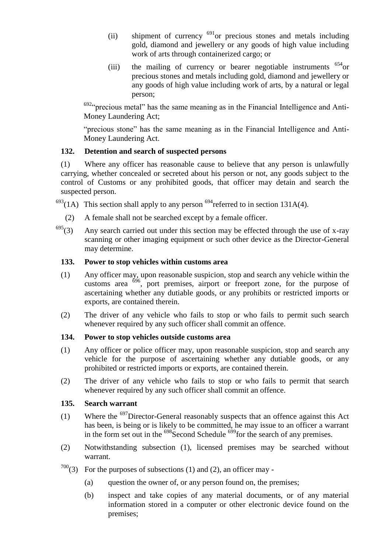- (ii) shipment of currency  $691$  or precious stones and metals including gold, diamond and jewellery or any goods of high value including work of arts through containerized cargo; or
- (iii) the mailing of currency or bearer negotiable instruments <sup>654</sup>or precious stones and metals including gold, diamond and jewellery or any goods of high value including work of arts, by a natural or legal person;

 $692$ " precious metal" has the same meaning as in the Financial Intelligence and Anti-Money Laundering Act;

"precious stone" has the same meaning as in the Financial Intelligence and Anti-Money Laundering Act.

#### **132. Detention and search of suspected persons**

(1) Where any officer has reasonable cause to believe that any person is unlawfully carrying, whether concealed or secreted about his person or not, any goods subject to the control of Customs or any prohibited goods, that officer may detain and search the suspected person.

 $^{693}(1)$  This section shall apply to any person  $^{694}$  referred to in section 131A(4).

- (2) A female shall not be searched except by a female officer.
- $695(3)$  Any search carried out under this section may be effected through the use of x-ray scanning or other imaging equipment or such other device as the Director-General may determine.

#### **133. Power to stop vehicles within customs area**

- (1) Any officer may, upon reasonable suspicion, stop and search any vehicle within the customs area  $\frac{696}{ }$ , port premises, airport or freeport zone, for the purpose of ascertaining whether any dutiable goods, or any prohibits or restricted imports or exports, are contained therein.
- (2) The driver of any vehicle who fails to stop or who fails to permit such search whenever required by any such officer shall commit an offence.

#### **134. Power to stop vehicles outside customs area**

- (1) Any officer or police officer may, upon reasonable suspicion, stop and search any vehicle for the purpose of ascertaining whether any dutiable goods, or any prohibited or restricted imports or exports, are contained therein.
- (2) The driver of any vehicle who fails to stop or who fails to permit that search whenever required by any such officer shall commit an offence.

#### **135. Search warrant**

- (1) Where the <sup>697</sup>Director-General reasonably suspects that an offence against this Act has been, is being or is likely to be committed, he may issue to an officer a warrant in the form set out in the  $698$ Second Schedule  $699$ for the search of any premises.
- (2) Notwithstanding subsection (1), licensed premises may be searched without warrant.
- $700(3)$  For the purposes of subsections (1) and (2), an officer may -
	- (a) question the owner of, or any person found on, the premises;
	- (b) inspect and take copies of any material documents, or of any material information stored in a computer or other electronic device found on the premises;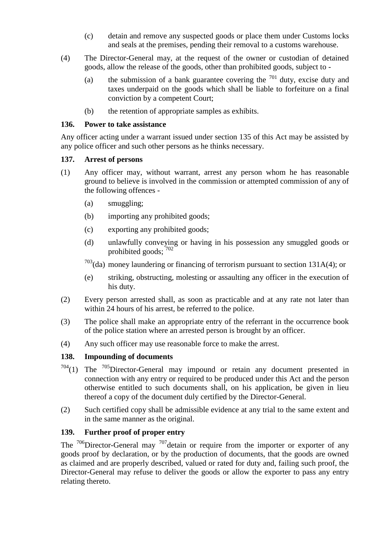- (c) detain and remove any suspected goods or place them under Customs locks and seals at the premises, pending their removal to a customs warehouse.
- (4) The Director-General may, at the request of the owner or custodian of detained goods, allow the release of the goods, other than prohibited goods, subject to -
	- (a) the submission of a bank guarantee covering the  $701$  duty, excise duty and taxes underpaid on the goods which shall be liable to forfeiture on a final conviction by a competent Court;
	- (b) the retention of appropriate samples as exhibits.

#### **136. Power to take assistance**

Any officer acting under a warrant issued under section 135 of this Act may be assisted by any police officer and such other persons as he thinks necessary.

#### **137. Arrest of persons**

- (1) Any officer may, without warrant, arrest any person whom he has reasonable ground to believe is involved in the commission or attempted commission of any of the following offences -
	- (a) smuggling;
	- (b) importing any prohibited goods;
	- (c) exporting any prohibited goods;
	- (d) unlawfully conveying or having in his possession any smuggled goods or prohibited goods; <sup>702</sup>
	- $703$ (da) money laundering or financing of terrorism pursuant to section 131A(4); or
	- (e) striking, obstructing, molesting or assaulting any officer in the execution of his duty.
- (2) Every person arrested shall, as soon as practicable and at any rate not later than within 24 hours of his arrest, be referred to the police.
- (3) The police shall make an appropriate entry of the referrant in the occurrence book of the police station where an arrested person is brought by an officer.
- (4) Any such officer may use reasonable force to make the arrest.

#### **138. Impounding of documents**

- $704(1)$  The  $705$ Director-General may impound or retain any document presented in connection with any entry or required to be produced under this Act and the person otherwise entitled to such documents shall, on his application, be given in lieu thereof a copy of the document duly certified by the Director-General.
- (2) Such certified copy shall be admissible evidence at any trial to the same extent and in the same manner as the original.

#### **139. Further proof of proper entry**

The  $706$ Director-General may  $707$  detain or require from the importer or exporter of any goods proof by declaration, or by the production of documents, that the goods are owned as claimed and are properly described, valued or rated for duty and, failing such proof, the Director-General may refuse to deliver the goods or allow the exporter to pass any entry relating thereto.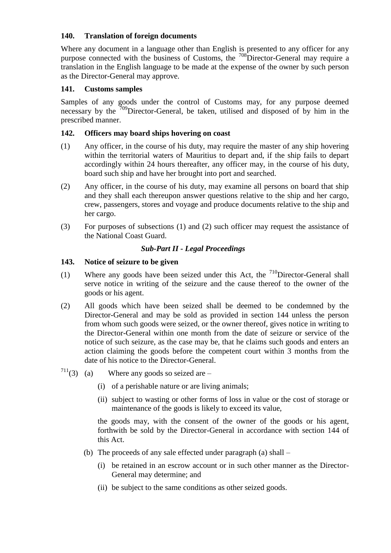#### **140. Translation of foreign documents**

Where any document in a language other than English is presented to any officer for any purpose connected with the business of Customs, the <sup>708</sup>Director-General may require a translation in the English language to be made at the expense of the owner by such person as the Director-General may approve.

#### **141. Customs samples**

Samples of any goods under the control of Customs may, for any purpose deemed necessary by the  $\frac{709}{2}$ Director-General, be taken, utilised and disposed of by him in the prescribed manner.

#### **142. Officers may board ships hovering on coast**

- (1) Any officer, in the course of his duty, may require the master of any ship hovering within the territorial waters of Mauritius to depart and, if the ship fails to depart accordingly within 24 hours thereafter, any officer may, in the course of his duty, board such ship and have her brought into port and searched.
- (2) Any officer, in the course of his duty, may examine all persons on board that ship and they shall each thereupon answer questions relative to the ship and her cargo, crew, passengers, stores and voyage and produce documents relative to the ship and her cargo.
- (3) For purposes of subsections (1) and (2) such officer may request the assistance of the National Coast Guard.

#### *Sub-Part II - Legal Proceedings*

#### **143. Notice of seizure to be given**

- (1) Where any goods have been seized under this Act, the  $710$ Director-General shall serve notice in writing of the seizure and the cause thereof to the owner of the goods or his agent.
- (2) All goods which have been seized shall be deemed to be condemned by the Director-General and may be sold as provided in section 144 unless the person from whom such goods were seized, or the owner thereof, gives notice in writing to the Director-General within one month from the date of seizure or service of the notice of such seizure, as the case may be, that he claims such goods and enters an action claiming the goods before the competent court within 3 months from the date of his notice to the Director-General.
- $7^{11}(3)$  (a) Where any goods so seized are
	- (i) of a perishable nature or are living animals;
	- (ii) subject to wasting or other forms of loss in value or the cost of storage or maintenance of the goods is likely to exceed its value,

the goods may, with the consent of the owner of the goods or his agent, forthwith be sold by the Director-General in accordance with section 144 of this Act.

- (b) The proceeds of any sale effected under paragraph (a) shall
	- (i) be retained in an escrow account or in such other manner as the Director-General may determine; and
	- (ii) be subject to the same conditions as other seized goods.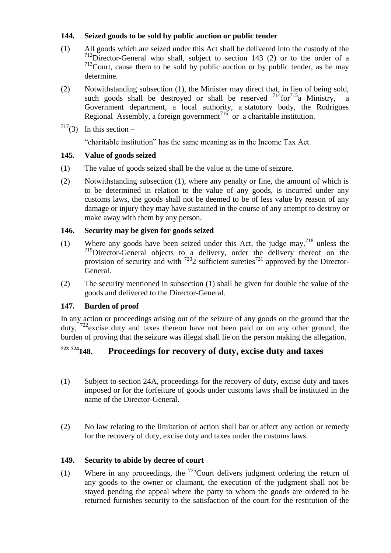## **144. Seized goods to be sold by public auction or public tender**

- (1) All goods which are seized under this Act shall be delivered into the custody of the <sup>712</sup>Director-General who shall, subject to section 143 (2) or to the order of a  $713$ Court, cause them to be sold by public auction or by public tender, as he may determine.
- (2) Notwithstanding subsection (1), the Minister may direct that, in lieu of being sold, such goods shall be destroyed or shall be reserved  $^{714}$ for $^{715}$ a Ministry, a Government department, a local authority, a statutory body, the Rodrigues Regional Assembly, a foreign government<sup>716</sup> or a charitable institution.
- $717(3)$  In this section –

―charitable institution‖ has the same meaning as in the Income Tax Act.

## **145. Value of goods seized**

- (1) The value of goods seized shall be the value at the time of seizure.
- (2) Notwithstanding subsection (1), where any penalty or fine, the amount of which is to be determined in relation to the value of any goods, is incurred under any customs laws, the goods shall not be deemed to be of less value by reason of any damage or injury they may have sustained in the course of any attempt to destroy or make away with them by any person.

## **146. Security may be given for goods seized**

- (1) Where any goods have been seized under this Act, the judge may,  $7^{18}$  unless the  $719$ Director-General objects to a delivery, order the delivery thereof on the provision of security and with  $7202$  sufficient sureties<sup>721</sup> approved by the Director-General.
- (2) The security mentioned in subsection (1) shall be given for double the value of the goods and delivered to the Director-General.

## **147. Burden of proof**

In any action or proceedings arising out of the seizure of any goods on the ground that the duty, <sup>722</sup>excise duty and taxes thereon have not been paid or on any other ground, the burden of proving that the seizure was illegal shall lie on the person making the allegation.

# **<sup>723</sup> <sup>724</sup>148. Proceedings for recovery of duty, excise duty and taxes**

- (1) Subject to section 24A, proceedings for the recovery of duty, excise duty and taxes imposed or for the forfeiture of goods under customs laws shall be instituted in the name of the Director-General.
- (2) No law relating to the limitation of action shall bar or affect any action or remedy for the recovery of duty, excise duty and taxes under the customs laws.

## **149. Security to abide by decree of court**

(1) Where in any proceedings, the  $^{725}$ Court delivers judgment ordering the return of any goods to the owner or claimant, the execution of the judgment shall not be stayed pending the appeal where the party to whom the goods are ordered to be returned furnishes security to the satisfaction of the court for the restitution of the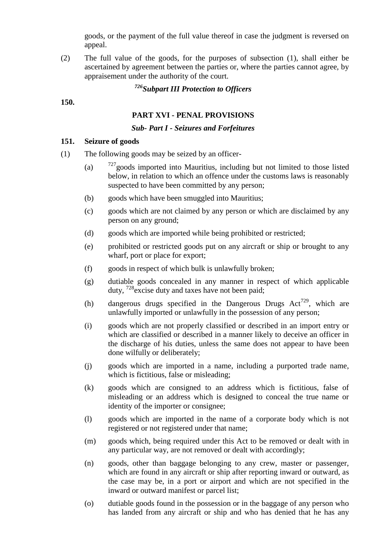goods, or the payment of the full value thereof in case the judgment is reversed on appeal.

(2) The full value of the goods, for the purposes of subsection (1), shall either be ascertained by agreement between the parties or, where the parties cannot agree, by appraisement under the authority of the court.

# *<sup>726</sup>Subpart III Protection to Officers*

#### **150.**

### **PART XVI - PENAL PROVISIONS**

#### *Sub- Part I - Seizures and Forfeitures*

#### **151. Seizure of goods**

- (1) The following goods may be seized by an officer-
	- (a)  $727$  goods imported into Mauritius, including but not limited to those listed below, in relation to which an offence under the customs laws is reasonably suspected to have been committed by any person;
	- (b) goods which have been smuggled into Mauritius;
	- (c) goods which are not claimed by any person or which are disclaimed by any person on any ground;
	- (d) goods which are imported while being prohibited or restricted;
	- (e) prohibited or restricted goods put on any aircraft or ship or brought to any wharf, port or place for export;
	- (f) goods in respect of which bulk is unlawfully broken;
	- (g) dutiable goods concealed in any manner in respect of which applicable duty,  $728$  excise duty and taxes have not been paid;
	- (h) dangerous drugs specified in the Dangerous Drugs  $Act^{729}$ , which are unlawfully imported or unlawfully in the possession of any person;
	- (i) goods which are not properly classified or described in an import entry or which are classified or described in a manner likely to deceive an officer in the discharge of his duties, unless the same does not appear to have been done wilfully or deliberately;
	- (j) goods which are imported in a name, including a purported trade name, which is fictitious, false or misleading;
	- (k) goods which are consigned to an address which is fictitious, false of misleading or an address which is designed to conceal the true name or identity of the importer or consignee;
	- (l) goods which are imported in the name of a corporate body which is not registered or not registered under that name;
	- (m) goods which, being required under this Act to be removed or dealt with in any particular way, are not removed or dealt with accordingly;
	- (n) goods, other than baggage belonging to any crew, master or passenger, which are found in any aircraft or ship after reporting inward or outward, as the case may be, in a port or airport and which are not specified in the inward or outward manifest or parcel list;
	- (o) dutiable goods found in the possession or in the baggage of any person who has landed from any aircraft or ship and who has denied that he has any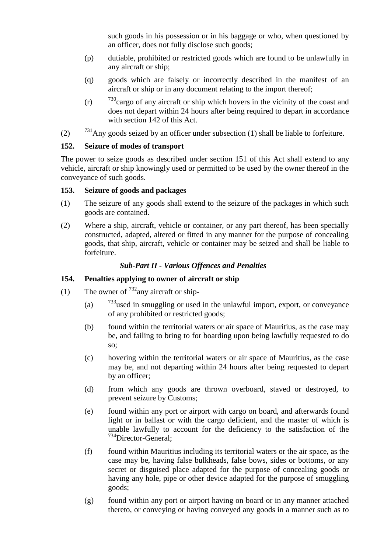such goods in his possession or in his baggage or who, when questioned by an officer, does not fully disclose such goods;

- (p) dutiable, prohibited or restricted goods which are found to be unlawfully in any aircraft or ship;
- (q) goods which are falsely or incorrectly described in the manifest of an aircraft or ship or in any document relating to the import thereof;
- (r)  $\frac{730}{2}$ cargo of any aircraft or ship which hovers in the vicinity of the coast and does not depart within 24 hours after being required to depart in accordance with section 142 of this Act.
- (2)  $^{731}$ Any goods seized by an officer under subsection (1) shall be liable to forfeiture.

## **152. Seizure of modes of transport**

The power to seize goods as described under section 151 of this Act shall extend to any vehicle, aircraft or ship knowingly used or permitted to be used by the owner thereof in the conveyance of such goods.

## **153. Seizure of goods and packages**

- (1) The seizure of any goods shall extend to the seizure of the packages in which such goods are contained.
- (2) Where a ship, aircraft, vehicle or container, or any part thereof, has been specially constructed, adapted, altered or fitted in any manner for the purpose of concealing goods, that ship, aircraft, vehicle or container may be seized and shall be liable to forfeiture.

## *Sub-Part II - Various Offences and Penalties*

## **154. Penalties applying to owner of aircraft or ship**

- (1) The owner of  $^{732}$ any aircraft or ship-
	- (a)  $\frac{733}{13}$ used in smuggling or used in the unlawful import, export, or conveyance of any prohibited or restricted goods;
	- (b) found within the territorial waters or air space of Mauritius, as the case may be, and failing to bring to for boarding upon being lawfully requested to do so;
	- (c) hovering within the territorial waters or air space of Mauritius, as the case may be, and not departing within 24 hours after being requested to depart by an officer;
	- (d) from which any goods are thrown overboard, staved or destroyed, to prevent seizure by Customs;
	- (e) found within any port or airport with cargo on board, and afterwards found light or in ballast or with the cargo deficient, and the master of which is unable lawfully to account for the deficiency to the satisfaction of the <sup>734</sup>Director-General;
	- (f) found within Mauritius including its territorial waters or the air space, as the case may be, having false bulkheads, false bows, sides or bottoms, or any secret or disguised place adapted for the purpose of concealing goods or having any hole, pipe or other device adapted for the purpose of smuggling goods;
	- (g) found within any port or airport having on board or in any manner attached thereto, or conveying or having conveyed any goods in a manner such as to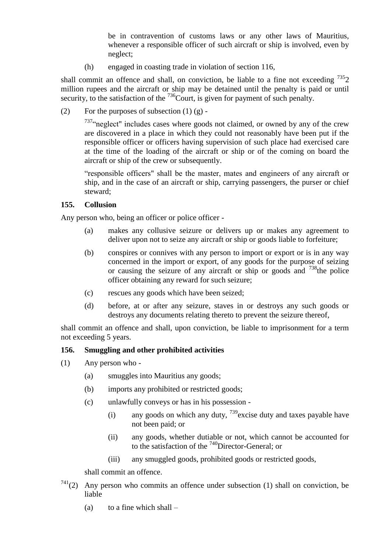be in contravention of customs laws or any other laws of Mauritius, whenever a responsible officer of such aircraft or ship is involved, even by neglect;

(h) engaged in coasting trade in violation of section 116,

shall commit an offence and shall, on conviction, be liable to a fine not exceeding  $^{735}2$ million rupees and the aircraft or ship may be detained until the penalty is paid or until security, to the satisfaction of the  $736$ Court, is given for payment of such penalty.

(2) For the purposes of subsection  $(1)$   $(g)$  -

 $737\degree$  neglect" includes cases where goods not claimed, or owned by any of the crew are discovered in a place in which they could not reasonably have been put if the responsible officer or officers having supervision of such place had exercised care at the time of the loading of the aircraft or ship or of the coming on board the aircraft or ship of the crew or subsequently.

"responsible officers" shall be the master, mates and engineers of any aircraft or ship, and in the case of an aircraft or ship, carrying passengers, the purser or chief steward;

#### **155. Collusion**

Any person who, being an officer or police officer -

- (a) makes any collusive seizure or delivers up or makes any agreement to deliver upon not to seize any aircraft or ship or goods liable to forfeiture;
- (b) conspires or connives with any person to import or export or is in any way concerned in the import or export, of any goods for the purpose of seizing or causing the seizure of any aircraft or ship or goods and  $738$  the police officer obtaining any reward for such seizure;
- (c) rescues any goods which have been seized;
- (d) before, at or after any seizure, staves in or destroys any such goods or destroys any documents relating thereto to prevent the seizure thereof,

shall commit an offence and shall, upon conviction, be liable to imprisonment for a term not exceeding 5 years.

#### **156. Smuggling and other prohibited activities**

- (1) Any person who
	- (a) smuggles into Mauritius any goods;
	- (b) imports any prohibited or restricted goods;
	- (c) unlawfully conveys or has in his possession
		- (i) any goods on which any duty,  $739$  excise duty and taxes payable have not been paid; or
		- (ii) any goods, whether dutiable or not, which cannot be accounted for to the satisfaction of the <sup>740</sup>Director-General; or
		- (iii) any smuggled goods, prohibited goods or restricted goods,

shall commit an offence.

- $741(2)$  Any person who commits an offence under subsection (1) shall on conviction, be liable
	- (a) to a fine which shall  $-$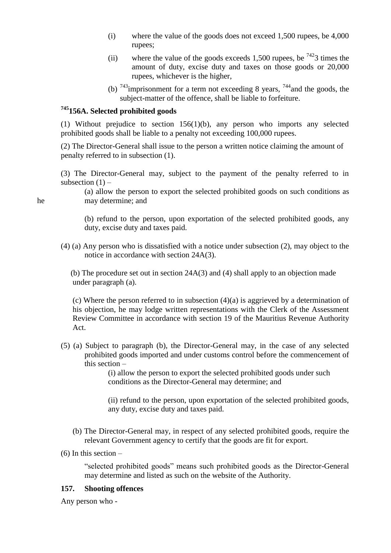- (i) where the value of the goods does not exceed 1,500 rupees, be 4,000 rupees;
- (ii) where the value of the goods exceeds 1,500 rupees, be  $7423$  times the amount of duty, excise duty and taxes on those goods or 20,000 rupees, whichever is the higher,
- (b)  $743$  imprisonment for a term not exceeding 8 years,  $744$  and the goods, the subject-matter of the offence, shall be liable to forfeiture.

## **<sup>745</sup>156A. Selected prohibited goods**

(1) Without prejudice to section 156(1)(b), any person who imports any selected prohibited goods shall be liable to a penalty not exceeding 100,000 rupees.

(2) The Director-General shall issue to the person a written notice claiming the amount of penalty referred to in subsection (1).

(3) The Director-General may, subject to the payment of the penalty referred to in subsection  $(1)$  –

(a) allow the person to export the selected prohibited goods on such conditions as he may determine; and

> (b) refund to the person, upon exportation of the selected prohibited goods, any duty, excise duty and taxes paid.

(4) (a) Any person who is dissatisfied with a notice under subsection (2), may object to the notice in accordance with section 24A(3).

 (b) The procedure set out in section 24A(3) and (4) shall apply to an objection made under paragraph (a).

(c) Where the person referred to in subsection (4)(a) is aggrieved by a determination of his objection, he may lodge written representations with the Clerk of the Assessment Review Committee in accordance with section 19 of the Mauritius Revenue Authority Act.

(5) (a) Subject to paragraph (b), the Director-General may, in the case of any selected prohibited goods imported and under customs control before the commencement of this section –

(i) allow the person to export the selected prohibited goods under such conditions as the Director-General may determine; and

(ii) refund to the person, upon exportation of the selected prohibited goods, any duty, excise duty and taxes paid.

- (b) The Director-General may, in respect of any selected prohibited goods, require the relevant Government agency to certify that the goods are fit for export.
- (6) In this section –

"selected prohibited goods" means such prohibited goods as the Director-General may determine and listed as such on the website of the Authority.

#### **157. Shooting offences**

Any person who -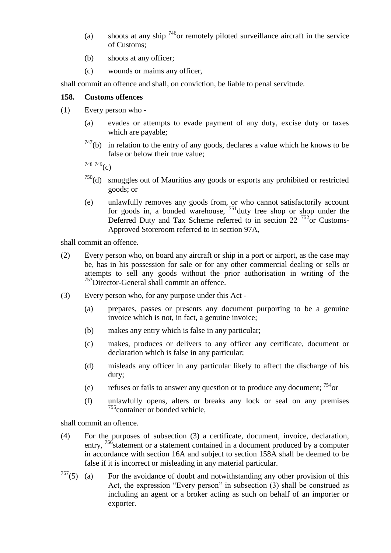- (a) shoots at any ship  $^{746}$ or remotely piloted surveillance aircraft in the service of Customs;
- (b) shoots at any officer;
- (c) wounds or maims any officer,

shall commit an offence and shall, on conviction, be liable to penal servitude.

#### **158. Customs offences**

- (1) Every person who
	- (a) evades or attempts to evade payment of any duty, excise duty or taxes which are payable;
	- $747(b)$  in relation to the entry of any goods, declares a value which he knows to be false or below their true value;

748 749 $(c)$ 

- $750<sub>(d)</sub>$  smuggles out of Mauritius any goods or exports any prohibited or restricted goods; or
- (e) unlawfully removes any goods from, or who cannot satisfactorily account for goods in, a bonded warehouse,  $751$  duty free shop or shop under the Deferred Duty and Tax Scheme referred to in section 22  $^{752}$ or Customs-Approved Storeroom referred to in section 97A,

shall commit an offence.

- (2) Every person who, on board any aircraft or ship in a port or airport, as the case may be, has in his possession for sale or for any other commercial dealing or sells or attempts to sell any goods without the prior authorisation in writing of the <sup>753</sup>Director-General shall commit an offence.
- (3) Every person who, for any purpose under this Act
	- (a) prepares, passes or presents any document purporting to be a genuine invoice which is not, in fact, a genuine invoice;
	- (b) makes any entry which is false in any particular;
	- (c) makes, produces or delivers to any officer any certificate, document or declaration which is false in any particular;
	- (d) misleads any officer in any particular likely to affect the discharge of his duty;
	- (e) refuses or fails to answer any question or to produce any document;  $754$  or
	- (f) unlawfully opens, alters or breaks any lock or seal on any premises  $755$  container or bonded vehicle,

shall commit an offence.

- (4) For the purposes of subsection (3) a certificate, document, invoice, declaration, entry, <sup>756</sup>statement or a statement contained in a document produced by a computer in accordance with section 16A and subject to section 158A shall be deemed to be false if it is incorrect or misleading in any material particular.
- $757(5)$  (a) For the avoidance of doubt and notwithstanding any other provision of this Act, the expression "Every person" in subsection  $(3)$  shall be construed as including an agent or a broker acting as such on behalf of an importer or exporter.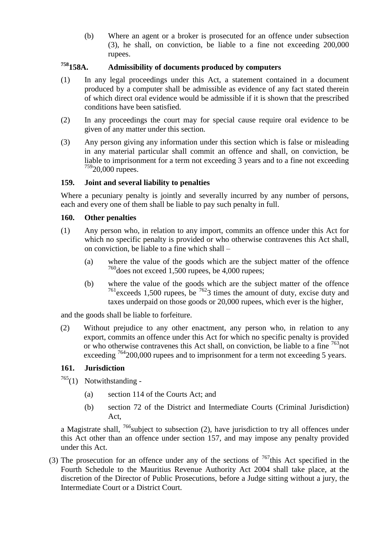(b) Where an agent or a broker is prosecuted for an offence under subsection (3), he shall, on conviction, be liable to a fine not exceeding 200,000 rupees.

# **<sup>758</sup>158A. Admissibility of documents produced by computers**

- (1) In any legal proceedings under this Act, a statement contained in a document produced by a computer shall be admissible as evidence of any fact stated therein of which direct oral evidence would be admissible if it is shown that the prescribed conditions have been satisfied.
- (2) In any proceedings the court may for special cause require oral evidence to be given of any matter under this section.
- (3) Any person giving any information under this section which is false or misleading in any material particular shall commit an offence and shall, on conviction, be liable to imprisonment for a term not exceeding 3 years and to a fine not exceeding  $75920,000$  rupees.

#### **159. Joint and several liability to penalties**

Where a pecuniary penalty is jointly and severally incurred by any number of persons, each and every one of them shall be liable to pay such penalty in full.

#### **160. Other penalties**

- (1) Any person who, in relation to any import, commits an offence under this Act for which no specific penalty is provided or who otherwise contravenes this Act shall, on conviction, be liable to a fine which shall –
	- (a) where the value of the goods which are the subject matter of the offence  $760$  does not exceed 1,500 rupees, be 4,000 rupees;
	- (b) where the value of the goods which are the subject matter of the offence  $^{761}$  exceeds 1,500 rupees, be  $^{762}$ 3 times the amount of duty, excise duty and taxes underpaid on those goods or 20,000 rupees, which ever is the higher,

and the goods shall be liable to forfeiture.

(2) Without prejudice to any other enactment, any person who, in relation to any export, commits an offence under this Act for which no specific penalty is provided or who otherwise contravenes this Act shall, on conviction, be liable to a fine <sup>763</sup>not exceeding <sup>764</sup>200,000 rupees and to imprisonment for a term not exceeding 5 years.

## **161. Jurisdiction**

 $765(1)$  Notwithstanding -

- (a) section 114 of the Courts Act; and
- (b) section 72 of the District and Intermediate Courts (Criminal Jurisdiction) Act,

a Magistrate shall,  $^{766}$ subject to subsection (2), have jurisdiction to try all offences under this Act other than an offence under section 157, and may impose any penalty provided under this Act.

(3) The prosecution for an offence under any of the sections of  $767$ this Act specified in the Fourth Schedule to the Mauritius Revenue Authority Act 2004 shall take place, at the discretion of the Director of Public Prosecutions, before a Judge sitting without a jury, the Intermediate Court or a District Court.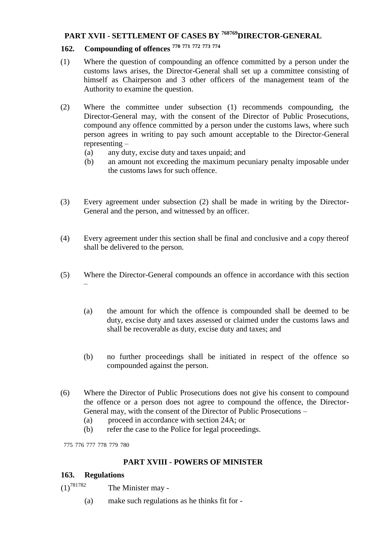## **PART XVII - SETTLEMENT OF CASES BY <sup>768769</sup>DIRECTOR-GENERAL**

# **162. Compounding of offences <sup>770</sup> <sup>771</sup> <sup>772</sup> <sup>773</sup> <sup>774</sup>**

- (1) Where the question of compounding an offence committed by a person under the customs laws arises, the Director-General shall set up a committee consisting of himself as Chairperson and 3 other officers of the management team of the Authority to examine the question.
- (2) Where the committee under subsection (1) recommends compounding, the Director-General may, with the consent of the Director of Public Prosecutions, compound any offence committed by a person under the customs laws, where such person agrees in writing to pay such amount acceptable to the Director-General representing –
	- (a) any duty, excise duty and taxes unpaid; and
	- (b) an amount not exceeding the maximum pecuniary penalty imposable under the customs laws for such offence.
- (3) Every agreement under subsection (2) shall be made in writing by the Director-General and the person, and witnessed by an officer.
- (4) Every agreement under this section shall be final and conclusive and a copy thereof shall be delivered to the person.
- (5) Where the Director-General compounds an offence in accordance with this section –
	- (a) the amount for which the offence is compounded shall be deemed to be duty, excise duty and taxes assessed or claimed under the customs laws and shall be recoverable as duty, excise duty and taxes; and
	- (b) no further proceedings shall be initiated in respect of the offence so compounded against the person.
- (6) Where the Director of Public Prosecutions does not give his consent to compound the offence or a person does not agree to compound the offence, the Director-General may, with the consent of the Director of Public Prosecutions –
	- (a) proceed in accordance with section 24A; or
	- (b) refer the case to the Police for legal proceedings.

775 776 777 778 779 780

## **PART XVIII - POWERS OF MINISTER**

#### **163. Regulations**

 $(1)^{781782}$  The Minister may -

(a) make such regulations as he thinks fit for -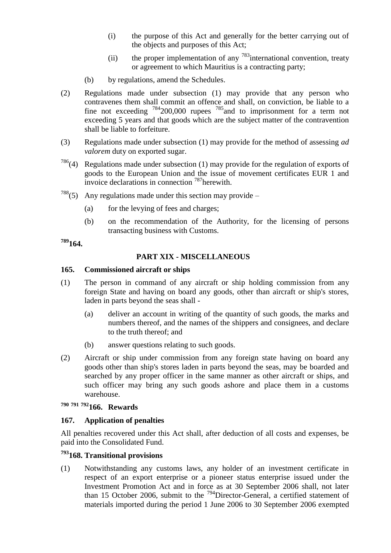- (i) the purpose of this Act and generally for the better carrying out of the objects and purposes of this Act;
- (ii) the proper implementation of any  $783$  international convention, treaty or agreement to which Mauritius is a contracting party;
- (b) by regulations, amend the Schedules.
- (2) Regulations made under subsection (1) may provide that any person who contravenes them shall commit an offence and shall, on conviction, be liable to a fine not exceeding  $784200,000$  rupees  $785$  and to imprisonment for a term not exceeding 5 years and that goods which are the subject matter of the contravention shall be liable to forfeiture.
- (3) Regulations made under subsection (1) may provide for the method of assessing *ad valorem* duty on exported sugar.
- $786(4)$  Regulations made under subsection (1) may provide for the regulation of exports of goods to the European Union and the issue of movement certificates EUR 1 and invoice declarations in connection <sup>787</sup>herewith.
- <sup>788</sup>(5) Any regulations made under this section may provide
	- (a) for the levying of fees and charges;
	- (b) on the recommendation of the Authority, for the licensing of persons transacting business with Customs.

**<sup>789</sup>164.**

#### **PART XIX - MISCELLANEOUS**

#### **165. Commissioned aircraft or ships**

- (1) The person in command of any aircraft or ship holding commission from any foreign State and having on board any goods, other than aircraft or ship's stores, laden in parts beyond the seas shall -
	- (a) deliver an account in writing of the quantity of such goods, the marks and numbers thereof, and the names of the shippers and consignees, and declare to the truth thereof; and
	- (b) answer questions relating to such goods.
- (2) Aircraft or ship under commission from any foreign state having on board any goods other than ship's stores laden in parts beyond the seas, may be boarded and searched by any proper officer in the same manner as other aircraft or ships, and such officer may bring any such goods ashore and place them in a customs warehouse.

# **<sup>790</sup> <sup>791</sup> <sup>792</sup>166. Rewards**

## **167. Application of penalties**

All penalties recovered under this Act shall, after deduction of all costs and expenses, be paid into the Consolidated Fund.

## **<sup>793</sup>168. Transitional provisions**

(1) Notwithstanding any customs laws, any holder of an investment certificate in respect of an export enterprise or a pioneer status enterprise issued under the Investment Promotion Act and in force as at 30 September 2006 shall, not later than 15 October 2006, submit to the <sup>794</sup>Director-General, a certified statement of materials imported during the period 1 June 2006 to 30 September 2006 exempted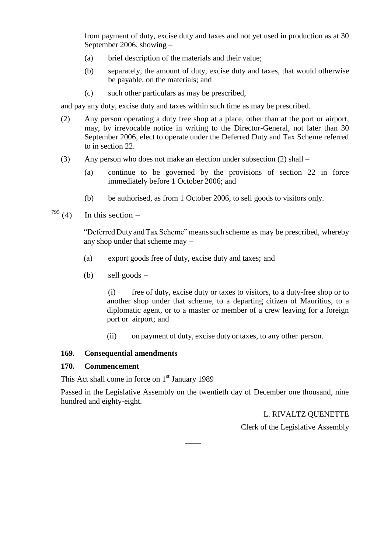from payment of duty, excise duty and taxes and not yet used in production as at 30 September 2006, showing –

- (a) brief description of the materials and their value;
- (b) separately, the amount of duty, excise duty and taxes, that would otherwise be payable, on the materials; and
- (c) such other particulars as may be prescribed,

and pay any duty, excise duty and taxes within such time as may be prescribed.

- (2) Any person operating a duty free shop at a place, other than at the port or airport, may, by irrevocable notice in writing to the Director-General, not later than 30 September 2006, elect to operate under the Deferred Duty and Tax Scheme referred to in section 22.
- (3) Any person who does not make an election under subsection (2) shall
	- (a) continue to be governed by the provisions of section 22 in force immediately before 1 October 2006; and
	- (b) be authorised, as from 1 October 2006, to sell goods to visitors only.

# $795$  (4) In this section –

"Deferred Duty and Tax Scheme" means such scheme as may be prescribed, whereby any shop under that scheme may –

- (a) export goods free of duty, excise duty and taxes; and
- (b) sell goods –

(i) free of duty, excise duty or taxes to visitors, to a duty-free shop or to another shop under that scheme, to a departing citizen of Mauritius, to a diplomatic agent, or to a master or member of a crew leaving for a foreign port or airport; and

(ii) on payment of duty, excise duty or taxes, to any other person.

#### **169. Consequential amendments**

#### **170. Commencement**

This Act shall come in force on  $1<sup>st</sup>$  January 1989

Passed in the Legislative Assembly on the twentieth day of December one thousand, nine hundred and eighty-eight.

 $\overline{\phantom{a}}$ 

L. RIVALTZ QUENETTE

Clerk of the Legislative Assembly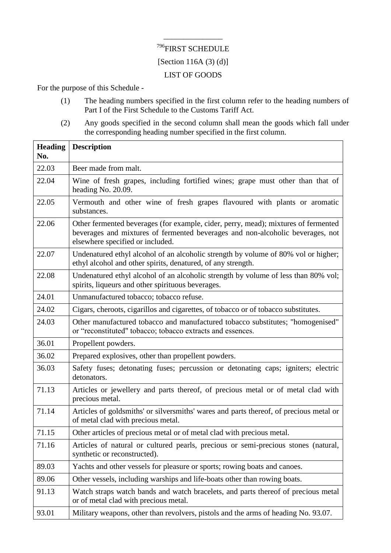# <sup>796</sup>FIRST SCHEDULE [Section 116A  $(3)$   $(d)$ ] LIST OF GOODS

\_\_\_\_\_\_\_\_\_\_\_\_\_\_\_

For the purpose of this Schedule -

- (1) The heading numbers specified in the first column refer to the heading numbers of Part I of the First Schedule to the Customs Tariff Act.
- (2) Any goods specified in the second column shall mean the goods which fall under the corresponding heading number specified in the first column.

| <b>Heading</b><br>No. | <b>Description</b>                                                                                                                                                                                       |
|-----------------------|----------------------------------------------------------------------------------------------------------------------------------------------------------------------------------------------------------|
| 22.03                 | Beer made from malt.                                                                                                                                                                                     |
| 22.04                 | Wine of fresh grapes, including fortified wines; grape must other than that of<br>heading No. 20.09.                                                                                                     |
| 22.05                 | Vermouth and other wine of fresh grapes flavoured with plants or aromatic<br>substances.                                                                                                                 |
| 22.06                 | Other fermented beverages (for example, cider, perry, mead); mixtures of fermented<br>beverages and mixtures of fermented beverages and non-alcoholic beverages, not<br>elsewhere specified or included. |
| 22.07                 | Undenatured ethyl alcohol of an alcoholic strength by volume of 80% vol or higher;<br>ethyl alcohol and other spirits, denatured, of any strength.                                                       |
| 22.08                 | Undenatured ethyl alcohol of an alcoholic strength by volume of less than 80% vol;<br>spirits, liqueurs and other spirituous beverages.                                                                  |
| 24.01                 | Unmanufactured tobacco; tobacco refuse.                                                                                                                                                                  |
| 24.02                 | Cigars, cheroots, cigarillos and cigarettes, of tobacco or of tobacco substitutes.                                                                                                                       |
| 24.03                 | Other manufactured tobacco and manufactured tobacco substitutes; "homogenised"<br>or "reconstituted" tobacco; tobacco extracts and essences.                                                             |
| 36.01                 | Propellent powders.                                                                                                                                                                                      |
| 36.02                 | Prepared explosives, other than propellent powders.                                                                                                                                                      |
| 36.03                 | Safety fuses; detonating fuses; percussion or detonating caps; igniters; electric<br>detonators.                                                                                                         |
| 71.13                 | Articles or jewellery and parts thereof, of precious metal or of metal clad with<br>precious metal.                                                                                                      |
| 71.14                 | Articles of goldsmiths' or silversmiths' wares and parts thereof, of precious metal or<br>of metal clad with precious metal.                                                                             |
| 71.15                 | Other articles of precious metal or of metal clad with precious metal.                                                                                                                                   |
| 71.16                 | Articles of natural or cultured pearls, precious or semi-precious stones (natural,<br>synthetic or reconstructed).                                                                                       |
| 89.03                 | Yachts and other vessels for pleasure or sports; rowing boats and canoes.                                                                                                                                |
| 89.06                 | Other vessels, including warships and life-boats other than rowing boats.                                                                                                                                |
| 91.13                 | Watch straps watch bands and watch bracelets, and parts thereof of precious metal<br>or of metal clad with precious metal.                                                                               |
| 93.01                 | Military weapons, other than revolvers, pistols and the arms of heading No. 93.07.                                                                                                                       |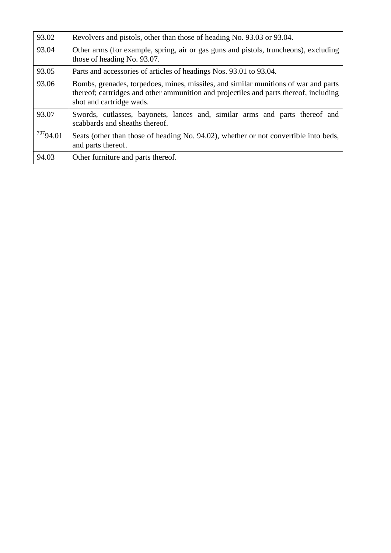| 93.02         | Revolvers and pistols, other than those of heading No. 93.03 or 93.04.                                                                                                                                   |
|---------------|----------------------------------------------------------------------------------------------------------------------------------------------------------------------------------------------------------|
| 93.04         | Other arms (for example, spring, air or gas guns and pistols, truncheons), excluding<br>those of heading No. 93.07.                                                                                      |
| 93.05         | Parts and accessories of articles of headings Nos. 93.01 to 93.04.                                                                                                                                       |
| 93.06         | Bombs, grenades, torpedoes, mines, missiles, and similar munitions of war and parts<br>thereof; cartridges and other ammunition and projectiles and parts thereof, including<br>shot and cartridge wads. |
| 93.07         | Swords, cutlasses, bayonets, lances and, similar arms and parts thereof and<br>scabbards and sheaths thereof.                                                                                            |
| $^{797}94.01$ | Seats (other than those of heading No. 94.02), whether or not convertible into beds,<br>and parts thereof.                                                                                               |
| 94.03         | Other furniture and parts thereof.                                                                                                                                                                       |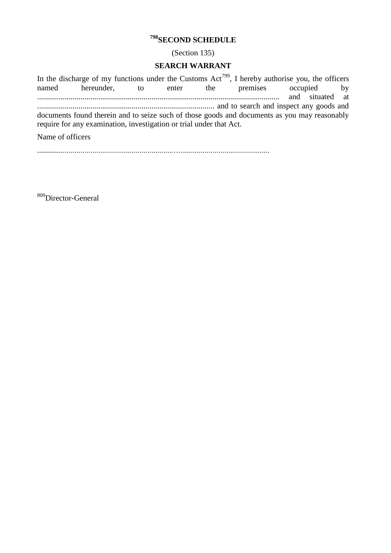# **<sup>798</sup>SECOND SCHEDULE**

(Section 135)

#### **SEARCH WARRANT**

In the discharge of my functions under the Customs  $Act^{799}$ , I hereby authorise you, the officers named hereunder, to enter the premises occupied by ........................................................................................................................... and situated at .......................................................................................... and to search and inspect any goods and documents found therein and to seize such of those goods and documents as you may reasonably require for any examination, investigation or trial under that Act.

Name of officers

.....................................................................….............................................

<sup>800</sup>Director-General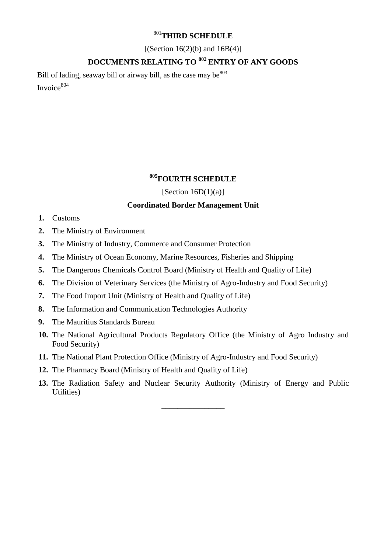## <sup>801</sup>**THIRD SCHEDULE**

 $[(Section 16(2)(b) and 16B(4)]$ 

# **DOCUMENTS RELATING TO <sup>802</sup> ENTRY OF ANY GOODS**

Bill of lading, seaway bill or airway bill, as the case may be <sup>803</sup> Invoice<sup>804</sup>

## **<sup>805</sup>FOURTH SCHEDULE**

[Section  $16D(1)(a)$ ]

### **Coordinated Border Management Unit**

- **1.** Customs
- **2.** The Ministry of Environment
- **3.** The Ministry of Industry, Commerce and Consumer Protection
- **4.** The Ministry of Ocean Economy, Marine Resources, Fisheries and Shipping
- **5.** The Dangerous Chemicals Control Board (Ministry of Health and Quality of Life)
- **6.** The Division of Veterinary Services (the Ministry of Agro-Industry and Food Security)
- **7.** The Food Import Unit (Ministry of Health and Quality of Life)
- **8.** The Information and Communication Technologies Authority
- **9.** The Mauritius Standards Bureau
- **10.** The National Agricultural Products Regulatory Office (the Ministry of Agro Industry and Food Security)
- **11.** The National Plant Protection Office (Ministry of Agro-Industry and Food Security)
- **12.** The Pharmacy Board (Ministry of Health and Quality of Life)
- **13.** The Radiation Safety and Nuclear Security Authority (Ministry of Energy and Public Utilities)

\_\_\_\_\_\_\_\_\_\_\_\_\_\_\_\_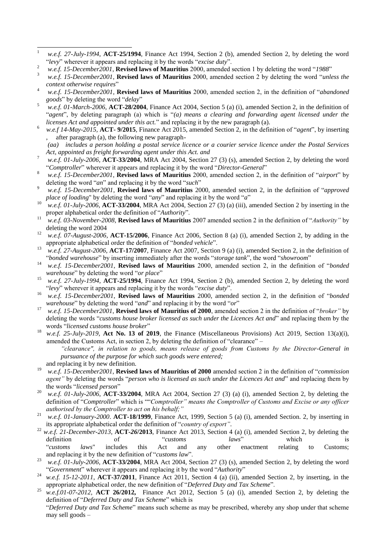- $\,1\,$ <sup>1</sup> *w.e.f. 27-July-1994*, **ACT-25/1994**, Finance Act 1994, Section 2 (b), amended Section 2, by deleting the word ―*levy*‖ wherever it appears and replacing it by the words ―*excise duty*‖.
- <sup>2</sup> *w.e.f.* 15-December2001, **Revised laws of Mauritius** 2000, amended section 1 by deleting the word "1988"
- w.e.f. 15-December2001, Revised laws of Mauritius 2000, amended section 2 by deleting the word "unless the *context otherwise requires*‖
- <sup>4</sup> *w.e.f.* 15-December2001, **Revised laws of Mauritius** 2000, amended section 2, in the definition of "*abandoned goods*" by deleting the word "*delay*"
- <sup>5</sup> *w.e.f. 01-March-2006*, **ACT-28/2004**, Finance Act 2004, Section 5 (a) (i), amended Section 2, in the definition of "agent", by deleting paragraph (a) which is "(a) means a clearing and forwarding agent licensed under the *licenses Act and appointed under this act.*" and replacing it by the new paragraph (a).
- 6 *w.e.f 14-May-2015,* **ACT- 9/2015**, Finance Act 2015, amended Section 2, in the definition of "*agent*", by inserting , after paragraph (a), the following new paragraph-

*(aa) includes a person holding a postal service licence or a courier service licence under the Postal Services Act, appointed as freight forwarding agent under this Act. and*

- <sup>7</sup> *w.e.f. 01-July-2006*, **ACT-33/2004**, MRA Act 2004, Section 27 (3) (s), amended Section 2, by deleting the word "Comptroller" wherever it appears and replacing it by the word "Director-General"
- w.e.f. 15-December2001, Revised laws of Mauritius 2000, amended section 2, in the definition of "airport" by deleting the word "*an*" and replacing it by the word "*such*"
- w.e.f. 15-December2001, Revised laws of Mauritius 2000, amended section 2, in the definition of "approved *place of loading*" by deleting the word "*any*" and replacing it by the word "*a*"
- <sup>10</sup> *w.e.f. 01-July-2006*, **ACT-33/2004**, MRA Act 2004, Section 27 (3) (a) (iii), amended Section 2 by inserting in the proper alphabetical order the definition of "*Authority*".
- <sup>11</sup> *w.e.f.* 03-November-2008, **Revised laws of Mauritius** 2007 amended section 2 in the definition of "Authority" by deleting the word 2004
- <sup>12</sup> *w.e.f. 07-August-2006*, **ACT-15/2006**, Finance Act 2006, Section 8 (a) (i), amended Section 2, by adding in the appropriate alphabetical order the definition of "*bonded vehicle*".
- <sup>13</sup> *w.e.f. 27-August-2006*, **ACT-17/2007**, Finance Act 2007, Section 9 (a) (i), amended Section 2, in the definition of "bonded warehouse" by inserting immediately after the words "storage tank", the word "showroom"
- <sup>14</sup> *w.e.f.* 15-December2001, Revised laws of Mauritius 2000, amended section 2, in the definition of "bonded" *warehouse*" by deleting the word "*or place*"
- <sup>15</sup> *w.e.f. 27-July-1994*, **ACT-25/1994**, Finance Act 1994, Section 2 (b), amended Section 2, by deleting the word ―*levy*‖ wherever it appears and replacing it by the words ―*excise duty*‖.
- <sup>16</sup> *w.e.f. 15-December2001*, **Revised laws of Mauritius** 2000, amended section 2, in the definition of "bonded *warehouse*" by deleting the word "*and*" and replacing it by the word "*or*"
- <sup>17</sup> *w.e.f. 15-December2001*, **Revised laws of Mauritius of 2000**, amended section 2 in the definition of "*broker*" by deleting the words "*customs house broker licensed as such under the Licences Act and*" and replacing them by the words ―*licensed customs house broker*‖
- <sup>18</sup> *w.e.f. 25-July-2019*, **Act No. 13 of 2019**, the Finance (Miscellaneous Provisions) Act 2019, Section 13(a)(i), amended the Customs Act, in section 2, by deleting the definition of "clearance" – *"clearance", in relation to goods, means release of goods from Customs by the Director-General in* 
	- *pursuance of the purpose for which such goods were entered;*

may sell goods –

- and replacing it by new definition. <sup>19</sup> *w.e.f. 15-December2001*, **Revised laws of Mauritius of 2000** amended section 2 in the definition of "*commission agent*" by deleting the words "*person who is licensed as such under the Licences Act and*" and replacing them by the words "*licensed person*"
- <sup>20</sup> *w.e.f. 01-July-2006*, **ACT-33/2004**, MRA Act 2004, Section 27 (3) (a) (i), amended Section 2, by deleting the definition of "Comptroller" which is ""Comptroller" means the Comptroller of Customs and Excise or any officer *authorised by the Comptroller to act on his behalf;"*
- <sup>21</sup> *w.e.f. 01-January-2000*. **ACT-18/1999**, Finance Act, 1999, Section 5 (a) (i), amended Section. 2, by inserting in its appropriate alphabetical order the definition of "country of export".
- <sup>22</sup> *w.e.f. 21-December-2013*, **ACT-***26***/2013**, Finance Act 2013, Section 4 (a) (i), amended Section 2, by deleting the definition of "*customs laws*" which is ―*customs laws*" includes this Act and any other enactment relating to Customs; and replacing it by the new definition of "*customs law*".
- <sup>23</sup> *w.e.f. 01-July-2006*, **ACT-33/2004**, MRA Act 2004, Section 27 (3) (s), amended Section 2, by deleting the word "Government" wherever it appears and replacing it by the word "Authority"
- <sup>24</sup> *w.e.f. 15-12-2011*, **ACT-37/2011**, Finance Act 2011, Section 4 (a) (ii), amended Section 2, by inserting, in the appropriate alphabetical order, the new definition of "Deferred Duty and Tax Scheme".
- <sup>25</sup> *w.e.f.01-07-2012*, **ACT 26/2012,** Finance Act 2012, Section 5 (a) (i), amended Section 2, by deleting the definition of "Deferred Duty and Tax Scheme" which is "Deferred Duty and Tax Scheme" means such scheme as may be prescribed, whereby any shop under that scheme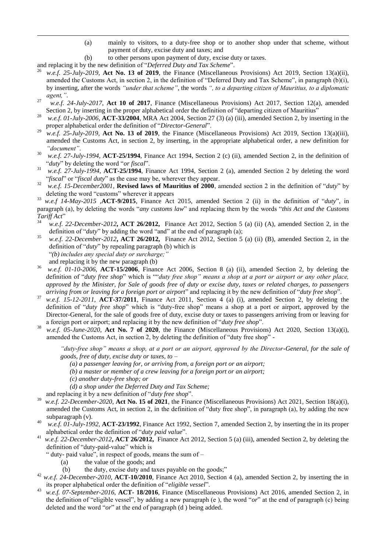- (a) mainly to visitors, to a duty-free shop or to another shop under that scheme, without payment of duty, excise duty and taxes; and
- (b) to other persons upon payment of duty, excise duty or taxes.

and replacing it by the new definition of "Deferred Duty and Tax Scheme".

1

- <sup>26</sup> *w.e.f. 25-July-2019*, **Act No. 13 of 2019**, the Finance (Miscellaneous Provisions) Act 2019, Section 13(a)(ii), amended the Customs Act, in section 2, in the definition of "Deferred Duty and Tax Scheme", in paragraph  $(b)(i)$ , by inserting, after the words *"under that scheme"*, the words *", to a departing citizen of Mauritius, to a diplomatic agent,"*.
- 27 *w.e.f. 24-July-2017*, **Act 10 of 2017**, Finance (Miscellaneous Provisions) Act 2017, Section 12(a), amended Section 2, by inserting in the proper alphabetical order the definition of "departing citizen of Mauritius"
- <sup>28</sup> *w.e.f. 01-July-2006*, **ACT-33/2004**, MRA Act 2004, Section 27 (3) (a) (iii), amended Section 2, by inserting in the proper alphabetical order the definition of "Director-General".
- <sup>29</sup> *w.e.f.* 25-July-2019, Act No. 13 of 2019, the Finance (Miscellaneous Provisions) Act 2019, Section 13(a)(iii), amended the Customs Act, in section 2, by inserting, in the appropriate alphabetical order, a new definition for *"document"*.
- <sup>30</sup> *w.e.f. 27-July-1994*, **ACT-25/1994**, Finance Act 1994, Section 2 (c) (ii), amended Section 2, in the definition of ―*duty*‖ by deleting the word ―*or fiscal*‖.
- <sup>31</sup> *w.e.f. 27-July-1994*, **ACT-25/1994**, Finance Act 1994, Section 2 (a), amended Section 2 by deleting the word "*fiscal*" or "*fiscal duty*" as the case may be, wherever they appear.
- $\frac{32}{2}$  *w.e.f.* 15-December2001, **Revised laws of Mauritius of 2000**, amended section 2 in the definition of "*duty*" by deleting the word "customs" wherever it appears

 $\frac{33}{2}$  *w.e.f* 14-May-2015 **,ACT-9/2015**, Finance Act 2015, amended Section 2 (ii) in the definition of "duty", in paragraph (a), by deleting the words "*any customs law*" and replacing them by the words "*this Act and the Customs Tariff Act*‖

- <sup>34</sup> *w.e.f. 22-December-2012***, ACT 26/2012,** Finance Act 2012, Section 5 (a) (ii) (A), amended Section 2, in the definition of "*duty*" by adding the word "and" at the end of paragraph (a);
- <sup>35</sup> *w.e.f. 22-December-2012***, ACT 26/2012,** Finance Act 2012, Section 5 (a) (ii) (B), amended Section 2, in the definition of "*duty*" by repealing paragraph (b) which is ―*(b) includes any special duty or surcharge;"*
	- and replacing it by the new paragraph (b)
- <sup>36</sup> *w.e.f. 01-10-2006*, **ACT-15/2006**, Finance Act 2006, Section 8 (a) (ii), amended Section 2, by deleting the definition of "duty free shop" which is ""duty free shop" means a shop at a port or airport or any other place, *approved by the Minister, for Sale of goods free of duty or excise duty, taxes or related charges, to passengers arriving from or leaving for a foreign port or airport*" and replacing it by the new definition of "*duty free shop*".
- w.e.f.  $15-12-2011$ ,  $\text{ACT-37/2011}$ , Finance Act 2011, Section 4 (a) (i), amended Section 2, by deleting the definition of "duty free shop" which is "duty-free shop" means a shop at a port or airport, approved by the Director-General, for the sale of goods free of duty, excise duty or taxes to passengers arriving from or leaving for a foreign port or airport; and replacing it by the new definition of "*duty free shop*".
- <sup>38</sup> *w.e.f. 05-June-2020*, **Act No. 7 of 2020**, the Finance (Miscellaneous Provisions) Act 2020, Section 13(a)(i), amended the Customs Act, in section 2, by deleting the definition of "duty free shop" -

*"duty-free shop" means a shop, at a port or an airport, approved by the Director-General, for the sale of goods, free of duty, excise duty or taxes, to –*

- *(a) a passenger leaving for, or arriving from, a foreign port or an airport;*
- *(b) a master or member of a crew leaving for a foreign port or an airport;*
- *(c) another duty-free shop; or*

*(d) a shop under the Deferred Duty and Tax Scheme;*

and replacing it by a new definition of "*duty free shop*".

- 39 *w.e.f. 22-December-2020*, **Act No. 15 of 2021**, the Finance (Miscellaneous Provisions) Act 2021, Section 18(a)(i), amended the Customs Act, in section 2, in the definition of "duty free shop", in paragraph (a), by adding the new subparagraph (v).
- <sup>40</sup> *w.e.f. 01-July-1992,* **ACT-23/1992**, Finance Act 1992, Section 7, amended Section 2, by inserting the in its proper alphabetical order the definition of "*duty paid value*".
- 41  *w.e.f. 22-December-2012***, ACT 26/2012,** Finance Act 2012, Section 5 (a) (iii), amended Section 2, by deleting the definition of "duty-paid-value" which is
	- " duty- paid value", in respect of goods, means the sum of  $-$ 
		- (a) the value of the goods; and
		- (b) the duty, excise duty and taxes payable on the goods;"
- <sup>42</sup> *w.e.f. 24-December-2010,* **ACT-10/2010**, Finance Act 2010, Section 4 (a), amended Section 2, by inserting the in its proper alphabetical order the definition of "*eligible vessel*".
- <sup>43</sup> *w.e.f. 07-September-2016*, **ACT- 18/2016**, Finance (Miscellaneous Provisions) Act 2016, amended Section 2, in the definition of "eligible vessel", by adding a new paragraph (e), the word " $or$ " at the end of paragraph (c) being deleted and the word "or" at the end of paragraph (d) being added.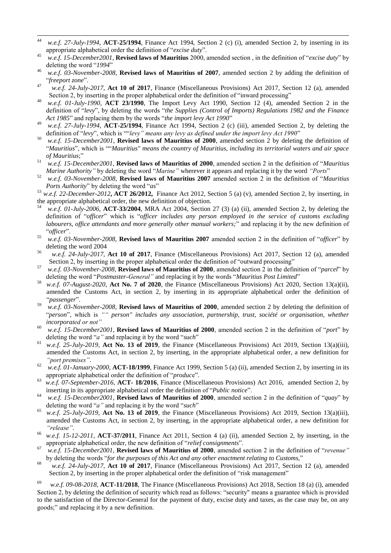- $44$ w.e.f. 27-July-1994, **ACT-25/1994**, Finance Act 1994, Section 2 (c) (i), amended Section 2, by inserting in its appropriate alphabetical order the definition of "*excise duty*".
- <sup>45</sup> *w.e.f.* 15-December2001, **Revised laws of Mauritius** 2000, amended section, in the definition of "excise duty" by deleting the word "1994"
- <sup>46</sup> *w.e.f. 03-November-2008*, **Revised laws of Mauritius of 2007**, amended section 2 by adding the definition of ―*freeport zone*‖.
- 47 *w.e.f. 24-July-2017*, **Act 10 of 2017**, Finance (Miscellaneous Provisions) Act 2017, Section 12 (a), amended Section 2, by inserting in the proper alphabetical order the definition of "inward processing"
- <sup>48</sup> *w.e.f. 01-July-1990,* **ACT 23/1990**, The Import Levy Act 1990, Section 12 (4), amended Section 2 in the definition of "levy", by deleting the words "the Supplies (Control of Imports) Regulations 1982 and the Finance Act 1985" and replacing them by the words "the import levy Act 1990"
- <sup>49</sup> *w.e.f. 27-July-1994*, **ACT-25/1994**, Finance Act 1994, Section 2 (c) (iii), amended Section 2, by deleting the definition of "levy", which is ""levy" means any levy as defined under the import levy Act 1990"
- <sup>50</sup> *w.e.f. 15-December2001*, **Revised laws of Mauritius of 2000**, amended section 2 by deleting the definition of ―*Mauritius*‖, which is ――*Mauritius" means the country of Mauritius, including its territorial waters and air space of Mauritius*;‖
- 51 *w.e.f. 15-December2001*, **Revised laws of Mauritius of 2000**, amended section 2 in the definition of "*Mauritius Marine Authority*<sup>*''*</sup> by deleting the word "*Marine*" wherever it appears and replacing it by the word "*Ports*"
- <sup>52</sup> *w.e.f. 03-November-2008*, **Revised laws of Mauritius 2007** amended section 2 in the definition of ―*Mauritius Ports Authority*" by deleting the word "*as*"
- <sup>53</sup> *w.e.f. 22-December-2012***, ACT 26/2012,** Finance Act 2012, Section 5 (a) (v), amended Section 2, by inserting, in the appropriate alphabetical order, the new definition of objection.
- <sup>54</sup> *w.e.f. 01-July-2006*, **ACT-33/2004**, MRA Act 2004, Section 27 (3) (a) (ii), amended Section 2, by deleting the definition of "officer" which is "officer includes any person employed in the service of customs excluding *labourers, office attendants and more generally other manual workers;*" and replacing it by the new definition of ―*officer*‖.
- 55 *w.e.f.* 03-November-2008, **Revised laws of Mauritius 2007** amended section 2 in the definition of "officer" by deleting the word 2004
- 56 *w.e.f. 24-July-2017*, **Act 10 of 2017**, Finance (Miscellaneous Provisions) Act 2017, Section 12 (a), amended Section 2, by inserting in the proper alphabetical order the definition of "outward processing"
- 57 *w.e.f. 03-November-2008*, **Revised laws of Mauritius of 2000**, amended section 2 in the definition of "*parcel*" by deleting the word "Postmaster-General" and replacing it by the words "Mauritius Post Limited"
- 58 *w.e.f. 07-August-2020*, **Act No. 7 of 2020**, the Finance (Miscellaneous Provisions) Act 2020, Section 13(a)(ii), amended the Customs Act, in section 2, by inserting in its appropriate alphabetical order the definition of ―*passenger*‖.
- <sup>59</sup> *w.e.f. 03-November-2008*, **Revised laws of Mauritius of 2000**, amended section 2 by deleting the definition of ―*person*‖, which is *"" person" includes any association, partnership, trust, société or organisation, whether incorporated or not"*
- $\mu$ <sup>60</sup> *w.e.f. 15-December2001*, **Revised laws of Mauritius of 2000**, amended section 2 in the definition of "*port*" by deleting the word "*a*" and replacing it by the word "*such*"
- <sup>61</sup> *w.e.f. 25-July-2019*, **Act No. 13 of 2019**, the Finance (Miscellaneous Provisions) Act 2019, Section 13(a)(iii), amended the Customs Act, in section 2, by inserting, in the appropriate alphabetical order, a new definition for *"port premises"*.
- <sup>62</sup> *w.e.f. 01-January-2000*, **ACT-18/1999**, Finance Act 1999, Section 5 (a) (ii), amended Section 2, by inserting in its appropriate alphabetical order the definition of "*produce*".
- 63 *w.e.f. 07-September-2016*, **ACT- 18/2016**, Finance (Miscellaneous Provisions) Act 2016, amended Section 2, by inserting in its appropriate alphabetical order the definition of "*Public notice*".
- <sup>64</sup> *w.e.f. 15-December2001*, **Revised laws of Mauritius of 2000**, amended section 2 in the definition of "*quay*" by deleting the word "*a*" and replacing it by the word "*such*"
- <sup>65</sup> *w.e.f. 25-July-2019*, **Act No. 13 of 2019**, the Finance (Miscellaneous Provisions) Act 2019, Section 13(a)(iii), amended the Customs Act, in section 2, by inserting, in the appropriate alphabetical order, a new definition for *"release"*.
- <sup>66</sup> *w.e.f. 15-12-2011*, **ACT-37/2011**, Finance Act 2011, Section 4 (a) (ii), amended Section 2, by inserting, in the appropriate alphabetical order, the new definition of "relief consignments".
- <sup>67</sup> *w.e.f.* 15-December2001, **Revised laws of Mauritius of 2000**, amended section 2 in the definition of "revenue" by deleting the words "for the purposes of this Act and any other enactment relating to Customs,"
- 68 *w.e.f. 24-July-2017*, **Act 10 of 2017**, Finance (Miscellaneous Provisions) Act 2017, Section 12 (a), amended Section 2, by inserting in the proper alphabetical order the definition of "risk management"

69 *w.e.f. 09-08-2018*, **ACT-11/2018**, The Finance (Miscellaneous Provisions) Act 2018, Section 18 (a) (i), amended Section 2, by deleting the definition of security which read as follows: "security" means a guarantee which is provided to the satisfaction of the Director-General for the payment of duty, excise duty and taxes, as the case may be, on any goods;" and replacing it by a new definition.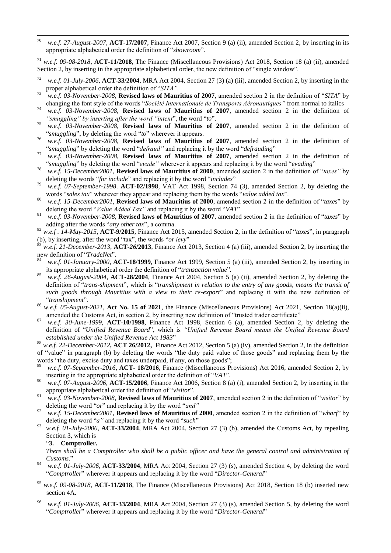70 w.e.f. 27-August-2007, **ACT-17/2007**, Finance Act 2007, Section 9 (a) (ii), amended Section 2, by inserting in its appropriate alphabetical order the definition of "*showroom*".

<sup>71</sup> *w.e.f. 09-08-2018*, **ACT-11/2018**, The Finance (Miscellaneous Provisions) Act 2018, Section 18 (a) (ii), amended Section 2, by inserting in the appropriate alphabetical order, the new definition of "single window".

- <sup>72</sup> *w.e.f. 01-July-2006*, **ACT-33/2004**, MRA Act 2004, Section 27 (3) (a) (iii), amended Section 2, by inserting in the proper alphabetical order the definition of "SITA".
- $\frac{73}{2}$  w.e.f. 03-November-2008, **Revised laws of Mauritius of 2007**, amended section 2 in the definition of "*SITA*" by changing the font style of the words ―*Société Internationale de Transports Aéronautiques"* from normal to italics
- <sup>74</sup> *w.e.f. 03-November-2008*, **Revised laws of Mauritius of 2007**, amended section 2 in the definition of "*smuggling*" by inserting after the word "intent", the word "to".
- <sup>75</sup> *w.e.f. 03-November-2008*, **Revised laws of Mauritius of 2007**, amended section 2 in the definition of "*smuggling*", by deleting the word "*to*" wherever it appears.
- <sup>76</sup> *w.e.f. 03-November-2008*, **Revised laws of Mauritius of 2007**, amended section 2 in the definition of "smuggling" by deleting the word "*defraud*" and replacing it by the word "*defrauding*"
- <sup>77</sup> *w.e.f. 03-November-2008*, **Revised laws of Mauritius of 2007**, amended section 2 in the definition of "smuggling" by deleting the word "*evade*" wherever it appears and replacing it by the word "*evading*"
- <sup>78</sup> *w.e.f.* 15-December2001, **Revised laws of Mauritius of 2000**, amended section 2 in the definition of "*taxes*" by deleting the words "*for include*" and replacing it by the word "*includes*"
- <sup>79</sup> *w.e.f. 07-September-1998*. **ACT-02/1998**, VAT Act 1998, Section 74 (3), amended Section 2, by deleting the words "sales tax" wherever they appear and replacing them by the words "value added tax".
- 80 *w.e.f. 15-December2001*, **Revised laws of Mauritius of 2000**, amended section 2 in the definition of "*taxes*" by deleting the word "*Value Added Tax*" and replacing it by the word "*VAT*"
- 81 *w.e.f. 03-November-2008*, **Revised laws of Mauritius of 2007**, amended section 2 in the definition of "*taxes*" by adding after the words "*any other tax*", a comma.
- 82 *w.e.f . 14-May-2015*, **ACT-9/2015**, Finance Act 2015, amended Section 2, in the definition of "taxes", in paragraph (b), by inserting, after the word "tax", the words "*or levy*"
- <sup>83</sup> *w.e.f. 21-December-2013*, **ACT-***26***/2013**, Finance Act 2013, Section 4 (a) (iii), amended Section 2, by inserting the new definition of "TradeNet".
- w.e.f. 01-January-2000, **ACT-18/1999**, Finance Act 1999, Section 5 (a) (iii), amended Section 2, by inserting in its appropriate alphabetical order the definition of "transaction value".
- <sup>85</sup> *w.e.f. 26-August-2004*, **ACT-28/2004**, Finance Act 2004, Section 5 (a) (ii), amended Section 2, by deleting the definition of "*trans-shipment*", which is "*transhipment* in relation to the entry of any goods, means the transit of such goods through Mauritius with a view to their re-export<sup>"</sup> and replacing it with the new definition of ―*transhipment*‖.
- w.e.f. 05-August-2021, **Act No. 15 of 2021**, the Finance (Miscellaneous Provisions) Act 2021, Section 18(a)(ii), amended the Customs Act, in section 2, by inserting new definition of "trusted trader certificate"
- <sup>87</sup> *w.e.f. 30-June-1999,* **ACT-10/1998**, Finance Act 1998, Section 6 (a), amended Section 2, by deleting the definition of "Unified Revenue Board", which is "Unified Revenue Board means the Unified Revenue Board *established under the Unified Revenue Act 1983*‖
- <sup>88</sup> *w.e.f. 22-December-2012***, ACT 26/2012,** Finance Act 2012, Section 5 (a) (iv), amended Section 2, in the definition of "value" in paragraph (b) by deleting the words "the duty paid value of those goods" and replacing them by the words "the duty, excise duty and taxes underpaid, if any, on those goods";
- 89 *w.e.f. 07-September-2016*, **ACT- 18/2016**, Finance (Miscellaneous Provisions) Act 2016, amended Section 2, by inserting in the appropriate alphabetical order the definition of "VAT".
- <sup>90</sup> *w.e.f. 07-August-2006*, **ACT-15/2006**, Finance Act 2006, Section 8 (a) (i), amended Section 2, by inserting in the appropriate alphabetical order the definition of "*visitor*".
- <sup>91</sup> *w.e.f. 03-November-2008*, **Revised laws of Mauritius of 2007**, amended section 2 in the definition of "*visitor*" by deleting the word "or" and replacing it by the word "and"
- <sup>92</sup> *w.e.f. 15-December2001*, **Revised laws of Mauritius of 2000**, amended section 2 in the definition of "*wharf*" by deleting the word "*a*" and replacing it by the word "*such*"
- <sup>93</sup> *w.e.f. 01-July-2006*, **ACT-33/2004**, MRA Act 2004, Section 27 (3) (b), amended the Customs Act, by repealing Section 3, which is

#### ―**3. Comptroller.**

*There shall be a Comptroller who shall be a public officer and have the general control and administration of*  Customs."

- <sup>94</sup> *w.e.f. 01-July-2006*, **ACT-33/2004**, MRA Act 2004, Section 27 (3) (s), amended Section 4, by deleting the word "Comptroller" wherever it appears and replacing it by the word "Director-General"
- <sup>95</sup> *w.e.f. 09-08-2018*, **ACT-11/2018**, The Finance (Miscellaneous Provisions) Act 2018, Section 18 (b) inserted new section 4A.
- <sup>96</sup> *w.e.f. 01-July-2006*, **ACT-33/2004**, MRA Act 2004, Section 27 (3) (s), amended Section 5, by deleting the word ―*Comptroller*‖ wherever it appears and replacing it by the word ―*Director-General*‖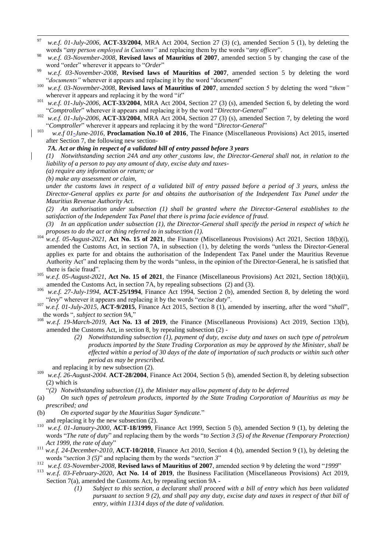- 97 <sup>97</sup> *w.e.f. 01-July-2006*, **ACT-33/2004**, MRA Act 2004, Section 27 (3) (c), amended Section 5 (1), by deleting the words "*any person employed in Customs*" and replacing them by the words "*any officer*".
- <sup>98</sup> *w.e.f. 03-November-2008*, **Revised laws of Mauritius of 2007**, amended section 5 by changing the case of the word "order" wherever it appears to "Order"
- <sup>99</sup> *w.e.f. 03-November-2008*, **Revised laws of Mauritius of 2007**, amended section 5 by deleting the word "documents" wherever it appears and replacing it by the word "document"
- <sup>100</sup> *w.e.f.* 03-November-2008, **Revised laws of Mauritius of 2007**, amended section 5 by deleting the word "them" wherever it appears and replacing it by the word "*it*"
- <sup>101</sup> *w.e.f. 01-July-2006*, **ACT-33/2004**, MRA Act 2004, Section 27 (3) (s), amended Section 6, by deleting the word "Comptroller" wherever it appears and replacing it by the word "Director-General"
- <sup>102</sup> *w.e.f. 01-July-2006*, **ACT-33/2004**, MRA Act 2004, Section 27 (3) (s), amended Section 7, by deleting the word "Comptroller" wherever it appears and replacing it by the word "Director-General"
- 103 *w.e.f 01-June-2016*, **Proclamation No.10 of 2016**, The Finance (Miscellaneous Provisions) Act 2015, inserted after Section 7, the following new section-
	- *7A. Act or thing in respect of a validated bill of entry passed before 3 years*

*(1) Notwithstanding section 24A and any other customs law, the Director-General shall not, in relation to the liability of a person to pay any amount of duty, excise duty and taxes-*

*(a) require any information or return; or*

*(b) make any assessment or claim,*

*under the customs laws in respect of a validated bill of entry passed before a period of 3 years, unless the Director-General applies ex parte for and obtains the authorisation of the Independent Tax Panel under the Mauritius Revenue Authority Act.*

*(2) An authorisation under subsection (1) shall be granted where the Director-General establishes to the satisfaction of the Independent Tax Panel that there is prima facie evidence of fraud.*

*(3) In an application under subsection (1), the Director-General shall specify the period in respect of which he proposes to do the act or thing referred to in subsection (1).*

- $104$  *w.e.f.* 05-August-2021, Act No. 15 of 2021, the Finance (Miscellaneous Provisions) Act 2021, Section 18(b)(i), amended the Customs Act, in section 7A, in subsection (1), by deleting the words "unless the Director-General applies ex parte for and obtains the authorisation of the Independent Tax Panel under the Mauritius Revenue Authority Act" and replacing them by the words "unless, in the opinion of the Director-General, he is satisfied that there is facie fraud".
- <sup>105</sup> *w.e.f. 05-August-2021*, **Act No. 15 of 2021**, the Finance (Miscellaneous Provisions) Act 2021, Section 18(b)(ii), amended the Customs Act, in section 7A, by repealing subsections (2) and (3).
- <sup>106</sup> *w.e.f. 27-July-1994*, **ACT-25/1994**, Finance Act 1994, Section 2 (b), amended Section 8, by deleting the word ―*levy*‖ wherever it appears and replacing it by the words ―*excise duty*‖.
- <sup>107</sup> *w.e.f. 01-July-2015*, **ACT-9/2015**, Finance Act 2015, Section 8 (1), amended by inserting, after the word "shall", the words ", *subject to section 9A*,"
- w.e.f. 19-March-2019, Act No. 13 of 2019, the Finance (Miscellaneous Provisions) Act 2019, Section 13(b), amended the Customs Act, in section 8, by repealing subsection (2) -
	- *(2) Notwithstanding subsection (1), payment of duty, excise duty and taxes on such type of petroleum products imported by the State Trading Corporation as may be approved by the Minister, shall be effected within a period of 30 days of the date of importation of such products or within such other period as may be prescribed.*
- and replacing it by new subsection (2).
- <sup>109</sup> *w.e.f. 26-August-2004.* **ACT-28/2004**, Finance Act 2004, Section 5 (b), amended Section 8, by deleting subsection (2) which is
	- ―*(2) Notwithstanding subsection (1), the Minister may allow payment of duty to be deferred*
- (a) *On such types of petroleum products, imported by the State Trading Corporation of Mauritius as may be prescribed; and*
- (b) *On exported sugar by the Mauritius Sugar Syndicate.*‖
- and replacing it by the new subsection (2).
- <sup>110</sup> *w.e.f. 01-January-2000*, **ACT-18/1999**, Finance Act 1999, Section 5 (b), amended Section 9 (1), by deleting the words "*The rate of duty*" and replacing them by the words "to Section 3 (5) of the Revenue (Temporary Protection) Act 1999, the rate of duty"
- <sup>111</sup> *w.e.f. 24-December-2010,* **ACT-10/2010**, Finance Act 2010, Section 4 (b), amended Section 9 (1), by deleting the words "*section 3 (5)*" and replacing them by the words "*section 3*"
- <sup>112</sup> *w.e.f.* 03-November-2008, **Revised laws of Mauritius of 2007**, amended section 9 by deleting the word "1999"
- <sup>113</sup> *w.e.f. 03-February-2020*, **Act No. 14 of 2019**, the Business Facilitation (Miscellaneous Provisions) Act 2019, Section 7(a), amended the Customs Act, by repealing section 9A -
	- *(1) Subject to this section, a declarant shall proceed with a bill of entry which has been validated pursuant to section 9 (2), and shall pay any duty, excise duty and taxes in respect of that bill of entry, within 11314 days of the date of validation.*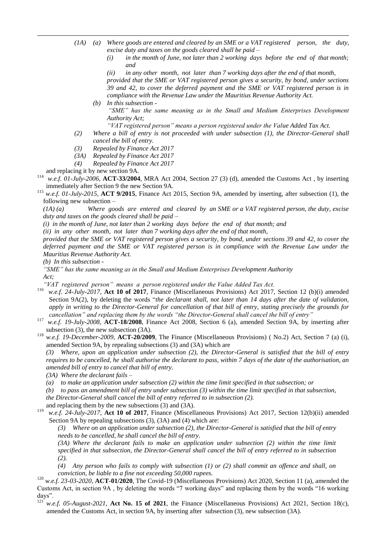- *(1A) (a) Where goods are entered and cleared by an SME or a VAT registered person, the duty, excise duty and taxes on the goods cleared shall be paid –*
	- *(i) in the month of June, not later than 2 working days before the end of that month; and*

*(ii) in any other month, not later than 7 working days after the end of that month, provided that the SME or VAT registered person gives a security, by bond, under sections 39 and 42, to cover the deferred payment and the SME or VAT registered person is in compliance with the Revenue Law under the Mauritius Revenue Authority Act.*

- *(b) In this subsection -* "SME" has the same meaning as in the Small and Medium Enterprises Development *Authority Act;* 
	- *"VAT registered person" means a person registered under the Value Added Tax Act.*
- *(2) Where a bill of entry is not proceeded with under subsection (1), the Director-General shall cancel the bill of entry.*
- *(3) Repealed by Finance Act 2017*
- *(3A) Repealed by Finance Act 2017*
- *(4) Repealed by Finance Act 2017*
- and replacing it by new section 9A.

1

<sup>114</sup> *w.e.f. 01-July-2006*, **ACT-33/2004**, MRA Act 2004, Section 27 (3) (d), amended the Customs Act , by inserting immediately after Section 9 the new Section 9A.

<sup>115</sup> *w.e.f. 01-July-2015*, **ACT 9/2015**, Finance Act 2015, Section 9A, amended by inserting, after subsection (1), the following new subsection –

*(1A) (a) Where goods are entered and cleared by an SME or a VAT registered person, the duty, excise duty and taxes on the goods cleared shall be paid –*

*(i) in the month of June, not later than 2 working days before the end of that month; and* 

*(ii) in any other month, not later than 7 working days after the end of that month,* 

*provided that the SME or VAT registered person gives a security, by bond, under sections 39 and 42, to cover the deferred payment and the SME or VAT registered person is in compliance with the Revenue Law under the Mauritius Revenue Authority Act.*

*(b) In this subsection -*

*"SME" has the same meaning as in the Small and Medium Enterprises Development Authority Act;* 

*"VAT registered person" means a person registered under the Value Added Tax Act.*

116 *w.e.f. 24-July-2017*, **Act 10 of 2017**, Finance (Miscellaneous Provisions) Act 2017, Section 12 (b)(i) amended Section 9A(2), by deleting the words "*the declarant shall, not later than 14 days after the date of validation*, *apply in writing to the Director-General for cancellation of that bill of entry, stating precisely the grounds for cancellation" and replacing them by the words "the Director-General shall cancel the bill of entry"*

- <sup>117</sup> *w.e.f. 19-July-2008*, **ACT-18/2008**, Finance Act 2008, Section 6 (a), amended Section 9A, by inserting after subsection (3), the new subsection (3A).
- <sup>118</sup> *w.e.f. 19-December-2009,* **ACT-20/2009**, The Finance (Miscellaneous Provisions) ( No.2) Act, Section 7 (a) (i), amended Section 9A, by repealing subsections (3) and (3A) which are

*(3) Where, upon an application under subsection (2), the Director-General is satisfied that the bill of entry requires to be cancelled, he shall authorise the declarant to pass, within 7 days of the date of the authorisation, an amended bill of entry to cancel that bill of entry.*

*(3A) Where the declarant fails –*

*(a) to make an application under subsection (2) within the time limit specified in that subsection; or*

*(b) to pass an amendment bill of entry under subsection (3) within the time limit specified in that subsection, the Director-General shall cancel the bill of entry referred to in subsection (2).*

and replacing them by the new subsections (3) and (3A).

119 *w.e.f. 24-July-2017*, **Act 10 of 2017**, Finance (Miscellaneous Provisions) Act 2017, Section 12(b)(ii) amended Section 9A by repealing subsections (3), (3A) and (4) which are:

*(3) Where on an application under subsection (2), the Director-General is satisfied that the bill of entry needs to be cancelled, he shall cancel the bill of entry.*

*(3A) Where the declarant fails to make an application under subsection (2) within the time limit specified in that subsection, the Director-General shall cancel the bill of entry referred to in subsection (2).*

*(4) Any person who fails to comply with subsection (1) or (2) shall commit an offence and shall, on conviction, be liable to a fine not exceeding 50,000 rupees.*

<sup>120</sup> *w.e.f. 23-03-2020,* **ACT-01/2020**, The Covid-19 (Miscellaneous Provisions) Act 2020, Section 11 (a), amended the Customs Act, in section 9A, by deleting the words "7 working days" and replacing them by the words "16 working days".

w.e.f. 05-August-2021, Act No. 15 of 2021, the Finance (Miscellaneous Provisions) Act 2021, Section 18(c), amended the Customs Act, in section 9A, by inserting after subsection (3), new subsection (3A).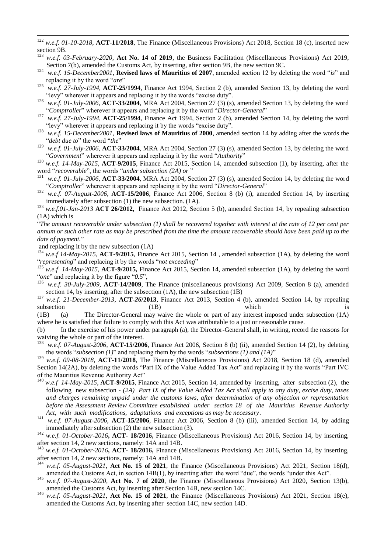<sup>125</sup> *w.e.f. 27-July-1994*, **ACT-25/1994**, Finance Act 1994, Section 2 (b), amended Section 13, by deleting the word "levy" wherever it appears and replacing it by the words "excise duty".

<sup>126</sup> *w.e.f. 01-July-2006*, **ACT-33/2004**, MRA Act 2004, Section 27 (3) (s), amended Section 13, by deleting the word "Comptroller" wherever it appears and replacing it by the word "Director-General"

<sup>127</sup> *w.e.f. 27-July-1994*, **ACT-25/1994**, Finance Act 1994, Section 2 (b), amended Section 14, by deleting the word "levy" wherever it appears and replacing it by the words "excise duty".

<sup>128</sup> *w.e.f. 15-December2001*, **Revised laws of Mauritius of 2000**, amended section 14 by adding after the words the "debt due to" the word "the"

<sup>129</sup> *w.e.f. 01-July-2006*, **ACT-33/2004**, MRA Act 2004, Section 27 (3) (s), amended Section 13, by deleting the word "Government" wherever it appears and replacing it by the word "Authority"

<sup>130</sup> *w.e.f. 14-May-2015,* **ACT-9/2015**, Finance Act 2015, Section 14, amended subsection (1), by inserting, after the word "*recoverable*", the words "*under subsection* (2A) or "

<sup>131</sup> *w.e.f. 01-July-2006*, **ACT-33/2004**, MRA Act 2004, Section 27 (3) (s), amended Section 14, by deleting the word "Comptroller" wherever it appears and replacing it by the word "Director-General"

<sup>132</sup> *w.e.f. 07-August-2006*, **ACT-15/2006**, Finance Act 2006, Section 8 (b) (i), amended Section 14, by inserting immediately after subsection (1) the new subsection. (1A).

<sup>133</sup> *w.e.f.01-Jan-2013* **ACT 26/2012**, Finance Act 2012, Section 5 (b), amended Section 14, by repealing subsection (1A) which is

―*The amount recoverable under subsection (1) shall be recovered together with interest at the rate of 12 per cent per annum or such other rate as may be prescribed from the time the amount recoverable should have been paid up to the*  date of payment."

and replacing it by the new subsection (1A)

<sup>134</sup> *w.e.f 14-May-2015*, **ACT-9/2015**, Finance Act 2015, Section 14, amended subsection (1A), by deleting the word "representing" and replacing it by the words "not exceeding"

<sup>135</sup> *w.e.f 14-May-2015*, **ACT-9/2015**, Finance Act 2015, Section 14, amended subsection (1A), by deleting the word "one" and replacing it by the figure "0.5",

<sup>136</sup> *w.e.f. 30-July-2009,* **ACT-14/2009**, The Finance (miscellaneous provisions) Act 2009, Section 8 (a), amended section 14, by inserting, after the subsection (1A), the new subsection (1B)

<sup>137</sup> *w.e.f. 21-December-2013*, **ACT-26/2013**, Finance Act 2013, Section 4 (b), amended Section 14, by repealing subsection (1B) which is

(1B) (a) The Director-General may waive the whole or part of any interest imposed under subsection (1A) where he is satisfied that failure to comply with this Act was attributable to a just or reasonable cause.

(b) In the exercise of his power under paragraph (a), the Director-General shall, in writing, record the reasons for waiving the whole or part of the interest.<br> $^{138}$  was f. 07.4 waves 2006. A CT 15/200

<sup>138</sup> *w.e.f. 07-August-2006*, **ACT-15/2006**, Finance Act 2006, Section 8 (b) (ii), amended Section 14 (2), by deleting the words "*subsection (1)*" and replacing them by the words "*subsections (1) and (1A)*"

<sup>139</sup> *w.e.f. 09-08-2018*, **ACT-11/2018**, The Finance (Miscellaneous Provisions) Act 2018, Section 18 (d), amended Section 14(2A), by deleting the words "Part IX of the Value Added Tax Act" and replacing it by the words "Part IVC of the Mauritius Revenue Authority Act"

- <sup>140</sup> *w.e.f 14-May-2015*, **ACT-9/2015**, Finance Act 2015, Section 14, amended by inserting, after subsection (2), the following new subsection - *(2A) Part IX of the Value Added Tax Act shall apply to any duty, excise duty, taxes and charges remaining unpaid under the customs laws, after determination of any objection or representation before the Assessment Review Committee established under section 18 of the Mauritius Revenue Authority Act, with such modifications, adaptations and exceptions as may be necessary*.
- <sup>141</sup> *w.e.f. 07-August-2006*, **ACT-15/2006**, Finance Act 2006, Section 8 (b) (iii), amended Section 14, by adding immediately after subsection (2) the new subsection (3).

<sup>142</sup> *w.e.f. 01-October-2016***, ACT- 18/2016,** Finance (Miscellaneous Provisions) Act 2016, Section 14, by inserting, after section 14, 2 new sections, namely: 14A and 14B.

<sup>143</sup> *w.e.f. 01-October-2016***, ACT- 18/2016,** Finance (Miscellaneous Provisions) Act 2016, Section 14, by inserting, after section 14, 2 new sections, namely: 14A and 14B.

<sup>144</sup> *w.e.f. 05-August-2021*, **Act No. 15 of 2021**, the Finance (Miscellaneous Provisions) Act 2021, Section 18(d), amended the Customs Act, in section  $14B(1)$ , by inserting after the word "due", the words "under this Act".

<sup>145</sup> *w.e.f. 07-August-2020*, **Act No. 7 of 2020**, the Finance (Miscellaneous Provisions) Act 2020, Section 13(b), amended the Customs Act, by inserting after Section 14B, new section 14C.

<sup>146</sup> *w.e.f. 05-August-2021*, **Act No. 15 of 2021**, the Finance (Miscellaneous Provisions) Act 2021, Section 18(e), amended the Customs Act, by inserting after section 14C, new section 14D.

<sup>122</sup> w.e.f. 01-10-2018, ACT-11/2018, The Finance (Miscellaneous Provisions) Act 2018, Section 18 (c), inserted new section 9B.

<sup>123</sup> *w.e.f. 03-February-2020*, **Act No. 14 of 2019**, the Business Facilitation (Miscellaneous Provisions) Act 2019, Section 7(b), amended the Customs Act, by inserting, after section 9B, the new section 9C.

 $\frac{124}{w.e.f.}$  15-December2001, **Revised laws of Mauritius of 2007**, amended section 12 by deleting the word "*is*" and replacing it by the word "*are*"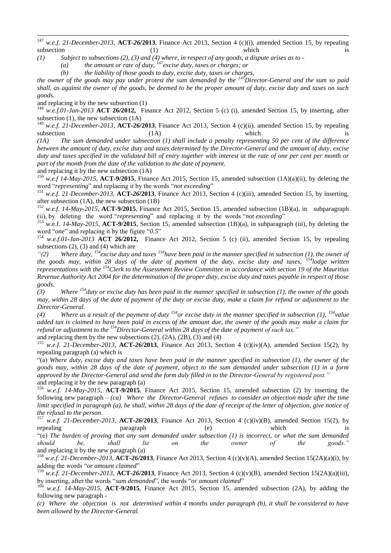147 <sup>147</sup> *w.e.f. 21-December-2013*, **ACT-***26***/2013**, Finance Act 2013, Section 4 (c)(i), amended Section 15, by repealing subsection (1) which is

*(1) Subject to subsections (2), (3) and (4) where, in respect of any goods, a dispute arises as to -*

*(a) the amount or rate of duty, <sup>147</sup>excise duty, taxes or charges; or*

*(b) the liability of those goods to duty, excise duty, taxes or charges,*

*the owner of the goods may pay under protest the sum demanded by the <sup>147</sup>Director-General and the sum so paid shall, as against the owner of the goods, be deemed to be the proper amount of duty, excise duty and taxes on such goods.*

and replacing it by the new subsection (1)

<sup>148</sup> *w.e.f.01-Jan-2013* **ACT 26/2012,** Finance Act 2012, Section 5 (c) (i), amended Section 15, by inserting, after subsection (1), the new subsection (1A)

<sup>149</sup> *w.e.f.* 21-December-2013, **ACT-26/2013**, Finance Act 2013, Section 4 (c)(ii), amended Section 15, by repealing subsection (1A) is subsection (1A) which is

*(1A) The sum demanded under subsection (1) shall include a penalty representing 50 per cent of the difference between the amount of duty, excise duty and taxes determined by the Director-General and the amount of duty, excise duty and taxes specified in the validated bill of entry together with interest at the rate of one per cent per month or part of the month from the date of the validation to the date of payment.*

and replacing it by the new subsection (1A)

<sup>150</sup> *w.e.f 14-May-2015*, **ACT-9/2015**, Finance Act 2015, Section 15, amended subsection (1A)(a)(ii), by deleting the word "representing" and replacing it by the words "not exceeding"

<sup>151</sup> *w.e.f. 21-December-2013*, **ACT-***26***/2013**, Finance Act 2013, Section 4 (c)(iii), amended Section 15, by inserting, after subsection (1A), the new subsection (1B)

<sup>152</sup> *w.e.f. 14-May-2015*, **ACT-9/2015**, Finance Act 2015, Section 15, amended subsection (1B)(a), in subparagraph (ii), by deleting the word "representing" and replacing it by the words "not exceeding"

<sup>153</sup> w.e.f. *14-May-2015*, **ACT-9/2015**, Section 15, amended subsection (1B)(a), in subparagraph (iii), by deleting the word "*one*" and replacing it by the figure "0.5"

<sup>154</sup> *w.e.f.01-Jan-2013* **ACT 26/2012,** Finance Act 2012, Section 5 (c) (ii), amended Section 15, by repealing subsections  $(2)$ ,  $(3)$  and  $(4)$  which are

*"(2) Where duty, <sup>154</sup>excise duty and taxes <sup>154</sup>have been paid in the manner specified in subsection (1), the owner of the goods may, within 28 days of the date of payment of the duty, excise duty and taxes, <sup>154</sup><i>lodge written representations with the <sup>154</sup>Clerk to the Assessment Review Committee in accordance with section 19 of the Mauritius Revenue Authority Act 2004 for the determination of the proper duty, excise duty and taxes payable in respect of those goods.*

*(3) Where <sup>154</sup>duty or excise duty has been paid in the manner specified in subsection (1), the owner of the goods may, within 28 days of the date of payment of the duty or excise duty, make a claim for refund or adjustment to the Director-General.*

*(4) Where as a result of the payment of duty <sup>154</sup> or excise duty in the manner specified in subsection (1), <sup>154</sup>value added tax is claimed to have been paid in excess of the amount due, the owner of the goods may make a claim for refund or adjustment to the <sup>154</sup>Director-General within 28 days of the date of payment of such tax."*

and replacing them by the new subsections  $(2)$ ,  $(2A)$ ,  $(2B)$ ,  $(3)$  and  $(4)$ 

<sup>155</sup> *w.e.f. 21-December-2013*, **ACT-***26***/2013**, Finance Act 2013, Section 4 (c)(iv)(A), amended Section 15(2), by repealing paragraph (a) which is

―(a) *Where duty, excise duty and taxes have been paid in the manner specified in subsection (1), the owner of the goods may, within 28 days of the date of payment, object to the sum demanded under subsection (1) in a form approved by the Director-General and send the form duly filled in to the Director-General by registered post."* and replacing it by the new paragraph (a)

<sup>156</sup> *w.e.f. 14-May-2015*, **ACT-9/2015**, Finance Act 2015, Section 15, amended subsection (2) by inserting the following new paragraph – *(ca) Where the Director-General refuses to consider an objection made after the time limit specified in paragraph (a), he shall, within 28 days of the date of receipt of the letter of objection, give notice of the refusal to the person.*

<sup>157</sup> *w.e.f. 21-December-2013*, **ACT-***26***/2013**, Finance Act 2013, Section 4 (c)(iv)(B), amended Section 15(2), by repealing paragraph (e) which is

―(e) *The burden of proving that any sum demanded under subsection (1) is incorrect, or what the sum demanded should be, shall lie on the owner of the goods."* and replacing it by the new paragraph (a)

<sup>158</sup> *w.e.f. 21-December-2013*, **ACT-***26***/2013**, Finance Act 2013, Section 4 (c)(v)(A), amended Section 15(2A)(a)(i), by adding the words "or amount claimed"

<sup>159</sup> *w.e.f. 21-December-2013*, **ACT-***26***/2013**, Finance Act 2013, Section 4 (c)(v)(B), amended Section 15(2A)(a)(iii), by inserting, after the words "sum demanded", the words "or amount claimed"

<sup>160</sup> *w.e.f.* 14-May-2015, **ACT-9/2015**, Finance Act 2015, Section 15, amended subsection (2A), by adding the following new paragraph -

*(c) Where the objection is not determined within 4 months under paragraph (b), it shall be considered to have been allowed by the Director-General.*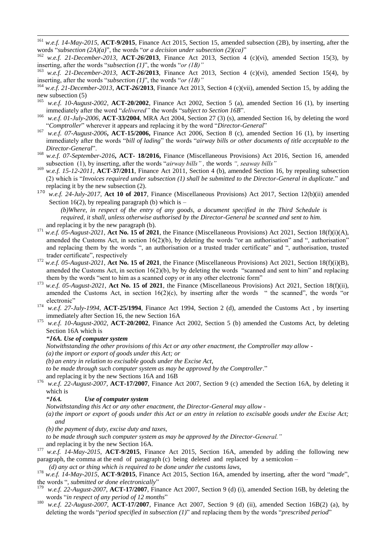- <sup>161</sup> *w.e.f. 14-May-2015*, **ACT-9/2015**, Finance Act 2015, Section 15, amended subsection (2B), by inserting, after the words "*subsection (2A)(a)*", the words "*or a decision under subsection (2)(ca)*"
- <sup>162</sup> *w.e.f. 21-December-2013*, **ACT-***26***/2013**, Finance Act 2013, Section 4 (c)(vi), amended Section 15(3), by inserting, after the words "*subsection (1)*", the words "*or (1B)*"
- <sup>163</sup> *w.e.f. 21-December-2013*, **ACT-***26***/2013**, Finance Act 2013, Section 4 (c)(vi), amended Section 15(4), by inserting, after the words "*subsection (1)*", the words "*or (1B)*"
- <sup>164</sup> *w.e.f. 21-December-2013*, **ACT-***26***/2013**, Finance Act 2013, Section 4 (c)(vii), amended Section 15, by adding the new subsection (5)
- <sup>165</sup> *w.e.f. 10-August-2002*, **ACT-20/2002**, Finance Act 2002, Section 5 (a), amended Section 16 (1), by inserting immediately after the word "delivered" the words "subject to Section 16B".
- <sup>166</sup> *w.e.f. 01-July-2006*, **ACT-33/2004**, MRA Act 2004, Section 27 (3) (s), amended Section 16, by deleting the word "Comptroller" wherever it appears and replacing it by the word "Director-General"
- <sup>167</sup> *w.e.f. 07-August-2006***, ACT-15/2006,** Finance Act 2006, Section 8 (c), amended Section 16 (1), by inserting immediately after the words "*bill of lading*" the words "airway bills or other documents of title acceptable to the *Director-General*‖.
- <sup>168</sup> *w.e.f. 07-September-2016***, ACT- 18/2016,** Finance (Miscellaneous Provisions) Act 2016, Section 16, amended subsection (1), by inserting, after the words "*airway bills*", the words "*, seaway bills*"
- <sup>169</sup> *w.e.f. 15-12-2011*, **ACT-37/2011**, Finance Act 2011, Section 4 (b), amended Section 16, by repealing subsection (2) which is "*Invoices required under subsection* (1) shall be submitted to the Director-General in duplicate." and replacing it by the new subsection (2).
- <sup>170</sup> *w.e.f. 24-July-2017,* **Act 10 of 2017***,* Finance (Miscellaneous Provisions) Act 2017, Section 12(b)(ii) amended Section 16(2), by repealing paragraph (b) which is  $-$

*(b)Where, in respect of the entry of any goods, a document specified in the Third Schedule is required, it shall, unless otherwise authorised by the Director-General be scanned and sent to him.* and replacing it by the new paragraph (b).

- <sup>171</sup> *w.e.f.* 05-August-2021, **Act No. 15 of 2021**, the Finance (Miscellaneous Provisions) Act 2021, Section 18(f)(i)(A), amended the Customs Act, in section  $16(2)(b)$ , by deleting the words "or an authorisation" and ", authorisation" and replacing them by the words ", an authorisation or a trusted trader certificate" and ", authorisation, trusted trader certificate", respectively
- <sup>172</sup> *w.e.f. 05-August-2021*, **Act No. 15 of 2021**, the Finance (Miscellaneous Provisions) Act 2021, Section 18(f)(i)(B), amended the Customs Act, in section  $16(2)(b)$ , by by deleting the words "scanned and sent to him" and replacing them by the words "sent to him as a scanned copy or in any other electronic form"
- w.e.f. 05-August-2021, **Act No. 15 of 2021**, the Finance (Miscellaneous Provisions) Act 2021, Section 18(f)(ii), amended the Customs Act, in section  $16(2)(c)$ , by inserting after the words " the scanned", the words "or electronic"
- <sup>174</sup> *w.e.f. 27-July-1994,* **ACT-25/1994**, Finance Act 1994, Section 2 (d), amended the Customs Act , by inserting immediately after Section 16, the new Section 16A
- <sup>175</sup> *w.e.f. 10-August-2002*, **ACT-20/2002**, Finance Act 2002, Section 5 (b) amended the Customs Act, by deleting Section 16A which is

#### *"16A. Use of computer system*

1

*Notwithstanding the other provisions of this Act or any other enactment, the Comptroller may allow -*

*(a) the import or export of goods under this Act; or* 

*(b) an entry in relation to excisable goods under the Excise Act,*

*to be made through such computer system as may be approved by the Comptroller.*"

- and replacing it by the new Sections 16A and 16B
- <sup>176</sup> *w.e.f. 22-August-2007*, **ACT-17/2007**, Finance Act 2007, Section 9 (c) amended the Section 16A, by deleting it which is

#### *"16A. Use of computer system*

*Notwithstanding this Act or any other enactment, the Director-General may allow -*

- *(a) the import or export of goods under this Act or an entry in relation to excisable goods under the Excise Act; and*
- *(b) the payment of duty, excise duty and taxes,*

*to be made through such computer system as may be approved by the Director-General."*

and replacing it by the new Section 16A.

<sup>177</sup> *w.e.f. 14-May-2015*, **ACT-9/2015**, Finance Act 2015, Section 16A, amended by adding the following new paragraph, the comma at the end of paragraph (c) being deleted and replaced by a semicolon –

*(d) any act or thing which is required to be done under the customs laws,*

<sup>178</sup> *w.e.f.* 14-May-2015, **ACT-9/2015**, Finance Act 2015, Section 16A, amended by inserting, after the word "made", the words ", *submitted or done electronically*"

- w.e.f. 22-August-2007, **ACT-17/2007**, Finance Act 2007, Section 9 (d) (i), amended Section 16B, by deleting the words "in respect of any period of 12 months"
- <sup>180</sup> *w.e.f. 22-August-2007*, **ACT-17/2007**, Finance Act 2007, Section 9 (d) (ii), amended Section 16B(2) (a), by deleting the words "*period specified in subsection (1)*" and replacing them by the words "*prescribed period*"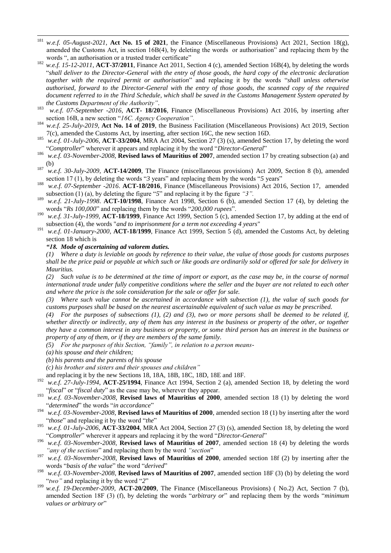- $181\,$ <sup>181</sup> *w.e.f. 05-August-2021*, **Act No. 15 of 2021**, the Finance (Miscellaneous Provisions) Act 2021, Section 18(g), amended the Customs Act, in section  $16B(4)$ , by deleting the words or authorisation" and replacing them by the words ", an authorisation or a trusted trader certificate"
- <sup>182</sup> *w.e.f.* 15-12-2011, **ACT-37/2011**, Finance Act 2011, Section 4 (c), amended Section 16B(4), by deleting the words ―*shall deliver to the Director-General with the entry of those goods, the hard copy of the electronic declaration together with the required permit or authorisation*‖ and replacing it by the words ―*shall unless otherwise authorised, forward to the Director-General with the entry of those goods, the scanned copy of the required document referred to in the Third Schedule, which shall be saved in the Customs Management System operated by the Customs Department of the Authority"*.
- 183 *w.e.f. 07-September -2016*, **ACT- 18/2016**, Finance (Miscellaneous Provisions) Act 2016, by inserting after section 16B, a new section "16C. Agency Cooperation".
- <sup>184</sup> *w.e.f. 25-July-2019*, **Act No. 14 of 2019**, the Business Facilitation (Miscellaneous Provisions) Act 2019, Section 7(c), amended the Customs Act, by inserting, after section 16C, the new section 16D.
- <sup>185</sup> *w.e.f. 01-July-2006*, **ACT-33/2004**, MRA Act 2004, Section 27 (3) (s), amended Section 17, by deleting the word ―*Comptroller*‖ wherever it appears and replacing it by the word ―*Director-General*‖
- <sup>186</sup> *w.e.f. 03-November-2008*, **Revised laws of Mauritius of 2007**, amended section 17 by creating subsection (a) and (b)
- <sup>187</sup> *w.e.f. 30-July-2009,* **ACT-14/2009**, The Finance (miscellaneous provisions) Act 2009, Section 8 (b), amended section 17 (1), by deleting the words "3 years" and replacing them by the words "5 years"
- 188 *w.e.f. 07-September -2016*. **ACT-18/2016**, Finance (Miscellaneous Provisions) Act 2016, Section 17, amended subsection (1) (a), by deleting the figure "5" and replacing it by the figure "3".
- <sup>189</sup> *w.e.f. 21-July-1998*. **ACT-10/1998**, Finance Act 1998, Section 6 (b), amended Section 17 (4), by deleting the words "Rs 100,000" and replacing them by the words "200,000 rupees".
- 190 *w.e.f. 31-July-1999,* **ACT-18/1999**, Finance Act 1999, Section 5 (c), amended Section 17, by adding at the end of subsection (4), the words "*and to imprisonment for a term not exceeding 4 years*"
- <sup>191</sup> *w.e.f. 01-January-2000*, **ACT-18/1999**, Finance Act 1999, Section 5 (d), amended the Customs Act, by deleting section 18 which is

#### *"18. Mode of ascertaining ad valorem duties.*

*(1) Where a duty is leviable on goods by reference to their value, the value of those goods for customs purposes shall be the price paid or payable at which such or like goods are ordinarily sold or offered for sale for delivery in Mauritius.*

*(2) Such value is to be determined at the time of import or export, as the case may be, in the course of normal international trade under fully competitive conditions where the seller and the buyer are not related to each other and where the price is the sole consideration for the sale or offer for sale.*

*(3) Where such value cannot be ascertained in accordance with subsection (1), the value of such goods for customs purposes shall be based on the nearest ascertainable equivalent of such value as may be prescribed.*

*(4) For the purposes of subsections (1), (2) and (3), two or more persons shall be deemed to be related if, whether directly or indirectly, any of them has any interest in the business or property of the other, or together they have a common interest in any business or property, or some third person has an interest in the business or property of any of them, or if they are members of the same family.*

*(5) For the purposes of this Section, "family", in relation to a person means-*

*(a) his spouse and their children;*

- *(b) his parents and the parents of his spouse*
- *(c) his brother and sisters and their spouses and children"*

and replacing it by the new Sections 18, 18A, 18B, 18C, 18D, 18E and 18F.

- <sup>192</sup> *w.e.f. 27-July-1994*, **ACT-25/1994**, Finance Act 1994, Section 2 (a), amended Section 18, by deleting the word "fiscal" or "fiscal duty" as the case may be, wherever they appear.
- <sup>193</sup> *w.e.f. 03-November-2008*, **Revised laws of Mauritius of 2000**, amended section 18 (1) by deleting the word "determined" the words "in accordance"
- <sup>194</sup> *w.e.f. 03-November-2008*, **Revised laws of Mauritius of 2000**, amended section 18 (1) by inserting after the word "those" and replacing it by the word "the"
- <sup>195</sup> *w.e.f. 01-July-2006*, **ACT-33/2004**, MRA Act 2004, Section 27 (3) (s), amended Section 18, by deleting the word "Comptroller" wherever it appears and replacing it by the word "Director-General"
- <sup>196</sup> *w.e.f. 03-November-2008*, **Revised laws of Mauritius of 2007**, amended section 18 (4) by deleting the words "*any of the sections*" and replacing them by the word "*section*"
- <sup>197</sup> *w.e.f. 03-November-2008*, **Revised laws of Mauritius of 2000**, amended section 18f (2) by inserting after the words "*basis of the value*" the word "*derived*"
- <sup>198</sup> *w.e.f. 03-November-2008*, **Revised laws of Mauritius of 2007**, amended section 18F (3) (b) by deleting the word "*two*" and replacing it by the word "2"
- <sup>199</sup> *w.e.f. 19-December-2009,* **ACT-20/2009**, The Finance (Miscellaneous Provisions) ( No.2) Act, Section 7 (b), amended Section 18F (3) (f), by deleting the words "*arbitrary or*" and replacing them by the words "*minimum values or arbitrary or*"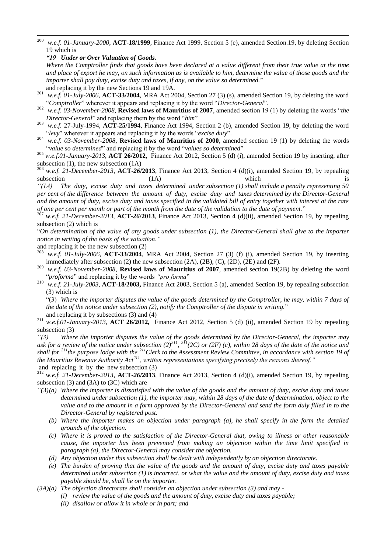200 <sup>200</sup> *w.e.f. 01-January-2000*, **ACT-18/1999**, Finance Act 1999, Section 5 (e), amended Section.19, by deleting Section 19 which is

*"19 Under or Over Valuation of Goods.*

*Where the Comptroller finds that goods have been declared at a value different from their true value at the time and place of export he may, on such information as is available to him, determine the value of those goods and the importer shall pay duty, excise duty and taxes, if any, on the value so determined.*" and replacing it by the new Sections 19 and 19A.

- <sup>201</sup> *w.e.f. 01-July-2006*, **ACT-33/2004**, MRA Act 2004, Section 27 (3) (s), amended Section 19, by deleting the word ―*Comptroller*‖ wherever it appears and replacing it by the word ―*Director-General*‖.
- <sup>202</sup> *w.e.f.* 03-November-2008, **Revised laws of Mauritius of 2007**, amended section 19 (1) by deleting the words "the *Director-General*" and replacing them by the word "him"
- <sup>203</sup> *w.e.f.* 27-July-1994, **ACT-25/1994**, Finance Act 1994, Section 2 (b), amended Section 19, by deleting the word ―*levy*‖ wherever it appears and replacing it by the words ―*excise duty*‖.
- <sup>204</sup> *w.e.f. 03-November-2008*, **Revised laws of Mauritius of 2000**, amended section 19 (1) by deleting the words "value so determined" and replacing it by the word "values so determined"

<sup>205</sup> *w.e.f.01-January-2013*, **ACT 26/2012,** Finance Act 2012, Section 5 (d) (i), amended Section 19 by inserting, after subsection (1), the new subsection (1A)

<sup>206</sup> *w.e.f. 21-December-2013*, **ACT-***26***/2013**, Finance Act 2013, Section 4 (d)(i), amended Section 19, by repealing subsection (1A) which is

*"(1A) The duty, excise duty and taxes determined under subsection (1) shall include a penalty representing 50 per cent of the difference between the amount of duty, excise duty and taxes determined by the Director-General and the amount of duty, excise duty and taxes specified in the validated bill of entry together with interest at the rate of one per cent per month or part of the month from the date of the validation to the date of payment.*‖

<sup>207</sup> *w.e.f. 21-December-2013*, **ACT-***26***/2013**, Finance Act 2013, Section 4 (d)(ii), amended Section 19, by repealing subsection (2) which is

―*On determination of the value of any goods under subsection (1), the Director-General shall give to the importer notice in writing of the basis of the valuation."*

and replacing it be the new subsection (2)

- <sup>208</sup> *w.e.f. 01-July-2006,* **ACT-33/2004***,* MRA Act 2004, Section 27 (3) (f) (i), amended Section 19, by inserting immediately after subsection (2) the new subsection (2A), (2B), (C), (2D), (2E) and (2F).
- <sup>209</sup> *w.e.f. 03-November-2008*, **Revised laws of Mauritius of 2007**, amended section 19(2B) by deleting the word *Proforma*" and replacing it by the words *"proforma*"  $\frac{210}{100}$  w.e.f. 21 July 2003, ACT 18/2003. Finance Act 2003
- <sup>210</sup> *w.e.f. 21-July-2003*, **ACT-18/2003,** Finance Act 2003, Section 5 (a), amended Section 19, by repealing subsection (3) which is

―(3) *Where the importer disputes the value of the goods determined by the Comptroller, he may, within 7 days of the date of the notice under subsection (2), notify the Comptroller of the dispute in writing.*‖

and replacing it by subsections (3) and (4)

*"(3) Where the importer disputes the value of the goods determined by the Director-General, the importer may*  ask for a review of the notice under subsection  $(2)^{211}$ ,  $^{211}(2C)$  or  $(2F)$  (c), within 28 days of the date of the notice and *shall for <sup>211</sup>the purpose lodge with the <sup>211</sup>Clerk to the Assessment Review Committee, in accordance with section 19 of the Mauritius Revenue Authority Act<sup>211</sup>, written representations specifying precisely the reasons thereof."* and replacing it by the new subsection (3)

<sup>212</sup> *w.e.f. 21-December-2013*, **ACT-***26***/2013**, Finance Act 2013, Section 4 (d)(i), amended Section 19, by repealing subsection (3) and (3A) to (3C) which are

- *"(3)(a) Where the importer is dissatisfied with the value of the goods and the amount of duty, excise duty and taxes determined under subsection (1), the importer may, within 28 days of the date of determination, object to the value and to the amount in a form approved by the Director-General and send the form duly filled in to the Director-General by registered post.* 
	- *(b) Where the importer makes an objection under paragraph (a), he shall specify in the form the detailed grounds of the objection.*
	- *(c) Where it is proved to the satisfaction of the Director-General that, owing to illness or other reasonable cause, the importer has been prevented from making an objection within the time limit specified in paragraph (a), the Director-General may consider the objection.*
	- *(d) Any objection under this subsection shall be dealt with independently by an objection directorate.*
	- *(e) The burden of proving that the value of the goods and the amount of duty, excise duty and taxes payable determined under subsection (1) is incorrect, or what the value and the amount of duty, excise duty and taxes payable should be, shall lie on the importer.*
- *(3A)(a) The objection directorate shall consider an objection under subsection (3) and may -*
	- *(i) review the value of the goods and the amount of duty, excise duty and taxes payable;*
	- *(ii) disallow or allow it in whole or in part; and*

<sup>211</sup> *w.e.f.01-January-2013*, **ACT 26/2012,** Finance Act 2012, Section 5 (d) (ii), amended Section 19 by repealing subsection (3)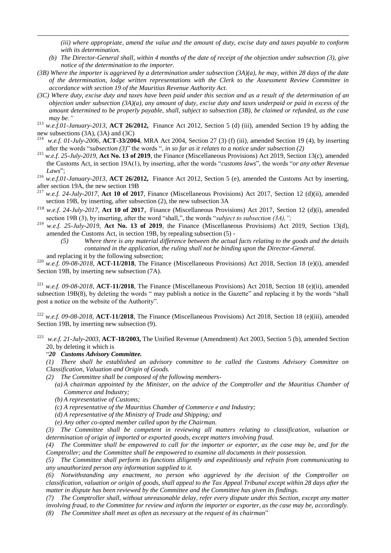*(iii) where appropriate, amend the value and the amount of duty, excise duty and taxes payable to conform with its determination.* 

- *(b) The Director-General shall, within 4 months of the date of receipt of the objection under subsection (3), give notice of the determination to the importer.*
- *(3B) Where the importer is aggrieved by a determination under subsection (3A)(a), he may, within 28 days of the date of the determination, lodge written representations with the Clerk to the Assessment Review Committee in accordance with section 19 of the Mauritius Revenue Authority Act.*
- *(3C) Where duty, excise duty and taxes have been paid under this section and as a result of the determination of an objection under subsection (3A)(a), any amount of duty, excise duty and taxes underpaid or paid in excess of the amount determined to be properly payable, shall, subject to subsection (3B), be claimed or refunded, as the case may be."*
- <sup>213</sup> *w.e.f.01-January-2013*, **ACT 26/2012,** Finance Act 2012, Section 5 (d) (iii), amended Section 19 by adding the new subsections (3A), (3A) and (3C)
- <sup>214</sup> *w.e.f. 01-July-2006*, **ACT-33/2004**, MRA Act 2004, Section 27 (3) (f) (iii), amended Section 19 (4), by inserting after the words "*subsection* (3)" the words ", *in so far as it relates to a notice under subsection* (2)
- <sup>215</sup> *w.e.f. 25-July-2019*, **Act No. 13 of 2019**, the Finance (Miscellaneous Provisions) Act 2019, Section 13(c), amended the Customs Act, in section 19A(1), by inserting, after the words "*customs laws*", the words "*or any other Revenue* Laws";
- <sup>216</sup> *w.e.f.01-January-2013*, **ACT 26/2012,** Finance Act 2012, Section 5 (e), amended the Customs Act by inserting, after section 19A, the new section 19B
- <sup>217</sup> *w.e.f. 24-July-2017*, **Act 10 of 2017**, Finance (Miscellaneous Provisions) Act 2017, Section 12 (d)(ii), amended section 19B, by inserting, after subsection (2), the new subsection 3A
- <sup>218</sup> *w.e.f. 24-July-2017*, **Act 10 of 2017**, Finance (Miscellaneous Provisions) Act 2017, Section 12 (d)(i), amended section 19B (3), by inserting, after the word "shall,", the words "subject to subsection (3A),";
- <sup>219</sup> *w.e.f. 25-July-2019*, **Act No. 13 of 2019**, the Finance (Miscellaneous Provisions) Act 2019, Section 13(d), amended the Customs Act, in section 19B, by repealing subsection (5) -
	- *(5) Where there is any material difference between the actual facts relating to the goods and the details contained in the application, the ruling shall not be binding upon the Director-General.*  and replacing it by the following subsection;

<sup>220</sup> *w.e.f. 09-08-2018*, **ACT-11/2018**, The Finance (Miscellaneous Provisions) Act 2018, Section 18 (e)(i), amended Section 19B, by inserting new subsection (7A).

 $221$  *w.e.f.* 09-08-2018, **ACT-11/2018**, The Finance (Miscellaneous Provisions) Act 2018, Section 18 (e)(ii), amended subsection 19B(8), by deleting the words " may publish a notice in the Gazette" and replacing it by the words "shall post a notice on the website of the Authority".

<sup>222</sup> *w.e.f. 09-08-2018*, **ACT-11/2018**, The Finance (Miscellaneous Provisions) Act 2018, Section 18 (e)(iii), amended Section 19B, by inserting new subsection (9).

<sup>223</sup> *w.e.f. 21-July-2003*, **ACT-18/2003,** The Unified Revenue (Amendment) Act 2003, Section 5 (b), amended Section 20, by deleting it which is

#### ―*20 Customs Advisory Committee.*

1

- *(1) There shall be established an advisory committee to be called the Customs Advisory Committee on Classification, Valuation and Origin of Goods.*
- *(2) The Committee shall be composed of the following members-*
	- *(a) A chairman appointed by the Minister, on the advice of the Comptroller and the Mauritius Chamber of Commerce and Industry;*
		- *(b) A representative of Customs;*
	- *(c) A representative of the Mauritius Chamber of Commerce e and Industry;*
	- *(d) A representative of the Ministry of Trade and Shipping; and*
	- *(e) Any other co-opted member called upon by the Chairman.*
- *(3) The Committee shall be competent in reviewing all matters relating to classification, valuation or determination of origin of imported or exported goods, except matters involving fraud.*

*(4) The Committee shall be empowered to call for the importer or exporter, as the case may be, and for the Comptroller; and the Committee shall be empowered to examine all documents in their possession.*

*(5) The Committee shall perform its functions diligently and expeditiously and refrain from communicating to any unauthorized person any information supplied to it.*

*(6) Notwithstanding any enactment, no person who aggrieved by the decision of the Comptroller on classification, valuation or origin of goods, shall appeal to the Tax Appeal Tribunal except within 28 days after the matter in dispute has been reviewed by the Committee and the Committee has given its findings.*

*(7) The Comptroller shall, without unreasonable delay, refer every dispute under this Section, except any matter involving fraud, to the Committee for review and inform the importer or exporter, as the case may be, accordingly. (8) The Committee shall meet as often as necessary at the request of its chairman*‖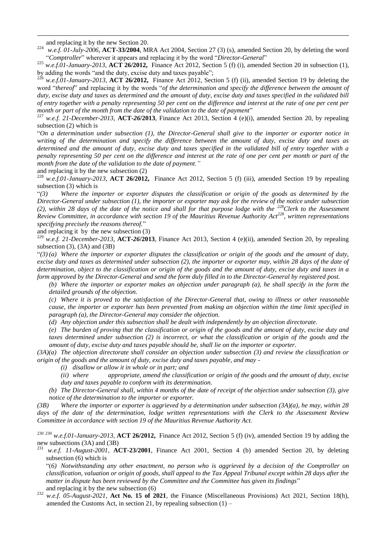and replacing it by the new Section 20.

1

<sup>224</sup> *w.e.f. 01-July-2006*, **ACT-33/2004**, MRA Act 2004, Section 27 (3) (s), amended Section 20, by deleting the word "Comptroller" wherever it appears and replacing it by the word "Director-General"

<sup>225</sup> *w.e.f.01-January-2013*, **ACT 26/2012,** Finance Act 2012, Section 5 (f) (i), amended Section 20 in subsection (1), by adding the words "and the duty, excise duty and taxes payable";

<sup>226</sup> *w.e.f.01-January-2013*, **ACT 26/2012**, Finance Act 2012, Section 5 (f) (ii), amended Section 19 by deleting the word "thereof" and replacing it by the words "of the determination and specify the difference between the amount of *duty, excise duty and taxes as determined and the amount of duty, excise duty and taxes specified in the validated bill of entry together with a penalty representing 50 per cent on the difference and interest at the rate of one per cent per month or part of the month from the date of the validation to the date of payment*"

<sup>227</sup> *w.e.f. 21-December-2013*, **ACT-***26***/2013**, Finance Act 2013, Section 4 (e)(i), amended Section 20, by repealing subsection (2) which is

―*On a determination under subsection (1), the Director-General shall give to the importer or exporter notice in writing of the determination and specify the difference between the amount of duty, excise duty and taxes as determined and the amount of duty, excise duty and taxes specified in the validated bill of entry together with a penalty representing 50 per cent on the difference and interest at the rate of one per cent per month or part of the month from the date of the validation to the date of payment."*

and replacing it by the new subsection (2)

<sup>228</sup> *w.e.f.01-January-2013*, **ACT 26/2012,** Finance Act 2012, Section 5 (f) (iii), amended Section 19 by repealing subsection (3) which is

―*(3) Where the importer or exporter disputes the classification or origin of the goods as determined by the Director-General under subsection (1), the importer or exporter may ask for the review of the notice under subsection (2), within 28 days of the date of the notice and shall for that purpose lodge with the <sup>228</sup>Clerk to the Assessment Review Committee, in accordance with section 19 of the Mauritius Revenue Authority Act<sup>228</sup>, written representations specifying precisely the reasons thereof.*‖

and replacing it by the new subsection (3)

<sup>229</sup> *w.e.f. 21-December-2013*, **ACT-***26***/2013**, Finance Act 2013, Section 4 (e)(ii), amended Section 20, by repealing subsection  $(3)$ ,  $(3A)$  and  $(3B)$ 

 $\lq(3)$  *(a)* Where the importer or exporter disputes the classification or origin of the goods and the amount of duty, *excise duty and taxes as determined under subsection (2), the importer or exporter may, within 28 days of the date of determination, object to the classification or origin of the goods and the amount of duty, excise duty and taxes in a form approved by the Director-General and send the form duly filled in to the Director-General by registered post.* 

*(b) Where the importer or exporter makes an objection under paragraph (a), he shall specify in the form the detailed grounds of the objection.* 

*(c) Where it is proved to the satisfaction of the Director-General that, owing to illness or other reasonable cause, the importer or exporter has been prevented from making an objection within the time limit specified in paragraph (a), the Director-General may consider the objection.* 

*(d) Any objection under this subsection shall be dealt with independently by an objection directorate.*

*(e) The burden of proving that the classification or origin of the goods and the amount of duty, excise duty and taxes determined under subsection (2) is incorrect, or what the classification or origin of the goods and the amount of duty, excise duty and taxes payable should be, shall lie on the importer or exporter.* 

*(3A)(a) The objection directorate shall consider an objection under subsection (3) and review the classification or origin of the goods and the amount of duty, excise duty and taxes payable, and may -*

- *(i) disallow or allow it in whole or in part; and*
- *(ii) where appropriate, amend the classification or origin of the goods and the amount of duty, excise duty and taxes payable to conform with its determination.*

*(b) The Director-General shall, within 4 months of the date of receipt of the objection under subsection (3), give notice of the determination to the importer or exporter.* 

*(3B) Where the importer or exporter is aggrieved by a determination under subsection (3A)(a), he may, within 28 days of the date of the determination, lodge written representations with the Clerk to the Assessment Review Committee in accordance with section 19 of the Mauritius Revenue Authority Act.* 

<sup>230</sup> <sup>230</sup> *w.e.f.01-January-2013*, **ACT 26/2012,** Finance Act 2012, Section 5 (f) (iv), amended Section 19 by adding the new subsections (3A) and (3B)

<sup>231</sup> *w.e.f. 11-August-2001*, **ACT-23/2001**, Finance Act 2001, Section 4 (b) amended Section 20, by deleting subsection (6) which is

―(*6) Notwithstanding any other enactment, no person who is aggrieved by a decision of the Comptroller on classification, valuation or origin of goods, shall appeal to the Tax Appeal Tribunal except within 28 days after the matter in dispute has been reviewed by the Committee and the Committee has given its findings*‖ and replacing it by the new subsection (6)

<sup>232</sup> *w.e.f. 05-August-2021*, **Act No. 15 of 2021**, the Finance (Miscellaneous Provisions) Act 2021, Section 18(h), amended the Customs Act, in section 21, by repealing subsection  $(1)$  –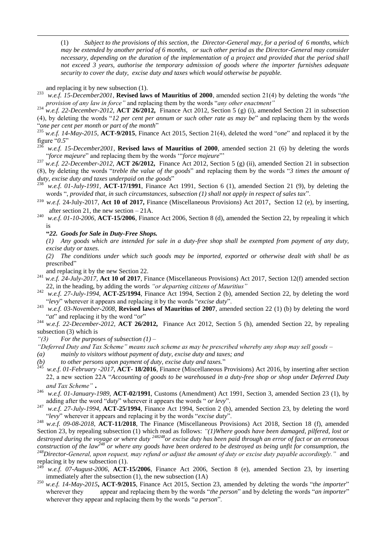(1) *Subject to the provisions of this section, the Director-General may, for a period of 6 months, which may be extended by another period of 6 months, or such other period as the Director-General may consider necessary, depending on the duration of the implementation of a project and provided that the period shall not exceed 3 years, authorise the temporary admission of goods where the importer furnishes adequate security to cover the duty, excise duty and taxes which would otherwise be payable.*

and replacing it by new subsection (1).

1

 $233$  *w.e.f. 15-December2001*, **Revised laws of Mauritius of 2000**, amended section 21(4) by deleting the words "*the provision of any law in force*" and replacing them by the words "*any other enactment*"

<sup>234</sup> *w.e.f. 22-December-2012,* **ACT 26/2012,** Finance Act 2012, Section 5 (g) (i), amended Section 21 in subsection (4), by deleting the words "12 per cent per annum or such other rate as may be" and replacing them by the words "one per cent per month or part of the month"

<sup>235</sup> w.e.f. 14-May-2015,  $\angle$ ACT-9/2015, Finance Act 2015, Section 21(4), deleted the word "*one*" and replaced it by the figure  $^{4}$ 0.5<sup>"</sup>

w.e.f. 15-December2001, **Revised laws of Mauritius of 2000**, amended section 21 (6) by deleting the words "*force majeure*" and replacing them by the words "*force majeure*"

<sup>237</sup> *w.e.f. 22-December-2012,* **ACT 26/2012,** Finance Act 2012, Section 5 (g) (ii), amended Section 21 in subsection (8), by deleting the words ―*treble the value of the goods*‖ and replacing them by the words ―*3 times the amount of duty, excise duty and taxes underpaid on the goods*"

<sup>238</sup> *w.e.f. 01-July-1991,* **ACT-17/1991**, Finance Act 1991, Section 6 (1), amended Section 21 (9), by deleting the words ", *provided that, in such circumstances, subsection (1) shall not apply in respect of sales tax*".

<sup>239</sup> *w.e.f.* 24-July-2017, **Act 10 of 2017,** Finance (Miscellaneous Provisions) Act 2017, Section 12 (e), by inserting, after section 21, the new section – 21A.

<sup>240</sup> *w.e.f. 01-10-2006*, **ACT-15/2006**, Finance Act 2006, Section 8 (d), amended the Section 22, by repealing it which is

**"***22. Goods for Sale in Duty-Free Shops.*

*(1) Any goods which are intended for sale in a duty-free shop shall be exempted from payment of any duty, excise duty or taxes.*

*(2) The conditions under which such goods may be imported, exported or otherwise dealt with shall be as*  prescribed"

and replacing it by the new Section 22.

- <sup>241</sup> *w.e.f. 24-July-2017,* **Act 10 of 2017**, Finance (Miscellaneous Provisions) Act 2017, Section 12(f) amended section 22, in the heading, by adding the words *"or departing citizens of Mauritius"*
- <sup>242</sup> *w.e.f. 27-July-1994*, **ACT-25/1994**, Finance Act 1994, Section 2 (b), amended Section 22, by deleting the word "levy" wherever it appears and replacing it by the words "excise duty".
- <sup>243</sup> *w.e.f. 03-November-2008*, **Revised laws of Mauritius of 2007**, amended section 22 (1) (b) by deleting the word "*at*" and replacing it by the word "*or*"
- <sup>244</sup> *w.e.f. 22-December-2012,* **ACT 26/2012,** Finance Act 2012, Section 5 (h), amended Section 22, by repealing subsection (3) which is
- *"(3) For the purposes of subsection (1) –*

*"Deferred Duty and Tax Scheme" means such scheme as may be prescribed whereby any shop may sell goods –*

- *(a) mainly to visitors without payment of duty, excise duty and taxes; and*
- *(b)* to other persons upon payment of duty, excise duty and taxes."<br><sup>245</sup> and  $6.01$  February, 2017, ACT, 19/2016, Einange (Missellengene I
- <sup>245</sup> *w.e.f. 01-February -2017*, **ACT- 18/2016**, Finance (Miscellaneous Provisions) Act 2016, by inserting after section 22, a new section 22A "Accounting of goods to be warehoused in a duty-free shop or shop under Deferred Duty *and Tax Scheme"* **.**
- <sup>246</sup> *w.e.f. 01-January-1989,* **ACT-02/1991**, Customs (Amendment) Act 1991, Section 3, amended Section 23 (1), by adding after the word "*duty*" wherever it appears the words " *or levy*".
- <sup>247</sup> *w.e.f.* 27-July-1994, **ACT-25/1994**, Finance Act 1994, Section 2 (b), amended Section 23, by deleting the word ―*levy*‖ wherever it appears and replacing it by the words ―*excise duty*‖.

<sup>248</sup> *w.e.f. 09-08-2018*, **ACT-11/2018**, The Finance (Miscellaneous Provisions) Act 2018, Section 18 (f), amended Section 23, by repealing subsection (1) which read as follows: *"(1)Where goods have been damaged, pilfered, lost or destroyed during the voyage or where duty <sup>248248</sup>or excise duty has been paid through an error of fact or an erroneous construction of the law<sup>248</sup> or where any goods have been ordered to be destroyed as being unfit for consumption, the <sup>248</sup>Director-General, upon request, may refund or adjust the amount of duty or excise duty payable accordingly."* and replacing it by new subsection (1).

- <sup>249</sup> *w.e.f. 07-August-2006*, **ACT-15/2006**, Finance Act 2006, Section 8 (e), amended Section 23, by inserting immediately after the subsection (1), the new subsection (1A)
- $^{250}$  *w.e.f. 14-May-2015***, ACT-9/2015**, Finance Act 2015, Section 23, amended by deleting the words "the importer" wherever they appear and replacing them by the words "*the person*" and by deleting the words "*an importer*" wherever they appear and replacing them by the words "*a person*".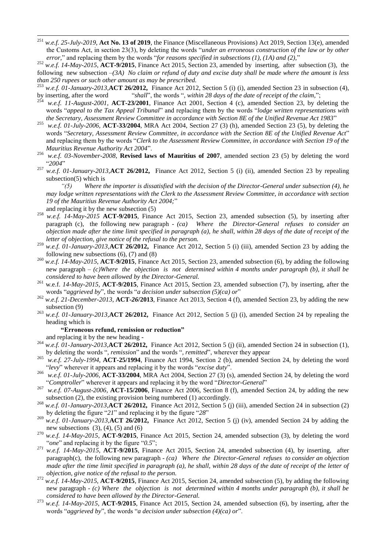<sup>251</sup> *w.e.f. 25-July-2019*, **Act No. 13 of 2019**, the Finance (Miscellaneous Provisions) Act 2019, Section 13(e), amended the Customs Act, in section 23(3), by deleting the words "*under an erroneous construction of the law or by other error*," and replacing them by the words "*for reasons specified in subsections (1), (1A) and (2)*,"

<sup>252</sup> *w.e.f.* 14-May-2015, **ACT-9/2015**, Finance Act 2015, Section 23, amended by inserting, after subsection (3), the following new subsection *–(3A) No claim or refund of duty and excise duty shall be made where the amount is less than 250 rupees or such other amount as may be prescribed.*

- <sup>253</sup> *w.e.f. 01-January-2013,***ACT 26/2012,** Finance Act 2012, Section 5 (i) (i), amended Section 23 in subsection (4), by inserting, after the word <sup>"shall"</sup>, the words ", within 28 days of the date of receipt of the claim,";
- w.e.f. 11-August-2001, **ACT-23/2001**, Finance Act 2001, Section 4 (c), amended Section 23, by deleting the words "appeal to the Tax Appeal Tribunal" and replacing them by the words "lodge written representations with *the Secretary, Assessment Review Committee in accordance with Section 8E of the Unified Revenue Act 1983*‖
- <sup>255</sup> *w.e.f. 01-July-2006*, **ACT-33/2004**, MRA Act 2004, Section 27 (3) (h), amended Section 23 (5), by deleting the words "Secretary, Assessment Review Committee, in accordance with the Section 8E of the Unified Revenue Act" and replacing them by the words "Clerk to the Assessment Review Committee, in accordance with Section 19 of the *Mauritius Revenue Authority Act 2004".*
- <sup>256</sup> *w.e.f. 03-November-2008*, **Revised laws of Mauritius of 2007**, amended section 23 (5) by deleting the word ―*2004*‖
- <sup>257</sup> *w.e.f. 01-January-2013,***ACT 26/2012,** Finance Act 2012, Section 5 (i) (ii), amended Section 23 by repealing subsection(5) which is

*"(5) Where the importer is dissatisfied with the decision of the Director-General under subsection (4), he may lodge written representations with the Clerk to the Assessment Review Committee, in accordance with section 19 of the Mauritius Revenue Authority Act 2004;*‖

and replacing it by the new subsection (5)

1

- <sup>258</sup> *w.e.f.* 14-May-2015 **ACT-9/2015**, Finance Act 2015, Section 23, amended subsection (5), by inserting after paragraph (c), the following new paragraph - *(ca) Where the Director-General refuses to consider an objection made after the time limit specified in paragraph (a), he shall, within 28 days of the date of receipt of the letter of objection, give notice of the refusal to the person.*
- <sup>259</sup> *w.e.f. 01-January-2013,***ACT 26/2012,** Finance Act 2012, Section 5 (i) (iii), amended Section 23 by adding the following new subsections  $(6)$ ,  $(7)$  and  $(8)$
- <sup>260</sup> *w.e.f. 14-May-2015*, **ACT-9/2015**, Finance Act 2015, Section 23, amended subsection (6), by adding the following new paragraph – *(c)Where the objection is not determined within 4 months under paragraph (b), it shall be considered to have been allowed by the Director-General.*
- <sup>261</sup> w.e.f. *14-May-2015*, **ACT-9/2015**, Finance Act 2015, Section 23, amended subsection (7), by inserting, after the words "aggrieved by", the words "a decision under subsection (5)(ca) or"
- <sup>262</sup> *w.e.f. 21-December-2013*, **ACT-***26***/2013**, Finance Act 2013, Section 4 (f), amended Section 23, by adding the new subsection (9)
- <sup>263</sup> *w.e.f. 01-January-2013,***ACT 26/2012,** Finance Act 2012, Section 5 (j) (i), amended Section 24 by repealing the heading which is

#### **"Erroneous refund, remission or reduction"**

and replacing it by the new heading -

- <sup>264</sup> *w.e.f. 01-January-2013,***ACT 26/2012,** Finance Act 2012, Section 5 (j) (ii), amended Section 24 in subsection (1), by deleting the words ", *remission*" and the words ", *remitted*", wherever they appear
- <sup>265</sup> *w.e.f. 27-July-1994*, **ACT-25/1994**, Finance Act 1994, Section 2 (b), amended Section 24, by deleting the word "levy" wherever it appears and replacing it by the words "excise duty".
- <sup>266</sup> *w.e.f. 01-July-2006*, **ACT-33/2004**, MRA Act 2004, Section 27 (3) (s), amended Section 24, by deleting the word "Comptroller" wherever it appears and replacing it by the word "Director-General"
- <sup>267</sup> *w.e.f. 07-August-2006*, **ACT-15/2006**, Finance Act 2006, Section 8 (f), amended Section 24, by adding the new subsection (2), the existing provision being numbered (1) accordingly.
- <sup>268</sup> *w.e.f. 01-January-2013,***ACT 26/2012,** Finance Act 2012, Section 5 (j) (iii), amended Section 24 in subsection (2) by deleting the figure "21" and replacing it by the figure "28"
- <sup>269</sup> *w.e.f. 01-January-2013,***ACT 26/2012,** Finance Act 2012, Section 5 (j) (iv), amended Section 24 by adding the new subsections  $(3)$ ,  $(4)$ ,  $(5)$  and  $(6)$
- <sup>270</sup> *w.e.f. 14-May-2015*, **ACT-9/2015**, Finance Act 2015, Section 24, amended subsection (3), by deleting the word "one" and replacing it by the figure "0.5";
- *<sup>271</sup> w.e.f. 14-May-2015*, **ACT-9/2015**, Finance Act 2015, Section 24, amended subsection (4), by inserting, after paragraph(c), the following new paragraph - *(ca) Where the Director-General refuses to consider an objection made after the time limit specified in paragraph (a), he shall, within 28 days of the date of receipt of the letter of objection, give notice of the refusal to the person.*
- <sup>272</sup> *w.e.f. 14-May-2015*,  $\angle$ ACT-9/2015, Finance Act 2015, Section 24, amended subsection (5), by adding the following new paragraph - *(c) Where the objection is not determined within 4 months under paragraph (b), it shall be considered to have been allowed by the Director-General.*
- <sup>273</sup> *w.e.f. 14-May-2015*, **ACT-9/2015**, Finance Act 2015, Section 24, amended subsection (6), by inserting, after the words "aggrieved by", the words "a decision under subsection (4)(ca) or".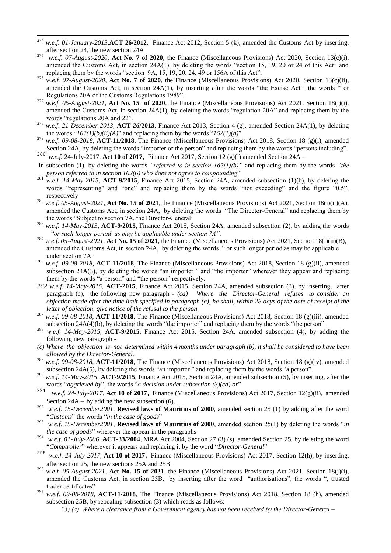- 274 w.e.f. 01-January-2013, **ACT 26/2012**, Finance Act 2012, Section 5 (k), amended the Customs Act by inserting, after section 24, the new section 24A
- 275 *w.e.f. 07-August-2020*, **Act No. 7 of 2020**, the Finance (Miscellaneous Provisions) Act 2020, Section 13(c)(i), amended the Customs Act, in section  $24A(1)$ , by deleting the words "section 15, 19, 20 or 24 of this Act" and replacing them by the words "section  $9A$ , 15, 19, 20, 24, 49 or 156A of this Act".
- <sup>276</sup> *w.e.f. 07-August-2020*, **Act No. 7 of 2020**, the Finance (Miscellaneous Provisions) Act 2020, Section 13(c)(ii), amended the Customs Act, in section 24A(1), by inserting after the words "the Excise Act", the words " or Regulations 20A of the Customs Regulations 1989".
- <sup>277</sup> *w.e.f.* 05-August-2021, Act No. 15 of 2020, the Finance (Miscellaneous Provisions) Act 2021, Section 18(i)(i), amended the Customs Act, in section  $24A(1)$ , by deleting the words "regulation  $20A$ " and replacing them by the words "regulations 20A and 22".
- <sup>278</sup> *w.e.f. 21-December-2013*, **ACT-***26***/2013**, Finance Act 2013, Section 4 (g), amended Section 24A(1), by deleting the words " $162(1)(b)(ii)(A)$ " and replacing them by the words " $162(1)(b)$ "
- <sup>279</sup> *w.e.f. 09-08-2018*, **ACT-11/2018**, The Finance (Miscellaneous Provisions) Act 2018, Section 18 (g)(i), amended Section 24A, by deleting the words "importer or the person" and replacing them by the words "persons including". <sup>280</sup> *w.e.f.* 24-July-2017, **Act 10 of 2017**, Finance Act 2017, Section 12 (g)(i) amended Section 24A *–*
- in subsection (1), by deleting the words *"referred to in section 162(1)(b)"* and replacing them by the words *"the person referred to in section 162(6) who does not agree to compounding"*
- <sup>281</sup> *w.e.f.* 14-May-2015, **ACT-9/2015**, Finance Act 2015, Section 24A, amended subsection (1)(b), by deleting the words "representing" and "one" and replacing them by the words "not exceeding" and the figure "0.5", respectively
- <sup>282</sup> *w.e.f.* 05-August-2021, Act No. 15 of 2021, the Finance (Miscellaneous Provisions) Act 2021, Section 18(i)(ii)(A), amended the Customs Act, in section 24A, by deleting the words "The Director-General" and replacing them by the words "Subject to section 7A, the Director-General"
- <sup>283</sup> *w.e.f. 14-May-2015*, **ACT-9/2015**, Finance Act 2015, Section 24A, amended subsection (2), by adding the words ―*or such longer period as may be applicable under section 7A".*
- <sup>284</sup> *w.e.f. 05-August-2021*, **Act No. 15 of 2021**, the Finance (Miscellaneous Provisions) Act 2021, Section 18(i)(ii)(B), amended the Customs Act, in section 24A, by deleting the words "or such longer period as may be applicable under section 7A"
- <sup>285</sup> *w.e.f. 09-08-2018*, **ACT-11/2018**, The Finance (Miscellaneous Provisions) Act 2018, Section 18 (g)(ii), amended subsection  $24A(3)$ , by deleting the words "an importer" and "the importer" wherever they appear and replacing them by the words "a person" and "the person" respectively.
- *262 w.e.f. 14-May-2015*, **ACT-2015**, Finance Act 2015, Section 24A, amended subsection (3), by inserting, after paragraph (c), the following new paragraph - *(ca) Where the Director-General refuses to consider an objection made after the time limit specified in paragraph (a), he shall, within 28 days of the date of receipt of the letter of objection, give notice of the refusal to the person.*
- <sup>287</sup> *w.e.f. 09-08-2018*, **ACT-11/2018**, The Finance (Miscellaneous Provisions) Act 2018, Section 18 (g)(iii), amended subsection  $24A(4)(b)$ , by deleting the words "the importer" and replacing them by the words "the person".
- <sup>288</sup> *w.e.f. 14-May-2015*, **ACT-9/2015**, Finance Act 2015, Section 24A, amended subsection (4), by adding the following new paragraph -
- *(c) Where the objection is not determined within 4 months under paragraph (b), it shall be considered to have been allowed by the Director-General.*
- <sup>289</sup> *w.e.f. 09-08-2018*, **ACT-11/2018**, The Finance (Miscellaneous Provisions) Act 2018, Section 18 (g)(iv), amended subsection 24A(5), by deleting the words "an importer " and replacing them by the words "a person".
- <sup>290</sup> *w.e.f. 14-May-2015*, **ACT-9/2015**, Finance Act 2015, Section 24A, amended subsection (5), by inserting, after the words "aggrieved by", the words "a decision under subsection (3)(ca) or"
- 291 *w.e.f. 24-July-2017*, **Act 10 of 2017**, Finance (Miscellaneous Provisions) Act 2017, Section 12(g)(ii), amended Section  $24A - by adding the new subsection (6).$
- <sup>292</sup> *w.e.f. 15-December2001*, **Revised laws of Mauritius of 2000**, amended section 25 (1) by adding after the word ―*Customs*‖ the words ―*in the case of goods*‖
- <sup>293</sup> *w.e.f. 15-December2001*, **Revised laws of Mauritius of 2000**, amended section 25(1) by deleting the words "*in the case of goods*" wherever the appear in the paragraphs
- <sup>294</sup> *w.e.f. 01-July-2006*, **ACT-33/2004**, MRA Act 2004, Section 27 (3) (s), amended Section 25, by deleting the word "Comptroller" wherever it appears and replacing it by the word "Director-General"
- <sup>295</sup> *w.e.f. 24-July-2017*, **Act 10 of 2017**, Finance (Miscellaneous Provisions) Act 2017, Section 12(h), by inserting, after section 25, the new sections 25A and 25B.
- <sup>296</sup> *w.e.f.* 05-August-2021, Act No. 15 of 2021, the Finance (Miscellaneous Provisions) Act 2021, Section 18(j)(i), amended the Customs Act, in section 25B, by inserting after the word "authorisations", the words ", trusted trader certificates"
- <sup>297</sup> *w.e.f. 09-08-2018*, **ACT-11/2018**, The Finance (Miscellaneous Provisions) Act 2018, Section 18 (h), amended subsection 25B, by repealing subsection (3) which reads as follows:
	- *"3) (a) Where a clearance from a Government agency has not been received by the Director-General –*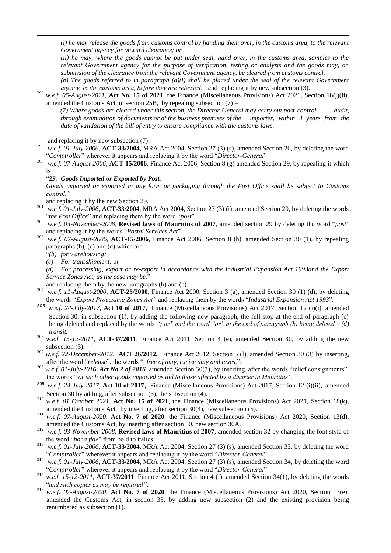*(i) he may release the goods from customs control by handing them over, in the customs area, to the relevant Government agency for onward clearance; or* 

*(ii) he may, where the goods cannot be put under seal, hand over, in the customs area, samples to the relevant Government agency for the purpose of verification, testing or analysis and the goods may, on submission of the clearance from the relevant Government agency, be cleared from customs control.* 

*(b) The goods referred to in paragraph (a)(i) shall be placed under the seal of the relevant Government agency, in the customs area, before they are released. "a*nd replacing it by new subsection (3).

<sup>298</sup> *w.e.f. 05-August-2021*, **Act No. 15 of 2021**, the Finance (Miscellaneous Provisions) Act 2021, Section 18(j)(ii), amended the Customs Act, in section  $25B$ , by repealing subsection  $(7)$  –

*(7) Where goods are cleared under this section, the Director-General may carry out post-control audit, through examination of documents or at the business premises of the importer, within 3 years from the date of validation of the bill of entry to ensure compliance with the customs laws.*

and replacing it by new subsection (7).

1

- <sup>299</sup> *w.e.f. 01-July-2006*, **ACT-33/2004**, MRA Act 2004, Section 27 (3) (s), amended Section 26, by deleting the word "Comptroller" wherever it appears and replacing it by the word "Director-General"
- <sup>300</sup> *w.e.f. 07-August-2006*, **ACT-15/2006**, Finance Act 2006, Section 8 (g) amended Section 29, by repealing it which is

#### ―*29. Goods Imported or Exported by Post.*

*Goods imported or exported in any form or packaging through the Post Office shall be subject to Customs control."*

and replacing it by the new Section 29.

- <sup>301</sup> *w.e.f. 01-July-2006*, **ACT-33/2004**, MRA Act 2004, Section 27 (3) (i), amended Section 29, by deleting the words "the Post Office" and replacing them by the word "post".
- <sup>302</sup> *w.e.f. 03-November-2008*, **Revised laws of Mauritius of 2007**, amended section 29 by deleting the word "*post*" and replacing it by the words "Postal Services Act"
- <sup>303</sup> *w.e.f. 07-August-2006*, **ACT-15/2006**, Finance Act 2006, Section 8 (h), amended Section 30 (1), by repealing paragraphs (b), (c) and (d) which are
	- ―*(b) for warehousing;*
	- *(c) For transshipment; or*
	- *(d) For processing, export or re-export in accordance with the Industrial Expansion Act 1993and the Export*  Service Zones Act, as the case may be."

and replacing them by the new paragraphs (b) and (c).

- <sup>304</sup> *w.e.f. 11-August-2000*, **ACT-25/2000**, Finance Act 2000, Section 3 (a), amended Section 30 (1) (d), by deleting the words "Export Processing Zones Act" and replacing them by the words "Industrial Expansion Act 1993".
- <sup>305</sup> *w.e.f. 24-July-2017*, **Act 10 of 2017**, Finance (Miscellaneous Provisions) Act 2017, Section 12 (i)(i), amended Section 30, in subsection (1), by adding the following new paragraph, the full stop at the end of paragraph (c) being deleted and replaced by the words *"; or" and the word "or" at the end of paragraph (b) being deleted – (d) transit.*
- $306$  *w.e.f.* 15-12-2011, **ACT-37/2011**, Finance Act 2011, Section 4 (e), amended Section 30, by adding the new subsection (3).
- <sup>307</sup> *w.e.f. 22-December-2012,* **ACT 26/2012,** Finance Act 2012, Section 5 (l), amended Section 30 (3) by inserting, after the word "release", the words ", free of duty, excise duty and taxes,";
- $308$  *w.e.f. 01-July-2016, Act No.2 of 2016* amended Section 30(3), by inserting, after the words "relief consignments", the words ― *or such other goods imported as aid to those affected by a disaster in Mauritius".*
- <sup>309</sup> *w.e.f. 24-July-2017*, **Act 10 of 2017**, Finance (Miscellaneous Provisions) Act 2017, Section 12 (i)(ii), amended Section 30 by adding, after subsection (3), the subsection (4).
- <sup>310</sup> *w.e.f. 01 October 2021*, **Act No. 15 of 2021**, the Finance (Miscellaneous Provisions) Act 2021, Section 18(k), amended the Customs Act, by inserting, after section 30(4), new subsection (5).
- <sup>311</sup> *w.e.f. 07-August-2020*, **Act No. 7 of 2020**, the Finance (Miscellaneous Provisions) Act 2020, Section 13(d), amended the Customs Act, by inserting after section 30, new section 30A.
- <sup>312</sup> *w.e.f. 03-November-2008*, **Revised laws of Mauritius of 2007**, amended section 32 by changing the font style of the word "bona fide" from bold to italics
- <sup>313</sup> *w.e.f. 01-July-2006*, **ACT-33/2004**, MRA Act 2004, Section 27 (3) (s), amended Section 33, by deleting the word "Comptroller" wherever it appears and replacing it by the word "Director-General"
- <sup>314</sup> *w.e.f. 01-July-2006*, **ACT-33/2004**, MRA Act 2004, Section 27 (3) (s), amended Section 34, by deleting the word "Comptroller" wherever it appears and replacing it by the word "Director-General"
- <sup>315</sup> *w.e.f. 15-12-2011*, **ACT-37/2011**, Finance Act 2011, Section 4 (f), amended Section 34(1), by deleting the words "and such copies as may be required".
- <sup>316</sup> *w.e.f. 07-August-2020*, **Act No. 7 of 2020**, the Finance (Miscellaneous Provisions) Act 2020, Section 13(e), amended the Customs Act, in section 35, by adding new subsection (2) and the existing provision being renumbered as subsection (1).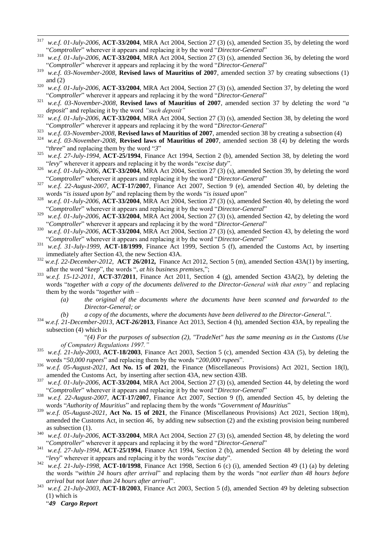- 317 <sup>317</sup> *w.e.f. 01-July-2006*, **ACT-33/2004**, MRA Act 2004, Section 27 (3) (s), amended Section 35, by deleting the word "Comptroller" wherever it appears and replacing it by the word "Director-General"
- <sup>318</sup> *w.e.f. 01-July-2006*, **ACT-33/2004**, MRA Act 2004, Section 27 (3) (s), amended Section 36, by deleting the word "Comptroller" wherever it appears and replacing it by the word "Director-General"
- <sup>319</sup> *w.e.f. 03-November-2008*, **Revised laws of Mauritius of 2007**, amended section 37 by creating subsections (1) and  $(2)$
- <sup>320</sup> *w.e.f. 01-July-2006*, **ACT-33/2004**, MRA Act 2004, Section 27 (3) (s), amended Section 37, by deleting the word ―*Comptroller*‖ wherever it appears and replacing it by the word ―*Director-General*‖
- $321$  *w.e.f.* 03-November-2008, **Revised laws of Mauritius of 2007**, amended section 37 by deleting the word "*a deposit*" and replacing it by the word "such deposit"
- <sup>322</sup> *w.e.f. 01-July-2006*, **ACT-33/2004**, MRA Act 2004, Section 27 (3) (s), amended Section 38, by deleting the word "Comptroller" wherever it appears and replacing it by the word "Director-General"
- <sup>323</sup> *w.e.f. 03-November-2008*, **Revised laws of Mauritius of 2007**, amended section 38 by creating a subsection (4)
- w.e.f. 03-November-2008, **Revised laws of Mauritius of 2007**, amended section 38 (4) by deleting the words "*three*" and replacing them by the word "3"
- <sup>325</sup> *w.e.f. 27-July-1994*, **ACT-25/1994**, Finance Act 1994, Section 2 (b), amended Section 38, by deleting the word ―*levy*‖ wherever it appears and replacing it by the words ―*excise duty*‖.
- <sup>326</sup> *w.e.f. 01-July-2006*, **ACT-33/2004**, MRA Act 2004, Section 27 (3) (s), amended Section 39, by deleting the word ―*Comptroller*‖ wherever it appears and replacing it by the word ―*Director-General*‖
- <sup>327</sup> *w.e.f. 22-August-2007,* **ACT-17/2007**, Finance Act 2007, Section 9 (e), amended Section 40, by deleting the words "is issued upon by" and replacing them by the words "is issued upon"
- <sup>328</sup> *w.e.f. 01-July-2006*, **ACT-33/2004**, MRA Act 2004, Section 27 (3) (s), amended Section 40, by deleting the word "Comptroller" wherever it appears and replacing it by the word "Director-General"
- <sup>329</sup> *w.e.f. 01-July-2006*, **ACT-33/2004**, MRA Act 2004, Section 27 (3) (s), amended Section 42, by deleting the word "Comptroller" wherever it appears and replacing it by the word "Director-General"
- <sup>330</sup> *w.e.f. 01-July-2006*, **ACT-33/2004**, MRA Act 2004, Section 27 (3) (s), amended Section 43, by deleting the word ―*Comptroller*‖ wherever it appears and replacing it by the word ―*Director-General*‖
- <sup>331</sup> *w.e.f. 31-July-1999,* **ACT-18/1999**, Finance Act 1999, Section 5 (f), amended the Customs Act, by inserting immediately after Section 43, the new Section 43A.
- <sup>332</sup> *w.e.f. 22-December-2012,* **ACT 26/2012,** Finance Act 2012, Section 5 (m), amended Section 43A(1) by inserting, after the word "keep", the words ", at his business premises,";
- <sup>333</sup> *w.e.f.* 15-12-2011, **ACT-37/2011**, Finance Act 2011, Section 4 (g), amended Section 43A(2), by deleting the words "together with a copy of the documents delivered to the Director-*General with that entry*" and replacing them by the words ―*together with –*
	- *(a) the original of the documents where the documents have been scanned and forwarded to the Director-General; or*
	- *(b) a copy of the documents, where the documents have been delivered to the Director-General.*".
- <sup>334</sup> *w.e.f. 21-December-2013*, **ACT-***26***/2013**, Finance Act 2013, Section 4 (h), amended Section 43A, by repealing the subsection (4) which is

―*(4) For the purposes of subsection (2), "TradeNet" has the same meaning as in the Customs (Use of Computer) Regulations 1997."*

- <sup>335</sup> *w.e.f. 21-July-2003*, **ACT-18/2003**, Finance Act 2003, Section 5 (c), amended Section 43A (5), by deleting the words "50,000 rupees" and replacing them by the words "200,000 rupees".
- <sup>336</sup> *w.e.f. 05-August-2021*, **Act No. 15 of 2021**, the Finance (Miscellaneous Provisions) Act 2021, Section 18(l), amended the Customs Act, by inserting after section 43A, new section 43B.
- <sup>337</sup> *w.e.f. 01-July-2006*, **ACT-33/2004**, MRA Act 2004, Section 27 (3) (s), amended Section 44, by deleting the word "Comptroller" wherever it appears and replacing it by the word "Director-General"
- <sup>338</sup> *w.e.f. 22-August-2007,* **ACT-17/2007**, Finance Act 2007, Section 9 (f), amended Section 45, by deleting the words "Authority of Mauritius" and replacing them by the words "Government of Mauritius"
- <sup>339</sup> *w.e.f. 05-August-2021*, **Act No. 15 of 2021**, the Finance (Miscellaneous Provisions) Act 2021, Section 18(m), amended the Customs Act, in section 46, by adding new subsection (2) and the existing provision being numbered as subsection (1).
- <sup>340</sup> *w.e.f. 01-July-2006*, **ACT-33/2004**, MRA Act 2004, Section 27 (3) (s), amended Section 48, by deleting the word "Comptroller" wherever it appears and replacing it by the word "Director-General"
- <sup>341</sup> *w.e.f. 27-July-1994*, **ACT-25/1994**, Finance Act 1994, Section 2 (b), amended Section 48 by deleting the word ―*levy*‖ wherever it appears and replacing it by the words ―*excise duty*‖.
- <sup>342</sup> *w.e.f. 21-July-1998,* **ACT-10/1998**, Finance Act 1998, Section 6 (c) (i), amended Section 49 (1) (a) by deleting the words "*within 24 hours after arrival*" and replacing them by the words "*not earlier than 48 hours before arrival but not later than 24 hours after arrival*".
- <sup>343</sup> *w.e.f. 21-July-2003*, **ACT-18/2003**, Finance Act 2003, Section 5 (d), amended Section 49 by deleting subsection (1) which is

―*49 Cargo Report*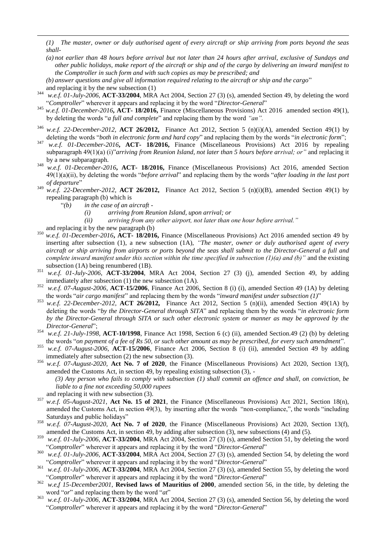*(1) The master, owner or duly authorised agent of every aircraft or ship arriving from ports beyond the seas shall-*

- *(a) not earlier than 48 hours before arrival but not later than 24 hours after arrival, exclusive of Sundays and other public holidays, make report of the aircraft or ship and of the cargo by delivering an inward manifest to the Comptroller in such form and with such copies as may be prescribed; and*
- (b) answer questions and give all information required relating to the aircraft or ship and the cargo" and replacing it by the new subsection (1)
- <sup>344</sup> *w.e.f. 01-July-2006*, **ACT-33/2004**, MRA Act 2004, Section 27 (3) (s), amended Section 49, by deleting the word ―*Comptroller*‖ wherever it appears and replacing it by the word ―*Director-General*‖
- <sup>345</sup> *w.e.f. 01-December-2016***, ACT- 18/2016,** Finance (Miscellaneous Provisions) Act 2016 amended section 49(1), by deleting the words "*a full and complete*" and replacing them by the word "*an*".
- w.e.f. 22-December-2012, **ACT 26/2012,** Finance Act 2012, Section 5 (n)(i)(A), amended Section 49(1) by deleting the words "both in electronic form and hard copy" and replacing them by the words "in electronic form";
- <sup>347</sup> *w.e.f. 01-December-2016***, ACT- 18/2016,** Finance (Miscellaneous Provisions) Act 2016 by repealing subparagraph 49(1)(a) (i)"*arriving from Reunion Island, not later than 5 hours before arrival; or*" and replacing it by a new subparagraph.
- <sup>348</sup> *w.e.f. 01-December-2016***, ACT- 18/2016,** Finance (Miscellaneous Provisions) Act 2016, amended Section  $49(1)(a)(ii)$ , by deleting the words "*before arrival*" and replacing them by the words "*after loading in the last port of departure*‖
- <sup>349</sup> *w.e.f. 22-December-2012,* **ACT 26/2012,** Finance Act 2012, Section 5 (n)(i)(B), amended Section 49(1) by repealing paragraph (b) which is
	- ―*(b) in the case of an aircraft -*
		- *(i) arriving from Reunion Island, upon arrival; or*
		- *(ii) arriving from any other airport, not later than one hour before arrival."*
	- and replacing it by the new paragraph (b)

1

- <sup>350</sup> *w.e.f. 01-December-2016***, ACT- 18/2016,** Finance (Miscellaneous Provisions) Act 2016 amended section 49 by inserting after subsection (1), a new subsection (1A), *"The master, owner or duly authorised agent of every aircraft or ship arriving from airports or ports beyond the seas shall submit to the Director-General a full and complete inward manifest under this section within the time specified in subsection (1)(a) and (b)"* and the existing subsection (1A) being renumbered (1B).
- <sup>351</sup> *w.e.f. 01-July-2006*, **ACT-33/2004**, MRA Act 2004, Section 27 (3) (j), amended Section 49, by adding immediately after subsection (1) the new subsection (1A).
- <sup>352</sup> *w.e.f. 07-August-2006*, **ACT-15/2006**, Finance Act 2006, Section 8 (i) (i), amended Section 49 (1A) by deleting the words "*air cargo manifest*" and replacing them by the words "*inward manifest under subsection* (1)"
- <sup>353</sup> *w.e.f. 22-December-2012,* **ACT 26/2012,** Finance Act 2012, Section 5 (n)(ii), amended Section 49(1A) by deleting the words "by the Director-General through SITA" and replacing them by the words "in electronic form *by the Director-General through SITA or such other electronic system or manner as may be approved by the Director-General*‖;
- <sup>354</sup> *w.e.f. 21-July-1998*, **ACT-10/1998**, Finance Act 1998, Section 6 (c) (ii), amended Section.49 (2) (b) by deleting the words "on payment of a fee of Rs 50, or such other amount as may be prescribed, for every such amendment".
- <sup>355</sup> *w.e.f. 07-August-2006*, **ACT-15/2006**, Finance Act 2006, Section 8 (i) (ii), amended Section 49 by adding immediately after subsection (2) the new subsection (3).
- <sup>356</sup> *w.e.f. 07-August-2020*, **Act No. 7 of 2020**, the Finance (Miscellaneous Provisions) Act 2020, Section 13(f), amended the Customs Act, in section 49, by repealing existing subsection (3), -
	- *(3) Any person who fails to comply with subsection (1) shall commit an offence and shall, on conviction, be liable to a fine not exceeding 50,000 rupees*
	- and replacing it with new subsection (3).
- <sup>357</sup> *w.e.f. 05-August-2021*, **Act No. 15 of 2021**, the Finance (Miscellaneous Provisions) Act 2021, Section 18(n), amended the Customs Act, in section  $49(3)$ , by inserting after the words "non-compliance,", the words "including Saturdays and public holidays"
- w.e.f. 07-August-2020, Act No. 7 of 2020, the Finance (Miscellaneous Provisions) Act 2020, Section 13(f), amended the Customs Act, in section 49, by adding after subsection (3), new subsections (4) and (5).
- <sup>359</sup> *w.e.f. 01-July-2006*, **ACT-33/2004**, MRA Act 2004, Section 27 (3) (s), amended Section 51, by deleting the word "Comptroller" wherever it appears and replacing it by the word "Director-General"
- <sup>360</sup> *w.e.f. 01-July-2006*, **ACT-33/2004**, MRA Act 2004, Section 27 (3) (s), amended Section 54, by deleting the word "Comptroller" wherever it appears and replacing it by the word "Director-General"
- <sup>361</sup> *w.e.f. 01-July-2006*, **ACT-33/2004**, MRA Act 2004, Section 27 (3) (s), amended Section 55, by deleting the word "Comptroller" wherever it appears and replacing it by the word "Director-General"
- <sup>362</sup> *w.e,f 15-December2001*, **Revised laws of Mauritius of 2000**, amended section 56, in the title, by deleting the word "or" and replacing them by the word "at"
- <sup>363</sup> *w.e.f. 01-July-2006*, **ACT-33/2004**, MRA Act 2004, Section 27 (3) (s), amended Section 56, by deleting the word "Comptroller" wherever it appears and replacing it by the word "Director-General"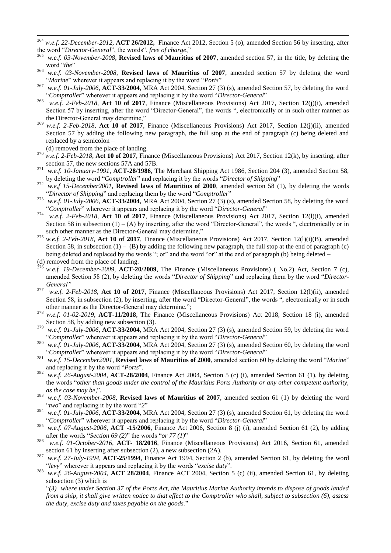364 w.e.f. 22-December-2012, **ACT 26/2012**, Finance Act 2012, Section 5 (o), amended Section 56 by inserting, after the word "*Director-General*", the words", *free of charge*,"<br><sup>365</sup>

- w.e.f. 03-November-2008, **Revised laws of Mauritius of 2007**, amended section 57, in the title, by deleting the word "the"
- <sup>366</sup> *w.e.f. 03-November-2008*, **Revised laws of Mauritius of 2007**, amended section 57 by deleting the word "Marine" wherever it appears and replacing it by the word "Ports"
- <sup>367</sup> *w.e.f. 01-July-2006*, **ACT-33/2004**, MRA Act 2004, Section 27 (3) (s), amended Section 57, by deleting the word ―*Comptroller*‖ wherever it appears and replacing it by the word ―*Director-General*‖
- 368 *w.e.f. 2-Feb-2018*, **Act 10 of 2017**, Finance (Miscellaneous Provisions) Act 2017, Section 12(j)(i), amended Section 57 by inserting, after the word "Director-General", the words ", electronically or in such other manner as the Director-General may determine,"
- <sup>369</sup> *w.e.f. 2-Feb-2018*, **Act 10 of 2017**, Finance (Miscellaneous Provisions) Act 2017, Section 12(j)(ii), amended Section 57 by adding the following new paragraph, the full stop at the end of paragraph (c) being deleted and replaced by a semicolon –
- (d) removed from the place of landing. <sup>370</sup> *w.e.f. 2-Feb-2018*, **Act 10 of 2017**, Finance (Miscellaneous Provisions) Act 2017, Section 12(k), by inserting, after section 57, the new sections 57A and 57B.
- <sup>371</sup> *w.e.f. 10-January-1991*, **ACT-28/1986**, The Merchant Shipping Act 1986, Section 204 (3), amended Section 58, by deleting the word "*Comptroller*" and replacing it by the words "*Director of Shipping*"
- <sup>372</sup> *w.e,f 15-December2001*, **Revised laws of Mauritius of 2000**, amended section 58 (1), by deleting the words "Director of Shipping" and replacing them by the word "Comptroller"
- <sup>373</sup> *w.e.f. 01-July-2006*, **ACT-33/2004**, MRA Act 2004, Section 27 (3) (s), amended Section 58, by deleting the word "Comptroller" wherever it appears and replacing it by the word "Director-General"
- 374 *w.e.f. 2-Feb-2018*, **Act 10 of 2017**, Finance (Miscellaneous Provisions) Act 2017, Section 12(l)(i), amended Section 58 in subsection  $(1) - (A)$  by inserting, after the word "Director-General", the words ", electronically or in such other manner as the Director-General may determine,"
- <sup>375</sup> *w.e.f. 2-Feb-2018*, **Act 10 of 2017**, Finance (Miscellaneous Provisions) Act 2017, Section 12(l)(i)(B), amended Section 58, in subsection  $(1) - (B)$  by adding the following new paragraph, the full stop at the end of paragraph (c) being deleted and replaced by the words "; or" and the word "or" at the end of paragraph (b) being deleted –
- (d) removed from the place of landing.
- w.e.f. 19-December-2009, **ACT-20/2009**, The Finance (Miscellaneous Provisions) (No.2) Act, Section 7 (c), amended Section 58 (2), by deleting the words "*Director of Shipping*" and replacing them by the word "*Director-General"*
- 377 *w.e.f. 2-Feb-2018*, **Act 10 of 2017**, Finance (Miscellaneous Provisions) Act 2017, Section 12(l)(ii), amended Section 58, in subsection (2), by inserting, after the word "Director-General", the words ", electronically or in such other manner as the Director-General may determine,";
- <sup>378</sup> *w.e.f. 01-02-2019*, **ACT-11/2018**, The Finance (Miscellaneous Provisions) Act 2018, Section 18 (i), amended Section 58, by adding new subsection (3).
- <sup>379</sup> *w.e.f. 01-July-2006*, **ACT-33/2004**, MRA Act 2004, Section 27 (3) (s), amended Section 59, by deleting the word "Comptroller" wherever it appears and replacing it by the word "Director-General"
- <sup>380</sup> *w.e.f. 01-July-2006*, **ACT-33/2004**, MRA Act 2004, Section 27 (3) (s), amended Section 60, by deleting the word "Comptroller" wherever it appears and replacing it by the word "Director-General"
- <sup>381</sup> *w.e.f. 15-December2001*, **Revised laws of Mauritius of 2000**, amended section 60 by deleting the word "Marine" and replacing it by the word "*Ports*".
- <sup>382</sup> *w.e.f. 26-August-2004,* **ACT-28/2004**, Finance Act 2004, Section 5 (c) (i), amended Section 61 (1), by deleting the words ―*other than goods under the control of the Mauritius Ports Authority or any other competent authority, as the case may be,"*.
- <sup>383</sup> *w.e.f. 03-November-2008*, **Revised laws of Mauritius of 2007**, amended section 61 (1) by deleting the word "two" and replacing it by the word "2"
- <sup>384</sup> *w.e.f. 01-July-2006*, **ACT-33/2004**, MRA Act 2004, Section 27 (3) (s), amended Section 61, by deleting the word "Comptroller" wherever it appears and replacing it by the word "Director-General"
- <sup>385</sup> *w.e.f. 07-August-2006*, **ACT -15/2006**, Finance Act 2006, Section 8 (j) (i), amended Section 61 (2), by adding after the words "Section 69 (2)" the words "or 77 (1)"
- 386 *w.e.f. 01-October-2016*, **ACT- 18/2016**, Finance (Miscellaneous Provisions) Act 2016, Section 61, amended section 61 by inserting after subsection (2), a new subsection (2A).
- <sup>387</sup> *w.e.f. 27-July-1994*, **ACT-25/1994**, Finance Act 1994, Section 2 (b), amended Section 61, by deleting the word ―*levy*‖ wherever it appears and replacing it by the words ―*excise duty*‖.
- <sup>388</sup> *w.e.f. 26-August-2004*, **ACT 28/2004**, Finance ACT 2004, Section 5 (c) (ii), amended Section 61, by deleting subsection (3) which is

―*(3) where under Section 37 of the Ports Act, the Mauritius Marine Authority intends to dispose of goods landed from a ship, it shall give written notice to that effect to the Comptroller who shall, subject to subsection (6), assess the duty, excise duty and taxes payable on the goods.*"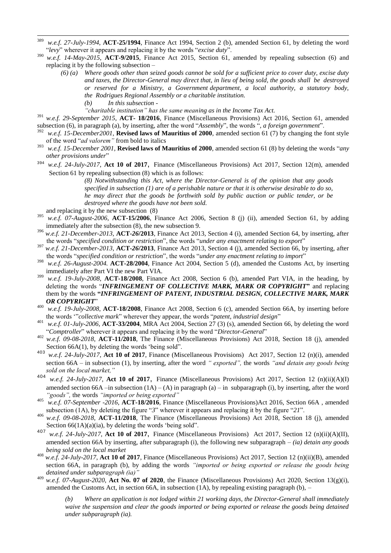- 389 <sup>389</sup> *w.e.f. 27-July-1994*, **ACT-25/1994**, Finance Act 1994, Section 2 (b), amended Section 61, by deleting the word ―*levy*‖ wherever it appears and replacing it by the words ―*excise duty*‖.
- <sup>390</sup> *w.e.f. 14-May-2015*, **ACT-9/2015**, Finance Act 2015, Section 61, amended by repealing subsection (6) and replacing it by the following subsection –
	- *(6) (a) Where goods other than seized goods cannot be sold for a sufficient price to cover duty, excise duty and taxes, the Director-General may direct that, in lieu of being sold, the goods shall be destroyed or reserved for a Ministry, a Government department, a local authority, a statutory body, the Rodrigues Regional Assembly or a charitable institution. (b) In this subsection -*

*"charitable institution" has the same meaning as in the Income Tax Act.*

- <sup>391</sup> *w.e.f. 29-September 2015*, **ACT- 18/2016**, Finance (Miscellaneous Provisions) Act 2016, Section 61, amended subsection (6), in paragraph (a), by inserting, after the word "Assembly", the words ", a foreign government".
- <sup>392</sup> *w.e.f. 15-December2001*, **Revised laws of Mauritius of 2000**, amended section 61 (7) by changing the font style of the word "*ad valorem*" from bold to italics
- <sup>393</sup> *w.e.f. 15-December 2001*, **Revised laws of Mauritius of 2000**, amended section 61 (8) by deleting the words "*any other provisions under*"
- <sup>394</sup> *w.e.f. 24-July-2017*, **Act 10 of 2017**, Finance (Miscellaneous Provisions) Act 2017, Section 12(m), amended Section 61 by repealing subsection (8) which is as follows:

*(8) Notwithstanding this Act, where the Director-General is of the opinion that any goods specified in subsection (1) are of a perishable nature or that it is otherwise desirable to do so, he may direct that the goods be forthwith sold by public auction or public tender, or be destroyed where the goods have not been sold.*

- and replacing it by the new subsection (8)
- <sup>395</sup> *w.e.f. 07-August-2006*, **ACT-15/2006**, Finance Act 2006, Section 8 (j) (ii), amended Section 61, by adding immediately after the subsection (8), the new subsection 9.
- <sup>396</sup> *w.e.f. 21-December-2013*, **ACT-***26***/2013**, Finance Act 2013, Section 4 (i), amended Section 64, by inserting, after the words "*specified condition or restriction*", the words "*under any enactment relating to export*"
- <sup>397</sup> *w.e.f. 21-December-2013*, **ACT-***26***/2013**, Finance Act 2013, Section 4 (j), amended Section 66, by inserting, after the words "*specified condition or restriction*", the words "*under any enactment relating to import*"
- <sup>398</sup> *w.e.f. 26-August-2004.* **ACT-28/2004**, Finance Act 2004, Section 5 (d), amended the Customs Act, by inserting immediately after Part VI the new Part VIA.
- <sup>399</sup> *w.e.f. 19-July-2008*, **ACT-18/2008**, Finance Act 2008, Section 6 (b), amended Part VIA, in the heading, by deleting the words ―*INFRINGEMENT OF COLLECTIVE MARK, MARK OR COPYRIGHT***"** and replacing them by the words **"***INFRINGEMENT OF PATENT, INDUSTRIAL DESIGN, COLLECTIVE MARK, MARK OR COPYRIGHT*‖
- <sup>400</sup> *w.e.f. 19-July-2008*, **ACT-18/2008**, Finance Act 2008, Section 6 (c), amended Section 66A, by inserting before the words "*collective mark*" wherever they appear, the words "*patent, industrial design*"
- <sup>401</sup> *w.e.f. 01-July-2006*, **ACT-33/2004**, MRA Act 2004, Section 27 (3) (s), amended Section 66, by deleting the word "Comptroller" wherever it appears and replacing it by the word "Director-General"
- <sup>402</sup> *w.e.f. 09-08-2018*, **ACT-11/2018**, The Finance (Miscellaneous Provisions) Act 2018, Section 18 (j), amended Section  $66A(1)$ , by deleting the words 'being sold".
- <sup>403</sup> *w.e.f. 24-July-2017*, **Act 10 of 2017**, Finance (Miscellaneous Provisions) Act 2017, Section 12 (n)(i), amended section 66A – in subsection (1), by inserting, after the word *" exported",* the words *"and detain any goods being sold on the local market,"*<br><sup>404</sup> *met.* 24 July 2017, Ago
- w.e.f. 24-July-2017, **Act 10 of 2017**, Finance (Miscellaneous Provisions) Act 2017, Section 12 (n)(ii)(A)(I) amended section 66A –in subsection  $(1A) - (A)$  in paragraph  $(a)$  – in subparagraph (i), by inserting, after the word *"goods",* the words *"imported or being exported"*
- 405 *w.e.f. 07-September -2016*, **ACT-18/2016**, Finance (Miscellaneous Provisions)Act 2016, Section 66A , amended subsection (1A), by deleting the figure  $3$ <sup>m</sup> wherever it appears and replacing it by the figure  $21$ <sup>m</sup>.
- <sup>406</sup> *w.e.f. 09-08-2018*, **ACT-11/2018**, The Finance (Miscellaneous Provisions) Act 2018, Section 18 (j), amended Section  $66(1A)(a)(ia)$ , by deleting the words 'being sold".
- <sup>407</sup> *w.e.f. 24-July-2017*, **Act 10 of 2017**, Finance (Miscellaneous Provisions) Act 2017, Section 12 (n)(ii)(A)(II), amended section 66A by inserting, after subparagraph (i), the following new subparagraph – *(ia) detain any goods being sold on the local market*
- <sup>408</sup> *w.e.f. 24-July-2017*, **Act 10 of 2017**, Finance (Miscellaneous Provisions) Act 2017, Section 12 (n)(ii)(B), amended section 66A, in paragraph (b), by adding the words *"imported or being exported or release the goods being detained under subparagraph (ia)"*
- <sup>409</sup> *w.e.f. 07-August-2020*, **Act No. 07 of 2020**, the Finance (Miscellaneous Provisions) Act 2020, Section 13(g)(i), amended the Customs Act, in section 66A, in subsection  $(1A)$ , by repealing existing paragraph  $(b)$ ,  $-$

*(b) Where an application is not lodged within 21 working days, the Director-General shall immediately waive the suspension and clear the goods imported or being exported or release the goods being detained under subparagraph (ia).*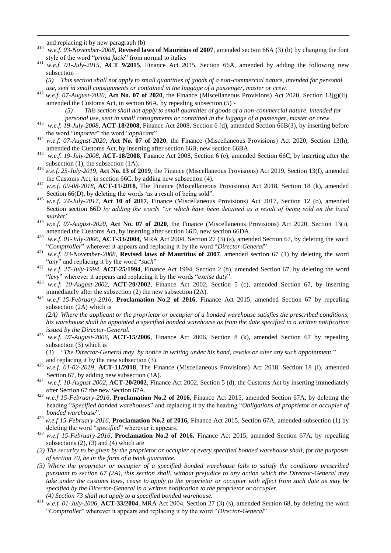and replacing it by new paragraph (b)

1

- <sup>410</sup> *w.e.f. 03-November-2008*, **Revised laws of Mauritius of 2007**, amended section 66A (3) (b) by changing the font style of the word "*prima facie*" from normal to italics
- <sup>411</sup> *w.e.f. 01-July-2015*, **ACT 9/2015**, Finance Act 2015, Section 66A, amended by adding the following new subsection –

*(5) This section shall not apply to small quantities of goods of a non-commercial nature, intended for personal use, sent in small consignments or contained in the luggage of a passenger, master or crew.*

- <sup>412</sup> *w.e.f. 07-August-2020*, **Act No. 07 of 2020**, the Finance (Miscellaneous Provisions) Act 2020, Section 13(g)(ii), amended the Customs Act, in section 66A, by repealing subsection (5) -
	- *(5) This section shall not apply to small quantities of goods of a non-commercial nature, intended for personal use, sent in small consignments or contained in the luggage of a passenger, master or crew.*
- <sup>413</sup> *w.e.f. 19-July-2008*, **ACT-18/2008**, Finance Act 2008, Section 6 (d), amended Section 66B(3), by inserting before the word "*importer*" the word "*applicant*"
- <sup>414</sup> *w.e.f. 07-August-2020*, **Act No. 07 of 2020**, the Finance (Miscellaneous Provisions) Act 2020, Section 13(h), amended the Customs Act, by inserting after section 66B, new section 66BA.
- <sup>415</sup> *w.e.f. 19-July-2008*, **ACT-18/2008**, Finance Act 2008, Section 6 (e), amended Section 66C, by inserting after the subsection (1), the subsection (1A).
- <sup>416</sup> *w.e.f. 25-July-2019*, **Act No. 13 of 2019**, the Finance (Miscellaneous Provisions) Act 2019, Section 13(f), amended the Customs Act, in section 66C, by adding new subsection (4).
- <sup>417</sup> *w.e.f. 09-08-2018*, **ACT-11/2018**, The Finance (Miscellaneous Provisions) Act 2018, Section 18 (k), amended Section  $66(D)$ , by deleting the words 'as a result of being sold".
- <sup>418</sup> *w.e.f. 24-July-2017*, **Act 10 of 2017**, Finance (Miscellaneous Provisions) Act 2017, Section 12 (o), amended Section section 66D *by adding the words "or which have been detained as a result of being sold on the local market"*
- <sup>419</sup> *w.e.f. 07-August-2020*, **Act No. 07 of 2020**, the Finance (Miscellaneous Provisions) Act 2020, Section 13(i), amended the Customs Act, by inserting after section 66D, new section 66DA.
- <sup>420</sup> *w.e.f. 01-July-2006*, **ACT-33/2004**, MRA Act 2004, Section 27 (3) (s), amended Section 67, by deleting the word "Comptroller" wherever it appears and replacing it by the word "Director-General"
- <sup>421</sup> *w.e.f. 03-November-2008*, **Revised laws of Mauritius of 2007**, amended section 67 (1) by deleting the word "*any*" and replacing it by the word "*such*"
- <sup>422</sup> *w.e.f. 27-July-1994*, **ACT-25/1994**, Finance Act 1994, Section 2 (b), amended Section 67, by deleting the word "levy" wherever it appears and replacing it by the words "excise duty".
- <sup>423</sup> *w.e.f. 10-August-2002*, **ACT-20/2002**, Finance Act 2002, Section 5 (c), amended Section 67, by inserting immediately after the subsection (2) the new subsection (2A).
- <sup>424</sup> *w.e.f 15-February-2016*, **Proclamation No.2 of 2016**, Finance Act 2015, amended Section 67 by repealing subsection (2A) which is

*(2A) Where the applicant or the proprietor or occupier of a bonded warehouse satisfies the prescribed conditions, his warehouse shall be appointed a specified bonded warehouse as from the date specified in a written notification issued by the Director-General.* 

<sup>425</sup> *w.e.f. 07-August-2006*, **ACT-15/2006**, Finance Act 2006, Section 8 (k), amended Section 67 by repealing subsection (3) which is

(3) ―*The Director-General may, by notice in writing under his hand, revoke or alter any such appointment.*‖ and replacing it by the new subsection (3).

- <sup>426</sup> *w.e.f. 01-02-2019*, **ACT-11/2018**, The Finance (Miscellaneous Provisions) Act 2018, Section 18 (l), amended Section 67, by adding new subsection (3A).
- <sup>427</sup> *w.e.f. 10-August-2002*, **ACT-20/2002**, Finance Act 2002, Section 5 (d), the Customs Act by inserting immediately after Section 67 the new Section 67A.
- <sup>428</sup> *w.e.f 15-February-2016*, **Proclamation No.2 of 2016,** Finance Act 2015, amended Section 67A, by deleting the heading "Specified bonded warehouses" and replacing it by the heading "Obligations of proprietor or occupier of bonded warehouse".
- <sup>429</sup> *w.e.f 15-February-2016*, **Proclamation No.2 of 2016,** Finance Act 2015, Section 67A, amended subsection (1) by deleting the word "specified" wherever it appears.
- <sup>430</sup> *w.e.f 15-February-2016*, **Proclamation No.2 of 2016,** Finance Act 2015, amended Section 67A, by repealing subsections (2), (3) and (4) which are
- *(2) The security to be given by the proprietor or occupier of every specified bonded warehouse shall, for the purposes of section 70, be in the form of a bank guarantee.*
- *(3) Where the proprietor or occupier of a specified bonded warehouse fails to satisfy the conditions prescribed pursuant to section 67 (2A), this section shall, without prejudice to any action which the Director-General may take under the customs laws, cease to apply to the proprietor or occupier with effect from such date as may be specified by the Director-General in a written notification to the proprietor or occupier. (4) Section 73 shall not apply to a specified bonded warehouse.*
- <sup>431</sup> *w.e.f. 01-July-2006*, **ACT-33/2004**, MRA Act 2004, Section 27 (3) (s), amended Section 68, by deleting the word "Comptroller" wherever it appears and replacing it by the word "Director-General"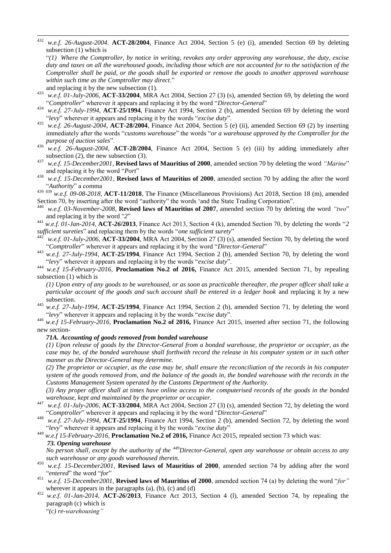432 <sup>432</sup> *w.e.f. 26-August-2004*. **ACT-28/2004**, Finance Act 2004, Section 5 (e) (i), amended Section 69 by deleting subsection (1) which is

―*(1) Where the Comptroller, by notice in writing, revokes any order approving any warehouse, the duty, excise duty and taxes on all the warehoused goods, including those which are not accounted for to the satisfaction of the Comptroller shall be paid, or the goods shall be exported or remove the goods to another approved warehouse*  within such time as the Comptroller may direct."

- and replacing it by the new subsection (1).
- <sup>433</sup> *w.e.f. 01-July-2006*, **ACT-33/2004**, MRA Act 2004, Section 27 (3) (s), amended Section 69, by deleting the word ―*Comptroller*‖ wherever it appears and replacing it by the word ―*Director-General*‖
- <sup>434</sup> *w.e.f. 27-July-1994*, **ACT-25/1994**, Finance Act 1994, Section 2 (b), amended Section 69 by deleting the word ―*levy*‖ wherever it appears and replacing it by the words ―*excise duty*‖.
- <sup>435</sup> *w.e.f. 26-August-2004*, **ACT-28/2004**, Finance Act 2004, Section 5 (e) (ii), amended Section 69 (2) by inserting immediately after the words "*customs warehouse*" the words "or a warehouse approved by the Comptroller for the *purpose of auction sales*".
- <sup>436</sup> *w.e.f. 26-August-2004*, **ACT-28/2004**, Finance Act 2004, Section 5 (e) (iii) by adding immediately after subsection (2), the new subsection (3).
- <sup>437</sup> *w.e.f. 15-December2001*, **Revised laws of Mauritius of 2000**, amended section 70 by deleting the word *"Marine*" and replacing it by the word "*Port*"
- <sup>438</sup> *w.e.f. 15-December2001*, **Revised laws of Mauritius of 2000**, amended section 70 by adding the after the word ―*Authority*‖ a comma
- <sup>439</sup> <sup>439</sup> *w.e.f. 09-08-2018*, **ACT-11/2018**, The Finance (Miscellaneous Provisions) Act 2018, Section 18 (m), amended Section 70, by inserting after the word "authority" the words 'and the State Trading Corporation".
- w.e.f. 03-November-2008, **Revised laws of Mauritius of 2007**, amended section 70 by deleting the word "two" and replacing it by the word "2"
- $^{441}$  *w.e.f.* 01-Jan-2014, **ACT-26/2013**, Finance Act 2013, Section 4 (k), amended Section 70, by deleting the words "2 sufficient sureties" and replacing them by the words "one sufficient surety"
- <sup>442</sup> *w.e.f. 01-July-2006*, **ACT-33/2004**, MRA Act 2004, Section 27 (3) (s), amended Section 70, by deleting the word "Comptroller" wherever it appears and replacing it by the word "Director-General"
- <sup>443</sup> *w.e.f. 27-July-1994*, **ACT-25/1994**, Finance Act 1994, Section 2 (b), amended Section 70, by deleting the word "levy" wherever it appears and replacing it by the words "excise duty".
- <sup>444</sup> *w.e.f 15-February-2016*, **Proclamation No.2 of 2016,** Finance Act 2015, amended Section 71, by repealing subsection (1) which is

*(1) Upon entry of any goods to be warehoused, or as soon as practicable thereafter, the proper officer shall take a particular account of the goods and such account shall be entered in a ledger book* and replacing it by a new subsection.

<sup>445</sup> *w.e.f. 27-July-1994*, **ACT-25/1994**, Finance Act 1994, Section 2 (b), amended Section 71, by deleting the word ―*levy*‖ wherever it appears and replacing it by the words ―*excise duty*‖.

<sup>446</sup> *w.e.f 15-February-2016*, **Proclamation No.2 of 2016,** Finance Act 2015, inserted after section 71, the following new section-

### *71A. Accounting of goods removed from bonded warehouse*

*(1) Upon release of goods by the Director-General from a bonded warehouse, the proprietor or occupier, as the case may be, of the bonded warehouse shall forthwith record the release in his computer system or in such other manner as the Director-General may determine.*

*(2) The proprietor or occupier, as the case may be, shall ensure the reconciliation of the records in his computer system of the goods removed from, and the balance of the goods in, the bonded warehouse with the records in the Customs Management System operated by the Customs Department of the Authority.*

*(3) Any proper officer shall at times have online access to the computerised records of the goods in the bonded warehouse, kept and maintained by the proprietor or occupier.*

- <sup>447</sup> *w.e.f. 01-July-2006*, **ACT-33/2004**, MRA Act 2004, Section 27 (3) (s), amended Section 72, by deleting the word "Comptroller" wherever it appears and replacing it by the word "Director-General"
- <sup>448</sup> *w.e.f. 27-July-1994*, **ACT-25/1994**, Finance Act 1994, Section 2 (b), amended Section 72, by deleting the word "levy" wherever it appears and replacing it by the words "excise duty"

## <sup>449</sup> *w.e.f 15-February-2016*, **Proclamation No.2 of 2016,** Finance Act 2015, repealed section 73 which was:  *73. Opening warehouse*

*No person shall, except by the authority of the <sup>449</sup>Director-General, open any warehouse or obtain access to any such warehouse or any goods warehoused therein.*

- <sup>450</sup> *w.e.f. 15-December2001*, **Revised laws of Mauritius of 2000**, amended section 74 by adding after the word "entered" the word "for"
- $^{451}$  *w.e.f. 15-December2001*, **Revised laws of Mauritius of 2000**, amended section 74 (a) by deleting the word "for" wherever it appears in the paragraphs  $(a)$ ,  $(b)$ ,  $(c)$  and  $(d)$
- <sup>452</sup> *w.e.f. 01-Jan-2014*, **ACT-***26***/2013**, Finance Act 2013, Section 4 (l), amended Section 74, by repealing the paragraph (c) which is

―*(c) re-warehousing"*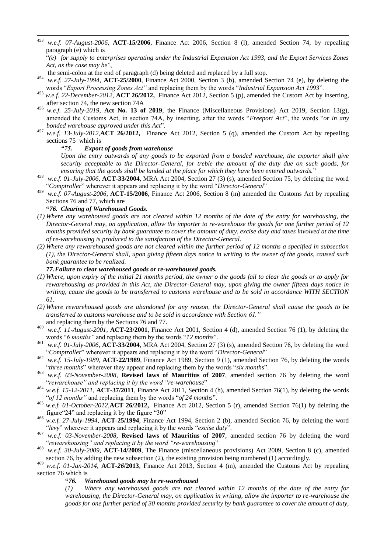453 <sup>453</sup> *w.e.f. 07-August-2006*, **ACT-15/2006**, Finance Act 2006, Section 8 (l), amended Section 74, by repealing paragraph (e) which is

- the semi-colon at the end of paragraph (d) being deleted and replaced by a full stop.
- <sup>454</sup> *w.e.f. 27-July-1994*, **ACT-25/2000**, Finance Act 2000, Section 3 (b), amended Section 74 (e), by deleting the words "Export Processing Zones Act" and replacing them by the words "Industrial Expansion Act 1993".
- <sup>455</sup> *w.e.f. 22-December-2012,* **ACT 26/2012,** Finance Act 2012, Section 5 (p), amended the Custom Act by inserting, after section 74, the new section 74A
- <sup>456</sup> *w.e.f. 25-July-2019*, **Act No. 13 of 2019**, the Finance (Miscellaneous Provisions) Act 2019, Section 13(g), amended the Customs Act, in section 74A, by inserting, after the words "Freeport Act", the words "or in any bonded warehouse approved under this Act".
- <sup>457</sup> *w.e.f. 13-July-2012,***ACT 26/2012,** Finance Act 2012, Section 5 (q), amended the Custom Act by repealing sections 75 which is

### *"75. Export of goods from warehouse*

*Upon the entry outwards of any goods to be exported from a bonded warehouse, the exporter shall give security acceptable to the Director-General, for treble the amount of the duty due on such goods, for ensuring that the goods shall be landed at the place for which they have been entered outwards.*‖

- <sup>458</sup> *w.e.f. 01-July-2006*, **ACT-33/2004**, MRA Act 2004, Section 27 (3) (s), amended Section 75, by deleting the word ―*Comptroller*‖ wherever it appears and replacing it by the word ―*Director-General*‖
- <sup>459</sup> *w.e.f. 07-August-2006*, **ACT-15/2006**, Finance Act 2006, Section 8 (m) amended the Customs Act by repealing Sections 76 and 77, which are

### **"***76. Clearing of Warehoused Goods.*

- *(1) Where any warehoused goods are not cleared within 12 months of the date of the entry for warehousing, the Director-General may, on application, allow the importer to re-warehouse the goods for one further period of 12 months provided security by bank guarantee to cover the amount of duty, excise duty and taxes involved at the time of re-warehousing is produced to the satisfaction of the Director-General.*
- *(2) Where any rewarehoused goods are not cleared within the further period of 12 months a specified in subsection (1), the Director-General shall, upon giving fifteen days notice in writing to the owner of the goods, caused such bank guarantee to be realized.*

## *77.Failure to clear warehoused goods or re-warehoused goods.*

- *(1) Where, upon expiry of the initial 21 months period, the owner o the goods fail to clear the goods or to apply for rewarehousing as provided in this Act, the Director-General may, upon giving the owner fifteen days notice in writing, cause the goods to be transferred to customs warehouse and to be sold in accordance WITH SECTION 61.*
- *(2) Where rewarehoused goods are abandoned for any reason, the Director-General shall cause the goods to be transferred to customs warehouse and to be sold in accordance with Section 61."* and replacing them by the Sections 76 and 77.
- <sup>460</sup> *w.e.f. 11-August-2001*, **ACT-23/2001**, Finance Act 2001, Section 4 (d), amended Section 76 (1), by deleting the words "6 *months*" and replacing them by the words "12 *months*".
- <sup>461</sup> *w.e.f. 01-July-2006*, **ACT-33/2004**, MRA Act 2004, Section 27 (3) (s), amended Section 76, by deleting the word "Comptroller" wherever it appears and replacing it by the word "Director-General"
- <sup>462</sup> *w.e.f. 15-July-1989*, **ACT-22/1989**, Finance Act 1989, Section 9 (1), amended Section 76, by deleting the words "three months" wherever they appear and replacing them by the words "six months".
- <sup>463</sup> *w.e.f. 03-November-2008*, **Revised laws of Mauritius of 2007**, amended section 76 by deleting the word "rewarehouse" and replacing it by the word "re-warehouse"
- $^{464}$  *w.e.f.* 15-12-2011, **ACT-37/2011**, Finance Act 2011, Section 4 (h), amended Section 76(1), by deleting the words "of 12 months" and replacing them by the words "of 24 months".
- <sup>465</sup> *w.e.f. 01-October-2012,***ACT 26/2012,** Finance Act 2012, Section 5 (r), amended Section 76(1) by deleting the figure "24" and replacing it by the figure "30"
- <sup>466</sup> *w.e.f. 27-July-1994*, **ACT-25/1994**, Finance Act 1994, Section 2 (b), amended Section 76, by deleting the word ―*levy*‖ wherever it appears and replacing it by the words ―*excise duty*‖.
- <sup>467</sup> *w.e.f. 03-November-2008*, **Revised laws of Mauritius of 2007**, amended section 76 by deleting the word "rewarehousing" and replacing it by the word "re-warehousing"
- <sup>468</sup> *w.e.f. 30-July-2009,* **ACT-14/2009**, The Finance (miscellaneous provisions) Act 2009, Section 8 (c), amended section 76, by adding the new subsection (2), the existing provision being numbered (1) accordingly.
- <sup>469</sup> *w.e.f. 01-Jan-2014*, **ACT-***26***/2013**, Finance Act 2013, Section 4 (m), amended the Customs Act by repealing section 76 which is

## **"***76. Warehoused goods may be re-warehoused*

*(1) Where any warehoused goods are not cleared within 12 months of the date of the entry for warehousing, the Director-General may, on application in writing, allow the importer to re-warehouse the goods for one further period of 30 months provided security by bank guarantee to cover the amount of duty,* 

<sup>―</sup>*(e) for supply to enterprises operating under the Industrial Expansion Act 1993, and the Export Services Zones*  Act, as the case may be"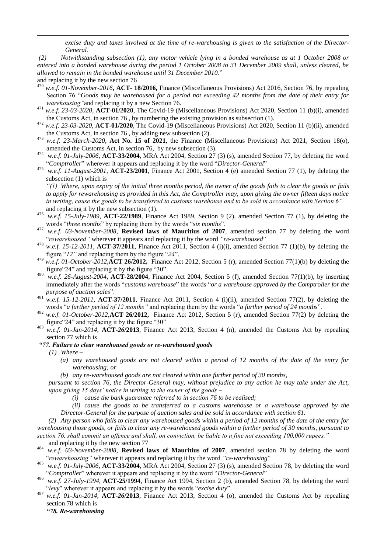*excise duty and taxes involved at the time of re-warehousing is given to the satisfaction of the Director-General.*

*(2) Notwithstanding subsection (1), any motor vehicle lying in a bonded warehouse as at 1 October 2008 or entered into a bonded warehouse during the period 1 October 2008 to 31 December 2009 shall, unless cleared, be allowed to remain in the bonded warehouse until 31 December 2010.*‖

and replacing it by the new section 76

1

- <sup>470</sup> *w.e.f. 01-November-2016***, ACT- 18/2016,** Finance (Miscellaneous Provisions) Act 2016, Section 76, by repealing Section 76 "Goods may be warehoused for a period not exceeding 42 months from the date of their entry for *warehousing"*and replacing it by a new Section 76.
- <sup>471</sup> *w.e.f. 23-03-2020,* **ACT-01/2020**, The Covid-19 (Miscellaneous Provisions) Act 2020, Section 11 (b)(i), amended the Customs Act, in section 76 , by numbering the existing provision as subsection (1).
- <sup>472</sup> *w.e.f. 23-03-2020,* **ACT-01/2020**, The Covid-19 (Miscellaneous Provisions) Act 2020, Section 11 (b)(ii), amended the Customs Act, in section 76 , by adding new subsection (2).
- <sup>473</sup> *w.e.f. 23-March-2020*, **Act No. 15 of 2021**, the Finance (Miscellaneous Provisions) Act 2021, Section 18(o), amended the Customs Act, in section 76, by new subsection (3).
- <sup>474</sup> *w.e.f. 01-July-2006*, **ACT-33/2004**, MRA Act 2004, Section 27 (3) (s), amended Section 77, by deleting the word "Comptroller" wherever it appears and replacing it by the word "Director-General"
- <sup>475</sup> *w.e.f. 11-August-2001*, **ACT-23/2001**, Finance Act 2001, Section 4 (e) amended Section 77 (1), by deleting the subsection (1) which is

*"(1) Where, upon expiry of the initial three months period, the owner of the goods fails to clear the goods or fails to apply for rewarehousing as provided in this Act, the Comptroller may, upon giving the owner fifteen days notice in writing, cause the goods to be transferred to customs warehouse and to be sold in accordance with Section 6"* and replacing it by the new subsection (1).

- <sup>476</sup> *w.e.f. 15-July-1989*, **ACT-22/1989**, Finance Act 1989, Section 9 (2), amended Section 77 (1), by deleting the words "three months" by replacing them by the words "six months".
- <sup>477</sup> *w.e.f. 03-November-2008*, **Revised laws of Mauritius of 2007**, amended section 77 by deleting the word "*rewarehoused*" wherever it appears and replacing it by the word "re-warehoused"
- <sup>478</sup> *w.e.f.* 15-12-2011, **ACT-37/2011**, Finance Act 2011, Section 4 (i)(i), amended Section 77 (1)(b), by deleting the figure "12" and replacing them by the figure "24".
- <sup>479</sup> *w.e.f. 01-October-2012,***ACT 26/2012,** Finance Act 2012, Section 5 (r), amended Section 77(1)(b) by deleting the figure "24" and replacing it by the figure "30"
- <sup>480</sup> *w.e.f. 26-August-2004*, **ACT-28/2004**, Finance Act 2004, Section 5 (f), amended Section 77(1)(b), by inserting immediately after the words "*customs warehouse*" the words "or a warehouse approved by the Comptroller for the *purpose of auction sales*".
- <sup>481</sup> *w.e.f. 15-12-2011*, **ACT-37/2011**, Finance Act 2011, Section 4 (i)(ii), amended Section 77(2), by deleting the words "*a further period of 12 months*" and replacing them by the words "*a further period of 24 months*".
- <sup>482</sup> *w.e.f. 01-October-2012,***ACT 26/2012,** Finance Act 2012, Section 5 (r), amended Section 77(2) by deleting the figure "24" and replacing it by the figure "30"
- <sup>483</sup> *w.e.f. 01-Jan-2014*, **ACT-***26***/2013**, Finance Act 2013, Section 4 (n), amended the Customs Act by repealing section 77 which is

### *"77. Failure to clear warehoused goods or re-warehoused goods*

*(1) Where –*

- *(a) any warehoused goods are not cleared within a period of 12 months of the date of the entry for warehousing; or*
- *(b) any re-warehoused goods are not cleared within one further period of 30 months,*

*pursuant to section 76, the Director-General may, without prejudice to any action he may take under the Act, upon giving 15 days' notice in writing to the owner of the goods –*

*(i) cause the bank guarantee referred to in section 76 to be realised;*

*(ii) cause the goods to be transferred to a customs warehouse or a warehouse approved by the Director-General for the purpose of auction sales and be sold in accordance with section 61.*

*(2) Any person who fails to clear any warehoused goods within a period of 12 months of the date of the entry for warehousing those goods, or fails to clear any re-warehoused goods within a further period of 30 months, pursuant to section 76, shall commit an offence and shall, on conviction, be liable to a fine not exceeding 100,000 rupees."* and replacing it by the new section 77

- <sup>484</sup> *w.e.f. 03-November-2008*, **Revised laws of Mauritius of 2007**, amended section 78 by deleting the word ―*rewarehousing"* wherever it appears and replacing it by the word *"re-warehousing*‖
- <sup>485</sup> *w.e.f. 01-July-2006*, **ACT-33/2004**, MRA Act 2004, Section 27 (3) (s), amended Section 78, by deleting the word "Comptroller" wherever it appears and replacing it by the word "Director-General"
- <sup>486</sup> *w.e.f. 27-July-1994*, **ACT-25/1994**, Finance Act 1994, Section 2 (b), amended Section 78, by deleting the word ―*levy*‖ wherever it appears and replacing it by the words ―*excise duty*‖.
- <sup>487</sup> *w.e.f. 01-Jan-2014*, **ACT-***26***/2013**, Finance Act 2013, Section 4 (o), amended the Customs Act by repealing section 78 which is

*"78. Re-warehousing*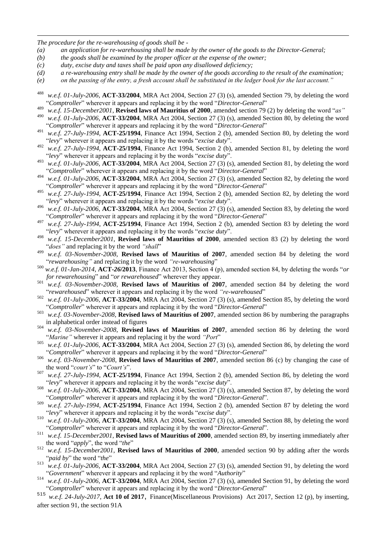*The procedure for the re-warehousing of goods shall be -*

1

- *(a) an application for re-warehousing shall be made by the owner of the goods to the Director-General;*
- *(b) the goods shall be examined by the proper officer at the expense of the owner;*
- *(c) duty, excise duty and taxes shall be paid upon any disallowed deficiency;*
- *(d) a re-warehousing entry shall be made by the owner of the goods according to the result of the examination;*
- *(e) on the passing of the entry, a fresh account shall be substituted in the ledger book for the last account."*
- <sup>488</sup> *w.e.f. 01-July-2006*, **ACT-33/2004**, MRA Act 2004, Section 27 (3) (s), amended Section 79, by deleting the word ―*Comptroller*‖ wherever it appears and replacing it by the word ―*Director-General*‖
- <sup>489</sup> *w.e.f. 15-December2001*, **Revised laws of Mauritius of 2000**, amended section 79 (2) by deleting the word "*as*"<br><sup>490</sup> *w.e.f. 01 July 2006*, ACT 22/2004, MDA Ast 2004, Section 27 (2) (a) smanded Section 80, by del
- w.e.f. 01-July-2006, **ACT-33/2004**, MRA Act 2004, Section 27 (3) (s), amended Section 80, by deleting the word "Comptroller" wherever it appears and replacing it by the word "Director-General"
- <sup>491</sup> *w.e.f. 27-July-1994*, **ACT-25/1994**, Finance Act 1994, Section 2 (b), amended Section 80, by deleting the word ―*levy*‖ wherever it appears and replacing it by the words ―*excise duty*‖.
- <sup>492</sup> *w.e.f. 27-July-1994*, **ACT-25/1994**, Finance Act 1994, Section 2 (b), amended Section 81, by deleting the word ―*levy*‖ wherever it appears and replacing it by the words ―*excise duty*‖.
- <sup>493</sup> *w.e.f. 01-July-2006*, **ACT-33/2004**, MRA Act 2004, Section 27 (3) (s), amended Section 81, by deleting the word "Comptroller" wherever it appears and replacing it by the word "Director-General"
- <sup>494</sup> *w.e.f. 01-July-2006*, **ACT-33/2004**, MRA Act 2004, Section 27 (3) (s), amended Section 82, by deleting the word "Comptroller" wherever it appears and replacing it by the word "Director-General"
- <sup>495</sup> *w.e.f. 27-July-1994*, **ACT-25/1994**, Finance Act 1994, Section 2 (b), amended Section 82, by deleting the word ―*levy*‖ wherever it appears and replacing it by the words ―*excise duty*‖.
- <sup>496</sup> *w.e.f. 01-July-2006*, **ACT-33/2004**, MRA Act 2004, Section 27 (3) (s), amended Section 83, by deleting the word "Comptroller" wherever it appears and replacing it by the word "Director-General"
- <sup>497</sup> *w.e.f. 27-July-1994*, **ACT-25/1994**, Finance Act 1994, Section 2 (b), amended Section 83 by deleting the word ―*levy*‖ wherever it appears and replacing it by the words ―*excise duty*‖.
- <sup>498</sup> *w.e.f. 15-December2001*, **Revised laws of Mauritius of 2000**, amended section 83 (2) by deleting the word "does" and replacing it by the word "shall"
- <sup>499</sup> *w.e.f. 03-November-2008*, **Revised laws of Mauritius of 2007**, amended section 84 by deleting the word "rewarehousing" and replacing it by the word "re-warehousing"
- 500 *w.e.f. 01-Jan-2014*, **ACT-26/2013**, Finance Act 2013, Section 4 (p), amended section 84, by deleting the words "*or for rewarehousing*" and "or rewarehoused" wherever they appear.
- <sup>501</sup> *w.e.f. 03-November-2008*, **Revised laws of Mauritius of 2007**, amended section 84 by deleting the word "*rewarehoused*" wherever it appears and replacing it by the word "*re-warehoused*"
- <sup>502</sup> *w.e.f. 01-July-2006*, **ACT-33/2004**, MRA Act 2004, Section 27 (3) (s), amended Section 85, by deleting the word "Comptroller" wherever it appears and replacing it by the word "Director-General"
- <sup>503</sup> *w.e.f. 03-November-2008*, **Revised laws of Mauritius of 2007**, amended section 86 by numbering the paragraphs in alphabetical order instead of figures
- <sup>504</sup> *w.e.f. 03-November-2008*, **Revised laws of Mauritius of 2007**, amended section 86 by deleting the word "Marine" wherever it appears and replacing it by the word "Port"
- <sup>505</sup> *w.e.f. 01-July-2006*, **ACT-33/2004**, MRA Act 2004, Section 27 (3) (s), amended Section 86, by deleting the word "Comptroller" wherever it appears and replacing it by the word "Director-General"
- <sup>506</sup> *w.e.f. 03-November-2008*, **Revised laws of Mauritius of 2007**, amended section 86 (c) by changing the case of the word "*court's*" to "*Court's*".
- <sup>507</sup> *w.e.f. 27-July-1994*, **ACT-25/1994**, Finance Act 1994, Section 2 (b), amended Section 86, by deleting the word "levy" wherever it appears and replacing it by the words "excise duty".
- <sup>508</sup> *w.e.f. 01-July-2006*, **ACT-33/2004**, MRA Act 2004, Section 27 (3) (s), amended Section 87, by deleting the word "Comptroller" wherever it appears and replacing it by the word "Director-General".
- <sup>509</sup> *w.e.f. 27-July-1994*, **ACT-25/1994**, Finance Act 1994, Section 2 (b), amended Section 87 by deleting the word ―*levy*‖ wherever it appears and replacing it by the words ―*excise duty*‖.
- <sup>510</sup> *w.e.f. 01-July-2006*, **ACT-33/2004**, MRA Act 2004, Section 27 (3) (s), amended Section 88, by deleting the word "Comptroller" wherever it appears and replacing it by the word "Director-General".
- <sup>511</sup> *w.e.f. 15-December2001*, **Revised laws of Mauritius of 2000**, amended section 89, by inserting immediately after the word "*apply*", the word "*the*"
- <sup>512</sup> *w.e.f. 15-December2001*, **Revised laws of Mauritius of 2000**, amended section 90 by adding after the words "*paid by*" the word "*the*"
- <sup>513</sup> *w.e.f. 01-July-2006*, **ACT-33/2004**, MRA Act 2004, Section 27 (3) (s), amended Section 91, by deleting the word "Government" wherever it appears and replacing it by the word "Authority"
- <sup>514</sup> *w.e.f. 01-July-2006*, **ACT-33/2004**, MRA Act 2004, Section 27 (3) (s), amended Section 91, by deleting the word Comptroller<sup></sup> wherever it appears and replacing it by the word "Director-General"<br><sup>515</sup> weather 2017, Act 10 of 2017, Finance(Miscellaneous Provisions), Act 201

w.e.f. 24-July-2017, Act 10 of 2017, Finance(Miscellaneous Provisions) Act 2017, Section 12 (p), by inserting, after section 91, the section 91A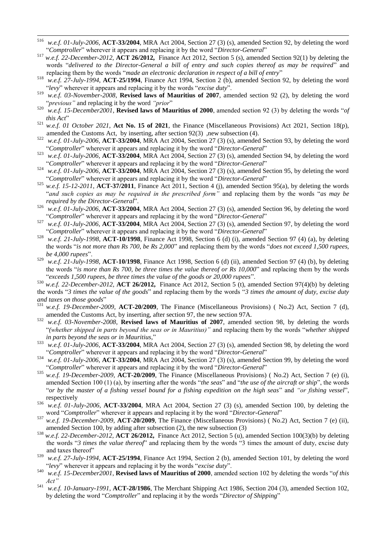- 516 <sup>516</sup> *w.e.f. 01-July-2006*, **ACT-33/2004**, MRA Act 2004, Section 27 (3) (s), amended Section 92, by deleting the word "Comptroller" wherever it appears and replacing it by the word "Director-General"
- <sup>517</sup> *w.e.f. 22-December-2012,* **ACT 26/2012,** Finance Act 2012, Section 5 (s), amended Section 92(1) by deleting the words "delivered to the Director-General a bill of entry and such copies thereof as may be required" and replacing them by the words "*made an electronic declaration in respect of a bill of entry*"
- <sup>518</sup> *w.e.f. 27-July-1994*, **ACT-25/1994**, Finance Act 1994, Section 2 (b), amended Section 92, by deleting the word ―*levy*‖ wherever it appears and replacing it by the words ―*excise duty*‖.
- <sup>519</sup> *w.e.f. 03-November-2008*, **Revised laws of Mauritius of 2007**, amended section 92 (2), by deleting the word "*previous*" and replacing it by the word "*prior*"
- $520$  *w.e.f. 15-December2001*, **Revised laws of Mauritius of 2000**, amended section 92 (3) by deleting the words "*of this Act*"
- <sup>521</sup> *w.e.f. 01 October 2021*, **Act No. 15 of 2021**, the Finance (Miscellaneous Provisions) Act 2021, Section 18(p), amended the Customs Act, by inserting, after section 92(3) ,new subsection (4).
- <sup>522</sup> *w.e.f. 01-July-2006*, **ACT-33/2004**, MRA Act 2004, Section 27 (3) (s), amended Section 93, by deleting the word ―*Comptroller*‖ wherever it appears and replacing it by the word ―*Director-General*‖
- <sup>523</sup> *w.e.f. 01-July-2006*, **ACT-33/2004**, MRA Act 2004, Section 27 (3) (s), amended Section 94, by deleting the word ―*Comptroller*‖ wherever it appears and replacing it by the word ―*Director-General*‖
- <sup>524</sup> *w.e.f. 01-July-2006*, **ACT-33/2004**, MRA Act 2004, Section 27 (3) (s), amended Section 95, by deleting the word "Comptroller" wherever it appears and replacing it by the word "Director-General"
- $525$  *w.e.f.* 15-12-2011, **ACT-37/2011**, Finance Act 2011, Section 4 (j), amended Section 95(a), by deleting the words ―*and such copies as may be required in the prescribed form"* and replacing them by the words ―*as may be required by the Director-General*".
- <sup>526</sup> *w.e.f. 01-July-2006*, **ACT-33/2004**, MRA Act 2004, Section 27 (3) (s), amended Section 96, by deleting the word "Comptroller" wherever it appears and replacing it by the word "Director-General"
- <sup>527</sup> *w.e.f. 01-July-2006*, **ACT-33/2004**, MRA Act 2004, Section 27 (3) (s), amended Section 97, by deleting the word "Comptroller" wherever it appears and replacing it by the word "Director-General"
- <sup>528</sup> *w.e.f. 21-July-1998*, **ACT-10/1998**, Finance Act 1998, Section 6 (d) (i), amended Section 97 (4) (a), by deleting the words "*is not more than Rs 700, be Rs 2,000*" and replacing them by the words "*does not exceed 1,500 rupees*, *be 4,000 rupees*".
- <sup>529</sup> *w.e.f. 21-July-1998*, **ACT-10/1998**, Finance Act 1998, Section 6 (d) (ii), amended Section 97 (4) (b), by deleting the words "*is more than Rs 700, be three times the value thereof or Rs 10,000*" and replacing them by the words "exceeds 1,500 rupees, be three times the value of the goods or 20,000 rupees".
- <sup>530</sup> *w.e.f. 22-December-2012,* **ACT 26/2012,** Finance Act 2012, Section 5 (t), amended Section 97(4)(b) by deleting the words "3 times the value of the goods" and replacing them by the words "3 times the amount of duty, excise duty *and taxes on those goods*"
- <sup>531</sup> *w.e.f. 19-December-2009,* **ACT-20/2009**, The Finance (Miscellaneous Provisions) ( No.2) Act, Section 7 (d), amended the Customs Act, by inserting, after section 97, the new section 97A.
- <sup>532</sup> *w.e.f. 03-November-2008*, **Revised laws of Mauritius of 2007**, amended section 98, by deleting the words ―*(whether shipped in parts beyond the seas or in Mauritius)"* and replacing them by the words ―*whether shipped*  in parts beyond the seas or in Mauritius,"
- <sup>533</sup> *w.e.f. 01-July-2006*, **ACT-33/2004**, MRA Act 2004, Section 27 (3) (s), amended Section 98, by deleting the word "Comptroller" wherever it appears and replacing it by the word "Director-General"
- <sup>534</sup> *w.e.f. 01-July-2006*, **ACT-33/2004**, MRA Act 2004, Section 27 (3) (s), amended Section 99, by deleting the word "Comptroller" wherever it appears and replacing it by the word "Director-General"
- <sup>535</sup> *w.e.f. 19-December-2009,* **ACT-20/2009**, The Finance (Miscellaneous Provisions) ( No.2) Act, Section 7 (e) (i), amended Section 100 (1) (a), by inserting after the words "*the seas*" and "*the use of the aircraft or ship*", the words "or by the master of a fishing vessel bound for a fishing expedition on the high seas" and "or fishing vessel", respectively
- <sup>536</sup> *w.e.f. 01-July-2006*, **ACT-33/2004**, MRA Act 2004, Section 27 (3) (s), amended Section 100, by deleting the word "Comptroller" wherever it appears and replacing it by the word "Director-General"
- <sup>537</sup> *w.e.f. 19-December-2009,* **ACT-20/2009**, The Finance (Miscellaneous Provisions) ( No.2) Act, Section 7 (e) (ii), amended Section 100, by adding after subsection (2), the new subsection (3)
- <sup>538</sup> *w.e.f. 22-December-2012,* **ACT 26/2012,** Finance Act 2012, Section 5 (u), amended Section 100(3)(b) by deleting the words "3 times the value thereof" and replacing them by the words "3 times the amount of duty, excise duty and taxes thereof"
- <sup>539</sup> *w.e.f. 27-July-1994*, **ACT-25/1994**, Finance Act 1994, Section 2 (b), amended Section 101, by deleting the word ―*levy*‖ wherever it appears and replacing it by the words ―*excise duty*‖.
- 540 *w.e.f. 15-December2001*, **Revised laws of Mauritius of 2000**, amended section 102 by deleting the words "of this *Act"*
- <sup>541</sup> *w.e.f. 10-January-1991*, **ACT-28/1986**, The Merchant Shipping Act 1986, Section 204 (3), amended Section 102, by deleting the word "*Comptroller*" and replacing it by the words "*Director of Shipping*"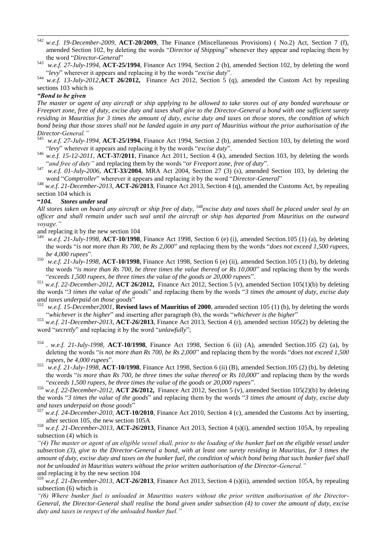- <sup>542</sup> *w.e.f. 19-December-2009,* **ACT-20/2009**, The Finance (Miscellaneous Provisions) ( No.2) Act, Section 7 (f), amended Section 102, by deleting the words "*Director of Shipping*" whenever they appear and replacing them by the word "Director-General"
- <sup>543</sup> *w.e.f. 27-July-1994*, **ACT-25/1994**, Finance Act 1994, Section 2 (b), amended Section 102, by deleting the word "levy" wherever it appears and replacing it by the words "excise duty".

<sup>544</sup> *w.e.f. 13-July-2012,***ACT 26/2012,** Finance Act 2012, Section 5 (q), amended the Custom Act by repealing sections 103 which is

### *"Bond to be given*

1

*The master or agent of any aircraft or ship applying to be allowed to take stores out of any bonded warehouse or Freeport zone, free of duty, excise duty and taxes shall give to the Director-General a bond with one sufficient surety residing in Mauritius for 3 times the amount of duty, excise duty and taxes on those stores, the condition of which bond being that those stores shall not be landed again in any part of Mauritius without the prior authorisation of the Director-General."*

- <sup>545</sup> *w.e.f. 27-July-1994*, **ACT-25/1994**, Finance Act 1994, Section 2 (b), amended Section 103, by deleting the word ―*levy*‖ wherever it appears and replacing it by the words ―*excise duty*‖.
- <sup>546</sup> *w.e.f. 15-12-2011*, **ACT-37/2011**, Finance Act 2011, Section 4 (k), amended Section 103, by deleting the words "and free of duty" and replacing them by the words "or Freeport zone, free of duty".
- <sup>547</sup> *w.e.f. 01-July-2006*, **ACT-33/2004**, MRA Act 2004, Section 27 (3) (s), amended Section 103, by deleting the word "Comptroller" wherever it appears and replacing it by the word "Director-General"

<sup>548</sup> *w.e.f. 21-December-2013*, **ACT-***26***/2013**, Finance Act 2013, Section 4 (q), amended the Customs Act, by repealing section 104 which is

### **"***104. Stores under seal*

*All stores taken on board any aircraft or ship free of duty, <sup>548</sup>excise duty and taxes shall be placed under seal by an officer and shall remain under such seal until the aircraft or ship has departed from Mauritius on the outward voyage."*

and replacing it by the new section 104

- <sup>549</sup> *w.e.f. 21-July-1998*, **ACT-10/1998**, Finance Act 1998, Section 6 (e) (i), amended Section.105 (1) (a), by deleting the words "*is not more than Rs 700, be Rs 2,000*" and replacing them by the words "*does not exceed 1,500 rupees*, *be 4,000 rupees*".
- <sup>550</sup> *w.e.f. 21-July-1998*, **ACT-10/1998**, Finance Act 1998, Section 6 (e) (ii), amended Section.105 (1) (b), by deleting the words "*is more than Rs 700, be three times the value thereof or Rs 10,000*" and replacing them by the words "exceeds 1,500 rupees, be three times the value of the goods or 20,000 rupees".

<sup>551</sup> *w.e.f. 22-December-2012,* **ACT 26/2012,** Finance Act 2012, Section 5 (v), amended Section 105(1)(b) by deleting the words "3 times the value of the goods" and replacing them by the words "3 times the amount of duty, excise duty *and taxes underpaid on those goods*‖

<sup>552</sup> *w.e.f. 15-December2001*, **Revised laws of Mauritius of 2000**, amended section 105 (1) (b), by deleting the words "whichever is the higher" and inserting after paragraph (b), the words "whichever is the higher"

<sup>553</sup> *w.e.f. 21-December-2013*, **ACT-***26***/2013**, Finance Act 2013, Section 4 (r), amended section 105(2) by deleting the word "*secretly*" and replacing it by the word "*unlawfully*";

- 554 . *w.e.f. 21-July-1998*, **ACT-10/1998**, Finance Act 1998, Section 6 (ii) (A), amended Section.105 (2) (a), by deleting the words "*is not more than Rs 700, be Rs 2,000*" and replacing them by the words "*does not exceed 1,500* rupees, be 4,000 rupees".
- <sup>555</sup> *w.e.f. 21-July-1998*, **ACT-10/1998**, Finance Act 1998, Section 6 (ii) (B), amended Section.105 (2) (b), by deleting the words "*is more than Rs 700, be three times the value thereof or Rs 10,000*" and replacing them by the words ―*exceeds 1,500 rupees, be three times the value of the goods or 20,000 rupees*‖.

<sup>556</sup> *w.e.f. 22-December-2012,* **ACT 26/2012,** Finance Act 2012, Section 5 (v), amended Section 105(2)(b) by deleting the words "3 times the value of the goods" and replacing them by the words "3 times the amount of duty, excise duty *and taxes underpaid on those goods*‖

<sup>557</sup> *w.e.f. 24-December-2010,* **ACT-10/2010**, Finance Act 2010, Section 4 (c), amended the Customs Act by inserting, after section 105, the new section 105A

<sup>558</sup> *w.e.f. 21-December-2013*, **ACT-***26***/2013**, Finance Act 2013, Section 4 (s)(i), amended section 105A, by repealing subsection (4) which is

*"(4) The master or agent of an eligible vessel shall, prior to the loading of the bunker fuel on the eligible vessel under subsection (3), give to the Director-General a bond, with at least one surety residing in Mauritius, for 3 times the amount of duty, excise duty and taxes on the bunker fuel, the condition of which bond being that such bunker fuel shall not be unloaded in Mauritius waters without the prior written authorisation of the Director-General."* and replacing it by the new section 104

<sup>559</sup> *w.e.f. 21-December-2013*, **ACT-***26***/2013**, Finance Act 2013, Section 4 (s)(ii), amended section 105A, by repealing subsection (6) which is

*"(6) Where bunker fuel is unloaded in Mauritius waters without the prior written authorisation of the Director-General, the Director-General shall realise the bond given under subsection (4) to cover the amount of duty, excise duty and taxes in respect of the unloaded bunker fuel."*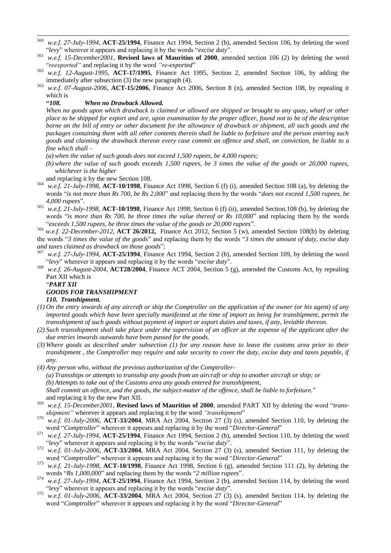- 560 <sup>560</sup> *w.e.f. 27-July-1994*, **ACT-25/1994**, Finance Act 1994, Section 2 (b), amended Section 106, by deleting the word ―*levy*‖ wherever it appears and replacing it by the words ―*excise duty*‖.
- <sup>561</sup> *w.e.f. 15-December2001*, **Revised laws of Mauritius of 2000**, amended section 106 (2) by deleting the word "reexported" and replacing it by the word "re-exported"
- <sup>562</sup> *w.e.f. 12-August-1995*, **ACT-17/1995**, Finance Act 1995, Section 2, amended Section 106, by adding the immediately after subsection (3) the new paragraph (4).
- <sup>563</sup> *w.e.f. 07-August-2006*, **ACT-15/2006**, Finance Act 2006, Section 8 (n), amended Section 108, by repealing it which is

### **"***108. When no Drawback Allowed.*

*When no goods upon which drawback is claimed or allowed are shipped or brought to any quay, wharf or other place to be shipped for export and are, upon examination by the proper officer, found not to be of the description borne on the bill of entry or other document for the allowance of drawback or shipment, all such goods and the packages containing them with all other contents therein shall be liable to forfeiture and the person entering such goods and claiming the drawback thereon every case commit an offence and shall, on conviction, be liable to a fine which shall –*

*(a) when the value of such goods does not exceed 1,500 rupees, be 4,000 rupees;*

*(b) where the value of such goods exceeds 1,500 rupees, be 3 times the value of the goods or 20,000 rupees, whichever is the higher*

and replacing it by the new Section 108.

- <sup>564</sup> *w.e.f. 21-July-1998*, **ACT-10/1998**, Finance Act 1998, Section 6 (f) (i), amended Section 108 (a), by deleting the words "is not more than Rs 700, be Rs 2,000" and replacing them by the words "does not exceed 1,500 rupees, be 4,000 rupees".
- <sup>565</sup> *w.e.f. 21-July-1998*, **ACT-10/1998**, Finance Act 1998, Section 6 (f) (ii), amended Section.108 (b), by deleting the words "*is more than Rs 700, be three times the value thereof or Rs 10,000*" and replacing them by the words "exceeds 1,500 rupees, be three times the value of the goods or 20,000 rupees".

<sup>566</sup> *w.e.f. 22-December-2012,* **ACT 26/2012,** Finance Act 2012, Section 5 (w), amended Section 108(b) by deleting the words "3 times the value of the goods" and replacing them by the words "3 times the amount of duty, excise duty *and taxes claimed as drawback on those goods*";

- <sup>567</sup> *w.e.f. 27-July-1994*, **ACT-25/1994**, Finance Act 1994, Section 2 (b), amended Section 109, by deleting the word ―*levy*‖ wherever it appears and replacing it by the words ―*excise duty*‖.
- <sup>568</sup> *w.e.f. 26-August-2004*, **ACT28/2004**, Finance ACT 2004, Section 5 (g), amended the Customs Act, by repealing Part XII which is

## ―*PART XII*

# *GOODS FOR TRANSHIPMENT*

## *110. Transhipment.*

- *(1) On the entry inwards of any aircraft or ship the Comptroller on the application of the owner (or his agent) of any imported goods which have been specially manifested at the time of import as being for transhipment, permit the transshipment of such goods without payment of import or export duties and taxes, if any, leviable thereon.*
- *(2) Such transshipment shall take place under the supervision of an officer at the expense of the applicant after the due entries inwards outwards have been passed for the goods.*
- *(3) Where goods as described under subsection (1) for any reason have to leave the customs area prior to their transhipment , the Comptroller may require and take security to cover the duty, excise duty and taxes payable, if any.*
- *(4) Any person who, without the previous authorization of the Comptroller- (a) Transships or attempts to transship any goods from an aircraft or ship to another aircraft or ship; or (b) Attempts to take out of the Customs area any goods entered for transshipment, Shall commit an offence, and the goods, the subject-matter of the offence, shall be liable to forfeiture.*‖ and replacing it by the new Part XII.
- <sup>569</sup> w.e.f. 15-December2001, **Revised laws of Mauritius of 2000**, amended PART XII by deleting the word "trans*shipment*" wherever it appears and replacing it by the word "transhipment"
- <sup>570</sup> *w.e.f. 01-July-2006*, **ACT-33/2004**, MRA Act 2004, Section 27 (3) (s), amended Section 110, by deleting the word "Comptroller" wherever it appears and replacing it by the word "Director-General"
- <sup>571</sup> *w.e.f. 27-July-1994*, **ACT-25/1994**, Finance Act 1994, Section 2 (b), amended Section 110, by deleting the word ―*levy*‖ wherever it appears and replacing it by the words ―*excise duty*‖.
- <sup>572</sup> *w.e.f. 01-July-2006*, **ACT-33/2004**, MRA Act 2004, Section 27 (3) (s), amended Section 111, by deleting the word "Comptroller" wherever it appears and replacing it by the word "Director-General"
- <sup>573</sup> *w.e.f. 21-July-1998*, **ACT-10/1998**, Finance Act 1998, Section 6 (g), amended Section 111 (2), by deleting the words "Rs 1,000,000" and replacing them by the words "2 *million rupees*".
- <sup>574</sup> *w.e.f. 27-July-1994*, **ACT-25/1994**, Finance Act 1994, Section 2 (b), amended Section 114, by deleting the word ―*levy*‖ wherever it appears and replacing it by the words ―*excise duty*‖.
- <sup>575</sup> *w.e.f. 01-July-2006*, **ACT-33/2004**, MRA Act 2004, Section 27 (3) (s), amended Section 114, by deleting the word "Comptroller" wherever it appears and replacing it by the word "Director-General"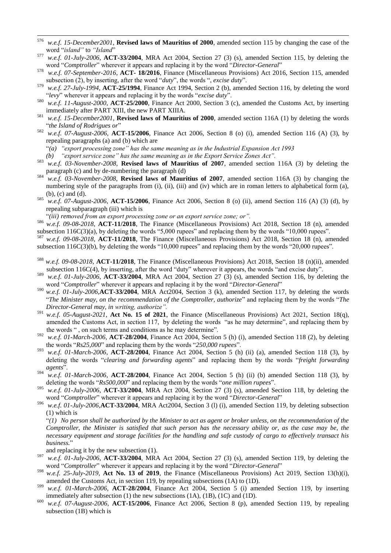- 576 <sup>576</sup> *w.e.f. 15-December2001*, **Revised laws of Mauritius of 2000**, amended section 115 by changing the case of the word "island" to "Island"
- <sup>577</sup> *w.e.f. 01-July-2006*, **ACT-33/2004**, MRA Act 2004, Section 27 (3) (s), amended Section 115, by deleting the word "Comptroller" wherever it appears and replacing it by the word "Director-General"
- 578 *w.e.f. 07-September-2016*, **ACT- 18/2016**, Finance (Miscellaneous Provisions) Act 2016, Section 115, amended subsection (2), by inserting, after the word "duty", the words ", *excise duty*".
- <sup>579</sup> *w.e.f. 27-July-1994*, **ACT-25/1994**, Finance Act 1994, Section 2 (b), amended Section 116, by deleting the word "levy" wherever it appears and replacing it by the words "excise duty".
- <sup>580</sup> *w.e.f. 11-August-2000*, **ACT-25/2000**, Finance Act 2000, Section 3 (c), amended the Customs Act, by inserting immediately after PART XIII, the new PART XIIIA.
- <sup>581</sup> *w.e.f. 15-December2001*, **Revised laws of Mauritius of 2000**, amended section 116A (1) by deleting the words "the Island of Rodrigues or"
- <sup>582</sup> *w.e.f. 07-August-2006*, **ACT-15/2006**, Finance Act 2006, Section 8 (o) (i), amended Section 116 (A) (3), by repealing paragraphs (a) and (b) which are
	- ―*(a) "export processing zone" has the same meaning as in the Industrial Expansion Act 1993*
	- *(b) "export service zone" has the same meaning as in the Export Service Zones Act".*
- <sup>583</sup> *w.e.f. 03-November-2008*, **Revised laws of Mauritius of 2007**, amended section 116A (3) by deleting the paragraph (c) and by de-numbering the paragraph (d)
- <sup>584</sup> *w.e.f. 03-November-2008*, **Revised laws of Mauritius of 2007**, amended section 116A (3) by changing the numbering style of the paragraphs from (i), (ii), (iii) and (iv) which are in roman letters to alphabetical form (a), (b), (c) and (d).
- <sup>585</sup> *w.e.f. 07-August-2006*, **ACT-15/2006**, Finance Act 2006, Section 8 (o) (ii), amend Section 116 (A) (3) (d), by repealing subparagraph (iii) which is
	- ―*(iii) removed from an export processing zone or an export service zone; or".*
- <sup>586</sup> *w.e.f. 09-08-2018*, **ACT-11/2018**, The Finance (Miscellaneous Provisions) Act 2018, Section 18 (n), amended subsection  $116C(3)(a)$ , by deleting the words "5,000 rupees" and replacing them by the words "10,000 rupees".
- <sup>587</sup> *w.e.f. 09-08-2018*, **ACT-11/2018**, The Finance (Miscellaneous Provisions) Act 2018, Section 18 (n), amended subsection  $116C(3)(b)$ , by deleting the words "10,000 rupees" and replacing them by the words "20,000 rupees".
- <sup>588</sup> *w.e.f. 09-08-2018*, **ACT-11/2018**, The Finance (Miscellaneous Provisions) Act 2018, Section 18 (n)(ii), amended subsection 116C(4), by inserting, after the word "duty" wherever it appears, the words "and excise duty".
- <sup>589</sup> *w.e.f. 01-July-2006*, **ACT-33/2004**, MRA Act 2004, Section 27 (3) (s), amended Section 116, by deleting the word "Comptroller" wherever it appears and replacing it by the word "Director-General"
- <sup>590</sup> *w.e.f. 01-July-2006,***ACT-33/2004**, MRA Act2004, Section 3 (k), amended Section 117, by deleting the words ―*The Minister may, on the recommendation of the Comptroller, authorize*‖ and replacing them by the words ―*The Director-General may, in writing, authorize".*
- <sup>591</sup> *w.e.f. 05-August-2021*, **Act No. 15 of 2021**, the Finance (Miscellaneous Provisions) Act 2021, Section 18(q), amended the Customs Act, in section 117, by deleting the words "as he may determine", and replacing them by the words ", on such terms and conditions as he may determine".
- <sup>592</sup> *w.e.f. 01-March-2006*, **ACT-28/2004**, Finance Act 2004, Section 5 (h) (i), amended Section 118 (2), by deleting the words "Rs25,000" and replacing them by the words "250,000 rupees".
- <sup>593</sup> *w.e.f. 01-March-2006*, **ACT-28/2004**, Finance Act 2004, Section 5 (h) (ii) (a), amended Section 118 (3), by deleting the words "*clearing and forwarding agents*" and replacing them by the words "*freight forwarding agents*‖.
- <sup>594</sup> *w.e.f. 01-March-2006*, **ACT-28/2004**, Finance Act 2004, Section 5 (h) (ii) (b) amended Section 118 (3), by deleting the words " $Rs500,000$ " and replacing them by the words "one million rupees".
- <sup>595</sup> *w.e.f. 01-July-2006*, **ACT-33/2004**, MRA Act 2004, Section 27 (3) (s), amended Section 118, by deleting the word "Comptroller" wherever it appears and replacing it by the word "Director-General"
- <sup>596</sup> *w.e.f. 01-July-2006,***ACT-33/2004**, MRA Act2004, Section 3 (l) (i), amended Section 119, by deleting subsection (1) which is

―*(1) No person shall be authorized by the Minister to act as agent or broker unless, on the recommendation of the Comptroller, the Minister is satisfied that such person has the necessary ability or, as the case may be, the necessary equipment and storage facilities for the handling and safe custody of cargo to effectively transact his business.*‖

- and replacing it by the new subsection (1).
- <sup>597</sup> *w.e.f. 01-July-2006*, **ACT-33/2004**, MRA Act 2004, Section 27 (3) (s), amended Section 119, by deleting the word "Comptroller" wherever it appears and replacing it by the word "Director-General"
- <sup>598</sup> *w.e.f. 25-July-2019*, **Act No. 13 of 2019**, the Finance (Miscellaneous Provisions) Act 2019, Section 13(h)(i), amended the Customs Act, in section 119, by repealing subsections (1A) to (1D).
- <sup>599</sup> *w.e.f. 01-March-2006*, **ACT-28/2004**, Finance Act 2004, Section 5 (i) amended Section 119, by inserting immediately after subsection (1) the new subsections (1A), (1B), (1C) and (1D).
- <sup>600</sup> *w.e.f. 07-August-2006*, **ACT-15/2006**, Finance Act 2006, Section 8 (p), amended Section 119, by repealing subsection (1B) which is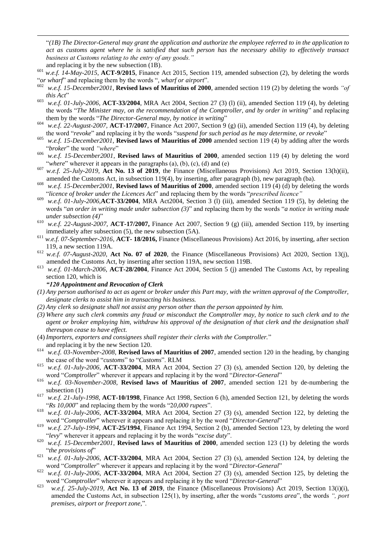―*(1B) The Director-General may grant the application and authorize the employee referred to in the application to act as customs agent where he is satisfied that such person has the necessary ability to effectively transact business at Customs relating to the entry of any goods."*  and replacing it by the new subsection (1B).

- <sup>601</sup> *w.e.f. 14-May-2015*, **ACT-9/2015**, Finance Act 2015, Section 119, amended subsection (2), by deleting the words "*or wharf*" and replacing them by the words ", *wharf or airport*".
- <sup>602</sup> *w.e.f. 15-December2001*, **Revised laws of Mauritius of 2000**, amended section 119 (2) by deleting the words *"of this Act*"
- <sup>603</sup> *w.e.f. 01-July-2006,* **ACT-33/2004**, MRA Act 2004, Section 27 (3) (l) (ii), amended Section 119 (4), by deleting the words "The Minister may, on the recommendation of the Comptroller, and by order in writing" and replacing them by the words "The Director-General may, by notice in writing"
- <sup>604</sup> *w.e.f. 22-August-2007,* **ACT-17/2007**, Finance Act 2007, Section 9 (g) (ii), amended Section 119 (4), by deleting the word "revoke" and replacing it by the words "suspend for such period as he may determine, or revoke"
- <sup>605</sup> *w.e.f. 15-December2001*, **Revised laws of Mauritius of 2000** amended section 119 (4) by adding after the words "broker" the word "where"
- <sup>606</sup> *w.e.f. 15-December2001*, **Revised laws of Mauritius of 2000**, amended section 119 (4) by deleting the word "where" wherever it appears in the paragraphs (a), (b), (c), (d) and (e)
- <sup>607</sup> *w.e.f. 25-July-2019*, **Act No. 13 of 2019**, the Finance (Miscellaneous Provisions) Act 2019, Section 13(h)(ii), amended the Customs Act, in subsection 119(4), by inserting, after paragraph (b), new paragraph (ba).
- <sup>608</sup> *w.e.f. 15-December2001*, **Revised laws of Mauritius of 2000**, amended section 119 (4) (d) by deleting the words ―*licence of broker under the Licences Act*‖ and replacing them by the words ―*prescribed licence"*
- $\frac{609}{w.e.f.}$  01-July-2006,**ACT-33/2004**, MRA Act2004, Section 3 (l) (iii), amended Section 119 (5), by deleting the words "*an order in writing made under subsection (3)*" and replacing them by the words "*a notice in writing made under subsection*  $(4)$ <sup>"</sup>
- <sup>610</sup> *w.e.f. 22-August-2007*, **ACT-17/2007,** Finance Act 2007, Section 9 (g) (iii), amended Section 119, by inserting immediately after subsection (5), the new subsection (5A).
- <sup>611</sup> *w.e.f. 07-September-2016*, **ACT- 18/2016,** Finance (Miscellaneous Provisions) Act 2016, by inserting, after section 119, a new section 119A.
- <sup>612</sup> *w.e.f. 07-August-2020*, **Act No. 07 of 2020**, the Finance (Miscellaneous Provisions) Act 2020, Section 13(j), amended the Customs Act, by inserting after section 119A, new section 119B.
- <sup>613</sup> *w.e.f. 01-March-2006*, **ACT-28/2004**, Finance Act 2004, Section 5 (j) amended The Customs Act, by repealing section 120, which is

### *"120 Appointment and Revocation of Clerk*

1

- *(1) Any person authorised to act as agent or broker under this Part may, with the written approval of the Comptroller, designate clerks to assist him in transacting his business.*
- *(2) Any clerk so designate shall not assist any person other than the person appointed by him.*
- *(3) Where any such clerk commits any fraud or misconduct the Comptroller may, by notice to such clerk and to the agent or broker employing him, withdraw his approval of the designation of that clerk and the designation shall thereupon cease to have effect.*
- (4) *Importers, exporters and consignees shall register their clerks with the Comptroller.*‖
- and replacing it by the new Section 120.
- <sup>614</sup> *w.e.f. 03-November-2008*, **Revised laws of Mauritius of 2007**, amended section 120 in the heading, by changing the case of the word "*customs*" to "*Customs*". RLM
- <sup>615</sup> *w.e.f. 01-July-2006*, **ACT-33/2004**, MRA Act 2004, Section 27 (3) (s), amended Section 120, by deleting the word "Comptroller" wherever it appears and replacing it by the word "Director-General"
- <sup>616</sup> *w.e.f. 03-November-2008*, **Revised laws of Mauritius of 2007**, amended section 121 by de-numbering the subsection (1)
- <sup>617</sup> *w.e.f. 21-July-1998*, **ACT-10/1998**, Finance Act 1998, Section 6 (h), amended Section 121, by deleting the words "Rs 10,000" and replacing them by the words "20,000 *rupees*".
- <sup>618</sup> *w.e.f. 01-July-2006*, **ACT-33/2004**, MRA Act 2004, Section 27 (3) (s), amended Section 122, by deleting the word "Comptroller" wherever it appears and replacing it by the word "Director-General"
- <sup>619</sup> *w.e.f. 27-July-1994*, **ACT-25/1994**, Finance Act 1994, Section 2 (b), amended Section 123, by deleting the word "levy" wherever it appears and replacing it by the words "excise duty".
- <sup>620</sup> *w.e.f. 15-December2001*, **Revised laws of Mauritius of 2000**, amended section 123 (1) by deleting the words ―*the provisions of*‖
- <sup>621</sup> *w.e.f. 01-July-2006*, **ACT-33/2004**, MRA Act 2004, Section 27 (3) (s), amended Section 124, by deleting the word "Comptroller" wherever it appears and replacing it by the word "Director-General"
- <sup>622</sup> *w.e.f. 01-July-2006*, **ACT-33/2004**, MRA Act 2004, Section 27 (3) (s), amended Section 125, by deleting the word "Comptroller" wherever it appears and replacing it by the word "Director-General"
- <sup>623</sup> *w.e.f. 25-July-2019*, **Act No. 13 of 2019**, the Finance (Miscellaneous Provisions) Act 2019, Section 13(i)(i), amended the Customs Act, in subsection 125(1), by inserting, after the words "*customs area*", the words ", port *premises, airport or freeport zone,*‖.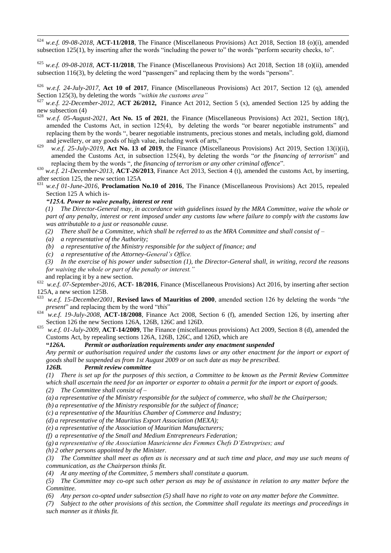<sup>624</sup> *w.e.f. 09-08-2018*, **ACT-11/2018**, The Finance (Miscellaneous Provisions) Act 2018, Section 18 (o)(i), amended subsection  $125(1)$ , by inserting after the words "including the power to" the words "perform security checks, to".

<sup>625</sup> *w.e.f. 09-08-2018*, **ACT-11/2018**, The Finance (Miscellaneous Provisions) Act 2018, Section 18 (o)(ii), amended subsection  $116(3)$ , by deleting the word "passengers" and replacing them by the words "persons".

<sup>626</sup> *w.e.f. 24-July-2017*, **Act 10 of 2017**, Finance (Miscellaneous Provisions) Act 2017, Section 12 (q), amended Section 125(3), by deleting the words *"within the customs area"* 

<sup>627</sup> *w.e.f. 22-December-2012,* **ACT 26/2012,** Finance Act 2012, Section 5 (x), amended Section 125 by adding the new subsection (4)

- <sup>628</sup> *w.e.f. 05-August-2021*, **Act No. 15 of 2021**, the Finance (Miscellaneous Provisions) Act 2021, Section 18(r), amended the Customs Act, in section 125(4), by deleting the words "or bearer negotiable instruments" and replacing them by the words ", bearer negotiable instruments, precious stones and metals, including gold, diamond and jewellery, or any goods of high value, including work of arts,"
- <sup>629</sup> *w.e.f. 25-July-2019*, **Act No. 13 of 2019**, the Finance (Miscellaneous Provisions) Act 2019, Section 13(i)(ii), amended the Customs Act, in subsection 125(4), by deleting the words "*or the financing of terrorism*" and replacing them by the words ", the financing of terrorism or any other criminal offence".
- <sup>630</sup> *w.e.f. 21-December-2013*, **ACT-***26***/2013**, Finance Act 2013, Section 4 (t), amended the customs Act, by inserting, after section 125, the new section 125A
- w.e.f 01-June-2016, **Proclamation No.10 of 2016**, The Finance (Miscellaneous Provisions) Act 2015, repealed Section 125 A which is-

## *"125A. Power to waive penalty, interest or rent*

 *(1) The Director-General may, in accordance with guidelines issued by the MRA Committee, waive the whole or part of any penalty, interest or rent imposed under any customs law where failure to comply with the customs law was attributable to a just or reasonable cause.* 

*(2) There shall be a Committee, which shall be referred to as the MRA Committee and shall consist of*  $-$ 

*(a) a representative of the Authority;* 

1

- *(b) a representative of the Ministry responsible for the subject of finance; and*
- *(c) a representative of the Attorney-General's Office.*

 *(3) In the exercise of his power under subsection (1), the Director-General shall, in writing, record the reasons for waiving the whole or part of the penalty or interest."* and replacing it by a new section.

632 *w.e.f. 07-September-2016*, **ACT- 18/2016**, Finance (Miscellaneous Provisions) Act 2016, by inserting after section 125A, a new section 125B.

- w.e.f. 15-December2001, **Revised laws of Mauritius of 2000**, amended section 126 by deleting the words "the *present*" and replacing them by the word "*this*"
- <sup>634</sup> *w.e.f. 19-July-2008*, **ACT-18/2008**, Finance Act 2008, Section 6 (f), amended Section 126, by inserting after Section 126 the new Sections 126A, 126B, 126C and 126D.
- <sup>635</sup> *w.e.f. 01-July-2009,* **ACT-14/2009**, The Finance (miscellaneous provisions) Act 2009, Section 8 (d), amended the Customs Act, by repealing sections 126A, 126B, 126C, and 126D, which are

### **"***126A. Permit or authorization requirements under any enactment suspended*

*Any permit or authorisation required under the customs laws or any other enactment for the import or export of goods shall be suspended as from 1st August 2009 or on such date as may be prescribed.*

### *126B. Permit review committee*

*(1) There is set up for the purposes of this section, a Committee to be known as the Permit Review Committee which shall ascertain the need for an importer or exporter to obtain a permit for the import or export of goods.*

*(2) The Committee shall consist of –*

*(a) a representative of the Ministry responsible for the subject of commerce, who shall be the Chairperson;*

*(b) a representative of the Ministry responsible for the subject of finance;*

*(c) a representative of the Mauritius Chamber of Commerce and Industry;*

*(d) a representative of the Mauritius Export Association (MEXA);*

*(e) a representative of the Association of Mauritian Manufacturers;*

*(f) a representative of the Small and Medium Entrepreneurs Federation;*

*(g) a representative of the Association Mauricienne des Femmes Chefs D'Entreprises; and*

*(h) 2 other persons appointed by the Minister.*

*(3) The Committee shall meet as often as is necessary and at such time and place, and may use such means of communication, as the Chairperson thinks fit.*

*(4) At any meeting of the Committee, 5 members shall constitute a quorum.*

*(5) The Committee may co-opt such other person as may be of assistance in relation to any matter before the Committee.*

*(6) Any person co-opted under subsection (5) shall have no right to vote on any matter before the Committee.*

*(7) Subject to the other provisions of this section, the Committee shall regulate its meetings and proceedings in such manner as it thinks fit.*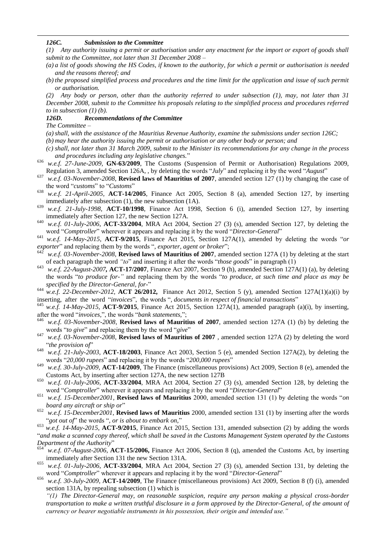### *126C. Submission to the Committee*

*(1) Any authority issuing a permit or authorisation under any enactment for the import or export of goods shall submit to the Committee, not later than 31 December 2008 –*

- *(a) a list of goods showing the HS Codes, if known to the authority, for which a permit or authorisation is needed and the reasons thereof; and*
- *(b) the proposed simplified process and procedures and the time limit for the application and issue of such permit or authorisation.*

*(2) Any body or person, other than the authority referred to under subsection (1), may, not later than 31 December 2008, submit to the Committee his proposals relating to the simplified process and procedures referred to in subsection (1) (b).*

## *126D. Recommendations of the Committee*

*The Committee –*

1

*(a)shall, with the assistance of the Mauritius Revenue Authority, examine the submissions under section 126C; (b) may hear the authority issuing the permit or authorisation or any other body or person; and*

*(c) shall, not later than 31 March 2009, submit to the Minister its recommendations for any change in the process and procedures including any legislative changes.*‖

- <sup>636</sup> *w.e.f. 27-June-2009,* **GN-63/2009**, The Customs (Suspension of Permit or Authorisation) Regulations 2009, Regulation 3, amended Section 126A, , by deleting the words "*July*" and replacing it by the word "*August*"
- <sup>637</sup> *w.e.f. 03-November-2008*, **Revised laws of Mauritius of 2007**, amended section 127 (1) by changing the case of the word "*customs*" to "*Customs*"
- <sup>638</sup> *w.e.f. 21-April-2005,* **ACT-14/2005**, Finance Act 2005, Section 8 (a), amended Section 127, by inserting immediately after subsection (1), the new subsection (1A).
- <sup>639</sup> *w.e.f. 21-July-1998*, **ACT-10/1998**, Finance Act 1998, Section 6 (i), amended Section 127, by inserting immediately after Section 127, the new Section 127A.
- <sup>640</sup> *w.e.f. 01-July-2006*, **ACT-33/2004**, MRA Act 2004, Section 27 (3) (s), amended Section 127, by deleting the word "Comptroller" wherever it appears and replacing it by the word "Director-General"

 $^{641}$  *w.e.f. 14-May-2015*, **ACT-9/2015**, Finance Act 2015, Section 127A(1), amended by deleting the words "*or exporter*" and replacing them by the words ", *exporter*, *agent or broker*";<br><sup>642</sup>

w.e.f. 03-November-2008, **Revised laws of Mauritius of 2007**, amended section 127A (1) by deleting at the start of each paragraph the word "to" and inserting it after the words "those goods" in paragraph (1)

- <sup>643</sup> *w.e.f. 22-August-2007,* **ACT-17/2007**, Finance Act 2007, Section 9 (h), amended Section 127A(1) (a), by deleting the words "to produce for-" and replacing them by the words "to produce, at such time and place as may be *specified by the Director-General, for-*‖
- <sup>644</sup> *w.e.f. 22-December-2012,* **ACT 26/2012,** Finance Act 2012, Section 5 (y), amended Section 127A(1)(a)(i) by inserting, after the word "*invoices*", the words ", *documents in respect of financial transactions*"

w.e.f. 14-May-2015, **ACT-9/2015**, Finance Act 2015, Section 127A(1), amended paragraph (a)(i), by inserting, after the word "*invoices*,", the words "*bank statements*,";

- w.e.f. 03-November-2008, **Revised laws of Mauritius of 2007**, amended section 127A (1) (b) by deleting the words "to give" and replacing them by the word "give"
- <sup>647</sup> *w.e.f. 03-November-2008*, **Revised laws of Mauritius of 2007** , amended section 127A (2) by deleting the word ―*the provision of*‖
- <sup>648</sup> *w.e.f. 21-July-2003*, **ACT-18/2003**, Finance Act 2003, Section 5 (e), amended Section 127A(2), by deleting the words "20,000 *rupees*" and replacing it by the words "200,000 *rupees*"
- <sup>649</sup> *w.e.f. 30-July-2009,* **ACT-14/2009**, The Finance (miscellaneous provisions) Act 2009, Section 8 (e), amended the Customs Act, by inserting after section 127A, the new section 127B
- <sup>650</sup> *w.e.f. 01-July-2006*, **ACT-33/2004**, MRA Act 2004, Section 27 (3) (s), amended Section 128, by deleting the word "Comptroller" wherever it appears and replacing it by the word "Director-General"
- <sup>651</sup> *w.e.f. 15-December2001*, **Revised laws of Mauritius** 2000, amended section 131 (1) by deleting the words "*on board any aircraft or ship or*"
- <sup>652</sup> *w.e.f. 15-December2001*, **Revised laws of Mauritius** 2000, amended section 131 (1) by inserting after the words "got out of" the words ", or is about to embark on,"

<sup>653</sup> *w.e.f. 14-May-2015*, **ACT-9/2015**, Finance Act 2015, Section 131, amended subsection (2) by adding the words ―*and make a scanned copy thereof, which shall be saved in the Customs Management System operated by the Customs Department of the Authority* 

- <sup>654</sup> *w.e.f. 07-August-2006*, **ACT-15/2006,** Finance Act 2006, Section 8 (q), amended the Customs Act, by inserting immediately after Section 131 the new Section 131A.
- <sup>655</sup> *w.e.f. 01-July-2006*, **ACT-33/2004**, MRA Act 2004, Section 27 (3) (s), amended Section 131, by deleting the word "Comptroller" wherever it appears and replacing it by the word "Director-General"
- <sup>656</sup> *w.e.f. 30-July-2009,* **ACT-14/2009**, The Finance (miscellaneous provisions) Act 2009, Section 8 (f) (i), amended section 131A, by repealing subsection (1) which is

*"(1) The Director-General may, on reasonable suspicion, require any person making a physical cross-border transportation to make a written truthful disclosure in a form approved by the Director-General, of the amount of currency or bearer negotiable instruments in his possession, their origin and intended use."*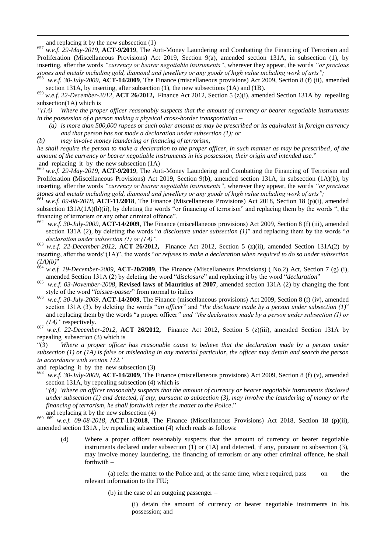and replacing it by the new subsection (1)

1

<sup>657</sup> *w.e.f. 29-May-2019,* **ACT-9/2019**, The Anti-Money Laundering and Combatting the Financing of Terrorism and Proliferation (Miscellaneous Provisions) Act 2019, Section 9(a), amended section 131A, in subsection (1), by inserting, after the words *"currency or bearer negotiable instruments"*, wherever they appear, the words *"or precious stones and metals including gold, diamond and jewellery or any goods of high value including work of arts";*

<sup>658</sup> *w.e.f. 30-July-2009,* **ACT-14/2009**, The Finance (miscellaneous provisions) Act 2009, Section 8 (f) (ii), amended section 131A, by inserting, after subsection (1), the new subsections (1A) and (1B).

<sup>659</sup> *w.e.f. 22-December-2012,* **ACT 26/2012,** Finance Act 2012, Section 5 (z)(i), amended Section 131A by repealing subsection(1A) which is

*"(1A) Where the proper officer reasonably suspects that the amount of currency or bearer negotiable instruments in the possession of a person making a physical cross-border transportation –* 

- *(a) is more than 500,000 rupees or such other amount as may be prescribed or its equivalent in foreign currency and that person has not made a declaration under subsection (1); or*
- *(b) may involve money laundering or financing of terrorism,*

*he shall require the person to make a declaration to the proper officer, in such manner as may be prescribed, of the amount of the currency or bearer negotiable instruments in his possession, their origin and intended use.*‖ and replacing it by the new subsection (1A)

<sup>660</sup> *w.e.f. 29-May-2019,* **ACT-9/2019**, The Anti-Money Laundering and Combatting the Financing of Terrorism and Proliferation (Miscellaneous Provisions) Act 2019, Section 9(b), amended section 131A, in subsection (1A)(b), by inserting, after the words *"currency or bearer negotiable instruments"*, wherever they appear, the words *"or precious stones and metals including gold, diamond and jewellery or any goods of high value including work of arts";*

<sup>661</sup> *w.e.f. 09-08-2018*, **ACT-11/2018**, The Finance (Miscellaneous Provisions) Act 2018, Section 18 (p)(i), amended subsection  $131A(1A)(b)(ii)$ , by deleting the words "or financing of terrorism" and replacing them by the words ", the financing of terrorism or any other criminal offence".

- <sup>662</sup> *w.e.f. 30-July-2009,* **ACT-14/2009**, The Finance (miscellaneous provisions) Act 2009, Section 8 (f) (iii), amended section 131A (2), by deleting the words "*a disclosure under subsection (1)*" and replacing them by the words "*a declaration under subsection (1) or (1A)".*
- <sup>663</sup> *w.e.f. 22-December-2012,* **ACT 26/2012,** Finance Act 2012, Section 5 (z)(ii), amended Section 131A(2) by inserting, after the words<sup>"</sup>(1A)", the words "*or refuses to make a declaration when required to do so under subsection*  $(IA)(b)$

<sup>664</sup> *w.e.f. 19-December-2009,* **ACT-20/2009**, The Finance (Miscellaneous Provisions) ( No.2) Act, Section 7 (g) (i), amended Section 131A (2) by deleting the word "*disclosure*" and replacing it by the word "*declaration*"

- <sup>665</sup> *w.e.f. 03-November-2008*, **Revised laws of Mauritius of 2007**, amended section 131A (2) by changing the font style of the word "laissez-passer" from normal to italics
- <sup>666</sup> *w.e.f. 30-July-2009,* **ACT-14/2009**, The Finance (miscellaneous provisions) Act 2009, Section 8 (f) (iv), amended section 131A (3), by deleting the words "an officer" and "the disclosure made by a person under subsection (1)" and replacing them by the words "a proper officer" and "the declaration made by a person under subsection (1) or *(1A)"* respectively.

<sup>667</sup> *w.e.f. 22-December-2012,* **ACT 26/2012,** Finance Act 2012, Section 5 (z)(iii), amended Section 131A by repealing subsection (3) which is

―(3) *Where a proper officer has reasonable cause to believe that the declaration made by a person under subsection (1) or (1A) is false or misleading in any material particular, the officer may detain and search the person in accordance with section 132."*

and replacing it by the new subsection (3)

<sup>668</sup> *w.e.f. 30-July-2009,* **ACT-14/2009**, The Finance (miscellaneous provisions) Act 2009, Section 8 (f) (v), amended section 131A, by repealing subsection (4) which is

―*(4) Where an officer reasonably suspects that the amount of currency or bearer negotiable instruments disclosed under subsection (1) and detected, if any, pursuant to subsection (3), may involve the laundering of money or the financing of terrorism, he shall forthwith refer the matter to the Police*.‖

and replacing it by the new subsection (4)

<sup>669</sup> <sup>669</sup> *w.e.f. 09-08-2018*, **ACT-11/2018**, The Finance (Miscellaneous Provisions) Act 2018, Section 18 (p)(ii), amended section 131A , by repealing subsection (4) which reads as follows:

(4) Where a proper officer reasonably suspects that the amount of currency or bearer negotiable instruments declared under subsection (1) or (1A) and detected, if any, pursuant to subsection (3), may involve money laundering, the financing of terrorism or any other criminal offence, he shall forthwith –

(a) refer the matter to the Police and, at the same time, where required, pass on the relevant information to the FIU;

(b) in the case of an outgoing passenger –

(i) detain the amount of currency or bearer negotiable instruments in his possession; and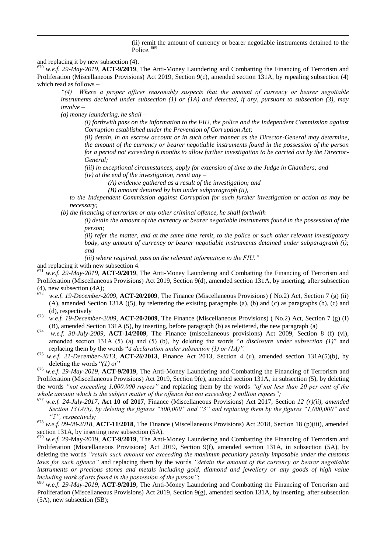(ii) remit the amount of currency or bearer negotiable instruments detained to the Police.<sup>669</sup>

and replacing it by new subsection (4).

1

<sup>670</sup> *w.e.f. 29-May-2019,* **ACT-9/2019**, The Anti-Money Laundering and Combatting the Financing of Terrorism and Proliferation (Miscellaneous Provisions) Act 2019, Section 9(c), amended section 131A, by repealing subsection (4) which read as follows –

*"(4) Where a proper officer reasonably suspects that the amount of currency or bearer negotiable instruments declared under subsection (1) or (1A) and detected, if any, pursuant to subsection (3), may involve –*

*(a) money laundering, he shall –*

*(i) forthwith pass on the information to the FIU, the police and the Independent Commission against Corruption established under the Prevention of Corruption Act;* 

*(ii) detain, in an escrow account or in such other manner as the Director-General may determine, the amount of the currency or bearer negotiable instruments found in the possession of the person for a period not exceeding 6 months to allow further investigation to be carried out by the Director-General;* 

*(iii) in exceptional circumstances, apply for extension of time to the Judge in Chambers; and* 

*(iv) at the end of the investigation, remit any –*

*(A) evidence gathered as a result of the investigation; and* 

*(B) amount detained by him under subparagraph (ii),* 

*to the Independent Commission against Corruption for such further investigation or action as may be necessary;*

*(b) the financing of terrorism or any other criminal offence, he shall forthwith –* 

*(i) detain the amount of the currency or bearer negotiable instruments found in the possession of the person;* 

*(ii) refer the matter, and at the same time remit, to the police or such other relevant investigatory body, any amount of currency or bearer negotiable instruments detained under subparagraph (i); and* 

*(iii) where required, pass on the relevant information to the FIU."*

and replacing it with new subsection 4.

<sup>671</sup> *w.e.f. 29-May-2019,* **ACT-9/2019**, The Anti-Money Laundering and Combatting the Financing of Terrorism and Proliferation (Miscellaneous Provisions) Act 2019, Section 9(d), amended section 131A, by inserting, after subsection (4), new subsection (4A);

- <sup>672</sup> *w.e.f. 19-December-2009,* **ACT-20/2009**, The Finance (Miscellaneous Provisions) ( No.2) Act, Section 7 (g) (ii) (A), amended Section 131A ((5), by relettering the existing paragraphs (a), (b) and (c) as paragraphs (b), (c) and (d), respectively
- <sup>673</sup> *w.e.f. 19-December-2009,* **ACT-20/2009**, The Finance (Miscellaneous Provisions) ( No.2) Act, Section 7 (g) (I) (B), amended Section 131A (5), by inserting, before paragraph (b) as relettered, the new paragraph (a)
- <sup>674</sup> *w.e.f. 30-July-2009,* **ACT-14/2009**, The Finance (miscellaneous provisions) Act 2009, Section 8 (f) (vi), amended section 131A (5) (a) and (5) (b), by deleting the words "*a disclosure under subsection* (1)" and replacing them by the words "*a declaration under subsection (1) or (1A)*".
- <sup>675</sup> *w.e.f. 21-December-2013*, **ACT-***26***/2013**, Finance Act 2013, Section 4 (u), amended section 131A(5)(b), by deleting the words " $(1)$  or"

<sup>676</sup> *w.e.f. 29-May-2019,* **ACT-9/2019**, The Anti-Money Laundering and Combatting the Financing of Terrorism and Proliferation (Miscellaneous Provisions) Act 2019, Section 9(e), amended section 131A, in subsection (5), by deleting the words *"not exceeding 1,000,000 rupees"* and replacing them by the words *"of not less than 20 per cent of the whole amount which is the subject matter of the offence but not exceeding 2 million rupees";*

- <sup>677</sup> *w.e.f. 24-July-2017*, **Act 10 of 2017**, Finance (Miscellaneous Provisions) Act 2017, Section *12 (r)(ii), amended Section 131A(5), by deleting the figures "500,000" and "3" and replacing them by the figures "1,000,000" and "5", respectively;*
- <sup>678</sup> *w.e.f. 09-08-2018*, **ACT-11/2018**, The Finance (Miscellaneous Provisions) Act 2018, Section 18 (p)(iii), amended section 131A, by inserting new subsection (5A).

<sup>679</sup> *w.e.f.* 29-May-2019, **ACT-9/2019**, The Anti-Money Laundering and Combatting the Financing of Terrorism and Proliferation (Miscellaneous Provisions) Act 2019, Section 9(f), amended section 131A, in subsection (5A), by deleting the words *"retain such amount not exceeding the maximum pecuniary penalty imposable under the customs laws for such offence"* and replacing them by the words *"detain the amount of the currency or bearer negotiable instruments or precious stones and metals including gold, diamond and jewellery or any goods of high value including work of arts found in the possession of the person"*;

<sup>680</sup> *w.e.f. 29-May-2019,* **ACT-9/2019**, The Anti-Money Laundering and Combatting the Financing of Terrorism and Proliferation (Miscellaneous Provisions) Act 2019, Section 9(g), amended section 131A, by inserting, after subsection (5A), new subsection (5B);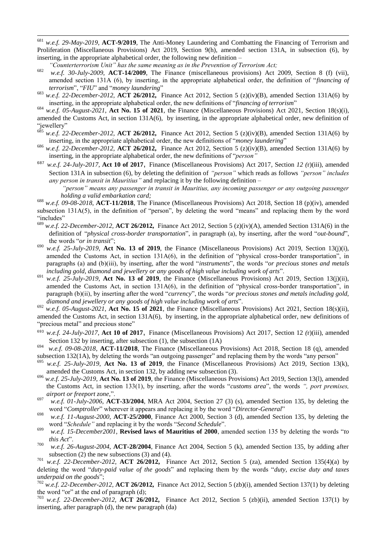681 w.e.f. 29-May-2019, **ACT-9/2019**, The Anti-Money Laundering and Combatting the Financing of Terrorism and Proliferation (Miscellaneous Provisions) Act 2019, Section 9(h), amended section 131A, in subsection (6), by inserting, in the appropriate alphabetical order, the following new definition –

*"Counterterrorism Unit" has the same meaning as in the Prevention of Terrorism Act;*

- <sup>682</sup> *w.e.f. 30-July-2009,* **ACT-14/2009**, The Finance (miscellaneous provisions) Act 2009, Section 8 (f) (vii), amended section 131A (6), by inserting, in the appropriate alphabetical order, the definition of "financing of *terrorism*", "*FIU*" and "*money laundering*"
- <sup>683</sup> *w.e.f. 22-December-2012,* **ACT 26/2012,** Finance Act 2012, Section 5 (z)(iv)(B), amended Section 131A(6) by inserting, in the appropriate alphabetical order, the new definitions of "*financing of terrorism*"
- <sup>684</sup> *w.e.f. 05-August-2021*, **Act No. 15 of 2021**, the Finance (Miscellaneous Provisions) Act 2021, Section 18(s)(i), amended the Customs Act, in section 131A(6), by inserting, in the appropriate alphabetical order, new definition of "jewellery"

<sup>685</sup> *w.e.f. 22-December-2012,* **ACT 26/2012,** Finance Act 2012, Section 5 (z)(iv)(B), amended Section 131A(6) by inserting, in the appropriate alphabetical order, the new definitions of "*money laundering*"

- <sup>686</sup> *w.e.f. 22-December-2012,* **ACT 26/2012,** Finance Act 2012, Section 5 (z)(iv)(B), amended Section 131A(6) by inserting, in the appropriate alphabetical order, the new definitions of "*person*"
- <sup>687</sup> *w.e.f. 24-July-2017*, **Act 10 of 2017**, Finance (Miscellaneous Provisions) Act 2017, Section *12 (*r)(iii), amended Section 131A in subsection (6), by deleting the definition of *"person"* which reads as follows *"person" includes any person in transit in Mauritius"* and replacing it by the following definition –
	- *"person" means any passenger in transit in Mauritius, any incoming passenger or any outgoing passenger holding a valid embarkation card;*
- <sup>688</sup> *w.e.f. 09-08-2018*, **ACT-11/2018**, The Finance (Miscellaneous Provisions) Act 2018, Section 18 (p)(iv), amended subsection 131A(5), in the definition of "person", by deleting the word "means" and replacing them by the word "includes"
- <sup>689</sup> *w.e.f. 22-December-2012,* **ACT 26/2012,** Finance Act 2012, Section 5 (z)(iv)(A), amended Section 131A(6) in the definition of "*physical cross-border transportation*", in paragraph (a), by inserting, after the word "*out-bound*", the words "*or in transit*";
- <sup>690</sup> *w.e.f. 25-July-2019*, **Act No. 13 of 2019**, the Finance (Miscellaneous Provisions) Act 2019, Section 13(j)(i), amended the Customs Act, in section  $131A(6)$ , in the definition of "physical cross-border transportation", in paragraphs (a) and (b)(iii), by inserting, after the word "*instruments*", the words "*or precious stones and metals including gold, diamond and jewellery or any goods of high value including work of arts*".
- <sup>691</sup> *w.e.f. 25-July-2019*, **Act No. 13 of 2019**, the Finance (Miscellaneous Provisions) Act 2019, Section 13(j)(ii), amended the Customs Act, in section  $131A(6)$ , in the definition of "physical cross-border transportation", in paragraph (b)(ii), by inserting after the word "*currency*", the words "*or precious stones and metals including gold*, *diamond and jewellery or any goods of high value including work of arts*".
- <sup>692</sup> *w.e.f. 05-August-2021*, **Act No. 15 of 2021**, the Finance (Miscellaneous Provisions) Act 2021, Section 18(s)(ii), amended the Customs Act, in section 131A(6), by inserting, in the appropriate alphabetical order, new definitions of "precious metal" and precious stone"
- <sup>693</sup> *w.e.f. 24-July-2017*, **Act 10 of 2017**, Finance (Miscellaneous Provisions) Act 2017, Section 12 *(*r)(iii), amended Section 132 by inserting, after subsection (1), the subsection (1A)
- 694 *w.e.f. 09-08-2018*, **ACT-11/2018**, The Finance (Miscellaneous Provisions) Act 2018, Section 18 (q), amended subsection 132(1A), by deleting the words "an outgoing passenger" and replacing them by the words "any person"
- w.e.f. 25-July-2019, Act No. 13 of 2019, the Finance (Miscellaneous Provisions) Act 2019, Section 13(k), amended the Customs Act, in section 132, by adding new subsection (3).
- <sup>696</sup> *w.e.f. 25-July-2019*, **Act No. 13 of 2019**, the Finance (Miscellaneous Provisions) Act 2019, Section 13(l), amended the Customs Act, in section 133(1), by inserting, after the words "*customs area*", the words ", port premises, *airport or freeport zone,".*
- <sup>697</sup> *w.e.f. 01-July-2006*, **ACT-33/2004**, MRA Act 2004, Section 27 (3) (s), amended Section 135, by deleting the word "Comptroller" wherever it appears and replacing it by the word "Director-General"
- <sup>698</sup> *w.e.f. 11-August-2000*, **ACT-25/2000**, Finance Act 2000, Section 3 (d), amended Section 135, by deleting the word "Schedule" and replacing it by the words "Second Schedule".
- 699 *w.e.f. 15-December2001*, **Revised laws of Mauritius of 2000**, amended section 135 by deleting the words "to this Act".
- <sup>700</sup> *w.e.f. 26-August-2004*, **ACT-28/2004**, Finance Act 2004, Section 5 (k), amended Section 135, by adding after subsection (2) the new subsections (3) and (4).

<sup>701</sup> *w.e.f. 22-December-2012,* **ACT 26/2012,** Finance Act 2012, Section 5 (za), amended Section 135(4)(a) by deleting the word "*duty-paid value of the goods*" and replacing them by the words "*duty, excise duty and taxes underpaid on the goods*";

<sup>702</sup> *w.e.f. 22-December-2012,* **ACT 26/2012,** Finance Act 2012, Section 5 (zb)(i), amended Section 137(1) by deleting the word "or" at the end of paragraph  $(d)$ ;

<sup>703</sup> *w.e.f. 22-December-2012,* **ACT 26/2012,** Finance Act 2012, Section 5 (zb)(ii), amended Section 137(1) by inserting, after paragraph (d), the new paragraph (da)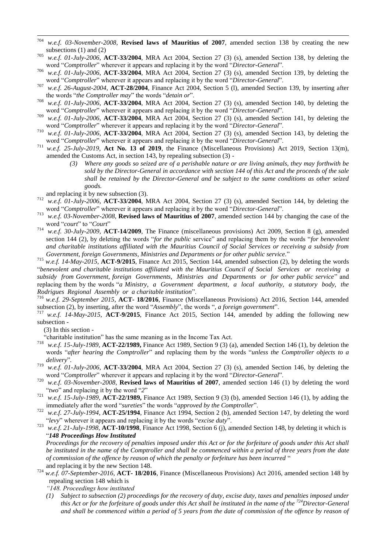- 704 <sup>704</sup> *w.e.f. 03-November-2008*, **Revised laws of Mauritius of 2007**, amended section 138 by creating the new subsections (1) and (2)
- <sup>705</sup> *w.e.f. 01-July-2006*, **ACT-33/2004**, MRA Act 2004, Section 27 (3) (s), amended Section 138, by deleting the word "Comptroller" wherever it appears and replacing it by the word "Director-General".
- <sup>706</sup> *w.e.f. 01-July-2006*, **ACT-33/2004**, MRA Act 2004, Section 27 (3) (s), amended Section 139, by deleting the word "Comptroller" wherever it appears and replacing it by the word "Director-General".
- <sup>707</sup> *w.e.f. 26-August-2004*, **ACT-28/2004**, Finance Act 2004, Section 5 (l), amended Section 139, by inserting after the words "the Comptroller may" the words "detain or".
- <sup>708</sup> *w.e.f. 01-July-2006*, **ACT-33/2004**, MRA Act 2004, Section 27 (3) (s), amended Section 140, by deleting the word "Comptroller" wherever it appears and replacing it by the word "Director-General".
- <sup>709</sup> *w.e.f. 01-July-2006*, **ACT-33/2004**, MRA Act 2004, Section 27 (3) (s), amended Section 141, by deleting the word "Comptroller" wherever it appears and replacing it by the word "Director-General".
- <sup>710</sup> *w.e.f. 01-July-2006*, **ACT-33/2004**, MRA Act 2004, Section 27 (3) (s), amended Section 143, by deleting the word "Comptroller" wherever it appears and replacing it by the word "Director-General".
- <sup>711</sup> *w.e.f. 25-July-2019*, **Act No. 13 of 2019**, the Finance (Miscellaneous Provisions) Act 2019, Section 13(m), amended the Customs Act, in section 143, by repealing subsection (3) -
	- *(3) Where any goods so seized are of a perishable nature or are living animals, they may forthwith be sold by the Director-General in accordance with section 144 of this Act and the proceeds of the sale shall be retained by the Director-General and be subject to the same conditions as other seized goods.*

and replacing it by new subsection (3).

- <sup>712</sup> *w.e.f. 01-July-2006*, **ACT-33/2004**, MRA Act 2004, Section 27 (3) (s), amended Section 144, by deleting the word "Comptroller" wherever it appears and replacing it by the word "Director-General".
- <sup>713</sup> *w.e.f. 03-November-2008*, **Revised laws of Mauritius of 2007**, amended section 144 by changing the case of the word "court" to "Court"
- <sup>714</sup> *w.e.f. 30-July-2009,* **ACT-14/2009**, The Finance (miscellaneous provisions) Act 2009, Section 8 (g), amended section 144 (2), by deleting the words "*for the public* service" and replacing them by the words "*for benevolent and charitable institutions affiliated with the Mauritius Council of Social Services or receiving a subsidy from Government, foreign Governments, Ministries and Departments or for other public service.*‖

<sup>715</sup> *w.e.f. 14-May-2015*, **ACT-9/2015**, Finance Act 2015, Section 144, amended subsection (2), by deleting the words ―*benevolent and charitable institutions affiliated with the Mauritius Council of Social Services or receiving a subsidy from Government, foreign Governments, Ministries and Departments or for other public service*‖ and replacing them by the words "*a Ministry, a Government department, a local authority, a statutory body, the Rodrigues Regional Assembly or a charitable institution*‖.

<sup>716</sup> *w.e.f. 29-September 2015*, **ACT- 18/2016**, Finance (Miscellaneous Provisions) Act 2016, Section 144, amended subsection (2), by inserting, after the word "Assembly", the words ", a foreign government".

<sup>717</sup> *w.e.f. 14-May-2015*, **ACT-9/2015**, Finance Act 2015, Section 144, amended by adding the following new subsection -

(3) In this section -

"charitable institution" has the same meaning as in the Income Tax Act.<br> $^{718}$  m a f, 15 July 1080, ACT. 22/1080, Einenes Act, 1080, Section 0.(2) (

- <sup>718</sup> *w.e.f. 15-July-1989*, **ACT-22/1989,** Finance Act 1989, Section 9 (3) (a), amended Section 146 (1), by deletion the words "after hearing the Comptroller" and replacing them by the words "unless the Comptroller objects to a delivery".
- <sup>719</sup> *w.e.f. 01-July-2006*, **ACT-33/2004**, MRA Act 2004, Section 27 (3) (s), amended Section 146, by deleting the word "Comptroller" wherever it appears and replacing it by the word "Director-General".
- <sup>720</sup> *w.e.f. 03-November-2008*, **Revised laws of Mauritius of 2007**, amended section 146 (1) by deleting the word "two" and replacing it by the word "2"
- <sup>721</sup> *w.e.f. 15-July-1989*, **ACT-22/1989,** Finance Act 1989, Section 9 (3) (b), amended Section 146 (1), by adding the immediately after the word "sureties" the words "approved by the Comptroller".
- <sup>722</sup> *w.e.f. 27-July-1994*, **ACT-25/1994**, Finance Act 1994, Section 2 (b), amended Section 147, by deleting the word ―*levy*‖ wherever it appears and replacing it by the words ―*excise duty*‖.
- <sup>723</sup> *w.e.f. 21-July-1998*, **ACT-10/1998**, Finance Act 1998, Section 6 (j), amended Section 148, by deleting it which is ―*148 Proceedings How Instituted*

*Proceedings for the recovery of penalties imposed under this Act or for the forfeiture of goods under this Act shall be instituted in the name of the Comptroller and shall be commenced within a period of three years from the date of commission of the offence by reason of which the penalty or forfeiture has been incurred* " and replacing it by the new Section 148.

<sup>724</sup> *w.e.f. 07-September-2016*, **ACT- 18/2016**, Finance (Miscellaneous Provisions) Act 2016, amended section 148 by repealing section 148 which is

*"148. Proceedings how instituted*

*(1) Subject to subsection (2) proceedings for the recovery of duty, excise duty, taxes and penalties imposed under this Act or for the forfeiture of goods under this Act shall be instituted in the name of the <sup>724</sup>Director-General and shall be commenced within a period of 5 years from the date of commission of the offence by reason of*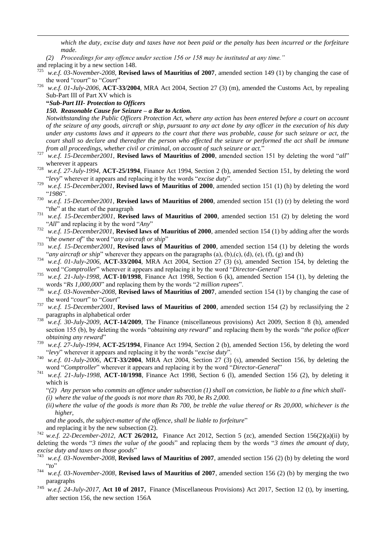*which the duty, excise duty and taxes have not been paid or the penalty has been incurred or the forfeiture made.*

- *(2) Proceedings for any offence under section 156 or 158 may be instituted at any time."*
- and replacing it by a new section 148.

1

<sup>725</sup> *w.e.f. 03-November-2008*, **Revised laws of Mauritius of 2007**, amended section 149 (1) by changing the case of the word "court" to "Court"

<sup>726</sup> *w.e.f. 01-July-2006*, **ACT-33/2004**, MRA Act 2004, Section 27 (3) (m), amended the Customs Act, by repealing Sub-Part III of Part XV which is

**"***Sub-Part III- Protection to Officers*

*150. Reasonable Cause for Seizure – a Bar to Action.*

*Notwithstanding the Public Officers Protection Act, where any action has been entered before a court on account of the seizure of any goods, aircraft or ship, pursuant to any act done by any officer in the execution of his duty under any customs laws and it appears to the court that there was probable, cause for such seizure or act, the court shall so declare and thereafter the person who effected the seizure or performed the act shall be immune from all proceedings, whether civil or criminal, on account of such seizure or act.*‖

- <sup>727</sup> *w.e.f. 15-December2001*, **Revised laws of Mauritius of 2000**, amended section 151 by deleting the word "all" wherever it appears
- <sup>728</sup> *w.e.f. 27-July-1994*, **ACT-25/1994**, Finance Act 1994, Section 2 (b), amended Section 151, by deleting the word ―*levy*‖ wherever it appears and replacing it by the words ―*excise duty*‖.
- <sup>729</sup> *w.e.f. 15-December2001*, **Revised laws of Mauritius of 2000**, amended section 151 (1) (h) by deleting the word ―*1986*‖.
- <sup>730</sup> *w.e.f. 15-December2001*, **Revised laws of Mauritius of 2000**, amended section 151 (1) (r) by deleting the word "the" at the start of the paragraph
- <sup>731</sup> *w.e.f. 15-December2001*, **Revised laws of Mauritius of 2000**, amended section 151 (2) by deleting the word "All" and replacing it by the word "Any"
- <sup>732</sup> *w.e.f. 15-December2001*, **Revised laws of Mauritius of 2000**, amended section 154 (1) by adding after the words "the owner of" the word "any aircraft or ship"
- <sup>733</sup> *w.e.f. 15-December2001*, **Revised laws of Mauritius of 2000**, amended section 154 (1) by deleting the words "*any aircraft or ship*" wherever they appears on the paragraphs (a), (b),(c), (d), (e), (f), (g) and (h)
- <sup>734</sup> *w.e.f. 01-July-2006*, **ACT-33/2004**, MRA Act 2004, Section 27 (3) (s), amended Section 154, by deleting the word "Comptroller" wherever it appears and replacing it by the word "Director-General"
- <sup>735</sup> *w.e.f. 21-July-1998*, **ACT-10/1998**, Finance Act 1998, Section 6 (k), amended Section 154 (1), by deleting the words "Rs 1,000,000" and replacing them by the words "2 *million rupees*".
- <sup>736</sup> *w.e.f. 03-November-2008*, **Revised laws of Mauritius of 2007**, amended section 154 (1) by changing the case of the word "court" to "Court"
- <sup>737</sup> *w.e.f. 15-December2001*, **Revised laws of Mauritius of 2000**, amended section 154 (2) by reclassifying the 2 paragraphs in alphabetical order
- <sup>738</sup> *w.e.f. 30-July-2009,* **ACT-14/2009**, The Finance (miscellaneous provisions) Act 2009, Section 8 (h), amended section 155 (b), by deleting the words "*obtaining any reward*" and replacing them by the words "*the police officer obtaining any reward*"
- <sup>739</sup> *w.e.f. 27-July-1994*, **ACT-25/1994**, Finance Act 1994, Section 2 (b), amended Section 156, by deleting the word ―*levy*‖ wherever it appears and replacing it by the words ―*excise duty*‖.
- <sup>740</sup> *w.e.f. 01-July-2006*, **ACT-33/2004**, MRA Act 2004, Section 27 (3) (s), amended Section 156, by deleting the word "Comptroller" wherever it appears and replacing it by the word "Director-General"
- <sup>741</sup> *w.e.f. 21-July-1998*, **ACT-10/1998**, Finance Act 1998, Section 6 (l), amended Section 156 (2), by deleting it which is

―*(2) Any person who commits an offence under subsection (1) shall on conviction, be liable to a fine which shall- (i) where the value of the goods is not more than Rs 700, be Rs 2,000.*

*(ii)where the value of the goods is more than Rs 700, be treble the value thereof or Rs 20,000, whichever is the higher,*

*and the goods, the subject-matter of the offence, shall be liable to forfeiture*" and replacing it by the new subsection (2).

- <sup>742</sup> *w.e.f. 22-December-2012,* **ACT 26/2012,** Finance Act 2012, Section 5 (zc), amended Section 156(2)(a)(ii) by deleting the words "3 times the value of the goods" and replacing them by the words "3 times the amount of duty, *excise duty and taxes on those goods*"<br><sup>743</sup> *and f. 03 Manamban* 2008. **Parisa**
- <sup>743</sup> *w.e.f. 03-November-2008*, **Revised laws of Mauritius of 2007**, amended section 156 (2) (b) by deleting the word  $``to"$
- <sup>744</sup> *w.e.f. 03-November-2008*, **Revised laws of Mauritius of 2007**, amended section 156 (2) (b) by merging the two paragraphs
- <sup>745</sup> *w.e.f. 24-July-2017*, **Act 10 of 2017**, Finance (Miscellaneous Provisions) Act 2017, Section 12 (t), by inserting, after section 156, the new section 156A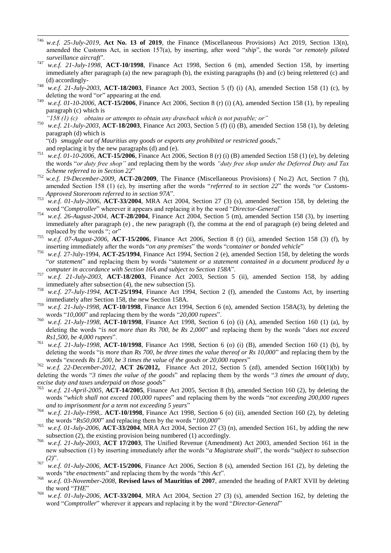- 746 <sup>746</sup> *w.e.f. 25-July-2019*, **Act No. 13 of 2019**, the Finance (Miscellaneous Provisions) Act 2019, Section 13(n), amended the Customs Act, in section 157(a), by inserting, after word "ship", the words "or remotely piloted surveillance aircraft".
- <sup>747</sup> *w.e.f. 21-July-1998*, **ACT-10/1998**, Finance Act 1998, Section 6 (m), amended Section 158, by inserting immediately after paragraph (a) the new paragraph (b), the existing paragraphs (b) and (c) being relettered (c) and (d) accordingly-
- <sup>748</sup> *w.e.f. 21-July-2003*, **ACT-18/2003**, Finance Act 2003, Section 5 (f) (i) (A), amended Section 158 (1) (c), by deleting the word " $or$ " appearing at the end.
- <sup>749</sup> *w.e.f. 01-10-2006,* **ACT-15/2006**, Finance Act 2006, Section 8 (r) (i) (A), amended Section 158 (1), by repealing paragraph (c) which is
	- *"158 (1) (c) obtains or attempts to obtain any drawback which is not payable; or"*
- <sup>750</sup> *w.e.f. 21-July-2003*, **ACT-18/2003**, Finance Act 2003, Section 5 (f) (i) (B), amended Section 158 (1), by deleting paragraph (d) which is

―(d) *smuggle out of Mauritius any goods or exports any prohibited or restricted goods*,‖

- and replacing it by the new paragraphs (d) and (e).
- <sup>751</sup> *w.e.f. 01-10-2006*, **ACT-15/2006**, Finance Act 2006, Section 8 (r) (i) (B) amended Section 158 (1) (e), by deleting the words "or duty free shop" and replacing them by the words "duty free shop under the Deferred Duty and Tax *Scheme referred to in Section 22*‖
- <sup>752</sup> *w.e.f. 19-December-2009,* **ACT-20/2009**, The Finance (Miscellaneous Provisions) ( No.2) Act, Section 7 (h), amended Section 158 (1) (e), by inserting after the words "*referred to in section 22*" the words "*or Customs-Approved Storeroom referred to in section 97A*‖.
- <sup>753</sup> *w.e.f. 01-July-2006*, **ACT-33/2004**, MRA Act 2004, Section 27 (3) (s), amended Section 158, by deleting the word "Comptroller" wherever it appears and replacing it by the word "Director-General"
- <sup>754</sup> *w.e.f. 26-August-2004*, **ACT-28/2004**, Finance Act 2004, Section 5 (m), amended Section 158 (3), by inserting immediately after paragraph (e) , the new paragraph (f), the comma at the end of paragraph (e) being deleted and replaced by the words "; or"
- <sup>755</sup> *w.e.f. 07-August-2006*, **ACT-15/2006**, Finance Act 2006, Section 8 (r) (ii), amended Section 158 (3) (f), by inserting immediately after the words "*on any premises*" the words "*container or bonded vehicle*"
- <sup>756</sup> *w.e.f.* 27-July-1994, **ACT-25/1994**, Finance Act 1994, Section 2 (e), amended Section 158, by deleting the words ―*or statement*‖ and replacing them by words ―*statement or a statement contained in a document produced by a computer in accordance with Section 16A and subject to Section 158A*‖.
- <sup>757</sup> *w.e.f. 21-July-2003*, **ACT-18/2003**, Finance Act 2003, Section 5 (ii), amended Section 158, by adding immediately after subsection (4), the new subsection (5).
- <sup>758</sup> *w.e.f. 27-July-1994*, **ACT-25/1994**, Finance Act 1994, Section 2 (f), amended the Customs Act, by inserting immediately after Section 158, the new Section 158A.
- <sup>759</sup> *w.e.f. 21-July-1998*, **ACT-10/1998**, Finance Act 1994, Section 6 (n), amended Section 158A(3), by deleting the words "10,000" and replacing them by the words "20,000 *rupees*".
- <sup>760</sup> *w.e.f. 21-July-1998*, **ACT-10/1998**, Finance Act 1998, Section 6 (o) (i) (A), amended Section 160 (1) (a), by deleting the words "*is not more than Rs 700, be Rs 2,000*" and replacing them by the words "*does not exceed Rs1,500, be 4,000 rupees*".
- <sup>761</sup> *w.e.f. 21-July-1998*, **ACT-10/1998**, Finance Act 1998, Section 6 (o) (i) (B), amended Section 160 (1) (b), by deleting the words "*is more than Rs 700, be three times the value thereof or Rs 10,000*" and replacing them by the words "exceeds Rs 1,500, be 3 times the value of the goods or 20,000 rupees"

<sup>762</sup> *w.e.f. 22-December-2012,* **ACT 26/2012,** Finance Act 2012, Section 5 (zd), amended Section 160(1)(b) by deleting the words "3 times the value of the goods" and replacing them by the words "3 times the amount of duty, *excise duty and taxes underpaid on those goods*"

- w.e.f. 21-April-2005, **ACT-14/2005**, Finance Act 2005, Section 8 (b), amended Section 160 (2), by deleting the words "which shall not exceed 100,000 rupees" and replacing them by the words "not exceeding 200,000 rupees and to imprisonment for a term not exceeding 5 years"
- <sup>764</sup> *w.e.f. 21-July-1998*,. **ACT-10/1998**, Finance Act 1998, Section 6 (o) (ii), amended Section 160 (2), by deleting the words "Rs50,000" and replacing them by the words "100,000"
- <sup>765</sup> *w.e.f. 01-July-2006*, **ACT-33/2004**, MRA Act 2004, Section 27 (3) (n), amended Section 161, by adding the new subsection (2), the existing provision being numbered (1) accordingly.
- <sup>766</sup> *w.e.f. 21-July-2003*, **ACT 17/2003**, The Unified Revenue (Amendment) Act 2003, amended Section 161 in the new subsection (1) by inserting immediately after the words "*a Magistrate shall*", the words "*subject to subsection*  $(2)^{n}$ .
- <sup>767</sup> *w.e.f. 01-July-2006*, **ACT-15/2006**, Finance Act 2006, Section 8 (s), amended Section 161 (2), by deleting the words "*the enactments*" and replacing them by the words "*this Act*".
- <sup>768</sup> *w.e.f. 03-November-2008*, **Revised laws of Mauritius of 2007**, amended the heading of PART XVII by deleting the word "THE"
- <sup>769</sup> *w.e.f. 01-July-2006*, **ACT-33/2004**, MRA Act 2004, Section 27 (3) (s), amended Section 162, by deleting the word "Comptroller" wherever it appears and replacing it by the word "Director-General"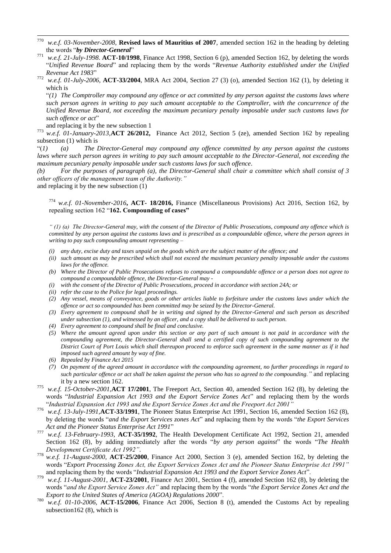- 770 <sup>770</sup> *w.e.f. 03-November-2008*, **Revised laws of Mauritius of 2007**, amended section 162 in the heading by deleting the words "by Director-General"
- <sup>771</sup> *w.e.f. 21-July-1998*. **ACT-10/1998**, Finance Act 1998, Section 6 (p), amended Section 162, by deleting the words ―*Unified Revenue Board*‖ and replacing them by the words ―*Revenue Authority established under the Unified Revenue Act 1983*‖
- <sup>772</sup> *w.e.f. 01-July-2006*, **ACT-33/2004**, MRA Act 2004, Section 27 (3) (o), amended Section 162 (1), by deleting it which is

―*(1) The Comptroller may compound any offence or act committed by any person against the customs laws where such person agrees in writing to pay such amount acceptable to the Comptroller, with the concurrence of the Unified Revenue Board, not exceeding the maximum pecuniary penalty imposable under such customs laws for*  such offence or act"

and replacing it by the new subsection 1

<sup>773</sup> *w.e.f. 01-January-2013,***ACT 26/2012,** Finance Act 2012, Section 5 (ze), amended Section 162 by repealing subsection (1) which is

―(*1) (a) The Director-General may compound any offence committed by any person against the customs laws where such person agrees in writing to pay such amount acceptable to the Director-General, not exceeding the maximum pecuniary penalty imposable under such customs laws for such offence.*

*(b) For the purposes of paragraph (a), the Director-General shall chair a committee which shall consist of 3 other officers of the management team of the Authority."*

and replacing it by the new subsection (1)

<sup>774</sup> *w.e.f. 01-November-2016***, ACT- 18/2016,** Finance (Miscellaneous Provisions) Act 2016, Section 162, by repealing section 162 "162. Compounding of cases"

*" (1) (a) The Director-General may, with the consent of the Director of Public Prosecutions, compound any offence which is committed by any person against the customs laws and is prescribed as a compoundable offence, where the person agrees in writing to pay such compounding amount representing –*

- *(i) any duty, excise duty and taxes unpaid on the goods which are the subject matter of the offence; and*
- *(ii) such amount as may be prescribed which shall not exceed the maximum pecuniary penalty imposable under the customs laws for the offence.*
- *(b) Where the Director of Public Prosecutions refuses to compound a compoundable offence or a person does not agree to compound a compoundable offence, the Director-General may -*
- *(i) with the consent of the Director of Public Prosecutions, proceed in accordance with section 24A; or*
- *(ii) refer the case to the Police for legal proceedings.*
- *(2) Any vessel, means of conveyance, goods or other articles liable to forfeiture under the customs laws under which the offence or act so compounded has been committed may be seized by the Director-General.*
- *(3) Every agreement to compound shall be in writing and signed by the Director-General and such person as described under subsection (1), and witnessed by an officer, and a copy shall be delivered to such person.*
- *(4) Every agreement to compound shall be final and conclusive.*
- *(5) Where the amount agreed upon under this section or any part of such amount is not paid in accordance with the compounding agreement, the Director-General shall send a certified copy of such compounding agreement to the District Court of Port Louis which shall thereupon proceed to enforce such agreement in the same manner as if it had imposed such agreed amount by way of fine.*
- *(6) Repealed by Finance Act 2015*
- *(7) On payment of the agreed amount in accordance with the compounding agreement, no further proceedings in regard to such particular offence or act shall be taken against the person who has so agreed to the compounding."* and replacing it by a new section 162.
- <sup>775</sup> *w.e.f. 15-October-2001,***ACT 17/2001**, The Freeport Act, Section 40, amended Section 162 (8), by deleting the words "Industrial Expansion Act 1993 and the Export Service Zones Act" and replacing them by the words ―*Industrial Expansion Act 1993 and the Export Service Zones Act and the Freeport Act 2001"*
- <sup>776</sup> *w.e.f. 13-July-1991,***ACT-33/1991**, The Pioneer Status Enterprise Act 1991, Section 16, amended Section 162 (8), by deleting the words "and the Export Services zones Act" and replacing them by the words "the Export Services Act and the Pioneer Status Enterprise Act 1991"
- <sup>777</sup> *w.e.f. 13-February-1993*, **ACT-35/1992**, The Health Development Certificate Act 1992, Section 21, amended Section 162 (8), by adding immediately after the words "by any person against" the words "The Health *Development Certificate Act 1992"*.
- *w.e.f. 11-August-2000*, **ACT-25/2000**, Finance Act 2000, Section 3 (e), amended Section 162, by deleting the words ―*Export Processing Zones Act, the Export Services Zones Act and the Pioneer Status Enterprise Act 1991"* and replacing them by the words "Industrial Expansion Act 1993 and the Export Service Zones Act".
- <sup>779</sup> *w.e.f. 11-August-2001*, **ACT-23/2001**, Finance Act 2001, Section 4 (f), amended Section 162 (8), by deleting the words "and the Export Service Zones Act" and replacing them by the words "the Export Service Zones Act and the *Export to the United States of America (AGOA) Regulations 2000".*
- <sup>780</sup> *w.e.f. 01-10-2006*, **ACT-15/2006**, Finance Act 2006, Section 8 (t), amended the Customs Act by repealing subsection162 (8), which is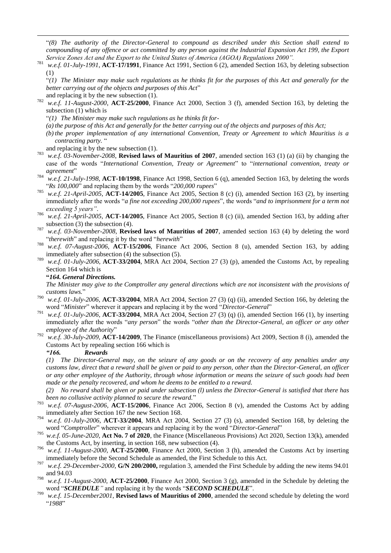―*(8) The authority of the Director-General to compound as described under this Section shall extend to compounding of any offence or act committed by any person against the Industrial Expansion Act 199, the Export Service Zones Act and the Export to the United States of America (AGOA) Regulations 2000".*

- <sup>781</sup> *w.e.f. 01-July-1991*, **ACT-17/1991**, Finance Act 1991, Section 6 (2), amended Section 163, by deleting subsection (1)
	- ―*(1) The Minister may make such regulations as he thinks fit for the purposes of this Act and generally for the better carrying out of the objects and purposes of this Act*" and replacing it by the new subsection (1).
- <sup>782</sup> *w.e.f. 11-August-2000*, **ACT-25/2000**, Finance Act 2000, Section 3 (f), amended Section 163, by deleting the subsection (1) which is
	- ―*(1) The Minister may make such regulations as he thinks fit for-*
	- *(a) the purpose of this Act and generally for the better carrying out of the objects and purposes of this Act;*
	- *(b) the proper implementation of any international Convention, Treaty or Agreement to which Mauritius is a contracting party.* ―
- and replacing it by the new subsection (1).

1

- <sup>783</sup> *w.e.f. 03-November-2008*, **Revised laws of Mauritius of 2007**, amended section 163 (1) (a) (ii) by changing the case of the words "International Convention, Treaty or Agreement" to "international convention, treaty or *agreement*"
- <sup>784</sup> *w.e.f. 21-July-1998*, **ACT-10/1998**, Finance Act 1998, Section 6 (q), amended Section 163, by deleting the words "Rs 100,000" and replacing them by the words "200,000 *rupees*"
- <sup>785</sup> *w.e.f. 21-April-2005*, **ACT-14/2005**, Finance Act 2005, Section 8 (c) (i), amended Section 163 (2), by inserting immediately after the words "*a fine not exceeding 200,000 rupees*", the words "*and to imprisonment for a term not exceeding 5 years"*.
- <sup>786</sup> *w.e.f. 21-April-2005*, **ACT-14/2005**, Finance Act 2005, Section 8 (c) (ii), amended Section 163, by adding after subsection (3) the subsection (4).
- <sup>787</sup> *w.e.f. 03-November-2008*, **Revised laws of Mauritius of 2007**, amended section 163 (4) by deleting the word "*therewith*" and replacing it by the word "*herewith*"
- <sup>788</sup> *w.e.f. 07-August-2006*, **ACT-15/2006**, Finance Act 2006, Section 8 (u), amended Section 163, by adding immediately after subsection (4) the subsection (5).
- <sup>789</sup> *w.e.f. 01-July-2006*, **ACT-33/2004**, MRA Act 2004, Section 27 (3) (p), amended the Customs Act, by repealing Section 164 which is

### **"***164. General Directions.*

*The Minister may give to the Comptroller any general directions which are not inconsistent with the provisions of customs laws.*‖

- <sup>790</sup> *w.e.f. 01-July-2006*, **ACT-33/2004**, MRA Act 2004, Section 27 (3) (q) (ii), amended Section 166, by deleting the word "*Minister*" wherever it appears and replacing it by the word "*Director-General*"
- <sup>791</sup> *w.e.f. 01-July-2006*, **ACT-33/2004**, MRA Act 2004, Section 27 (3) (q) (i), amended Section 166 (1), by inserting immediately after the words "any person" the words "other than the Director-General, an officer or any other *employee of the Authority*"
- <sup>792</sup> *w.e.f. 30-July-2009,* **ACT-14/2009**, The Finance (miscellaneous provisions) Act 2009, Section 8 (i), amended the Customs Act by repealing section 166 which is

### *"166. Rewards*

*(1) The Director-General may, on the seizure of any goods or on the recovery of any penalties under any customs law, direct that a reward shall be given or paid to any person, other than the Director-General, an officer or any other employee of the Authority, through whose information or means the seizure of such goods had been made or the penalty recovered, and whom he deems to be entitled to a reward.*

*(2) No reward shall be given or paid under subsection (l) unless the Director-General is satisfied that there has been no collusive activity planned to secure the reward.*‖

- <sup>793</sup> *w.e.f. 07-August-2006*, **ACT-15/2006**, Finance Act 2006, Section 8 (v), amended the Customs Act by adding immediately after Section 167 the new Section 168.
- <sup>794</sup> *w.e.f. 01-July-2006*, **ACT-33/2004**, MRA Act 2004, Section 27 (3) (s), amended Section 168, by deleting the word "Comptroller" wherever it appears and replacing it by the word "Director-General"
- <sup>795</sup> *w.e.f. 05-June-2020*, **Act No. 7 of 2020**, the Finance (Miscellaneous Provisions) Act 2020, Section 13(k), amended the Customs Act, by inserting, in section 168, new subsection (4).
- <sup>796</sup> *w.e.f. 11-August-2000*, **ACT-25/2000**, Finance Act 2000, Section 3 (h), amended the Customs Act by inserting immediately before the Second Schedule as amended, the First Schedule to this Act.
- <sup>797</sup> *w.e.f. 29-December-2000*, **G/N 200/2000,** regulation 3, amended the First Schedule by adding the new items 94.01 and 94.03
- <sup>798</sup> *w.e.f. 11-August-2000*, **ACT-25/2000**, Finance Act 2000, Section 3 (g), amended in the Schedule by deleting the word "*SCHEDULE*" and replacing it by the words "*SECOND SCHEDULE*".
- <sup>799</sup> *w.e.f. 15-December2001*, **Revised laws of Mauritius of 2000**, amended the second schedule by deleting the word ―*1988*‖